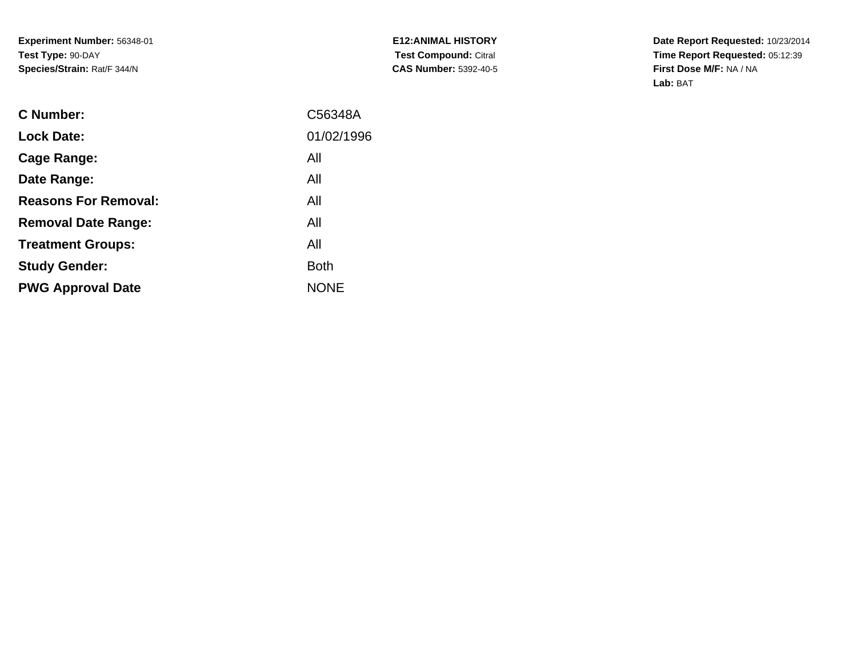| <b>E12:ANIMAL HISTORY</b>    |
|------------------------------|
| <b>Test Compound: Citral</b> |
| <b>CAS Number:</b> 5392-40-5 |

| C Number:                   | C56348A     |
|-----------------------------|-------------|
| <b>Lock Date:</b>           | 01/02/1996  |
| Cage Range:                 | All         |
| Date Range:                 | All         |
| <b>Reasons For Removal:</b> | All         |
| <b>Removal Date Range:</b>  | All         |
| <b>Treatment Groups:</b>    | All         |
| <b>Study Gender:</b>        | <b>Both</b> |
| <b>PWG Approval Date</b>    | <b>NONE</b> |
|                             |             |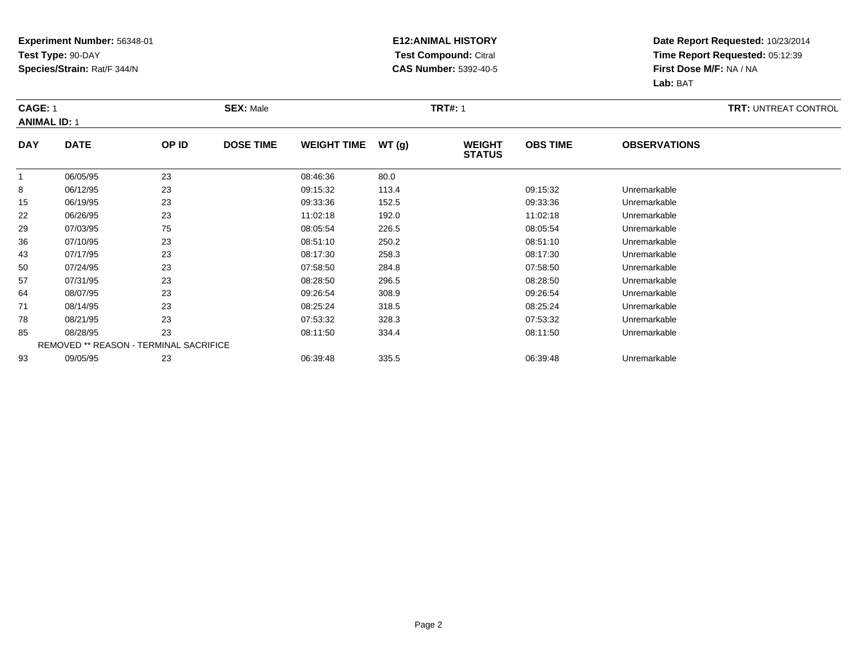### **E12:ANIMAL HISTORY Test Compound:** Citral **CAS Number:** 5392-40-5

| <b>CAGE: 1</b><br><b>ANIMAL ID: 1</b> |                                        | <b>SEX: Male</b> |                  |                    | <b>TRT#:</b> 1 |                                | <b>TRT: UNTREAT CONTROL</b> |                     |  |
|---------------------------------------|----------------------------------------|------------------|------------------|--------------------|----------------|--------------------------------|-----------------------------|---------------------|--|
| <b>DAY</b>                            | <b>DATE</b>                            | OP ID            | <b>DOSE TIME</b> | <b>WEIGHT TIME</b> | WT(g)          | <b>WEIGHT</b><br><b>STATUS</b> | <b>OBS TIME</b>             | <b>OBSERVATIONS</b> |  |
| $\mathbf{1}$                          | 06/05/95                               | 23               |                  | 08:46:36           | 80.0           |                                |                             |                     |  |
| 8                                     | 06/12/95                               | 23               |                  | 09:15:32           | 113.4          |                                | 09:15:32                    | Unremarkable        |  |
| 15                                    | 06/19/95                               | 23               |                  | 09:33:36           | 152.5          |                                | 09:33:36                    | Unremarkable        |  |
| 22                                    | 06/26/95                               | 23               |                  | 11:02:18           | 192.0          |                                | 11:02:18                    | Unremarkable        |  |
| 29                                    | 07/03/95                               | 75               |                  | 08:05:54           | 226.5          |                                | 08:05:54                    | Unremarkable        |  |
| 36                                    | 07/10/95                               | 23               |                  | 08:51:10           | 250.2          |                                | 08:51:10                    | Unremarkable        |  |
| 43                                    | 07/17/95                               | 23               |                  | 08:17:30           | 258.3          |                                | 08:17:30                    | Unremarkable        |  |
| 50                                    | 07/24/95                               | 23               |                  | 07:58:50           | 284.8          |                                | 07:58:50                    | Unremarkable        |  |
| 57                                    | 07/31/95                               | 23               |                  | 08:28:50           | 296.5          |                                | 08:28:50                    | Unremarkable        |  |
| 64                                    | 08/07/95                               | 23               |                  | 09:26:54           | 308.9          |                                | 09:26:54                    | Unremarkable        |  |
| 71                                    | 08/14/95                               | 23               |                  | 08:25:24           | 318.5          |                                | 08:25:24                    | Unremarkable        |  |
| 78                                    | 08/21/95                               | 23               |                  | 07:53:32           | 328.3          |                                | 07:53:32                    | Unremarkable        |  |
| 85                                    | 08/28/95                               | 23               |                  | 08:11:50           | 334.4          |                                | 08:11:50                    | Unremarkable        |  |
|                                       | REMOVED ** REASON - TERMINAL SACRIFICE |                  |                  |                    |                |                                |                             |                     |  |
| 93                                    | 09/05/95                               | 23               |                  | 06:39:48           | 335.5          |                                | 06:39:48                    | Unremarkable        |  |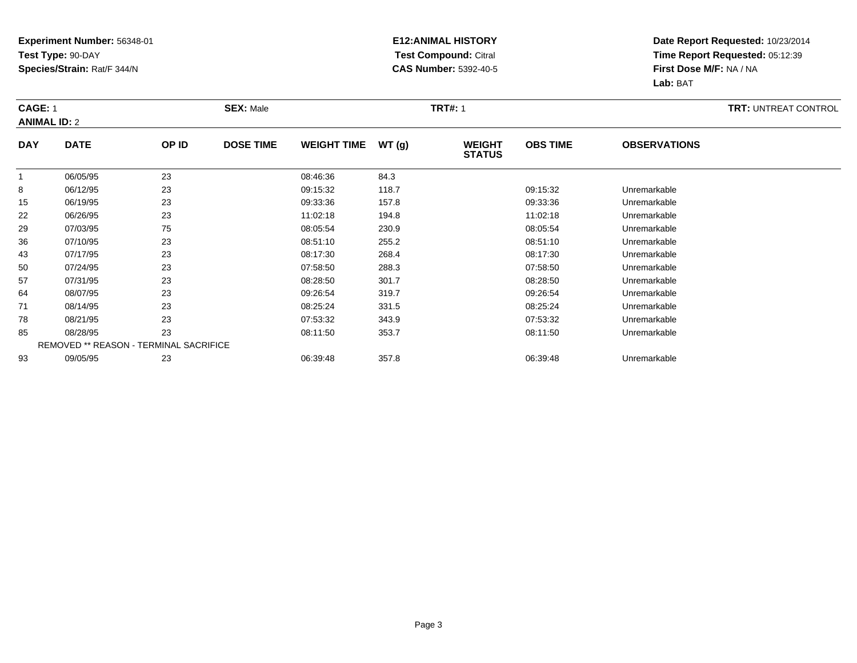### **E12:ANIMAL HISTORY Test Compound:** Citral **CAS Number:** 5392-40-5

| CAGE: 1    | <b>ANIMAL ID: 2</b>                    |       | <b>SEX: Male</b> |                    |       |                                |                 |                     | <b>TRT: UNTREAT CONTROL</b> |
|------------|----------------------------------------|-------|------------------|--------------------|-------|--------------------------------|-----------------|---------------------|-----------------------------|
| <b>DAY</b> | <b>DATE</b>                            | OP ID | <b>DOSE TIME</b> | <b>WEIGHT TIME</b> | WT(g) | <b>WEIGHT</b><br><b>STATUS</b> | <b>OBS TIME</b> | <b>OBSERVATIONS</b> |                             |
|            | 06/05/95                               | 23    |                  | 08:46:36           | 84.3  |                                |                 |                     |                             |
| 8          | 06/12/95                               | 23    |                  | 09:15:32           | 118.7 |                                | 09:15:32        | Unremarkable        |                             |
| 15         | 06/19/95                               | 23    |                  | 09:33:36           | 157.8 |                                | 09:33:36        | Unremarkable        |                             |
| 22         | 06/26/95                               | 23    |                  | 11:02:18           | 194.8 |                                | 11:02:18        | Unremarkable        |                             |
| 29         | 07/03/95                               | 75    |                  | 08:05:54           | 230.9 |                                | 08:05:54        | Unremarkable        |                             |
| 36         | 07/10/95                               | 23    |                  | 08:51:10           | 255.2 |                                | 08:51:10        | Unremarkable        |                             |
| 43         | 07/17/95                               | 23    |                  | 08:17:30           | 268.4 |                                | 08:17:30        | Unremarkable        |                             |
| 50         | 07/24/95                               | 23    |                  | 07:58:50           | 288.3 |                                | 07:58:50        | Unremarkable        |                             |
| 57         | 07/31/95                               | 23    |                  | 08:28:50           | 301.7 |                                | 08:28:50        | Unremarkable        |                             |
| 64         | 08/07/95                               | 23    |                  | 09:26:54           | 319.7 |                                | 09:26:54        | Unremarkable        |                             |
| 71         | 08/14/95                               | 23    |                  | 08:25:24           | 331.5 |                                | 08:25:24        | Unremarkable        |                             |
| 78         | 08/21/95                               | 23    |                  | 07:53:32           | 343.9 |                                | 07:53:32        | Unremarkable        |                             |
| 85         | 08/28/95                               | 23    |                  | 08:11:50           | 353.7 |                                | 08:11:50        | Unremarkable        |                             |
|            | REMOVED ** REASON - TERMINAL SACRIFICE |       |                  |                    |       |                                |                 |                     |                             |
| 93         | 09/05/95                               | 23    |                  | 06:39:48           | 357.8 |                                | 06:39:48        | Unremarkable        |                             |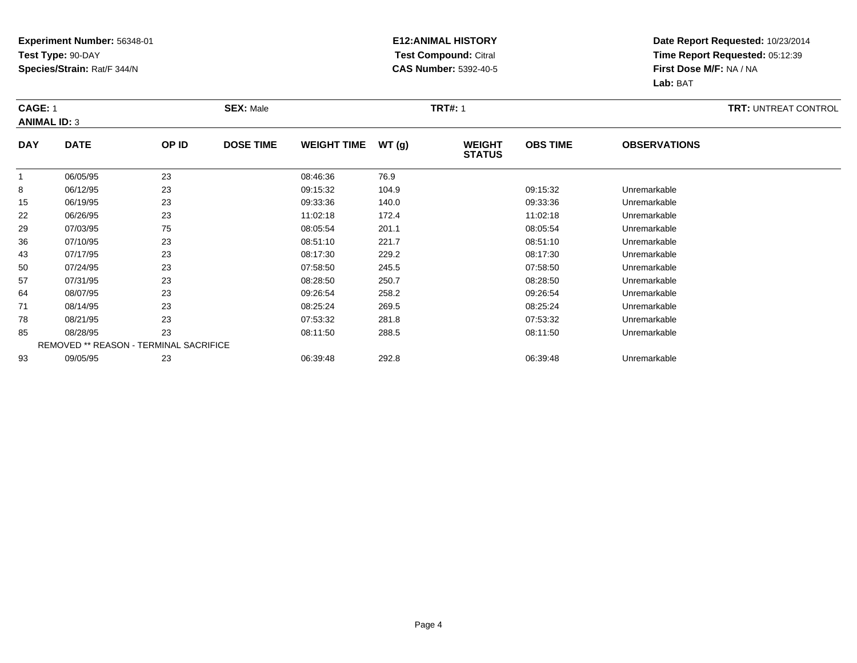### **E12:ANIMAL HISTORY Test Compound:** Citral **CAS Number:** 5392-40-5

|                | <b>CAGE: 1</b><br><b>ANIMAL ID: 3</b> |                                        | <b>SEX: Male</b> |                    |       | <b>TRT#: 1</b>                 |                 | <b>TRT: UNTREAT CONTROL</b> |  |
|----------------|---------------------------------------|----------------------------------------|------------------|--------------------|-------|--------------------------------|-----------------|-----------------------------|--|
| <b>DAY</b>     | <b>DATE</b>                           | OP ID                                  | <b>DOSE TIME</b> | <b>WEIGHT TIME</b> | WT(g) | <b>WEIGHT</b><br><b>STATUS</b> | <b>OBS TIME</b> | <b>OBSERVATIONS</b>         |  |
| $\overline{1}$ | 06/05/95                              | 23                                     |                  | 08:46:36           | 76.9  |                                |                 |                             |  |
| 8              | 06/12/95                              | 23                                     |                  | 09:15:32           | 104.9 |                                | 09:15:32        | Unremarkable                |  |
| 15             | 06/19/95                              | 23                                     |                  | 09:33:36           | 140.0 |                                | 09:33:36        | Unremarkable                |  |
| 22             | 06/26/95                              | 23                                     |                  | 11:02:18           | 172.4 |                                | 11:02:18        | Unremarkable                |  |
| 29             | 07/03/95                              | 75                                     |                  | 08:05:54           | 201.1 |                                | 08:05:54        | Unremarkable                |  |
| 36             | 07/10/95                              | 23                                     |                  | 08:51:10           | 221.7 |                                | 08:51:10        | Unremarkable                |  |
| 43             | 07/17/95                              | 23                                     |                  | 08:17:30           | 229.2 |                                | 08:17:30        | Unremarkable                |  |
| 50             | 07/24/95                              | 23                                     |                  | 07:58:50           | 245.5 |                                | 07:58:50        | Unremarkable                |  |
| 57             | 07/31/95                              | 23                                     |                  | 08:28:50           | 250.7 |                                | 08:28:50        | Unremarkable                |  |
| 64             | 08/07/95                              | 23                                     |                  | 09:26:54           | 258.2 |                                | 09:26:54        | Unremarkable                |  |
| 71             | 08/14/95                              | 23                                     |                  | 08:25:24           | 269.5 |                                | 08:25:24        | Unremarkable                |  |
| 78             | 08/21/95                              | 23                                     |                  | 07:53:32           | 281.8 |                                | 07:53:32        | Unremarkable                |  |
| 85             | 08/28/95                              | 23                                     |                  | 08:11:50           | 288.5 |                                | 08:11:50        | Unremarkable                |  |
|                |                                       | REMOVED ** REASON - TERMINAL SACRIFICE |                  |                    |       |                                |                 |                             |  |
| 93             | 09/05/95                              | 23                                     |                  | 06:39:48           | 292.8 |                                | 06:39:48        | Unremarkable                |  |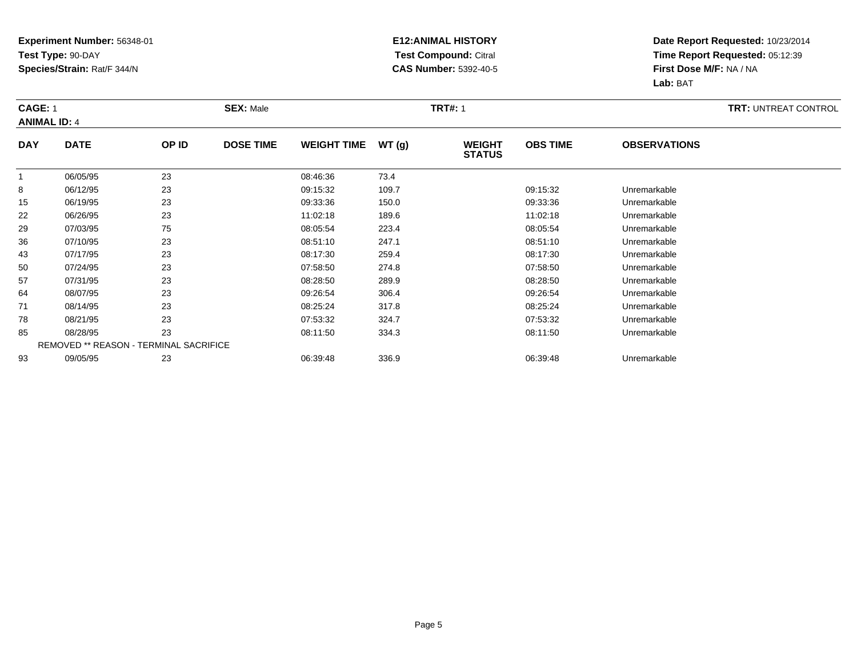### **E12:ANIMAL HISTORY Test Compound:** Citral **CAS Number:** 5392-40-5

| <b>CAGE: 1</b> | <b>ANIMAL ID: 4</b> |                                        | <b>SEX: Male</b> |                    |       |                                | <b>TRT#: 1</b>  |                     |  |  |  |
|----------------|---------------------|----------------------------------------|------------------|--------------------|-------|--------------------------------|-----------------|---------------------|--|--|--|
| <b>DAY</b>     | <b>DATE</b>         | OP ID                                  | <b>DOSE TIME</b> | <b>WEIGHT TIME</b> | WT(g) | <b>WEIGHT</b><br><b>STATUS</b> | <b>OBS TIME</b> | <b>OBSERVATIONS</b> |  |  |  |
| $\mathbf{1}$   | 06/05/95            | 23                                     |                  | 08:46:36           | 73.4  |                                |                 |                     |  |  |  |
| 8              | 06/12/95            | 23                                     |                  | 09:15:32           | 109.7 |                                | 09:15:32        | Unremarkable        |  |  |  |
| 15             | 06/19/95            | 23                                     |                  | 09:33:36           | 150.0 |                                | 09:33:36        | Unremarkable        |  |  |  |
| 22             | 06/26/95            | 23                                     |                  | 11:02:18           | 189.6 |                                | 11:02:18        | Unremarkable        |  |  |  |
| 29             | 07/03/95            | 75                                     |                  | 08:05:54           | 223.4 |                                | 08:05:54        | Unremarkable        |  |  |  |
| 36             | 07/10/95            | 23                                     |                  | 08:51:10           | 247.1 |                                | 08:51:10        | Unremarkable        |  |  |  |
| 43             | 07/17/95            | 23                                     |                  | 08:17:30           | 259.4 |                                | 08:17:30        | Unremarkable        |  |  |  |
| 50             | 07/24/95            | 23                                     |                  | 07:58:50           | 274.8 |                                | 07:58:50        | Unremarkable        |  |  |  |
| 57             | 07/31/95            | 23                                     |                  | 08:28:50           | 289.9 |                                | 08:28:50        | Unremarkable        |  |  |  |
| 64             | 08/07/95            | 23                                     |                  | 09:26:54           | 306.4 |                                | 09:26:54        | Unremarkable        |  |  |  |
| 71             | 08/14/95            | 23                                     |                  | 08:25:24           | 317.8 |                                | 08:25:24        | Unremarkable        |  |  |  |
| 78             | 08/21/95            | 23                                     |                  | 07:53:32           | 324.7 |                                | 07:53:32        | Unremarkable        |  |  |  |
| 85             | 08/28/95            | 23                                     |                  | 08:11:50           | 334.3 |                                | 08:11:50        | Unremarkable        |  |  |  |
|                |                     | REMOVED ** REASON - TERMINAL SACRIFICE |                  |                    |       |                                |                 |                     |  |  |  |
| 93             | 09/05/95            | 23                                     |                  | 06:39:48           | 336.9 |                                | 06:39:48        | Unremarkable        |  |  |  |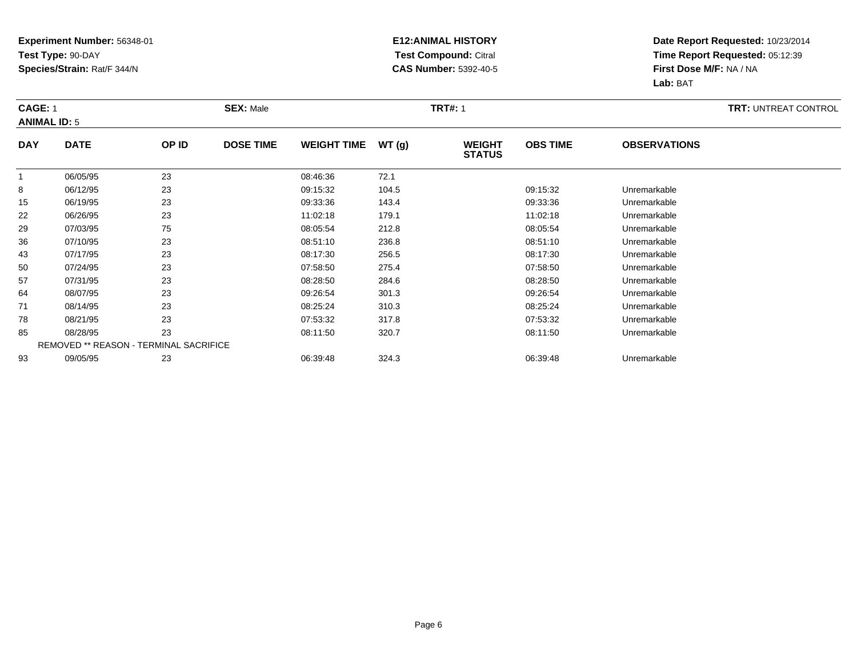### **E12:ANIMAL HISTORY Test Compound:** Citral **CAS Number:** 5392-40-5

|                | <b>CAGE: 1</b><br><b>ANIMAL ID: 5</b> |                                        | <b>SEX: Male</b> |                    |       | <b>TRT#: 1</b>                 |                 | <b>TRT: UNTREAT CONTROL</b> |  |
|----------------|---------------------------------------|----------------------------------------|------------------|--------------------|-------|--------------------------------|-----------------|-----------------------------|--|
| <b>DAY</b>     | <b>DATE</b>                           | OP ID                                  | <b>DOSE TIME</b> | <b>WEIGHT TIME</b> | WT(g) | <b>WEIGHT</b><br><b>STATUS</b> | <b>OBS TIME</b> | <b>OBSERVATIONS</b>         |  |
| $\overline{1}$ | 06/05/95                              | 23                                     |                  | 08:46:36           | 72.1  |                                |                 |                             |  |
| 8              | 06/12/95                              | 23                                     |                  | 09:15:32           | 104.5 |                                | 09:15:32        | Unremarkable                |  |
| 15             | 06/19/95                              | 23                                     |                  | 09:33:36           | 143.4 |                                | 09:33:36        | Unremarkable                |  |
| 22             | 06/26/95                              | 23                                     |                  | 11:02:18           | 179.1 |                                | 11:02:18        | Unremarkable                |  |
| 29             | 07/03/95                              | 75                                     |                  | 08:05:54           | 212.8 |                                | 08:05:54        | Unremarkable                |  |
| 36             | 07/10/95                              | 23                                     |                  | 08:51:10           | 236.8 |                                | 08:51:10        | Unremarkable                |  |
| 43             | 07/17/95                              | 23                                     |                  | 08:17:30           | 256.5 |                                | 08:17:30        | Unremarkable                |  |
| 50             | 07/24/95                              | 23                                     |                  | 07:58:50           | 275.4 |                                | 07:58:50        | Unremarkable                |  |
| 57             | 07/31/95                              | 23                                     |                  | 08:28:50           | 284.6 |                                | 08:28:50        | Unremarkable                |  |
| 64             | 08/07/95                              | 23                                     |                  | 09:26:54           | 301.3 |                                | 09:26:54        | Unremarkable                |  |
| 71             | 08/14/95                              | 23                                     |                  | 08:25:24           | 310.3 |                                | 08:25:24        | Unremarkable                |  |
| 78             | 08/21/95                              | 23                                     |                  | 07:53:32           | 317.8 |                                | 07:53:32        | Unremarkable                |  |
| 85             | 08/28/95                              | 23                                     |                  | 08:11:50           | 320.7 |                                | 08:11:50        | Unremarkable                |  |
|                |                                       | REMOVED ** REASON - TERMINAL SACRIFICE |                  |                    |       |                                |                 |                             |  |
| 93             | 09/05/95                              | 23                                     |                  | 06:39:48           | 324.3 |                                | 06:39:48        | Unremarkable                |  |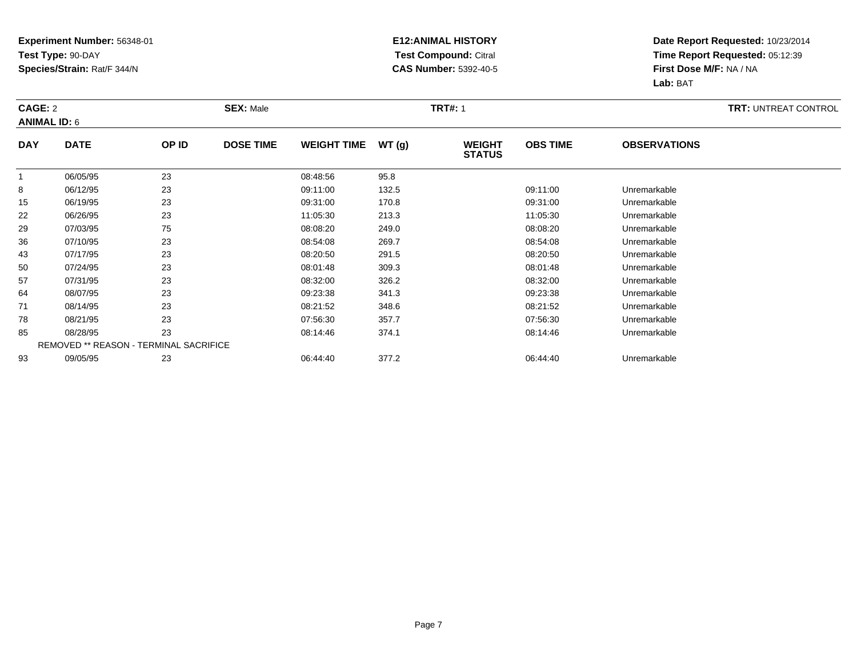### **E12:ANIMAL HISTORY Test Compound:** Citral **CAS Number:** 5392-40-5

|            | CAGE: 2<br><b>ANIMAL ID: 6</b>         |       | <b>SEX: Male</b> |                    |       |                                | <b>TRT#: 1</b>  |                     |  |  |  |
|------------|----------------------------------------|-------|------------------|--------------------|-------|--------------------------------|-----------------|---------------------|--|--|--|
| <b>DAY</b> | <b>DATE</b>                            | OP ID | <b>DOSE TIME</b> | <b>WEIGHT TIME</b> | WT(g) | <b>WEIGHT</b><br><b>STATUS</b> | <b>OBS TIME</b> | <b>OBSERVATIONS</b> |  |  |  |
|            | 06/05/95                               | 23    |                  | 08:48:56           | 95.8  |                                |                 |                     |  |  |  |
| 8          | 06/12/95                               | 23    |                  | 09:11:00           | 132.5 |                                | 09:11:00        | Unremarkable        |  |  |  |
| 15         | 06/19/95                               | 23    |                  | 09:31:00           | 170.8 |                                | 09:31:00        | Unremarkable        |  |  |  |
| 22         | 06/26/95                               | 23    |                  | 11:05:30           | 213.3 |                                | 11:05:30        | Unremarkable        |  |  |  |
| 29         | 07/03/95                               | 75    |                  | 08:08:20           | 249.0 |                                | 08:08:20        | Unremarkable        |  |  |  |
| 36         | 07/10/95                               | 23    |                  | 08:54:08           | 269.7 |                                | 08:54:08        | Unremarkable        |  |  |  |
| 43         | 07/17/95                               | 23    |                  | 08:20:50           | 291.5 |                                | 08:20:50        | Unremarkable        |  |  |  |
| 50         | 07/24/95                               | 23    |                  | 08:01:48           | 309.3 |                                | 08:01:48        | Unremarkable        |  |  |  |
| 57         | 07/31/95                               | 23    |                  | 08:32:00           | 326.2 |                                | 08:32:00        | Unremarkable        |  |  |  |
| 64         | 08/07/95                               | 23    |                  | 09:23:38           | 341.3 |                                | 09:23:38        | Unremarkable        |  |  |  |
| 71         | 08/14/95                               | 23    |                  | 08:21:52           | 348.6 |                                | 08:21:52        | Unremarkable        |  |  |  |
| 78         | 08/21/95                               | 23    |                  | 07:56:30           | 357.7 |                                | 07:56:30        | Unremarkable        |  |  |  |
| 85         | 08/28/95                               | 23    |                  | 08:14:46           | 374.1 |                                | 08:14:46        | Unremarkable        |  |  |  |
|            | REMOVED ** REASON - TERMINAL SACRIFICE |       |                  |                    |       |                                |                 |                     |  |  |  |
| 93         | 09/05/95                               | 23    |                  | 06:44:40           | 377.2 |                                | 06:44:40        | Unremarkable        |  |  |  |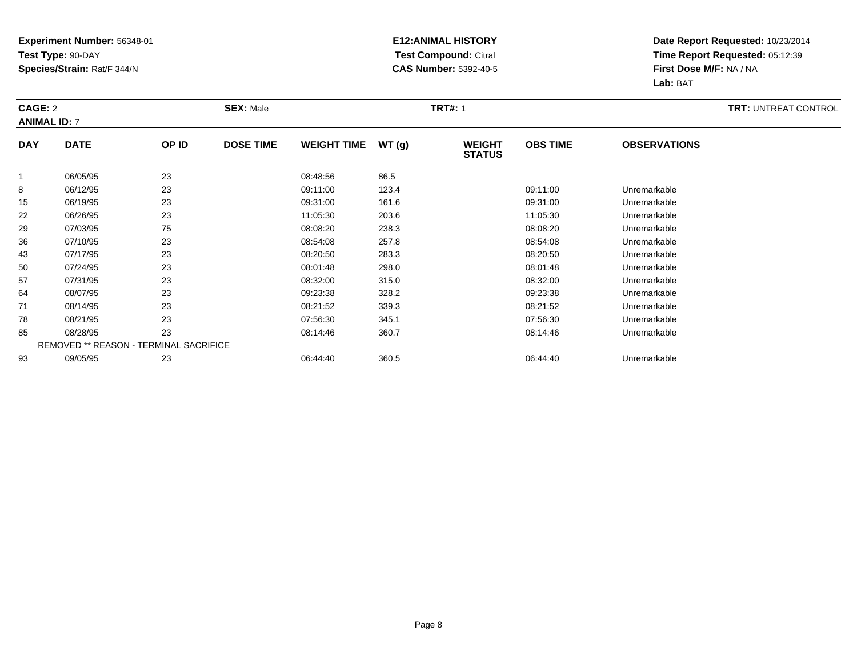### **E12:ANIMAL HISTORY Test Compound:** Citral **CAS Number:** 5392-40-5

|              | CAGE: 2<br><b>ANIMAL ID: 7</b>         |       | <b>SEX: Male</b> |                    |       |                                | <b>TRT#: 1</b>  |                     |  |  |  |
|--------------|----------------------------------------|-------|------------------|--------------------|-------|--------------------------------|-----------------|---------------------|--|--|--|
| <b>DAY</b>   | <b>DATE</b>                            | OP ID | <b>DOSE TIME</b> | <b>WEIGHT TIME</b> | WT(g) | <b>WEIGHT</b><br><b>STATUS</b> | <b>OBS TIME</b> | <b>OBSERVATIONS</b> |  |  |  |
| $\mathbf{1}$ | 06/05/95                               | 23    |                  | 08:48:56           | 86.5  |                                |                 |                     |  |  |  |
| 8            | 06/12/95                               | 23    |                  | 09:11:00           | 123.4 |                                | 09:11:00        | Unremarkable        |  |  |  |
| 15           | 06/19/95                               | 23    |                  | 09:31:00           | 161.6 |                                | 09:31:00        | Unremarkable        |  |  |  |
| 22           | 06/26/95                               | 23    |                  | 11:05:30           | 203.6 |                                | 11:05:30        | Unremarkable        |  |  |  |
| 29           | 07/03/95                               | 75    |                  | 08:08:20           | 238.3 |                                | 08:08:20        | Unremarkable        |  |  |  |
| 36           | 07/10/95                               | 23    |                  | 08:54:08           | 257.8 |                                | 08:54:08        | Unremarkable        |  |  |  |
| 43           | 07/17/95                               | 23    |                  | 08:20:50           | 283.3 |                                | 08:20:50        | Unremarkable        |  |  |  |
| 50           | 07/24/95                               | 23    |                  | 08:01:48           | 298.0 |                                | 08:01:48        | Unremarkable        |  |  |  |
| 57           | 07/31/95                               | 23    |                  | 08:32:00           | 315.0 |                                | 08:32:00        | Unremarkable        |  |  |  |
| 64           | 08/07/95                               | 23    |                  | 09:23:38           | 328.2 |                                | 09:23:38        | Unremarkable        |  |  |  |
| 71           | 08/14/95                               | 23    |                  | 08:21:52           | 339.3 |                                | 08:21:52        | Unremarkable        |  |  |  |
| 78           | 08/21/95                               | 23    |                  | 07:56:30           | 345.1 |                                | 07:56:30        | Unremarkable        |  |  |  |
| 85           | 08/28/95                               | 23    |                  | 08:14:46           | 360.7 |                                | 08:14:46        | Unremarkable        |  |  |  |
|              | REMOVED ** REASON - TERMINAL SACRIFICE |       |                  |                    |       |                                |                 |                     |  |  |  |
| 93           | 09/05/95                               | 23    |                  | 06:44:40           | 360.5 |                                | 06:44:40        | Unremarkable        |  |  |  |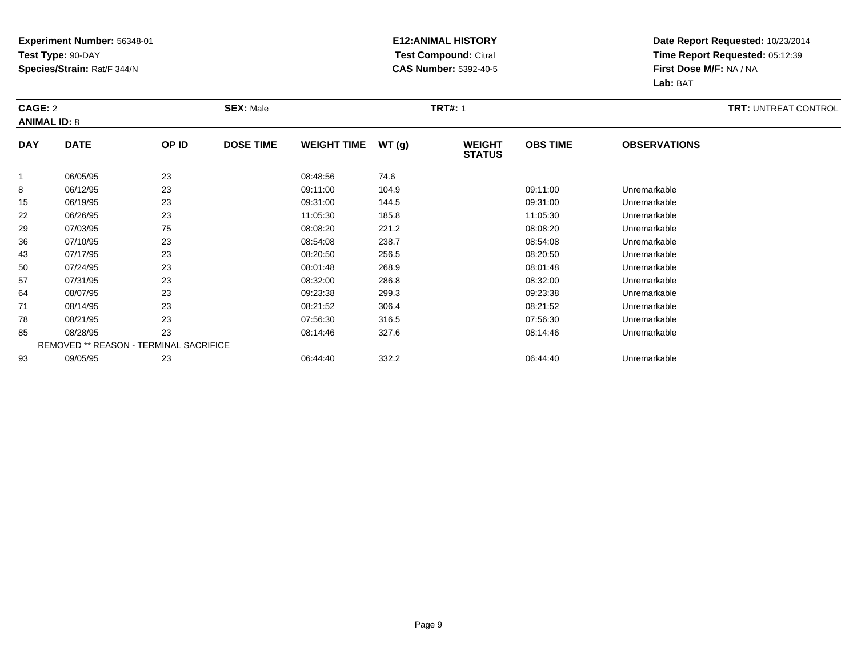### **E12:ANIMAL HISTORY Test Compound:** Citral **CAS Number:** 5392-40-5

|              | CAGE: 2<br><b>ANIMAL ID: 8</b>         |       | <b>SEX: Male</b> |                    |       |                                |                 |                     | <b>TRT: UNTREAT CONTROL</b> |
|--------------|----------------------------------------|-------|------------------|--------------------|-------|--------------------------------|-----------------|---------------------|-----------------------------|
| <b>DAY</b>   | <b>DATE</b>                            | OP ID | <b>DOSE TIME</b> | <b>WEIGHT TIME</b> | WT(g) | <b>WEIGHT</b><br><b>STATUS</b> | <b>OBS TIME</b> | <b>OBSERVATIONS</b> |                             |
| $\mathbf{1}$ | 06/05/95                               | 23    |                  | 08:48:56           | 74.6  |                                |                 |                     |                             |
| 8            | 06/12/95                               | 23    |                  | 09:11:00           | 104.9 |                                | 09:11:00        | Unremarkable        |                             |
| 15           | 06/19/95                               | 23    |                  | 09:31:00           | 144.5 |                                | 09:31:00        | Unremarkable        |                             |
| 22           | 06/26/95                               | 23    |                  | 11:05:30           | 185.8 |                                | 11:05:30        | Unremarkable        |                             |
| 29           | 07/03/95                               | 75    |                  | 08:08:20           | 221.2 |                                | 08:08:20        | Unremarkable        |                             |
| 36           | 07/10/95                               | 23    |                  | 08:54:08           | 238.7 |                                | 08:54:08        | Unremarkable        |                             |
| 43           | 07/17/95                               | 23    |                  | 08:20:50           | 256.5 |                                | 08:20:50        | Unremarkable        |                             |
| 50           | 07/24/95                               | 23    |                  | 08:01:48           | 268.9 |                                | 08:01:48        | Unremarkable        |                             |
| 57           | 07/31/95                               | 23    |                  | 08:32:00           | 286.8 |                                | 08:32:00        | Unremarkable        |                             |
| 64           | 08/07/95                               | 23    |                  | 09:23:38           | 299.3 |                                | 09:23:38        | Unremarkable        |                             |
| 71           | 08/14/95                               | 23    |                  | 08:21:52           | 306.4 |                                | 08:21:52        | Unremarkable        |                             |
| 78           | 08/21/95                               | 23    |                  | 07:56:30           | 316.5 |                                | 07:56:30        | Unremarkable        |                             |
| 85           | 08/28/95                               | 23    |                  | 08:14:46           | 327.6 |                                | 08:14:46        | Unremarkable        |                             |
|              | REMOVED ** REASON - TERMINAL SACRIFICE |       |                  |                    |       |                                |                 |                     |                             |
| 93           | 09/05/95                               | 23    |                  | 06:44:40           | 332.2 |                                | 06:44:40        | Unremarkable        |                             |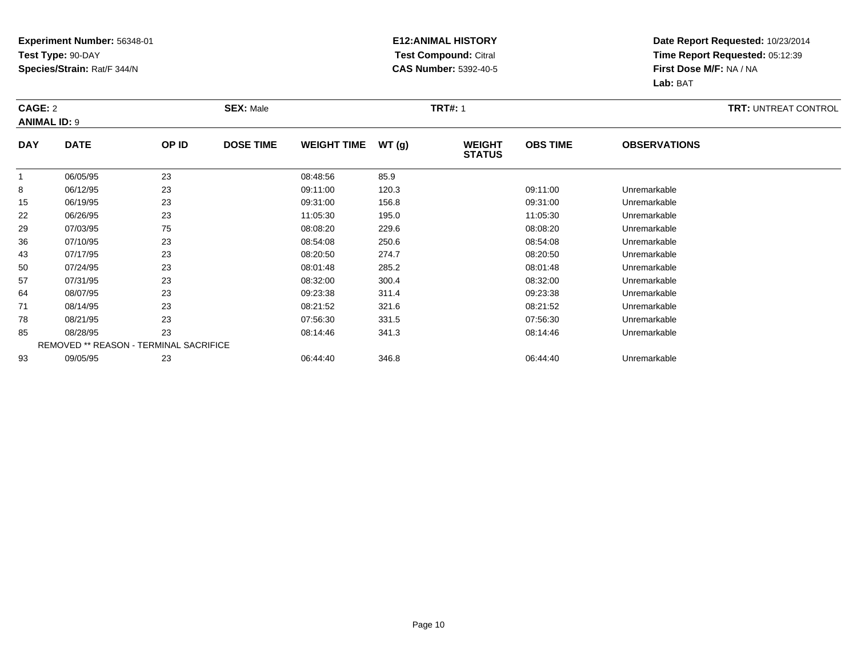### **E12:ANIMAL HISTORY Test Compound:** Citral **CAS Number:** 5392-40-5

|                | CAGE: 2<br><b>ANIMAL ID: 9</b> |                                               | <b>SEX: Male</b> |                    |       | <b>TRT#: 1</b>                 |                 | <b>TRT: UNTREAT CONTROL</b> |  |
|----------------|--------------------------------|-----------------------------------------------|------------------|--------------------|-------|--------------------------------|-----------------|-----------------------------|--|
| <b>DAY</b>     | <b>DATE</b>                    | OP ID                                         | <b>DOSE TIME</b> | <b>WEIGHT TIME</b> | WT(g) | <b>WEIGHT</b><br><b>STATUS</b> | <b>OBS TIME</b> | <b>OBSERVATIONS</b>         |  |
| $\overline{1}$ | 06/05/95                       | 23                                            |                  | 08:48:56           | 85.9  |                                |                 |                             |  |
| 8              | 06/12/95                       | 23                                            |                  | 09:11:00           | 120.3 |                                | 09:11:00        | Unremarkable                |  |
| 15             | 06/19/95                       | 23                                            |                  | 09:31:00           | 156.8 |                                | 09:31:00        | Unremarkable                |  |
| 22             | 06/26/95                       | 23                                            |                  | 11:05:30           | 195.0 |                                | 11:05:30        | Unremarkable                |  |
| 29             | 07/03/95                       | 75                                            |                  | 08:08:20           | 229.6 |                                | 08:08:20        | Unremarkable                |  |
| 36             | 07/10/95                       | 23                                            |                  | 08:54:08           | 250.6 |                                | 08:54:08        | Unremarkable                |  |
| 43             | 07/17/95                       | 23                                            |                  | 08:20:50           | 274.7 |                                | 08:20:50        | Unremarkable                |  |
| 50             | 07/24/95                       | 23                                            |                  | 08:01:48           | 285.2 |                                | 08:01:48        | Unremarkable                |  |
| 57             | 07/31/95                       | 23                                            |                  | 08:32:00           | 300.4 |                                | 08:32:00        | Unremarkable                |  |
| 64             | 08/07/95                       | 23                                            |                  | 09:23:38           | 311.4 |                                | 09:23:38        | Unremarkable                |  |
| 71             | 08/14/95                       | 23                                            |                  | 08:21:52           | 321.6 |                                | 08:21:52        | Unremarkable                |  |
| 78             | 08/21/95                       | 23                                            |                  | 07:56:30           | 331.5 |                                | 07:56:30        | Unremarkable                |  |
| 85             | 08/28/95                       | 23                                            |                  | 08:14:46           | 341.3 |                                | 08:14:46        | Unremarkable                |  |
|                |                                | <b>REMOVED ** REASON - TERMINAL SACRIFICE</b> |                  |                    |       |                                |                 |                             |  |
| 93             | 09/05/95                       | 23                                            |                  | 06:44:40           | 346.8 |                                | 06:44:40        | Unremarkable                |  |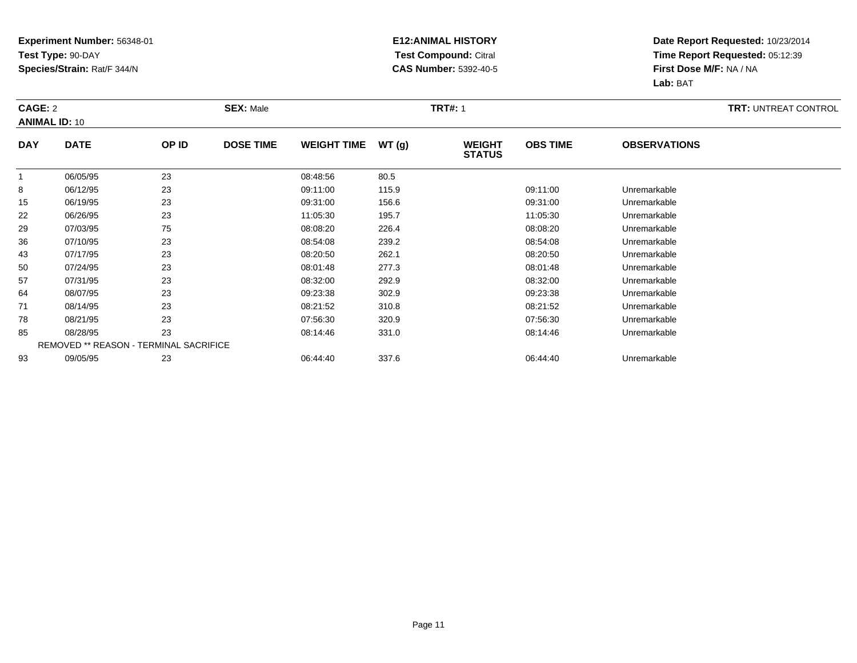### **E12:ANIMAL HISTORY Test Compound:** Citral **CAS Number:** 5392-40-5

|            | CAGE: 2<br><b>ANIMAL ID: 10</b>        |       | <b>SEX: Male</b> |                    |       |                                |                 |                     | <b>TRT: UNTREAT CONTROL</b> |
|------------|----------------------------------------|-------|------------------|--------------------|-------|--------------------------------|-----------------|---------------------|-----------------------------|
| <b>DAY</b> | <b>DATE</b>                            | OP ID | <b>DOSE TIME</b> | <b>WEIGHT TIME</b> | WT(g) | <b>WEIGHT</b><br><b>STATUS</b> | <b>OBS TIME</b> | <b>OBSERVATIONS</b> |                             |
|            | 06/05/95                               | 23    |                  | 08:48:56           | 80.5  |                                |                 |                     |                             |
| 8          | 06/12/95                               | 23    |                  | 09:11:00           | 115.9 |                                | 09:11:00        | Unremarkable        |                             |
| 15         | 06/19/95                               | 23    |                  | 09:31:00           | 156.6 |                                | 09:31:00        | Unremarkable        |                             |
| 22         | 06/26/95                               | 23    |                  | 11:05:30           | 195.7 |                                | 11:05:30        | Unremarkable        |                             |
| 29         | 07/03/95                               | 75    |                  | 08:08:20           | 226.4 |                                | 08:08:20        | Unremarkable        |                             |
| 36         | 07/10/95                               | 23    |                  | 08:54:08           | 239.2 |                                | 08:54:08        | Unremarkable        |                             |
| 43         | 07/17/95                               | 23    |                  | 08:20:50           | 262.1 |                                | 08:20:50        | Unremarkable        |                             |
| 50         | 07/24/95                               | 23    |                  | 08:01:48           | 277.3 |                                | 08:01:48        | Unremarkable        |                             |
| 57         | 07/31/95                               | 23    |                  | 08:32:00           | 292.9 |                                | 08:32:00        | Unremarkable        |                             |
| 64         | 08/07/95                               | 23    |                  | 09:23:38           | 302.9 |                                | 09:23:38        | Unremarkable        |                             |
| 71         | 08/14/95                               | 23    |                  | 08:21:52           | 310.8 |                                | 08:21:52        | Unremarkable        |                             |
| 78         | 08/21/95                               | 23    |                  | 07:56:30           | 320.9 |                                | 07:56:30        | Unremarkable        |                             |
| 85         | 08/28/95                               | 23    |                  | 08:14:46           | 331.0 |                                | 08:14:46        | Unremarkable        |                             |
|            | REMOVED ** REASON - TERMINAL SACRIFICE |       |                  |                    |       |                                |                 |                     |                             |
| 93         | 09/05/95                               | 23    |                  | 06:44:40           | 337.6 |                                | 06:44:40        | Unremarkable        |                             |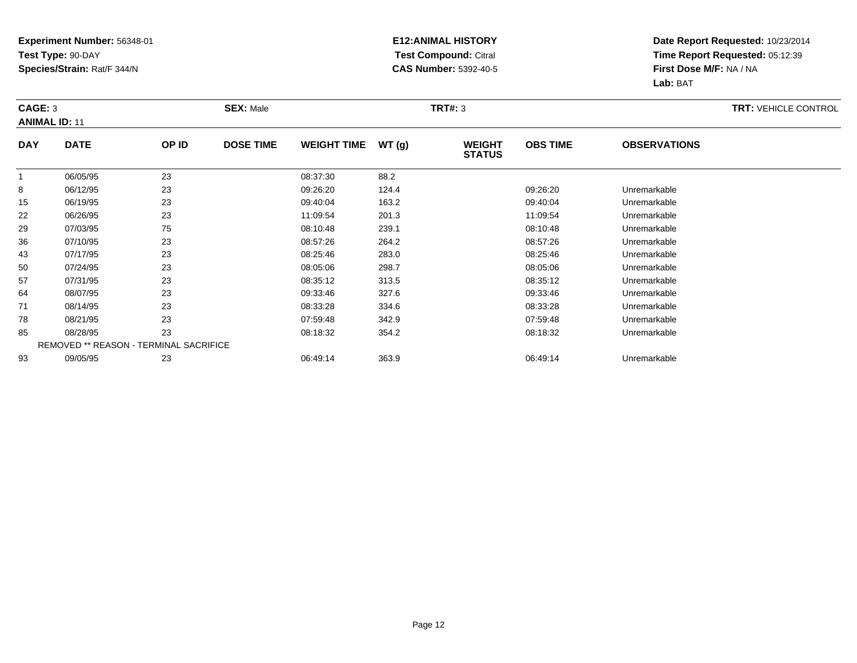### **E12:ANIMAL HISTORY Test Compound:** Citral **CAS Number:** 5392-40-5

| CAGE: 3<br><b>ANIMAL ID: 11</b> |             |                                        | <b>SEX: Male</b> |                    |       | <b>TRT#: 3</b>                 |                 |                     | <b>TRT: VEHICLE CONTROL</b> |
|---------------------------------|-------------|----------------------------------------|------------------|--------------------|-------|--------------------------------|-----------------|---------------------|-----------------------------|
| <b>DAY</b>                      | <b>DATE</b> | OP ID                                  | <b>DOSE TIME</b> | <b>WEIGHT TIME</b> | WT(g) | <b>WEIGHT</b><br><b>STATUS</b> | <b>OBS TIME</b> | <b>OBSERVATIONS</b> |                             |
| $\overline{1}$                  | 06/05/95    | 23                                     |                  | 08:37:30           | 88.2  |                                |                 |                     |                             |
| 8                               | 06/12/95    | 23                                     |                  | 09:26:20           | 124.4 |                                | 09:26:20        | Unremarkable        |                             |
| 15                              | 06/19/95    | 23                                     |                  | 09:40:04           | 163.2 |                                | 09:40:04        | Unremarkable        |                             |
| 22                              | 06/26/95    | 23                                     |                  | 11:09:54           | 201.3 |                                | 11:09:54        | Unremarkable        |                             |
| 29                              | 07/03/95    | 75                                     |                  | 08:10:48           | 239.1 |                                | 08:10:48        | Unremarkable        |                             |
| 36                              | 07/10/95    | 23                                     |                  | 08:57:26           | 264.2 |                                | 08:57:26        | Unremarkable        |                             |
| 43                              | 07/17/95    | 23                                     |                  | 08:25:46           | 283.0 |                                | 08:25:46        | Unremarkable        |                             |
| 50                              | 07/24/95    | 23                                     |                  | 08:05:06           | 298.7 |                                | 08:05:06        | Unremarkable        |                             |
| 57                              | 07/31/95    | 23                                     |                  | 08:35:12           | 313.5 |                                | 08:35:12        | Unremarkable        |                             |
| 64                              | 08/07/95    | 23                                     |                  | 09:33:46           | 327.6 |                                | 09:33:46        | Unremarkable        |                             |
| 71                              | 08/14/95    | 23                                     |                  | 08:33:28           | 334.6 |                                | 08:33:28        | Unremarkable        |                             |
| 78                              | 08/21/95    | 23                                     |                  | 07:59:48           | 342.9 |                                | 07:59:48        | Unremarkable        |                             |
| 85                              | 08/28/95    | 23                                     |                  | 08:18:32           | 354.2 |                                | 08:18:32        | Unremarkable        |                             |
|                                 |             | REMOVED ** REASON - TERMINAL SACRIFICE |                  |                    |       |                                |                 |                     |                             |
| 93                              | 09/05/95    | 23                                     |                  | 06:49:14           | 363.9 |                                | 06:49:14        | Unremarkable        |                             |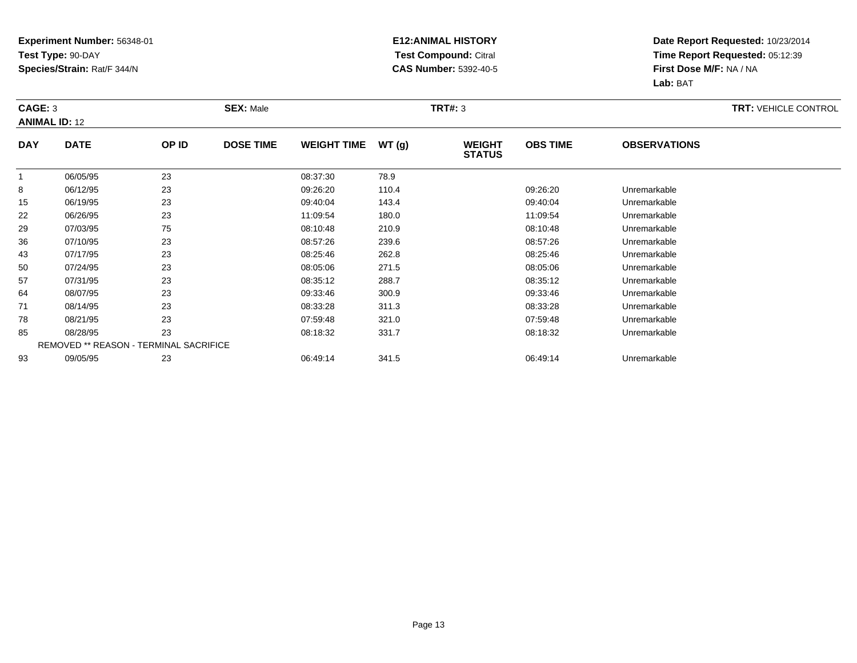### **E12:ANIMAL HISTORY Test Compound:** Citral **CAS Number:** 5392-40-5

| CAGE: 3<br><b>ANIMAL ID: 12</b> |             |                                               | <b>SEX: Male</b> |                    |       | <b>TRT#: 3</b>                 |                 |                     | <b>TRT: VEHICLE CONTROL</b> |
|---------------------------------|-------------|-----------------------------------------------|------------------|--------------------|-------|--------------------------------|-----------------|---------------------|-----------------------------|
| <b>DAY</b>                      | <b>DATE</b> | OP ID                                         | <b>DOSE TIME</b> | <b>WEIGHT TIME</b> | WT(g) | <b>WEIGHT</b><br><b>STATUS</b> | <b>OBS TIME</b> | <b>OBSERVATIONS</b> |                             |
| $\overline{1}$                  | 06/05/95    | 23                                            |                  | 08:37:30           | 78.9  |                                |                 |                     |                             |
| 8                               | 06/12/95    | 23                                            |                  | 09:26:20           | 110.4 |                                | 09:26:20        | Unremarkable        |                             |
| 15                              | 06/19/95    | 23                                            |                  | 09:40:04           | 143.4 |                                | 09:40:04        | Unremarkable        |                             |
| 22                              | 06/26/95    | 23                                            |                  | 11:09:54           | 180.0 |                                | 11:09:54        | Unremarkable        |                             |
| 29                              | 07/03/95    | 75                                            |                  | 08:10:48           | 210.9 |                                | 08:10:48        | Unremarkable        |                             |
| 36                              | 07/10/95    | 23                                            |                  | 08:57:26           | 239.6 |                                | 08:57:26        | Unremarkable        |                             |
| 43                              | 07/17/95    | 23                                            |                  | 08:25:46           | 262.8 |                                | 08:25:46        | Unremarkable        |                             |
| 50                              | 07/24/95    | 23                                            |                  | 08:05:06           | 271.5 |                                | 08:05:06        | Unremarkable        |                             |
| 57                              | 07/31/95    | 23                                            |                  | 08:35:12           | 288.7 |                                | 08:35:12        | Unremarkable        |                             |
| 64                              | 08/07/95    | 23                                            |                  | 09:33:46           | 300.9 |                                | 09:33:46        | Unremarkable        |                             |
| 71                              | 08/14/95    | 23                                            |                  | 08:33:28           | 311.3 |                                | 08:33:28        | Unremarkable        |                             |
| 78                              | 08/21/95    | 23                                            |                  | 07:59:48           | 321.0 |                                | 07:59:48        | Unremarkable        |                             |
| 85                              | 08/28/95    | 23                                            |                  | 08:18:32           | 331.7 |                                | 08:18:32        | Unremarkable        |                             |
|                                 |             | <b>REMOVED ** REASON - TERMINAL SACRIFICE</b> |                  |                    |       |                                |                 |                     |                             |
| 93                              | 09/05/95    | 23                                            |                  | 06:49:14           | 341.5 |                                | 06:49:14        | Unremarkable        |                             |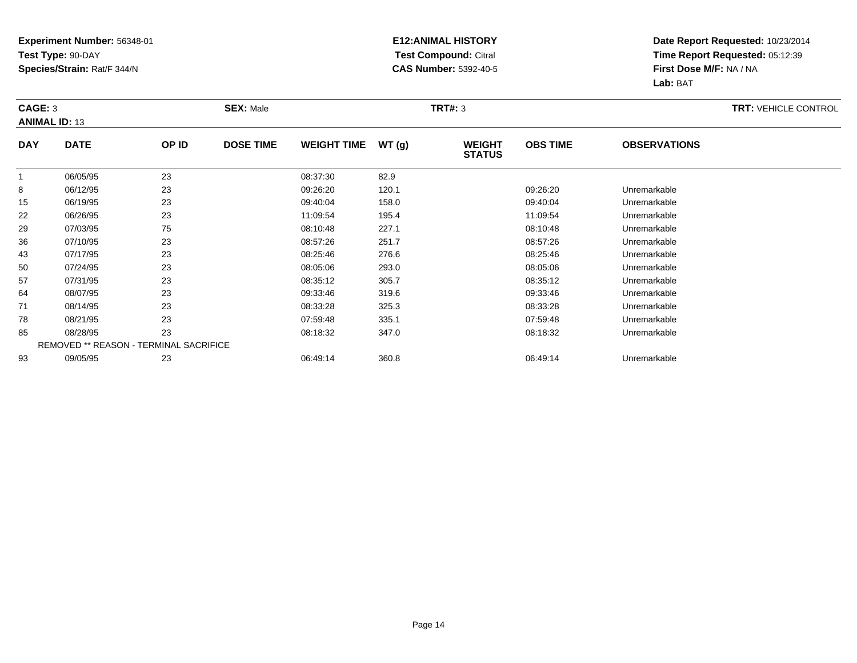### **E12:ANIMAL HISTORY Test Compound:** Citral **CAS Number:** 5392-40-5

| CAGE: 3    | <b>ANIMAL ID: 13</b>                   |       | <b>SEX: Male</b> |                    |       | <b>TRT#: 3</b>                 |                 |                     | <b>TRT: VEHICLE CONTROL</b> |
|------------|----------------------------------------|-------|------------------|--------------------|-------|--------------------------------|-----------------|---------------------|-----------------------------|
| <b>DAY</b> | <b>DATE</b>                            | OP ID | <b>DOSE TIME</b> | <b>WEIGHT TIME</b> | WT(g) | <b>WEIGHT</b><br><b>STATUS</b> | <b>OBS TIME</b> | <b>OBSERVATIONS</b> |                             |
|            | 06/05/95                               | 23    |                  | 08:37:30           | 82.9  |                                |                 |                     |                             |
| 8          | 06/12/95                               | 23    |                  | 09:26:20           | 120.1 |                                | 09:26:20        | Unremarkable        |                             |
| 15         | 06/19/95                               | 23    |                  | 09:40:04           | 158.0 |                                | 09:40:04        | Unremarkable        |                             |
| 22         | 06/26/95                               | 23    |                  | 11:09:54           | 195.4 |                                | 11:09:54        | Unremarkable        |                             |
| 29         | 07/03/95                               | 75    |                  | 08:10:48           | 227.1 |                                | 08:10:48        | Unremarkable        |                             |
| 36         | 07/10/95                               | 23    |                  | 08:57:26           | 251.7 |                                | 08:57:26        | Unremarkable        |                             |
| 43         | 07/17/95                               | 23    |                  | 08:25:46           | 276.6 |                                | 08:25:46        | Unremarkable        |                             |
| 50         | 07/24/95                               | 23    |                  | 08:05:06           | 293.0 |                                | 08:05:06        | Unremarkable        |                             |
| 57         | 07/31/95                               | 23    |                  | 08:35:12           | 305.7 |                                | 08:35:12        | Unremarkable        |                             |
| 64         | 08/07/95                               | 23    |                  | 09:33:46           | 319.6 |                                | 09:33:46        | Unremarkable        |                             |
| 71         | 08/14/95                               | 23    |                  | 08:33:28           | 325.3 |                                | 08:33:28        | Unremarkable        |                             |
| 78         | 08/21/95                               | 23    |                  | 07:59:48           | 335.1 |                                | 07:59:48        | Unremarkable        |                             |
| 85         | 08/28/95                               | 23    |                  | 08:18:32           | 347.0 |                                | 08:18:32        | Unremarkable        |                             |
|            | REMOVED ** REASON - TERMINAL SACRIFICE |       |                  |                    |       |                                |                 |                     |                             |
| 93         | 09/05/95                               | 23    |                  | 06:49:14           | 360.8 |                                | 06:49:14        | Unremarkable        |                             |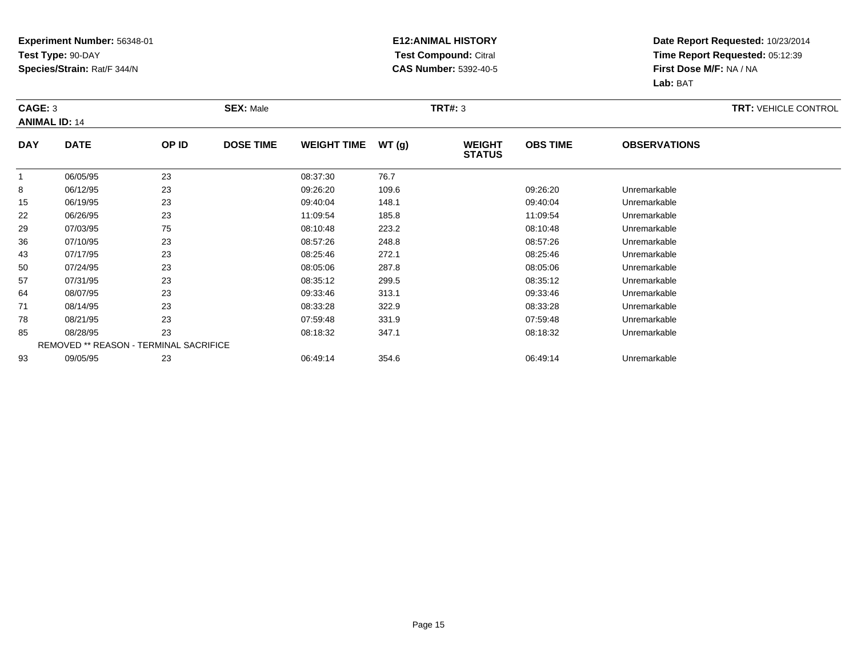### **E12:ANIMAL HISTORY Test Compound:** Citral **CAS Number:** 5392-40-5

| CAGE: 3        | <b>ANIMAL ID: 14</b>                   |       | <b>SEX: Male</b> |                    |       | <b>TRT#: 3</b>                 |                 |                     | <b>TRT: VEHICLE CONTROL</b> |
|----------------|----------------------------------------|-------|------------------|--------------------|-------|--------------------------------|-----------------|---------------------|-----------------------------|
| <b>DAY</b>     | <b>DATE</b>                            | OP ID | <b>DOSE TIME</b> | <b>WEIGHT TIME</b> | WT(g) | <b>WEIGHT</b><br><b>STATUS</b> | <b>OBS TIME</b> | <b>OBSERVATIONS</b> |                             |
| $\overline{1}$ | 06/05/95                               | 23    |                  | 08:37:30           | 76.7  |                                |                 |                     |                             |
| 8              | 06/12/95                               | 23    |                  | 09:26:20           | 109.6 |                                | 09:26:20        | Unremarkable        |                             |
| 15             | 06/19/95                               | 23    |                  | 09:40:04           | 148.1 |                                | 09:40:04        | Unremarkable        |                             |
| 22             | 06/26/95                               | 23    |                  | 11:09:54           | 185.8 |                                | 11:09:54        | Unremarkable        |                             |
| 29             | 07/03/95                               | 75    |                  | 08:10:48           | 223.2 |                                | 08:10:48        | Unremarkable        |                             |
| 36             | 07/10/95                               | 23    |                  | 08:57:26           | 248.8 |                                | 08:57:26        | Unremarkable        |                             |
| 43             | 07/17/95                               | 23    |                  | 08:25:46           | 272.1 |                                | 08:25:46        | Unremarkable        |                             |
| 50             | 07/24/95                               | 23    |                  | 08:05:06           | 287.8 |                                | 08:05:06        | Unremarkable        |                             |
| 57             | 07/31/95                               | 23    |                  | 08:35:12           | 299.5 |                                | 08:35:12        | Unremarkable        |                             |
| 64             | 08/07/95                               | 23    |                  | 09:33:46           | 313.1 |                                | 09:33:46        | Unremarkable        |                             |
| 71             | 08/14/95                               | 23    |                  | 08:33:28           | 322.9 |                                | 08:33:28        | Unremarkable        |                             |
| 78             | 08/21/95                               | 23    |                  | 07:59:48           | 331.9 |                                | 07:59:48        | Unremarkable        |                             |
| 85             | 08/28/95                               | 23    |                  | 08:18:32           | 347.1 |                                | 08:18:32        | Unremarkable        |                             |
|                | REMOVED ** REASON - TERMINAL SACRIFICE |       |                  |                    |       |                                |                 |                     |                             |
| 93             | 09/05/95                               | 23    |                  | 06:49:14           | 354.6 |                                | 06:49:14        | Unremarkable        |                             |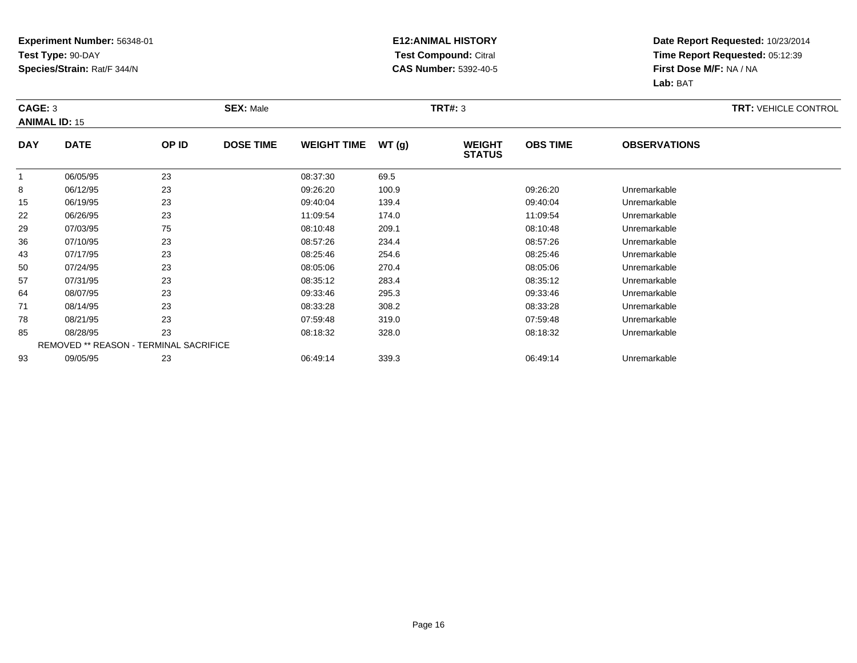### **E12:ANIMAL HISTORY Test Compound:** Citral **CAS Number:** 5392-40-5

| CAGE: 3        | <b>ANIMAL ID: 15</b> |                                        | <b>SEX: Male</b> |                    |       | <b>TRT#: 3</b>                 |                 |                     | <b>TRT: VEHICLE CONTROL</b> |
|----------------|----------------------|----------------------------------------|------------------|--------------------|-------|--------------------------------|-----------------|---------------------|-----------------------------|
| <b>DAY</b>     | <b>DATE</b>          | OP ID                                  | <b>DOSE TIME</b> | <b>WEIGHT TIME</b> | WT(g) | <b>WEIGHT</b><br><b>STATUS</b> | <b>OBS TIME</b> | <b>OBSERVATIONS</b> |                             |
| $\overline{1}$ | 06/05/95             | 23                                     |                  | 08:37:30           | 69.5  |                                |                 |                     |                             |
| 8              | 06/12/95             | 23                                     |                  | 09:26:20           | 100.9 |                                | 09:26:20        | Unremarkable        |                             |
| 15             | 06/19/95             | 23                                     |                  | 09:40:04           | 139.4 |                                | 09:40:04        | Unremarkable        |                             |
| 22             | 06/26/95             | 23                                     |                  | 11:09:54           | 174.0 |                                | 11:09:54        | Unremarkable        |                             |
| 29             | 07/03/95             | 75                                     |                  | 08:10:48           | 209.1 |                                | 08:10:48        | Unremarkable        |                             |
| 36             | 07/10/95             | 23                                     |                  | 08:57:26           | 234.4 |                                | 08:57:26        | Unremarkable        |                             |
| 43             | 07/17/95             | 23                                     |                  | 08:25:46           | 254.6 |                                | 08:25:46        | Unremarkable        |                             |
| 50             | 07/24/95             | 23                                     |                  | 08:05:06           | 270.4 |                                | 08:05:06        | Unremarkable        |                             |
| 57             | 07/31/95             | 23                                     |                  | 08:35:12           | 283.4 |                                | 08:35:12        | Unremarkable        |                             |
| 64             | 08/07/95             | 23                                     |                  | 09:33:46           | 295.3 |                                | 09:33:46        | Unremarkable        |                             |
| 71             | 08/14/95             | 23                                     |                  | 08:33:28           | 308.2 |                                | 08:33:28        | Unremarkable        |                             |
| 78             | 08/21/95             | 23                                     |                  | 07:59:48           | 319.0 |                                | 07:59:48        | Unremarkable        |                             |
| 85             | 08/28/95             | 23                                     |                  | 08:18:32           | 328.0 |                                | 08:18:32        | Unremarkable        |                             |
|                |                      | REMOVED ** REASON - TERMINAL SACRIFICE |                  |                    |       |                                |                 |                     |                             |
| 93             | 09/05/95             | 23                                     |                  | 06:49:14           | 339.3 |                                | 06:49:14        | Unremarkable        |                             |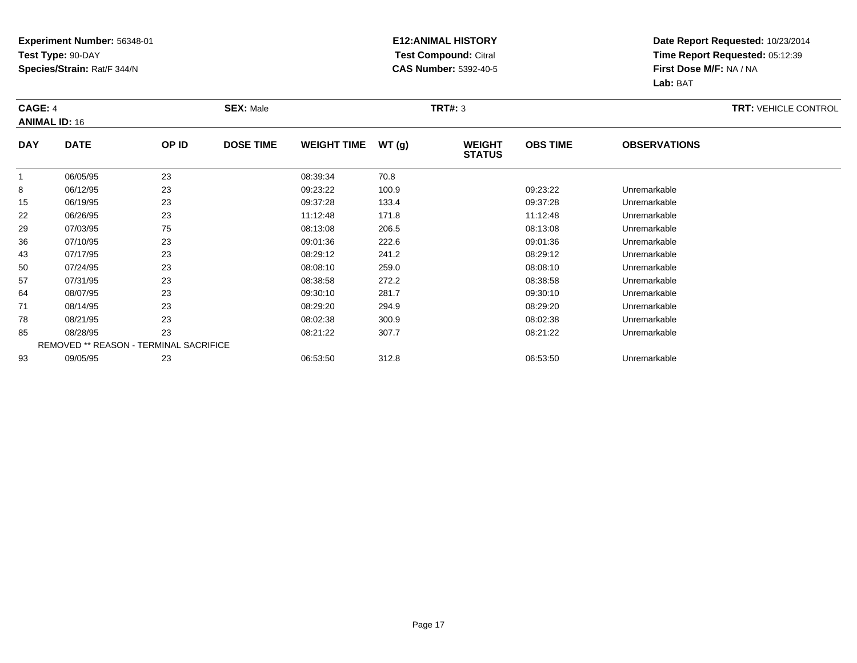### **E12:ANIMAL HISTORY Test Compound:** Citral **CAS Number:** 5392-40-5

| CAGE: 4        | <b>ANIMAL ID: 16</b> |                                        | <b>SEX: Male</b> |                    |       | <b>TRT#: 3</b>                 |                 |                     | <b>TRT: VEHICLE CONTROL</b> |
|----------------|----------------------|----------------------------------------|------------------|--------------------|-------|--------------------------------|-----------------|---------------------|-----------------------------|
| <b>DAY</b>     | <b>DATE</b>          | OP ID                                  | <b>DOSE TIME</b> | <b>WEIGHT TIME</b> | WT(g) | <b>WEIGHT</b><br><b>STATUS</b> | <b>OBS TIME</b> | <b>OBSERVATIONS</b> |                             |
| $\overline{1}$ | 06/05/95             | 23                                     |                  | 08:39:34           | 70.8  |                                |                 |                     |                             |
| 8              | 06/12/95             | 23                                     |                  | 09:23:22           | 100.9 |                                | 09:23:22        | Unremarkable        |                             |
| 15             | 06/19/95             | 23                                     |                  | 09:37:28           | 133.4 |                                | 09:37:28        | Unremarkable        |                             |
| 22             | 06/26/95             | 23                                     |                  | 11:12:48           | 171.8 |                                | 11:12:48        | Unremarkable        |                             |
| 29             | 07/03/95             | 75                                     |                  | 08:13:08           | 206.5 |                                | 08:13:08        | Unremarkable        |                             |
| 36             | 07/10/95             | 23                                     |                  | 09:01:36           | 222.6 |                                | 09:01:36        | Unremarkable        |                             |
| 43             | 07/17/95             | 23                                     |                  | 08:29:12           | 241.2 |                                | 08:29:12        | Unremarkable        |                             |
| 50             | 07/24/95             | 23                                     |                  | 08:08:10           | 259.0 |                                | 08:08:10        | Unremarkable        |                             |
| 57             | 07/31/95             | 23                                     |                  | 08:38:58           | 272.2 |                                | 08:38:58        | Unremarkable        |                             |
| 64             | 08/07/95             | 23                                     |                  | 09:30:10           | 281.7 |                                | 09:30:10        | Unremarkable        |                             |
| 71             | 08/14/95             | 23                                     |                  | 08:29:20           | 294.9 |                                | 08:29:20        | Unremarkable        |                             |
| 78             | 08/21/95             | 23                                     |                  | 08:02:38           | 300.9 |                                | 08:02:38        | Unremarkable        |                             |
| 85             | 08/28/95             | 23                                     |                  | 08:21:22           | 307.7 |                                | 08:21:22        | Unremarkable        |                             |
|                |                      | REMOVED ** REASON - TERMINAL SACRIFICE |                  |                    |       |                                |                 |                     |                             |
| 93             | 09/05/95             | 23                                     |                  | 06:53:50           | 312.8 |                                | 06:53:50        | Unremarkable        |                             |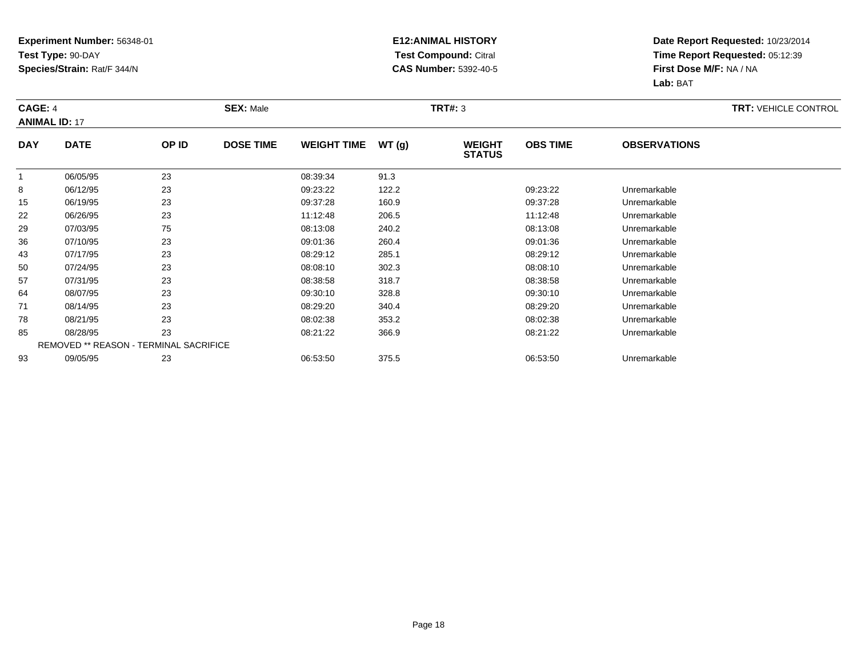### **E12:ANIMAL HISTORY Test Compound:** Citral **CAS Number:** 5392-40-5

| CAGE: 4<br><b>ANIMAL ID: 17</b> |             |                                        | <b>SEX: Male</b> |                    |       | <b>TRT#: 3</b>                 |                 |                     | <b>TRT: VEHICLE CONTROL</b> |
|---------------------------------|-------------|----------------------------------------|------------------|--------------------|-------|--------------------------------|-----------------|---------------------|-----------------------------|
| <b>DAY</b>                      | <b>DATE</b> | OP ID                                  | <b>DOSE TIME</b> | <b>WEIGHT TIME</b> | WT(g) | <b>WEIGHT</b><br><b>STATUS</b> | <b>OBS TIME</b> | <b>OBSERVATIONS</b> |                             |
| $\overline{1}$                  | 06/05/95    | 23                                     |                  | 08:39:34           | 91.3  |                                |                 |                     |                             |
| 8                               | 06/12/95    | 23                                     |                  | 09:23:22           | 122.2 |                                | 09:23:22        | Unremarkable        |                             |
| 15                              | 06/19/95    | 23                                     |                  | 09:37:28           | 160.9 |                                | 09:37:28        | Unremarkable        |                             |
| 22                              | 06/26/95    | 23                                     |                  | 11:12:48           | 206.5 |                                | 11:12:48        | Unremarkable        |                             |
| 29                              | 07/03/95    | 75                                     |                  | 08:13:08           | 240.2 |                                | 08:13:08        | Unremarkable        |                             |
| 36                              | 07/10/95    | 23                                     |                  | 09:01:36           | 260.4 |                                | 09:01:36        | Unremarkable        |                             |
| 43                              | 07/17/95    | 23                                     |                  | 08:29:12           | 285.1 |                                | 08:29:12        | Unremarkable        |                             |
| 50                              | 07/24/95    | 23                                     |                  | 08:08:10           | 302.3 |                                | 08:08:10        | Unremarkable        |                             |
| 57                              | 07/31/95    | 23                                     |                  | 08:38:58           | 318.7 |                                | 08:38:58        | Unremarkable        |                             |
| 64                              | 08/07/95    | 23                                     |                  | 09:30:10           | 328.8 |                                | 09:30:10        | Unremarkable        |                             |
| 71                              | 08/14/95    | 23                                     |                  | 08:29:20           | 340.4 |                                | 08:29:20        | Unremarkable        |                             |
| 78                              | 08/21/95    | 23                                     |                  | 08:02:38           | 353.2 |                                | 08:02:38        | Unremarkable        |                             |
| 85                              | 08/28/95    | 23                                     |                  | 08:21:22           | 366.9 |                                | 08:21:22        | Unremarkable        |                             |
|                                 |             | REMOVED ** REASON - TERMINAL SACRIFICE |                  |                    |       |                                |                 |                     |                             |
| 93                              | 09/05/95    | 23                                     |                  | 06:53:50           | 375.5 |                                | 06:53:50        | Unremarkable        |                             |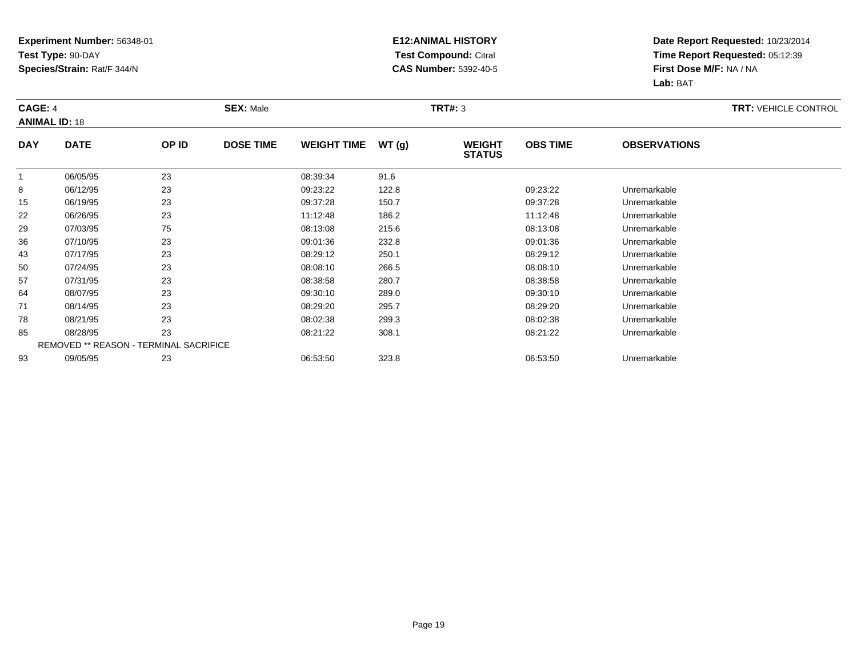### **E12:ANIMAL HISTORY Test Compound:** Citral **CAS Number:** 5392-40-5

| CAGE: 4        | <b>ANIMAL ID: 18</b> |                                        | <b>SEX: Male</b> |                    |       | <b>TRT#: 3</b>                 |                 |                     | <b>TRT: VEHICLE CONTROL</b> |
|----------------|----------------------|----------------------------------------|------------------|--------------------|-------|--------------------------------|-----------------|---------------------|-----------------------------|
| <b>DAY</b>     | <b>DATE</b>          | OP ID                                  | <b>DOSE TIME</b> | <b>WEIGHT TIME</b> | WT(g) | <b>WEIGHT</b><br><b>STATUS</b> | <b>OBS TIME</b> | <b>OBSERVATIONS</b> |                             |
| $\overline{1}$ | 06/05/95             | 23                                     |                  | 08:39:34           | 91.6  |                                |                 |                     |                             |
| 8              | 06/12/95             | 23                                     |                  | 09:23:22           | 122.8 |                                | 09:23:22        | Unremarkable        |                             |
| 15             | 06/19/95             | 23                                     |                  | 09:37:28           | 150.7 |                                | 09:37:28        | Unremarkable        |                             |
| 22             | 06/26/95             | 23                                     |                  | 11:12:48           | 186.2 |                                | 11:12:48        | Unremarkable        |                             |
| 29             | 07/03/95             | 75                                     |                  | 08:13:08           | 215.6 |                                | 08:13:08        | Unremarkable        |                             |
| 36             | 07/10/95             | 23                                     |                  | 09:01:36           | 232.8 |                                | 09:01:36        | Unremarkable        |                             |
| 43             | 07/17/95             | 23                                     |                  | 08:29:12           | 250.1 |                                | 08:29:12        | Unremarkable        |                             |
| 50             | 07/24/95             | 23                                     |                  | 08:08:10           | 266.5 |                                | 08:08:10        | Unremarkable        |                             |
| 57             | 07/31/95             | 23                                     |                  | 08:38:58           | 280.7 |                                | 08:38:58        | Unremarkable        |                             |
| 64             | 08/07/95             | 23                                     |                  | 09:30:10           | 289.0 |                                | 09:30:10        | Unremarkable        |                             |
| 71             | 08/14/95             | 23                                     |                  | 08:29:20           | 295.7 |                                | 08:29:20        | Unremarkable        |                             |
| 78             | 08/21/95             | 23                                     |                  | 08:02:38           | 299.3 |                                | 08:02:38        | Unremarkable        |                             |
| 85             | 08/28/95             | 23                                     |                  | 08:21:22           | 308.1 |                                | 08:21:22        | Unremarkable        |                             |
|                |                      | REMOVED ** REASON - TERMINAL SACRIFICE |                  |                    |       |                                |                 |                     |                             |
| 93             | 09/05/95             | 23                                     |                  | 06:53:50           | 323.8 |                                | 06:53:50        | Unremarkable        |                             |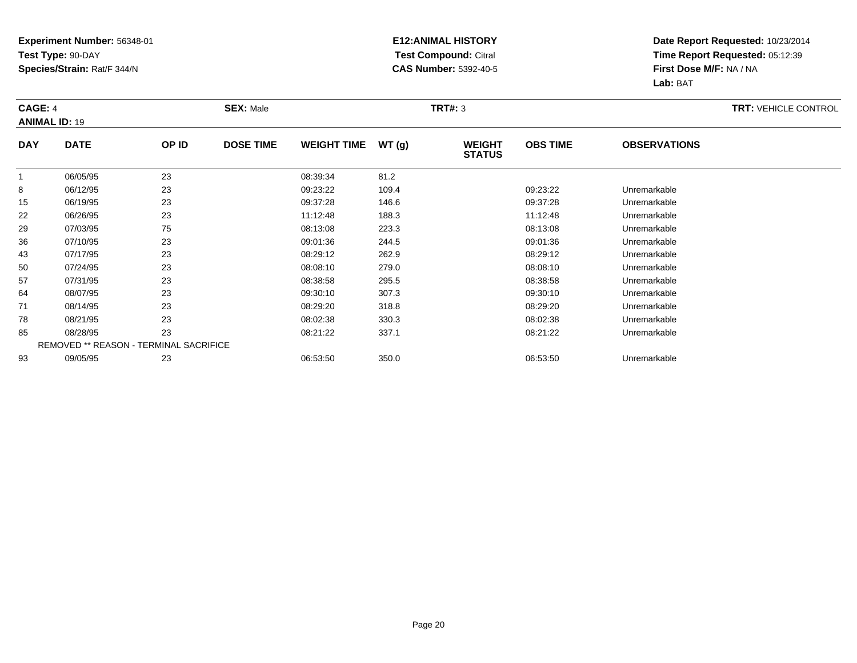### **E12:ANIMAL HISTORY Test Compound:** Citral **CAS Number:** 5392-40-5

| CAGE: 4        | <b>ANIMAL ID: 19</b> |                                        | <b>SEX: Male</b> |                    |       | <b>TRT#: 3</b>                 |                 |                     | <b>TRT: VEHICLE CONTROL</b> |
|----------------|----------------------|----------------------------------------|------------------|--------------------|-------|--------------------------------|-----------------|---------------------|-----------------------------|
| <b>DAY</b>     | <b>DATE</b>          | OP ID                                  | <b>DOSE TIME</b> | <b>WEIGHT TIME</b> | WT(g) | <b>WEIGHT</b><br><b>STATUS</b> | <b>OBS TIME</b> | <b>OBSERVATIONS</b> |                             |
| $\overline{1}$ | 06/05/95             | 23                                     |                  | 08:39:34           | 81.2  |                                |                 |                     |                             |
| 8              | 06/12/95             | 23                                     |                  | 09:23:22           | 109.4 |                                | 09:23:22        | Unremarkable        |                             |
| 15             | 06/19/95             | 23                                     |                  | 09:37:28           | 146.6 |                                | 09:37:28        | Unremarkable        |                             |
| 22             | 06/26/95             | 23                                     |                  | 11:12:48           | 188.3 |                                | 11:12:48        | Unremarkable        |                             |
| 29             | 07/03/95             | 75                                     |                  | 08:13:08           | 223.3 |                                | 08:13:08        | Unremarkable        |                             |
| 36             | 07/10/95             | 23                                     |                  | 09:01:36           | 244.5 |                                | 09:01:36        | Unremarkable        |                             |
| 43             | 07/17/95             | 23                                     |                  | 08:29:12           | 262.9 |                                | 08:29:12        | Unremarkable        |                             |
| 50             | 07/24/95             | 23                                     |                  | 08:08:10           | 279.0 |                                | 08:08:10        | Unremarkable        |                             |
| 57             | 07/31/95             | 23                                     |                  | 08:38:58           | 295.5 |                                | 08:38:58        | Unremarkable        |                             |
| 64             | 08/07/95             | 23                                     |                  | 09:30:10           | 307.3 |                                | 09:30:10        | Unremarkable        |                             |
| 71             | 08/14/95             | 23                                     |                  | 08:29:20           | 318.8 |                                | 08:29:20        | Unremarkable        |                             |
| 78             | 08/21/95             | 23                                     |                  | 08:02:38           | 330.3 |                                | 08:02:38        | Unremarkable        |                             |
| 85             | 08/28/95             | 23                                     |                  | 08:21:22           | 337.1 |                                | 08:21:22        | Unremarkable        |                             |
|                |                      | REMOVED ** REASON - TERMINAL SACRIFICE |                  |                    |       |                                |                 |                     |                             |
| 93             | 09/05/95             | 23                                     |                  | 06:53:50           | 350.0 |                                | 06:53:50        | Unremarkable        |                             |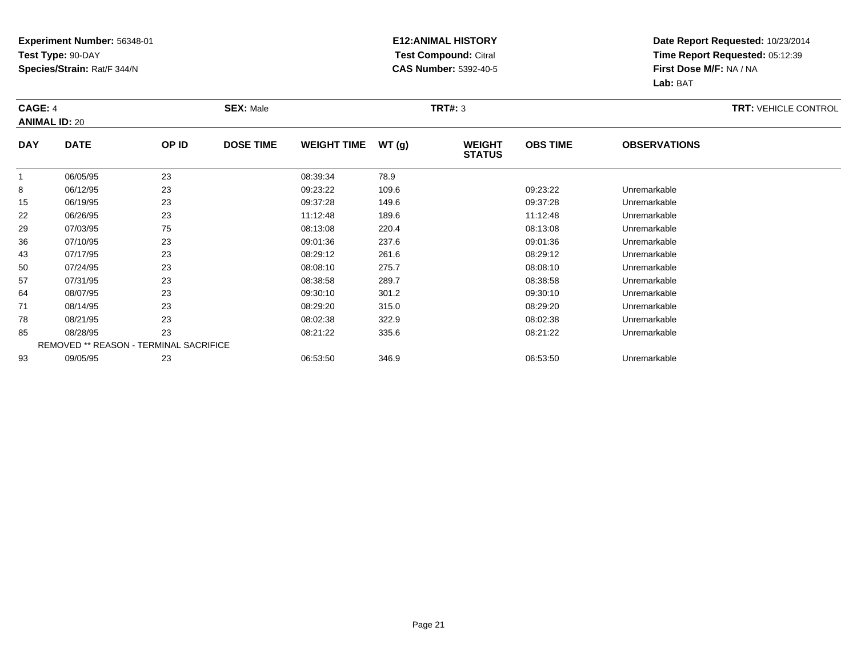### **E12:ANIMAL HISTORY Test Compound:** Citral **CAS Number:** 5392-40-5

| CAGE: 4<br><b>ANIMAL ID: 20</b> |             |                                        | <b>SEX: Male</b> |                    |       | <b>TRT#: 3</b>                 |                 |                     | <b>TRT: VEHICLE CONTROL</b> |
|---------------------------------|-------------|----------------------------------------|------------------|--------------------|-------|--------------------------------|-----------------|---------------------|-----------------------------|
| <b>DAY</b>                      | <b>DATE</b> | OP ID                                  | <b>DOSE TIME</b> | <b>WEIGHT TIME</b> | WT(g) | <b>WEIGHT</b><br><b>STATUS</b> | <b>OBS TIME</b> | <b>OBSERVATIONS</b> |                             |
| $\overline{1}$                  | 06/05/95    | 23                                     |                  | 08:39:34           | 78.9  |                                |                 |                     |                             |
| 8                               | 06/12/95    | 23                                     |                  | 09:23:22           | 109.6 |                                | 09:23:22        | Unremarkable        |                             |
| 15                              | 06/19/95    | 23                                     |                  | 09:37:28           | 149.6 |                                | 09:37:28        | Unremarkable        |                             |
| 22                              | 06/26/95    | 23                                     |                  | 11:12:48           | 189.6 |                                | 11:12:48        | Unremarkable        |                             |
| 29                              | 07/03/95    | 75                                     |                  | 08:13:08           | 220.4 |                                | 08:13:08        | Unremarkable        |                             |
| 36                              | 07/10/95    | 23                                     |                  | 09:01:36           | 237.6 |                                | 09:01:36        | Unremarkable        |                             |
| 43                              | 07/17/95    | 23                                     |                  | 08:29:12           | 261.6 |                                | 08:29:12        | Unremarkable        |                             |
| 50                              | 07/24/95    | 23                                     |                  | 08:08:10           | 275.7 |                                | 08:08:10        | Unremarkable        |                             |
| 57                              | 07/31/95    | 23                                     |                  | 08:38:58           | 289.7 |                                | 08:38:58        | Unremarkable        |                             |
| 64                              | 08/07/95    | 23                                     |                  | 09:30:10           | 301.2 |                                | 09:30:10        | Unremarkable        |                             |
| 71                              | 08/14/95    | 23                                     |                  | 08:29:20           | 315.0 |                                | 08:29:20        | Unremarkable        |                             |
| 78                              | 08/21/95    | 23                                     |                  | 08:02:38           | 322.9 |                                | 08:02:38        | Unremarkable        |                             |
| 85                              | 08/28/95    | 23                                     |                  | 08:21:22           | 335.6 |                                | 08:21:22        | Unremarkable        |                             |
|                                 |             | REMOVED ** REASON - TERMINAL SACRIFICE |                  |                    |       |                                |                 |                     |                             |
| 93                              | 09/05/95    | 23                                     |                  | 06:53:50           | 346.9 |                                | 06:53:50        | Unremarkable        |                             |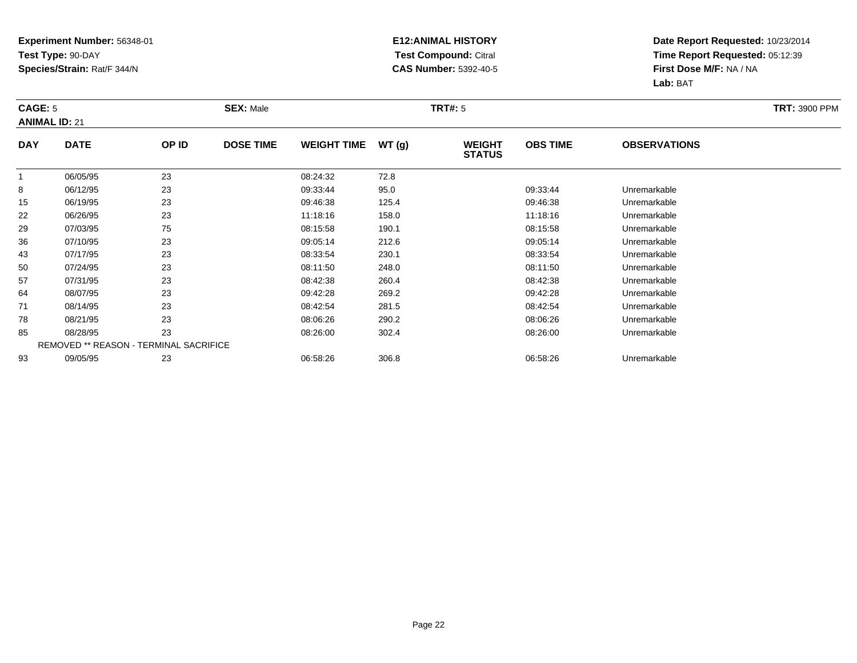### **E12:ANIMAL HISTORY Test Compound:** Citral **CAS Number:** 5392-40-5

| <b>CAGE: 5</b> | <b>ANIMAL ID: 21</b>                          |       | <b>SEX: Male</b> |                    |       | <b>TRT#: 5</b>                 |                 |                     | <b>TRT: 3900 PPM</b> |
|----------------|-----------------------------------------------|-------|------------------|--------------------|-------|--------------------------------|-----------------|---------------------|----------------------|
| <b>DAY</b>     | <b>DATE</b>                                   | OP ID | <b>DOSE TIME</b> | <b>WEIGHT TIME</b> | WT(g) | <b>WEIGHT</b><br><b>STATUS</b> | <b>OBS TIME</b> | <b>OBSERVATIONS</b> |                      |
| $\mathbf{1}$   | 06/05/95                                      | 23    |                  | 08:24:32           | 72.8  |                                |                 |                     |                      |
| 8              | 06/12/95                                      | 23    |                  | 09:33:44           | 95.0  |                                | 09:33:44        | Unremarkable        |                      |
| 15             | 06/19/95                                      | 23    |                  | 09:46:38           | 125.4 |                                | 09:46:38        | Unremarkable        |                      |
| 22             | 06/26/95                                      | 23    |                  | 11:18:16           | 158.0 |                                | 11:18:16        | Unremarkable        |                      |
| 29             | 07/03/95                                      | 75    |                  | 08:15:58           | 190.1 |                                | 08:15:58        | Unremarkable        |                      |
| 36             | 07/10/95                                      | 23    |                  | 09:05:14           | 212.6 |                                | 09:05:14        | Unremarkable        |                      |
| 43             | 07/17/95                                      | 23    |                  | 08:33:54           | 230.1 |                                | 08:33:54        | Unremarkable        |                      |
| 50             | 07/24/95                                      | 23    |                  | 08:11:50           | 248.0 |                                | 08:11:50        | Unremarkable        |                      |
| 57             | 07/31/95                                      | 23    |                  | 08:42:38           | 260.4 |                                | 08:42:38        | Unremarkable        |                      |
| 64             | 08/07/95                                      | 23    |                  | 09:42:28           | 269.2 |                                | 09:42:28        | Unremarkable        |                      |
| 71             | 08/14/95                                      | 23    |                  | 08:42:54           | 281.5 |                                | 08:42:54        | Unremarkable        |                      |
| 78             | 08/21/95                                      | 23    |                  | 08:06:26           | 290.2 |                                | 08:06:26        | Unremarkable        |                      |
| 85             | 08/28/95                                      | 23    |                  | 08:26:00           | 302.4 |                                | 08:26:00        | Unremarkable        |                      |
|                | <b>REMOVED ** REASON - TERMINAL SACRIFICE</b> |       |                  |                    |       |                                |                 |                     |                      |
| 93             | 09/05/95                                      | 23    |                  | 06:58:26           | 306.8 |                                | 06:58:26        | Unremarkable        |                      |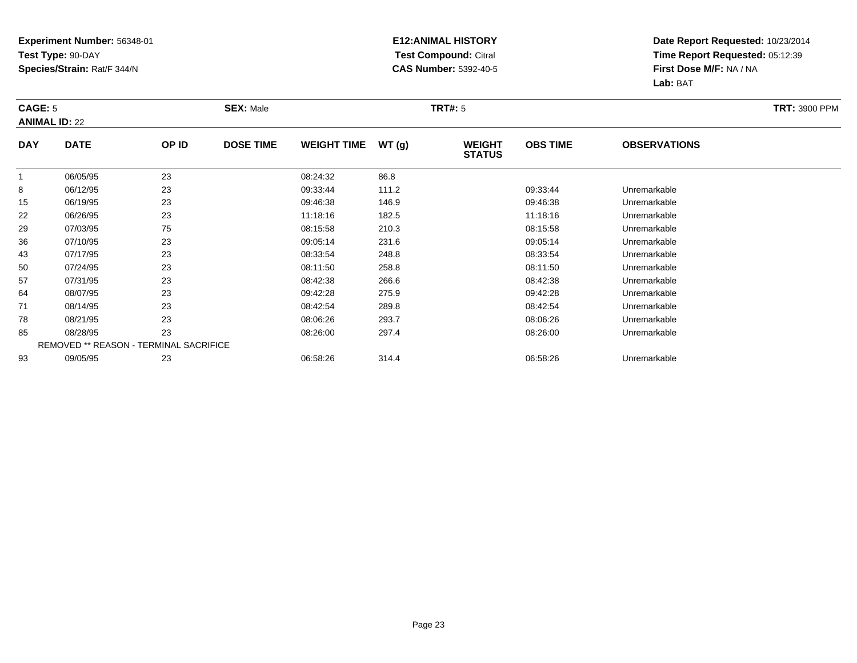### **E12:ANIMAL HISTORY Test Compound:** Citral **CAS Number:** 5392-40-5

| <b>CAGE: 5</b> | <b>ANIMAL ID: 22</b>                   |       | <b>SEX: Male</b> |                    |       | <b>TRT#: 5</b>                 |                 | <b>TRT: 3900 PPM</b> |  |
|----------------|----------------------------------------|-------|------------------|--------------------|-------|--------------------------------|-----------------|----------------------|--|
| <b>DAY</b>     | <b>DATE</b>                            | OP ID | <b>DOSE TIME</b> | <b>WEIGHT TIME</b> | WT(g) | <b>WEIGHT</b><br><b>STATUS</b> | <b>OBS TIME</b> | <b>OBSERVATIONS</b>  |  |
| $\mathbf{1}$   | 06/05/95                               | 23    |                  | 08:24:32           | 86.8  |                                |                 |                      |  |
| 8              | 06/12/95                               | 23    |                  | 09:33:44           | 111.2 |                                | 09:33:44        | Unremarkable         |  |
| 15             | 06/19/95                               | 23    |                  | 09:46:38           | 146.9 |                                | 09:46:38        | Unremarkable         |  |
| 22             | 06/26/95                               | 23    |                  | 11:18:16           | 182.5 |                                | 11:18:16        | Unremarkable         |  |
| 29             | 07/03/95                               | 75    |                  | 08:15:58           | 210.3 |                                | 08:15:58        | Unremarkable         |  |
| 36             | 07/10/95                               | 23    |                  | 09:05:14           | 231.6 |                                | 09:05:14        | Unremarkable         |  |
| 43             | 07/17/95                               | 23    |                  | 08:33:54           | 248.8 |                                | 08:33:54        | Unremarkable         |  |
| 50             | 07/24/95                               | 23    |                  | 08:11:50           | 258.8 |                                | 08:11:50        | Unremarkable         |  |
| 57             | 07/31/95                               | 23    |                  | 08:42:38           | 266.6 |                                | 08:42:38        | Unremarkable         |  |
| 64             | 08/07/95                               | 23    |                  | 09:42:28           | 275.9 |                                | 09:42:28        | Unremarkable         |  |
| 71             | 08/14/95                               | 23    |                  | 08:42:54           | 289.8 |                                | 08:42:54        | Unremarkable         |  |
| 78             | 08/21/95                               | 23    |                  | 08:06:26           | 293.7 |                                | 08:06:26        | Unremarkable         |  |
| 85             | 08/28/95                               | 23    |                  | 08:26:00           | 297.4 |                                | 08:26:00        | Unremarkable         |  |
|                | REMOVED ** REASON - TERMINAL SACRIFICE |       |                  |                    |       |                                |                 |                      |  |
| 93             | 09/05/95                               | 23    |                  | 06:58:26           | 314.4 |                                | 06:58:26        | Unremarkable         |  |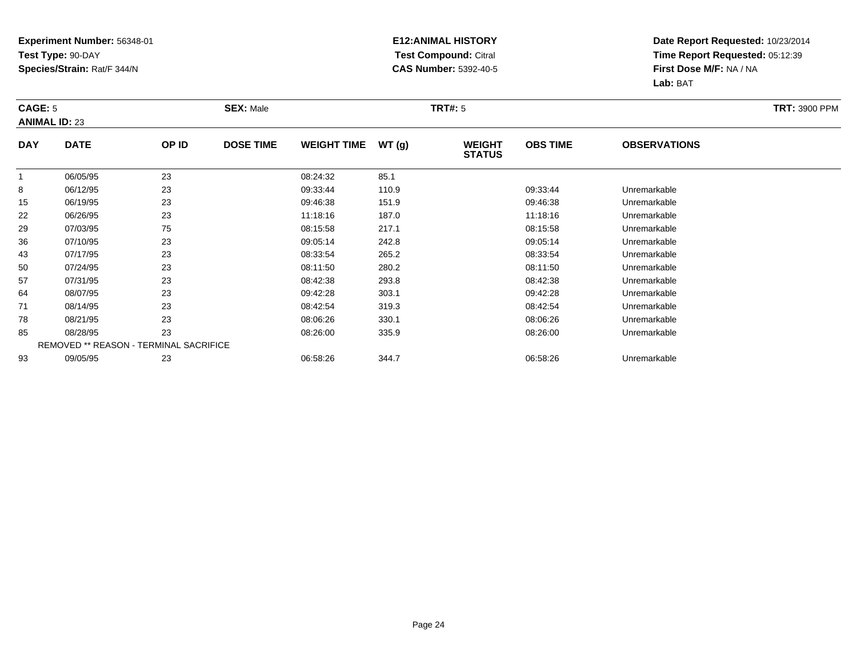### **E12:ANIMAL HISTORY Test Compound:** Citral **CAS Number:** 5392-40-5

| <b>CAGE: 5</b> | <b>ANIMAL ID: 23</b> |                                               | <b>SEX: Male</b> |                    |       | <b>TRT#: 5</b>                 | <b>TRT: 3900 PPM</b> |                     |  |
|----------------|----------------------|-----------------------------------------------|------------------|--------------------|-------|--------------------------------|----------------------|---------------------|--|
| <b>DAY</b>     | <b>DATE</b>          | OP ID                                         | <b>DOSE TIME</b> | <b>WEIGHT TIME</b> | WT(g) | <b>WEIGHT</b><br><b>STATUS</b> | <b>OBS TIME</b>      | <b>OBSERVATIONS</b> |  |
| $\mathbf 1$    | 06/05/95             | 23                                            |                  | 08:24:32           | 85.1  |                                |                      |                     |  |
| 8              | 06/12/95             | 23                                            |                  | 09:33:44           | 110.9 |                                | 09:33:44             | Unremarkable        |  |
| 15             | 06/19/95             | 23                                            |                  | 09:46:38           | 151.9 |                                | 09:46:38             | Unremarkable        |  |
| 22             | 06/26/95             | 23                                            |                  | 11:18:16           | 187.0 |                                | 11:18:16             | Unremarkable        |  |
| 29             | 07/03/95             | 75                                            |                  | 08:15:58           | 217.1 |                                | 08:15:58             | Unremarkable        |  |
| 36             | 07/10/95             | 23                                            |                  | 09:05:14           | 242.8 |                                | 09:05:14             | Unremarkable        |  |
| 43             | 07/17/95             | 23                                            |                  | 08:33:54           | 265.2 |                                | 08:33:54             | Unremarkable        |  |
| 50             | 07/24/95             | 23                                            |                  | 08:11:50           | 280.2 |                                | 08:11:50             | Unremarkable        |  |
| 57             | 07/31/95             | 23                                            |                  | 08:42:38           | 293.8 |                                | 08:42:38             | Unremarkable        |  |
| 64             | 08/07/95             | 23                                            |                  | 09:42:28           | 303.1 |                                | 09:42:28             | Unremarkable        |  |
| 71             | 08/14/95             | 23                                            |                  | 08:42:54           | 319.3 |                                | 08:42:54             | Unremarkable        |  |
| 78             | 08/21/95             | 23                                            |                  | 08:06:26           | 330.1 |                                | 08:06:26             | Unremarkable        |  |
| 85             | 08/28/95             | 23                                            |                  | 08:26:00           | 335.9 |                                | 08:26:00             | Unremarkable        |  |
|                |                      | <b>REMOVED ** REASON - TERMINAL SACRIFICE</b> |                  |                    |       |                                |                      |                     |  |
| 93             | 09/05/95             | 23                                            |                  | 06:58:26           | 344.7 |                                | 06:58:26             | Unremarkable        |  |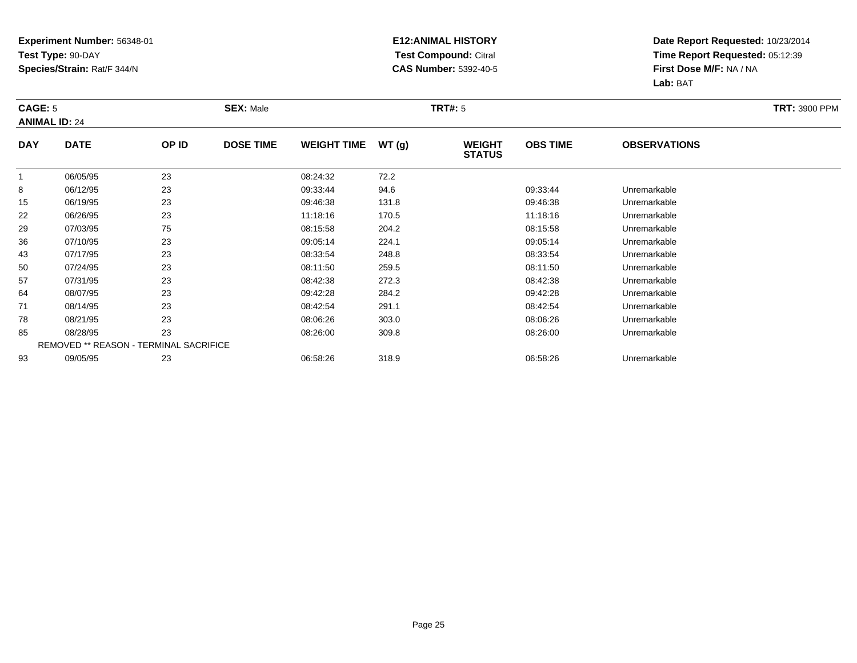### **E12:ANIMAL HISTORY Test Compound:** Citral **CAS Number:** 5392-40-5

| <b>CAGE: 5</b> | <b>ANIMAL ID: 24</b>                          |       | <b>SEX: Male</b> |                    |       | <b>TRT#: 5</b>                 |                 |                     | <b>TRT: 3900 PPM</b> |
|----------------|-----------------------------------------------|-------|------------------|--------------------|-------|--------------------------------|-----------------|---------------------|----------------------|
| <b>DAY</b>     | <b>DATE</b>                                   | OP ID | <b>DOSE TIME</b> | <b>WEIGHT TIME</b> | WT(g) | <b>WEIGHT</b><br><b>STATUS</b> | <b>OBS TIME</b> | <b>OBSERVATIONS</b> |                      |
| $\mathbf{1}$   | 06/05/95                                      | 23    |                  | 08:24:32           | 72.2  |                                |                 |                     |                      |
| 8              | 06/12/95                                      | 23    |                  | 09:33:44           | 94.6  |                                | 09:33:44        | Unremarkable        |                      |
| 15             | 06/19/95                                      | 23    |                  | 09:46:38           | 131.8 |                                | 09:46:38        | Unremarkable        |                      |
| 22             | 06/26/95                                      | 23    |                  | 11:18:16           | 170.5 |                                | 11:18:16        | Unremarkable        |                      |
| 29             | 07/03/95                                      | 75    |                  | 08:15:58           | 204.2 |                                | 08:15:58        | Unremarkable        |                      |
| 36             | 07/10/95                                      | 23    |                  | 09:05:14           | 224.1 |                                | 09:05:14        | Unremarkable        |                      |
| 43             | 07/17/95                                      | 23    |                  | 08:33:54           | 248.8 |                                | 08:33:54        | Unremarkable        |                      |
| 50             | 07/24/95                                      | 23    |                  | 08:11:50           | 259.5 |                                | 08:11:50        | Unremarkable        |                      |
| 57             | 07/31/95                                      | 23    |                  | 08:42:38           | 272.3 |                                | 08:42:38        | Unremarkable        |                      |
| 64             | 08/07/95                                      | 23    |                  | 09:42:28           | 284.2 |                                | 09:42:28        | Unremarkable        |                      |
| 71             | 08/14/95                                      | 23    |                  | 08:42:54           | 291.1 |                                | 08:42:54        | Unremarkable        |                      |
| 78             | 08/21/95                                      | 23    |                  | 08:06:26           | 303.0 |                                | 08:06:26        | Unremarkable        |                      |
| 85             | 08/28/95                                      | 23    |                  | 08:26:00           | 309.8 |                                | 08:26:00        | Unremarkable        |                      |
|                | <b>REMOVED ** REASON - TERMINAL SACRIFICE</b> |       |                  |                    |       |                                |                 |                     |                      |
| 93             | 09/05/95                                      | 23    |                  | 06:58:26           | 318.9 |                                | 06:58:26        | Unremarkable        |                      |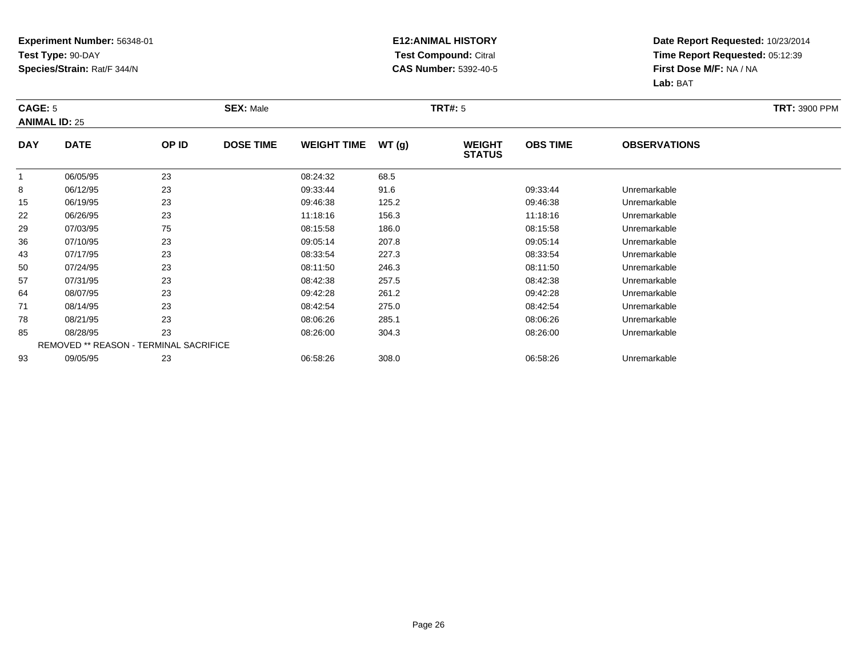### **E12:ANIMAL HISTORY Test Compound:** Citral **CAS Number:** 5392-40-5

| <b>CAGE: 5</b> | <b>ANIMAL ID: 25</b> |                                               | <b>SEX: Male</b> |                    |       | <b>TRT#: 5</b>                 | <b>TRT: 3900 PPM</b> |                     |  |
|----------------|----------------------|-----------------------------------------------|------------------|--------------------|-------|--------------------------------|----------------------|---------------------|--|
| <b>DAY</b>     | <b>DATE</b>          | OP ID                                         | <b>DOSE TIME</b> | <b>WEIGHT TIME</b> | WT(g) | <b>WEIGHT</b><br><b>STATUS</b> | <b>OBS TIME</b>      | <b>OBSERVATIONS</b> |  |
| $\mathbf 1$    | 06/05/95             | 23                                            |                  | 08:24:32           | 68.5  |                                |                      |                     |  |
| 8              | 06/12/95             | 23                                            |                  | 09:33:44           | 91.6  |                                | 09:33:44             | Unremarkable        |  |
| 15             | 06/19/95             | 23                                            |                  | 09:46:38           | 125.2 |                                | 09:46:38             | Unremarkable        |  |
| 22             | 06/26/95             | 23                                            |                  | 11:18:16           | 156.3 |                                | 11:18:16             | Unremarkable        |  |
| 29             | 07/03/95             | 75                                            |                  | 08:15:58           | 186.0 |                                | 08:15:58             | Unremarkable        |  |
| 36             | 07/10/95             | 23                                            |                  | 09:05:14           | 207.8 |                                | 09:05:14             | Unremarkable        |  |
| 43             | 07/17/95             | 23                                            |                  | 08:33:54           | 227.3 |                                | 08:33:54             | Unremarkable        |  |
| 50             | 07/24/95             | 23                                            |                  | 08:11:50           | 246.3 |                                | 08:11:50             | Unremarkable        |  |
| 57             | 07/31/95             | 23                                            |                  | 08:42:38           | 257.5 |                                | 08:42:38             | Unremarkable        |  |
| 64             | 08/07/95             | 23                                            |                  | 09:42:28           | 261.2 |                                | 09:42:28             | Unremarkable        |  |
| 71             | 08/14/95             | 23                                            |                  | 08:42:54           | 275.0 |                                | 08:42:54             | Unremarkable        |  |
| 78             | 08/21/95             | 23                                            |                  | 08:06:26           | 285.1 |                                | 08:06:26             | Unremarkable        |  |
| 85             | 08/28/95             | 23                                            |                  | 08:26:00           | 304.3 |                                | 08:26:00             | Unremarkable        |  |
|                |                      | <b>REMOVED ** REASON - TERMINAL SACRIFICE</b> |                  |                    |       |                                |                      |                     |  |
| 93             | 09/05/95             | 23                                            |                  | 06:58:26           | 308.0 |                                | 06:58:26             | Unremarkable        |  |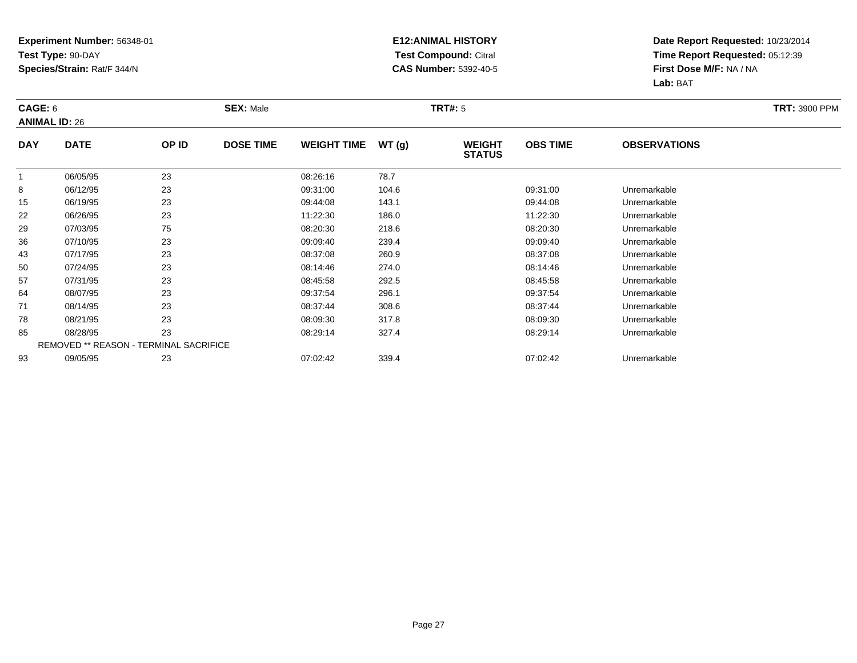### **E12:ANIMAL HISTORY Test Compound:** Citral **CAS Number:** 5392-40-5

| CAGE: 6    | <b>ANIMAL ID: 26</b>                   |       | <b>SEX: Male</b> |                    |       | <b>TRT#: 5</b>                 |                 |                     | <b>TRT: 3900 PPM</b> |
|------------|----------------------------------------|-------|------------------|--------------------|-------|--------------------------------|-----------------|---------------------|----------------------|
| <b>DAY</b> | <b>DATE</b>                            | OP ID | <b>DOSE TIME</b> | <b>WEIGHT TIME</b> | WT(g) | <b>WEIGHT</b><br><b>STATUS</b> | <b>OBS TIME</b> | <b>OBSERVATIONS</b> |                      |
|            | 06/05/95                               | 23    |                  | 08:26:16           | 78.7  |                                |                 |                     |                      |
| 8          | 06/12/95                               | 23    |                  | 09:31:00           | 104.6 |                                | 09:31:00        | Unremarkable        |                      |
| 15         | 06/19/95                               | 23    |                  | 09:44:08           | 143.1 |                                | 09:44:08        | Unremarkable        |                      |
| 22         | 06/26/95                               | 23    |                  | 11:22:30           | 186.0 |                                | 11:22:30        | Unremarkable        |                      |
| 29         | 07/03/95                               | 75    |                  | 08:20:30           | 218.6 |                                | 08:20:30        | Unremarkable        |                      |
| 36         | 07/10/95                               | 23    |                  | 09:09:40           | 239.4 |                                | 09:09:40        | Unremarkable        |                      |
| 43         | 07/17/95                               | 23    |                  | 08:37:08           | 260.9 |                                | 08:37:08        | Unremarkable        |                      |
| 50         | 07/24/95                               | 23    |                  | 08:14:46           | 274.0 |                                | 08:14:46        | Unremarkable        |                      |
| 57         | 07/31/95                               | 23    |                  | 08:45:58           | 292.5 |                                | 08:45:58        | Unremarkable        |                      |
| 64         | 08/07/95                               | 23    |                  | 09:37:54           | 296.1 |                                | 09:37:54        | Unremarkable        |                      |
| 71         | 08/14/95                               | 23    |                  | 08:37:44           | 308.6 |                                | 08:37:44        | Unremarkable        |                      |
| 78         | 08/21/95                               | 23    |                  | 08:09:30           | 317.8 |                                | 08:09:30        | Unremarkable        |                      |
| 85         | 08/28/95                               | 23    |                  | 08:29:14           | 327.4 |                                | 08:29:14        | Unremarkable        |                      |
|            | REMOVED ** REASON - TERMINAL SACRIFICE |       |                  |                    |       |                                |                 |                     |                      |
| 93         | 09/05/95                               | 23    |                  | 07:02:42           | 339.4 |                                | 07:02:42        | Unremarkable        |                      |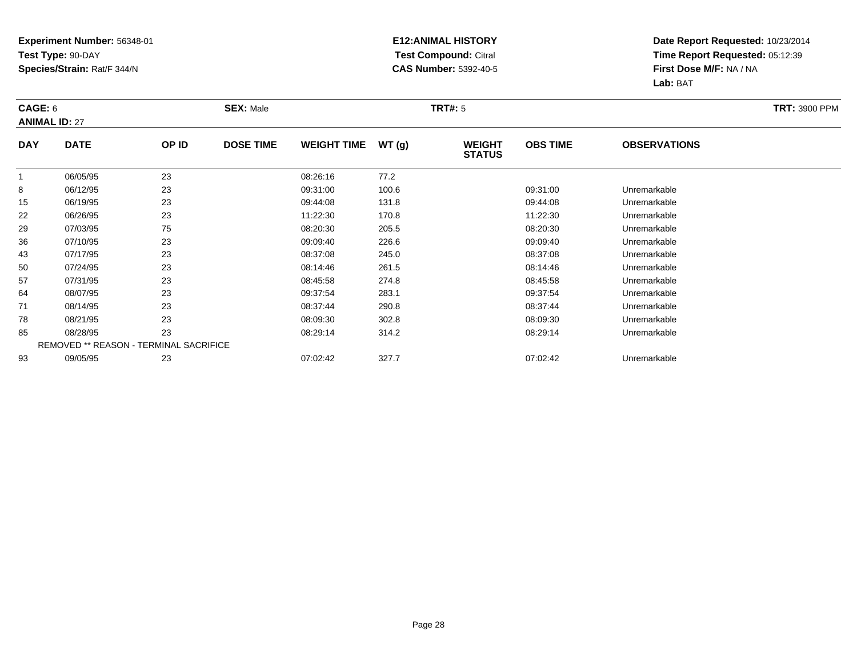### **E12:ANIMAL HISTORY Test Compound:** Citral **CAS Number:** 5392-40-5

| CAGE: 6      | <b>ANIMAL ID: 27</b>                          |       | <b>SEX: Male</b> |                    |       | <b>TRT#: 5</b>                 |                 |                     | <b>TRT: 3900 PPM</b> |
|--------------|-----------------------------------------------|-------|------------------|--------------------|-------|--------------------------------|-----------------|---------------------|----------------------|
| <b>DAY</b>   | <b>DATE</b>                                   | OP ID | <b>DOSE TIME</b> | <b>WEIGHT TIME</b> | WT(g) | <b>WEIGHT</b><br><b>STATUS</b> | <b>OBS TIME</b> | <b>OBSERVATIONS</b> |                      |
| $\mathbf{1}$ | 06/05/95                                      | 23    |                  | 08:26:16           | 77.2  |                                |                 |                     |                      |
| 8            | 06/12/95                                      | 23    |                  | 09:31:00           | 100.6 |                                | 09:31:00        | Unremarkable        |                      |
| 15           | 06/19/95                                      | 23    |                  | 09:44:08           | 131.8 |                                | 09:44:08        | Unremarkable        |                      |
| 22           | 06/26/95                                      | 23    |                  | 11:22:30           | 170.8 |                                | 11:22:30        | Unremarkable        |                      |
| 29           | 07/03/95                                      | 75    |                  | 08:20:30           | 205.5 |                                | 08:20:30        | Unremarkable        |                      |
| 36           | 07/10/95                                      | 23    |                  | 09:09:40           | 226.6 |                                | 09:09:40        | Unremarkable        |                      |
| 43           | 07/17/95                                      | 23    |                  | 08:37:08           | 245.0 |                                | 08:37:08        | Unremarkable        |                      |
| 50           | 07/24/95                                      | 23    |                  | 08:14:46           | 261.5 |                                | 08:14:46        | Unremarkable        |                      |
| 57           | 07/31/95                                      | 23    |                  | 08:45:58           | 274.8 |                                | 08:45:58        | Unremarkable        |                      |
| 64           | 08/07/95                                      | 23    |                  | 09:37:54           | 283.1 |                                | 09:37:54        | Unremarkable        |                      |
| 71           | 08/14/95                                      | 23    |                  | 08:37:44           | 290.8 |                                | 08:37:44        | Unremarkable        |                      |
| 78           | 08/21/95                                      | 23    |                  | 08:09:30           | 302.8 |                                | 08:09:30        | Unremarkable        |                      |
| 85           | 08/28/95                                      | 23    |                  | 08:29:14           | 314.2 |                                | 08:29:14        | Unremarkable        |                      |
|              | <b>REMOVED ** REASON - TERMINAL SACRIFICE</b> |       |                  |                    |       |                                |                 |                     |                      |
| 93           | 09/05/95                                      | 23    |                  | 07:02:42           | 327.7 |                                | 07:02:42        | Unremarkable        |                      |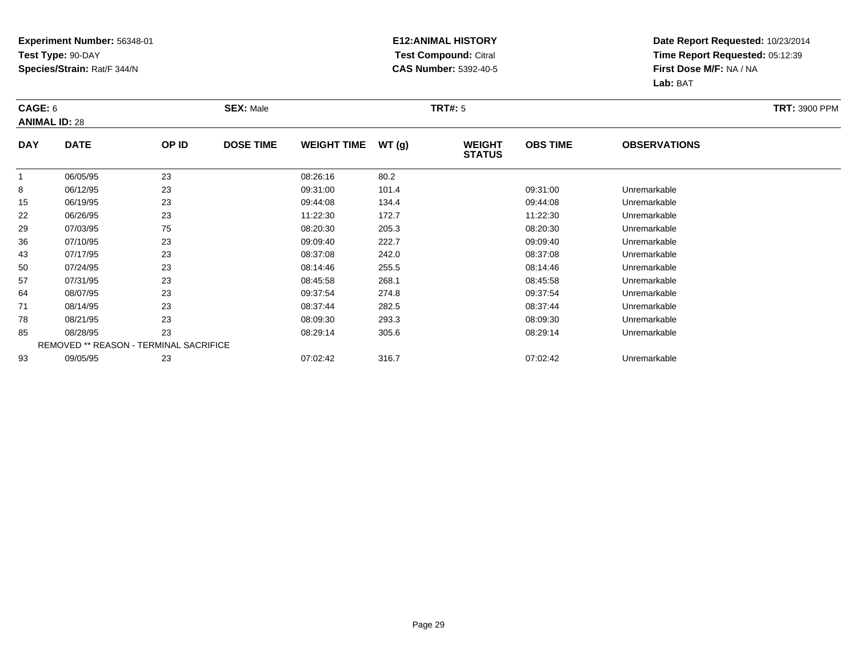### **E12:ANIMAL HISTORY Test Compound:** Citral **CAS Number:** 5392-40-5

| CAGE: 6      | <b>ANIMAL ID: 28</b>                          |       | <b>SEX: Male</b> |                    |       | <b>TRT#: 5</b>                 | <b>TRT: 3900 PPM</b> |                     |  |
|--------------|-----------------------------------------------|-------|------------------|--------------------|-------|--------------------------------|----------------------|---------------------|--|
| <b>DAY</b>   | <b>DATE</b>                                   | OP ID | <b>DOSE TIME</b> | <b>WEIGHT TIME</b> | WT(g) | <b>WEIGHT</b><br><b>STATUS</b> | <b>OBS TIME</b>      | <b>OBSERVATIONS</b> |  |
| $\mathbf{1}$ | 06/05/95                                      | 23    |                  | 08:26:16           | 80.2  |                                |                      |                     |  |
| 8            | 06/12/95                                      | 23    |                  | 09:31:00           | 101.4 |                                | 09:31:00             | Unremarkable        |  |
| 15           | 06/19/95                                      | 23    |                  | 09:44:08           | 134.4 |                                | 09:44:08             | Unremarkable        |  |
| 22           | 06/26/95                                      | 23    |                  | 11:22:30           | 172.7 |                                | 11:22:30             | Unremarkable        |  |
| 29           | 07/03/95                                      | 75    |                  | 08:20:30           | 205.3 |                                | 08:20:30             | Unremarkable        |  |
| 36           | 07/10/95                                      | 23    |                  | 09:09:40           | 222.7 |                                | 09:09:40             | Unremarkable        |  |
| 43           | 07/17/95                                      | 23    |                  | 08:37:08           | 242.0 |                                | 08:37:08             | Unremarkable        |  |
| 50           | 07/24/95                                      | 23    |                  | 08:14:46           | 255.5 |                                | 08:14:46             | Unremarkable        |  |
| 57           | 07/31/95                                      | 23    |                  | 08:45:58           | 268.1 |                                | 08:45:58             | Unremarkable        |  |
| 64           | 08/07/95                                      | 23    |                  | 09:37:54           | 274.8 |                                | 09:37:54             | Unremarkable        |  |
| 71           | 08/14/95                                      | 23    |                  | 08:37:44           | 282.5 |                                | 08:37:44             | Unremarkable        |  |
| 78           | 08/21/95                                      | 23    |                  | 08:09:30           | 293.3 |                                | 08:09:30             | Unremarkable        |  |
| 85           | 08/28/95                                      | 23    |                  | 08:29:14           | 305.6 |                                | 08:29:14             | Unremarkable        |  |
|              | <b>REMOVED ** REASON - TERMINAL SACRIFICE</b> |       |                  |                    |       |                                |                      |                     |  |
| 93           | 09/05/95                                      | 23    |                  | 07:02:42           | 316.7 |                                | 07:02:42             | Unremarkable        |  |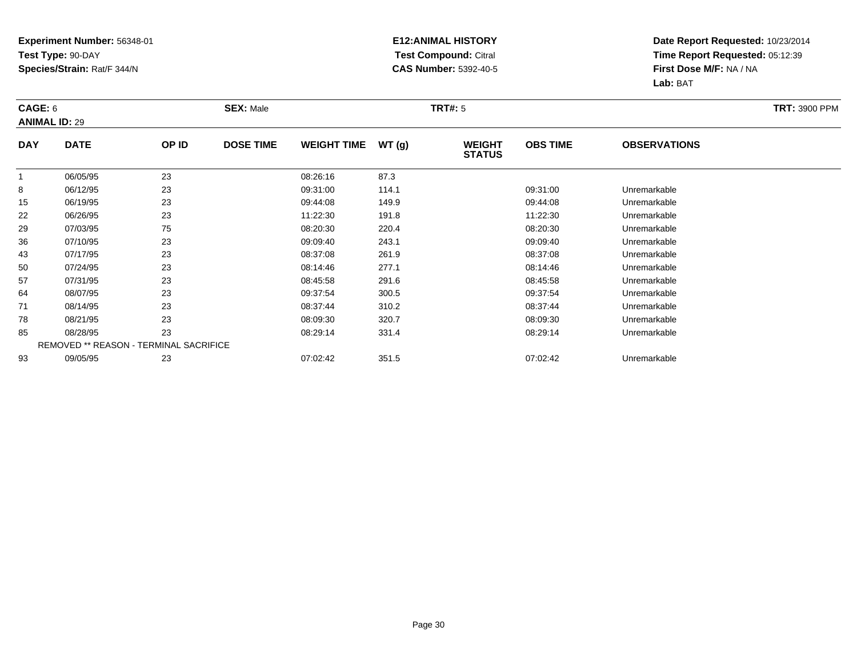### **E12:ANIMAL HISTORY Test Compound:** Citral **CAS Number:** 5392-40-5

| CAGE: 6     | <b>ANIMAL ID: 29</b>                          |       | <b>SEX: Male</b> |                    |       | <b>TRT#:</b> 5                 |                 |                     | <b>TRT: 3900 PPM</b> |
|-------------|-----------------------------------------------|-------|------------------|--------------------|-------|--------------------------------|-----------------|---------------------|----------------------|
| <b>DAY</b>  | <b>DATE</b>                                   | OP ID | <b>DOSE TIME</b> | <b>WEIGHT TIME</b> | WT(g) | <b>WEIGHT</b><br><b>STATUS</b> | <b>OBS TIME</b> | <b>OBSERVATIONS</b> |                      |
| $\mathbf 1$ | 06/05/95                                      | 23    |                  | 08:26:16           | 87.3  |                                |                 |                     |                      |
| 8           | 06/12/95                                      | 23    |                  | 09:31:00           | 114.1 |                                | 09:31:00        | Unremarkable        |                      |
| 15          | 06/19/95                                      | 23    |                  | 09:44:08           | 149.9 |                                | 09:44:08        | Unremarkable        |                      |
| 22          | 06/26/95                                      | 23    |                  | 11:22:30           | 191.8 |                                | 11:22:30        | Unremarkable        |                      |
| 29          | 07/03/95                                      | 75    |                  | 08:20:30           | 220.4 |                                | 08:20:30        | Unremarkable        |                      |
| 36          | 07/10/95                                      | 23    |                  | 09:09:40           | 243.1 |                                | 09:09:40        | Unremarkable        |                      |
| 43          | 07/17/95                                      | 23    |                  | 08:37:08           | 261.9 |                                | 08:37:08        | Unremarkable        |                      |
| 50          | 07/24/95                                      | 23    |                  | 08:14:46           | 277.1 |                                | 08:14:46        | Unremarkable        |                      |
| 57          | 07/31/95                                      | 23    |                  | 08:45:58           | 291.6 |                                | 08:45:58        | Unremarkable        |                      |
| 64          | 08/07/95                                      | 23    |                  | 09:37:54           | 300.5 |                                | 09:37:54        | Unremarkable        |                      |
| 71          | 08/14/95                                      | 23    |                  | 08:37:44           | 310.2 |                                | 08:37:44        | Unremarkable        |                      |
| 78          | 08/21/95                                      | 23    |                  | 08:09:30           | 320.7 |                                | 08:09:30        | Unremarkable        |                      |
| 85          | 08/28/95                                      | 23    |                  | 08:29:14           | 331.4 |                                | 08:29:14        | Unremarkable        |                      |
|             | <b>REMOVED ** REASON - TERMINAL SACRIFICE</b> |       |                  |                    |       |                                |                 |                     |                      |
| 93          | 09/05/95                                      | 23    |                  | 07:02:42           | 351.5 |                                | 07:02:42        | Unremarkable        |                      |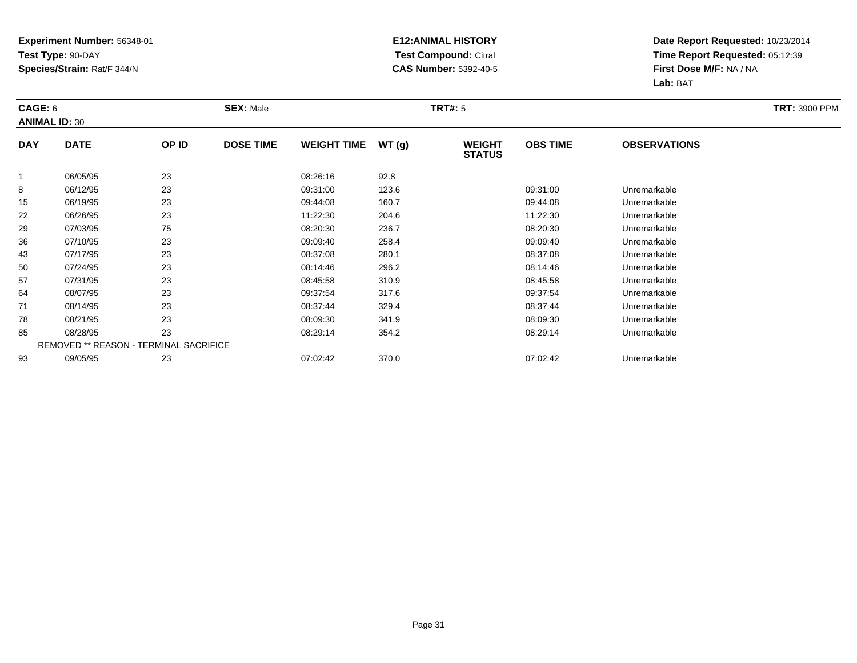### **E12:ANIMAL HISTORY Test Compound:** Citral **CAS Number:** 5392-40-5

| CAGE: 6      | <b>ANIMAL ID: 30</b>                   |       | <b>SEX: Male</b> |                    |       | <b>TRT#: 5</b>                 | <b>TRT: 3900 PPM</b> |                     |  |
|--------------|----------------------------------------|-------|------------------|--------------------|-------|--------------------------------|----------------------|---------------------|--|
| <b>DAY</b>   | <b>DATE</b>                            | OP ID | <b>DOSE TIME</b> | <b>WEIGHT TIME</b> | WT(g) | <b>WEIGHT</b><br><b>STATUS</b> | <b>OBS TIME</b>      | <b>OBSERVATIONS</b> |  |
| $\mathbf{1}$ | 06/05/95                               | 23    |                  | 08:26:16           | 92.8  |                                |                      |                     |  |
| 8            | 06/12/95                               | 23    |                  | 09:31:00           | 123.6 |                                | 09:31:00             | Unremarkable        |  |
| 15           | 06/19/95                               | 23    |                  | 09:44:08           | 160.7 |                                | 09:44:08             | Unremarkable        |  |
| 22           | 06/26/95                               | 23    |                  | 11:22:30           | 204.6 |                                | 11:22:30             | Unremarkable        |  |
| 29           | 07/03/95                               | 75    |                  | 08:20:30           | 236.7 |                                | 08:20:30             | Unremarkable        |  |
| 36           | 07/10/95                               | 23    |                  | 09:09:40           | 258.4 |                                | 09:09:40             | Unremarkable        |  |
| 43           | 07/17/95                               | 23    |                  | 08:37:08           | 280.1 |                                | 08:37:08             | Unremarkable        |  |
| 50           | 07/24/95                               | 23    |                  | 08:14:46           | 296.2 |                                | 08:14:46             | Unremarkable        |  |
| 57           | 07/31/95                               | 23    |                  | 08:45:58           | 310.9 |                                | 08:45:58             | Unremarkable        |  |
| 64           | 08/07/95                               | 23    |                  | 09:37:54           | 317.6 |                                | 09:37:54             | Unremarkable        |  |
| 71           | 08/14/95                               | 23    |                  | 08:37:44           | 329.4 |                                | 08:37:44             | Unremarkable        |  |
| 78           | 08/21/95                               | 23    |                  | 08:09:30           | 341.9 |                                | 08:09:30             | Unremarkable        |  |
| 85           | 08/28/95                               | 23    |                  | 08:29:14           | 354.2 |                                | 08:29:14             | Unremarkable        |  |
|              | REMOVED ** REASON - TERMINAL SACRIFICE |       |                  |                    |       |                                |                      |                     |  |
| 93           | 09/05/95                               | 23    |                  | 07:02:42           | 370.0 |                                | 07:02:42             | Unremarkable        |  |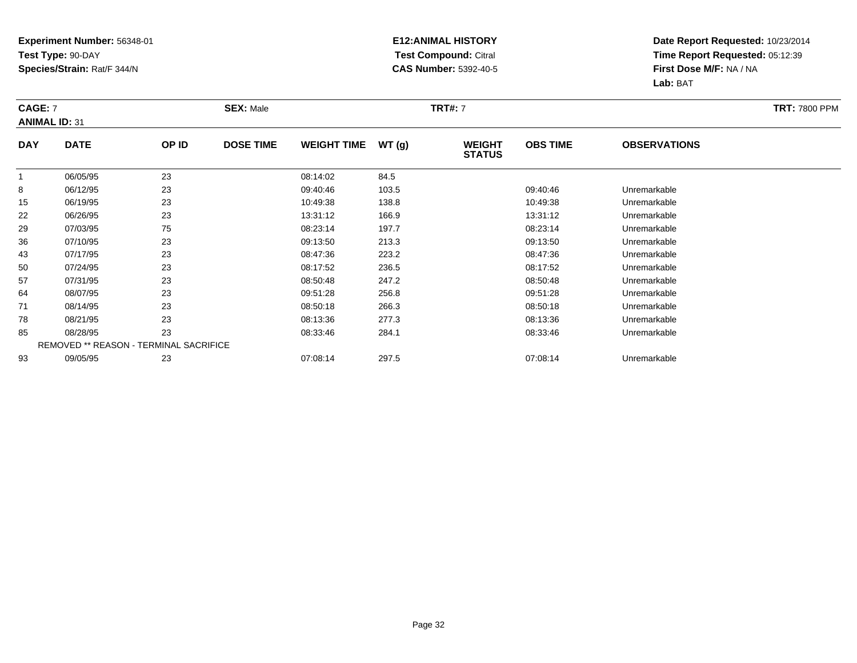### **E12:ANIMAL HISTORY Test Compound:** Citral **CAS Number:** 5392-40-5

| <b>CAGE: 7</b> | <b>ANIMAL ID: 31</b>                          |       | <b>SEX: Male</b> |                    |       | <b>TRT#: 7</b>                 |                 |                     | <b>TRT: 7800 PPM</b> |
|----------------|-----------------------------------------------|-------|------------------|--------------------|-------|--------------------------------|-----------------|---------------------|----------------------|
| <b>DAY</b>     | <b>DATE</b>                                   | OP ID | <b>DOSE TIME</b> | <b>WEIGHT TIME</b> | WT(g) | <b>WEIGHT</b><br><b>STATUS</b> | <b>OBS TIME</b> | <b>OBSERVATIONS</b> |                      |
| $\mathbf{1}$   | 06/05/95                                      | 23    |                  | 08:14:02           | 84.5  |                                |                 |                     |                      |
| 8              | 06/12/95                                      | 23    |                  | 09:40:46           | 103.5 |                                | 09:40:46        | Unremarkable        |                      |
| 15             | 06/19/95                                      | 23    |                  | 10:49:38           | 138.8 |                                | 10:49:38        | Unremarkable        |                      |
| 22             | 06/26/95                                      | 23    |                  | 13:31:12           | 166.9 |                                | 13:31:12        | Unremarkable        |                      |
| 29             | 07/03/95                                      | 75    |                  | 08:23:14           | 197.7 |                                | 08:23:14        | Unremarkable        |                      |
| 36             | 07/10/95                                      | 23    |                  | 09:13:50           | 213.3 |                                | 09:13:50        | Unremarkable        |                      |
| 43             | 07/17/95                                      | 23    |                  | 08:47:36           | 223.2 |                                | 08:47:36        | Unremarkable        |                      |
| 50             | 07/24/95                                      | 23    |                  | 08:17:52           | 236.5 |                                | 08:17:52        | Unremarkable        |                      |
| 57             | 07/31/95                                      | 23    |                  | 08:50:48           | 247.2 |                                | 08:50:48        | Unremarkable        |                      |
| 64             | 08/07/95                                      | 23    |                  | 09:51:28           | 256.8 |                                | 09:51:28        | Unremarkable        |                      |
| 71             | 08/14/95                                      | 23    |                  | 08:50:18           | 266.3 |                                | 08:50:18        | Unremarkable        |                      |
| 78             | 08/21/95                                      | 23    |                  | 08:13:36           | 277.3 |                                | 08:13:36        | Unremarkable        |                      |
| 85             | 08/28/95                                      | 23    |                  | 08:33:46           | 284.1 |                                | 08:33:46        | Unremarkable        |                      |
|                | <b>REMOVED ** REASON - TERMINAL SACRIFICE</b> |       |                  |                    |       |                                |                 |                     |                      |
| 93             | 09/05/95                                      | 23    |                  | 07:08:14           | 297.5 |                                | 07:08:14        | Unremarkable        |                      |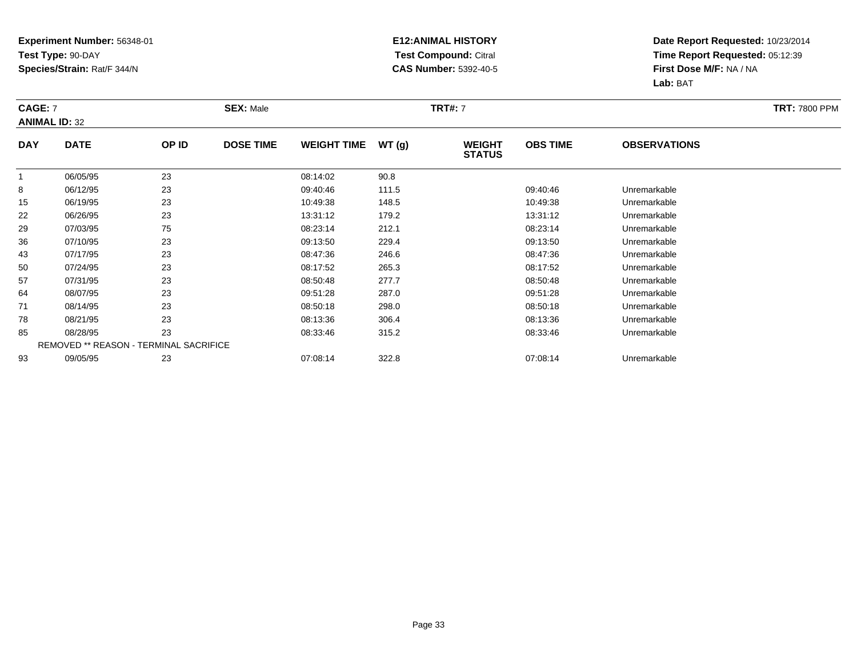### **E12:ANIMAL HISTORY Test Compound:** Citral **CAS Number:** 5392-40-5

| <b>CAGE: 7</b> | <b>ANIMAL ID: 32</b>                          |       | <b>SEX: Male</b> |                    |       | <b>TRT#:</b> 7                 | <b>TRT: 7800 PPM</b> |                     |  |
|----------------|-----------------------------------------------|-------|------------------|--------------------|-------|--------------------------------|----------------------|---------------------|--|
| <b>DAY</b>     | <b>DATE</b>                                   | OP ID | <b>DOSE TIME</b> | <b>WEIGHT TIME</b> | WT(g) | <b>WEIGHT</b><br><b>STATUS</b> | <b>OBS TIME</b>      | <b>OBSERVATIONS</b> |  |
| $\mathbf{1}$   | 06/05/95                                      | 23    |                  | 08:14:02           | 90.8  |                                |                      |                     |  |
| 8              | 06/12/95                                      | 23    |                  | 09:40:46           | 111.5 |                                | 09:40:46             | Unremarkable        |  |
| 15             | 06/19/95                                      | 23    |                  | 10:49:38           | 148.5 |                                | 10:49:38             | Unremarkable        |  |
| 22             | 06/26/95                                      | 23    |                  | 13:31:12           | 179.2 |                                | 13:31:12             | Unremarkable        |  |
| 29             | 07/03/95                                      | 75    |                  | 08:23:14           | 212.1 |                                | 08:23:14             | Unremarkable        |  |
| 36             | 07/10/95                                      | 23    |                  | 09:13:50           | 229.4 |                                | 09:13:50             | Unremarkable        |  |
| 43             | 07/17/95                                      | 23    |                  | 08:47:36           | 246.6 |                                | 08:47:36             | Unremarkable        |  |
| 50             | 07/24/95                                      | 23    |                  | 08:17:52           | 265.3 |                                | 08:17:52             | Unremarkable        |  |
| 57             | 07/31/95                                      | 23    |                  | 08:50:48           | 277.7 |                                | 08:50:48             | Unremarkable        |  |
| 64             | 08/07/95                                      | 23    |                  | 09:51:28           | 287.0 |                                | 09:51:28             | Unremarkable        |  |
| 71             | 08/14/95                                      | 23    |                  | 08:50:18           | 298.0 |                                | 08:50:18             | Unremarkable        |  |
| 78             | 08/21/95                                      | 23    |                  | 08:13:36           | 306.4 |                                | 08:13:36             | Unremarkable        |  |
| 85             | 08/28/95                                      | 23    |                  | 08:33:46           | 315.2 |                                | 08:33:46             | Unremarkable        |  |
|                | <b>REMOVED ** REASON - TERMINAL SACRIFICE</b> |       |                  |                    |       |                                |                      |                     |  |
| 93             | 09/05/95                                      | 23    |                  | 07:08:14           | 322.8 |                                | 07:08:14             | Unremarkable        |  |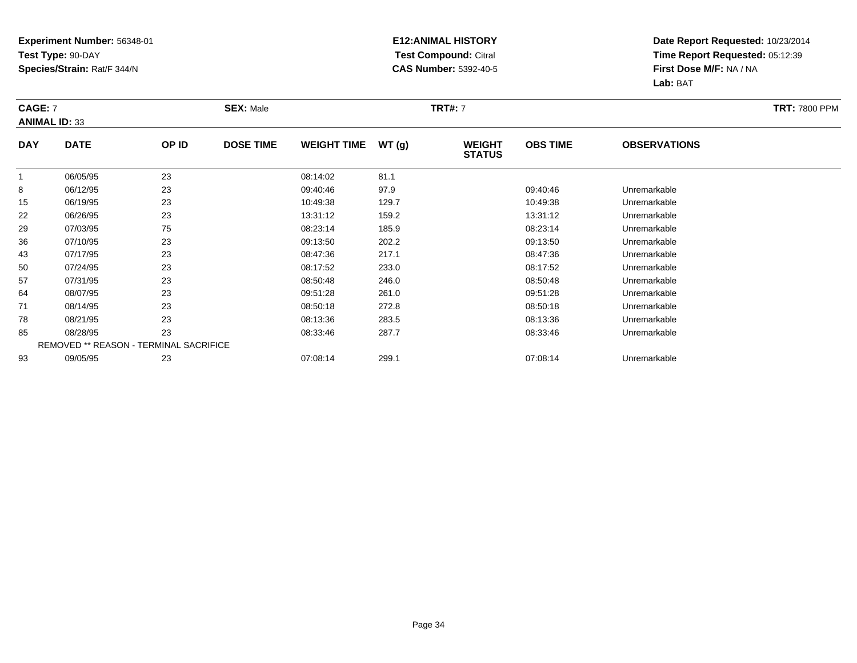### **E12:ANIMAL HISTORY Test Compound:** Citral **CAS Number:** 5392-40-5

| <b>CAGE: 7</b> | <b>ANIMAL ID: 33</b>                          |       | <b>SEX: Male</b> |                    |       | <b>TRT#:</b> 7                 | <b>TRT: 7800 PPM</b> |                     |  |
|----------------|-----------------------------------------------|-------|------------------|--------------------|-------|--------------------------------|----------------------|---------------------|--|
| <b>DAY</b>     | <b>DATE</b>                                   | OP ID | <b>DOSE TIME</b> | <b>WEIGHT TIME</b> | WT(g) | <b>WEIGHT</b><br><b>STATUS</b> | <b>OBS TIME</b>      | <b>OBSERVATIONS</b> |  |
| $\mathbf{1}$   | 06/05/95                                      | 23    |                  | 08:14:02           | 81.1  |                                |                      |                     |  |
| 8              | 06/12/95                                      | 23    |                  | 09:40:46           | 97.9  |                                | 09:40:46             | Unremarkable        |  |
| 15             | 06/19/95                                      | 23    |                  | 10:49:38           | 129.7 |                                | 10:49:38             | Unremarkable        |  |
| 22             | 06/26/95                                      | 23    |                  | 13:31:12           | 159.2 |                                | 13:31:12             | Unremarkable        |  |
| 29             | 07/03/95                                      | 75    |                  | 08:23:14           | 185.9 |                                | 08:23:14             | Unremarkable        |  |
| 36             | 07/10/95                                      | 23    |                  | 09:13:50           | 202.2 |                                | 09:13:50             | Unremarkable        |  |
| 43             | 07/17/95                                      | 23    |                  | 08:47:36           | 217.1 |                                | 08:47:36             | Unremarkable        |  |
| 50             | 07/24/95                                      | 23    |                  | 08:17:52           | 233.0 |                                | 08:17:52             | Unremarkable        |  |
| 57             | 07/31/95                                      | 23    |                  | 08:50:48           | 246.0 |                                | 08:50:48             | Unremarkable        |  |
| 64             | 08/07/95                                      | 23    |                  | 09:51:28           | 261.0 |                                | 09:51:28             | Unremarkable        |  |
| 71             | 08/14/95                                      | 23    |                  | 08:50:18           | 272.8 |                                | 08:50:18             | Unremarkable        |  |
| 78             | 08/21/95                                      | 23    |                  | 08:13:36           | 283.5 |                                | 08:13:36             | Unremarkable        |  |
| 85             | 08/28/95                                      | 23    |                  | 08:33:46           | 287.7 |                                | 08:33:46             | Unremarkable        |  |
|                | <b>REMOVED ** REASON - TERMINAL SACRIFICE</b> |       |                  |                    |       |                                |                      |                     |  |
| 93             | 09/05/95                                      | 23    |                  | 07:08:14           | 299.1 |                                | 07:08:14             | Unremarkable        |  |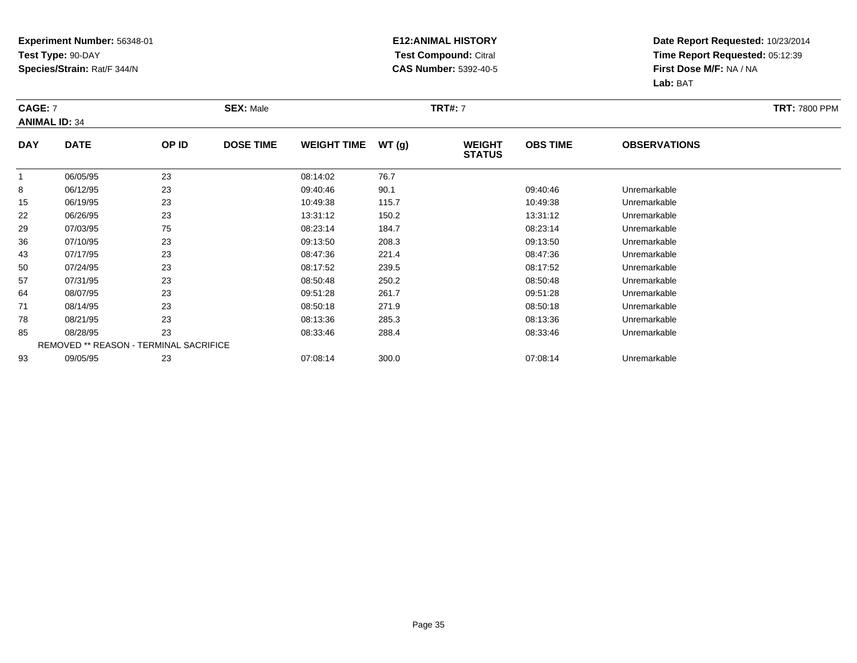### **E12:ANIMAL HISTORY Test Compound:** Citral **CAS Number:** 5392-40-5

|              | <b>CAGE: 7</b><br><b>ANIMAL ID: 34</b> |       | <b>SEX: Male</b> |                    |       | <b>TRT#:</b> 7                 | <b>TRT: 7800 PPM</b> |                     |  |
|--------------|----------------------------------------|-------|------------------|--------------------|-------|--------------------------------|----------------------|---------------------|--|
| <b>DAY</b>   | <b>DATE</b>                            | OP ID | <b>DOSE TIME</b> | <b>WEIGHT TIME</b> | WT(g) | <b>WEIGHT</b><br><b>STATUS</b> | <b>OBS TIME</b>      | <b>OBSERVATIONS</b> |  |
| $\mathbf{1}$ | 06/05/95                               | 23    |                  | 08:14:02           | 76.7  |                                |                      |                     |  |
| 8            | 06/12/95                               | 23    |                  | 09:40:46           | 90.1  |                                | 09:40:46             | Unremarkable        |  |
| 15           | 06/19/95                               | 23    |                  | 10:49:38           | 115.7 |                                | 10:49:38             | Unremarkable        |  |
| 22           | 06/26/95                               | 23    |                  | 13:31:12           | 150.2 |                                | 13:31:12             | Unremarkable        |  |
| 29           | 07/03/95                               | 75    |                  | 08:23:14           | 184.7 |                                | 08:23:14             | Unremarkable        |  |
| 36           | 07/10/95                               | 23    |                  | 09:13:50           | 208.3 |                                | 09:13:50             | Unremarkable        |  |
| 43           | 07/17/95                               | 23    |                  | 08:47:36           | 221.4 |                                | 08:47:36             | Unremarkable        |  |
| 50           | 07/24/95                               | 23    |                  | 08:17:52           | 239.5 |                                | 08:17:52             | Unremarkable        |  |
| 57           | 07/31/95                               | 23    |                  | 08:50:48           | 250.2 |                                | 08:50:48             | Unremarkable        |  |
| 64           | 08/07/95                               | 23    |                  | 09:51:28           | 261.7 |                                | 09:51:28             | Unremarkable        |  |
| 71           | 08/14/95                               | 23    |                  | 08:50:18           | 271.9 |                                | 08:50:18             | Unremarkable        |  |
| 78           | 08/21/95                               | 23    |                  | 08:13:36           | 285.3 |                                | 08:13:36             | Unremarkable        |  |
| 85           | 08/28/95                               | 23    |                  | 08:33:46           | 288.4 |                                | 08:33:46             | Unremarkable        |  |
|              | REMOVED ** REASON - TERMINAL SACRIFICE |       |                  |                    |       |                                |                      |                     |  |
| 93           | 09/05/95                               | 23    |                  | 07:08:14           | 300.0 |                                | 07:08:14             | Unremarkable        |  |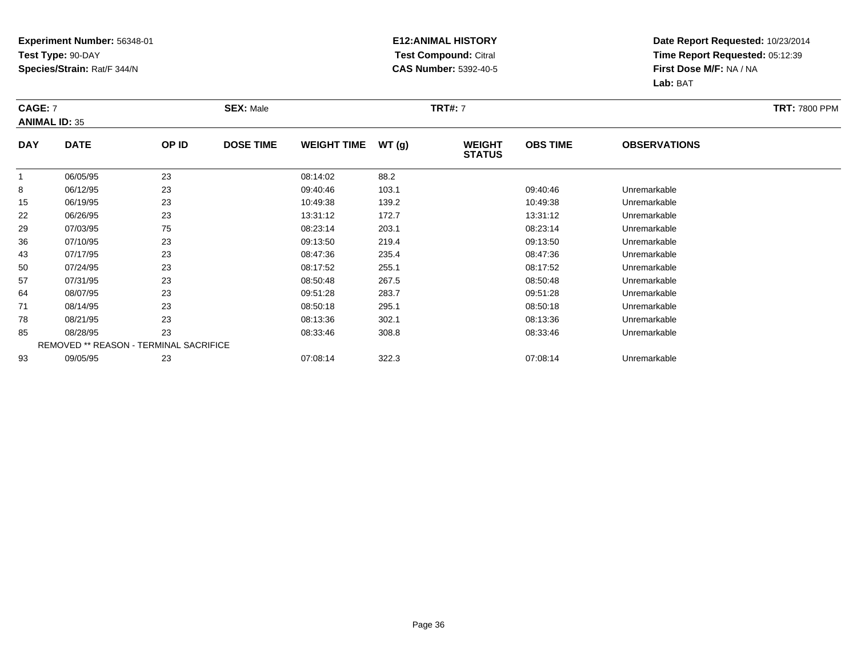### **E12:ANIMAL HISTORY Test Compound:** Citral **CAS Number:** 5392-40-5

| <b>CAGE: 7</b><br><b>ANIMAL ID: 35</b> |                                        |       | <b>SEX: Male</b> |                    |       | <b>TRT#:</b> 7                 |                 | <b>TRT: 7800 PPM</b> |  |
|----------------------------------------|----------------------------------------|-------|------------------|--------------------|-------|--------------------------------|-----------------|----------------------|--|
| <b>DAY</b>                             | <b>DATE</b>                            | OP ID | <b>DOSE TIME</b> | <b>WEIGHT TIME</b> | WT(g) | <b>WEIGHT</b><br><b>STATUS</b> | <b>OBS TIME</b> | <b>OBSERVATIONS</b>  |  |
| $\mathbf{1}$                           | 06/05/95                               | 23    |                  | 08:14:02           | 88.2  |                                |                 |                      |  |
| 8                                      | 06/12/95                               | 23    |                  | 09:40:46           | 103.1 |                                | 09:40:46        | Unremarkable         |  |
| 15                                     | 06/19/95                               | 23    |                  | 10:49:38           | 139.2 |                                | 10:49:38        | Unremarkable         |  |
| 22                                     | 06/26/95                               | 23    |                  | 13:31:12           | 172.7 |                                | 13:31:12        | Unremarkable         |  |
| 29                                     | 07/03/95                               | 75    |                  | 08:23:14           | 203.1 |                                | 08:23:14        | Unremarkable         |  |
| 36                                     | 07/10/95                               | 23    |                  | 09:13:50           | 219.4 |                                | 09:13:50        | Unremarkable         |  |
| 43                                     | 07/17/95                               | 23    |                  | 08:47:36           | 235.4 |                                | 08:47:36        | Unremarkable         |  |
| 50                                     | 07/24/95                               | 23    |                  | 08:17:52           | 255.1 |                                | 08:17:52        | Unremarkable         |  |
| 57                                     | 07/31/95                               | 23    |                  | 08:50:48           | 267.5 |                                | 08:50:48        | Unremarkable         |  |
| 64                                     | 08/07/95                               | 23    |                  | 09:51:28           | 283.7 |                                | 09:51:28        | Unremarkable         |  |
| 71                                     | 08/14/95                               | 23    |                  | 08:50:18           | 295.1 |                                | 08:50:18        | Unremarkable         |  |
| 78                                     | 08/21/95                               | 23    |                  | 08:13:36           | 302.1 |                                | 08:13:36        | Unremarkable         |  |
| 85                                     | 08/28/95                               | 23    |                  | 08:33:46           | 308.8 |                                | 08:33:46        | Unremarkable         |  |
|                                        | REMOVED ** REASON - TERMINAL SACRIFICE |       |                  |                    |       |                                |                 |                      |  |
| 93                                     | 09/05/95                               | 23    |                  | 07:08:14           | 322.3 |                                | 07:08:14        | Unremarkable         |  |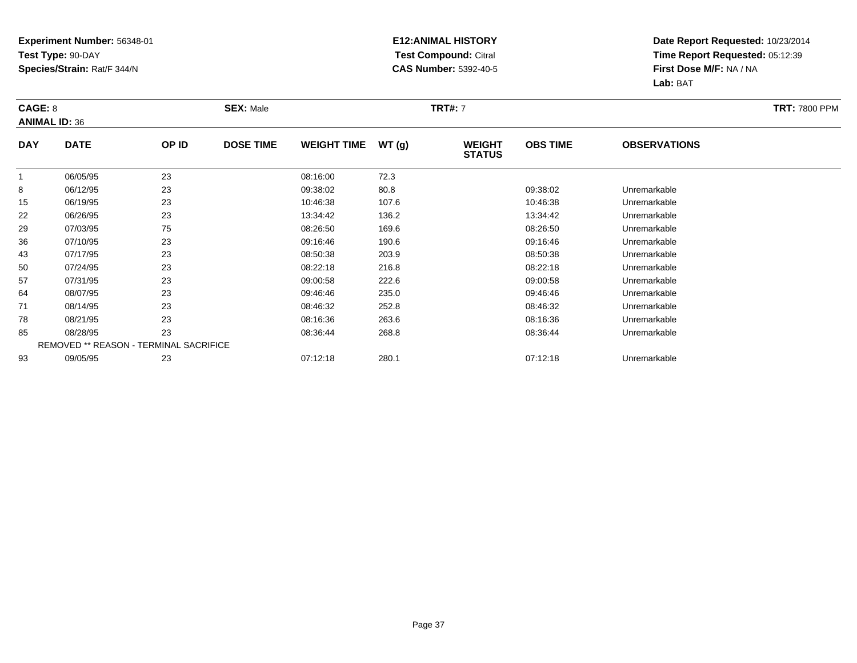### **E12:ANIMAL HISTORY Test Compound:** Citral **CAS Number:** 5392-40-5

| CAGE: 8    | <b>ANIMAL ID: 36</b>                   |       | <b>SEX: Male</b> |                    |       | <b>TRT#:</b> 7                 |                 |                     | <b>TRT: 7800 PPM</b> |
|------------|----------------------------------------|-------|------------------|--------------------|-------|--------------------------------|-----------------|---------------------|----------------------|
| <b>DAY</b> | <b>DATE</b>                            | OP ID | <b>DOSE TIME</b> | <b>WEIGHT TIME</b> | WT(g) | <b>WEIGHT</b><br><b>STATUS</b> | <b>OBS TIME</b> | <b>OBSERVATIONS</b> |                      |
|            | 06/05/95                               | 23    |                  | 08:16:00           | 72.3  |                                |                 |                     |                      |
| 8          | 06/12/95                               | 23    |                  | 09:38:02           | 80.8  |                                | 09:38:02        | Unremarkable        |                      |
| 15         | 06/19/95                               | 23    |                  | 10:46:38           | 107.6 |                                | 10:46:38        | Unremarkable        |                      |
| 22         | 06/26/95                               | 23    |                  | 13:34:42           | 136.2 |                                | 13:34:42        | Unremarkable        |                      |
| 29         | 07/03/95                               | 75    |                  | 08:26:50           | 169.6 |                                | 08:26:50        | Unremarkable        |                      |
| 36         | 07/10/95                               | 23    |                  | 09:16:46           | 190.6 |                                | 09:16:46        | Unremarkable        |                      |
| 43         | 07/17/95                               | 23    |                  | 08:50:38           | 203.9 |                                | 08:50:38        | Unremarkable        |                      |
| 50         | 07/24/95                               | 23    |                  | 08:22:18           | 216.8 |                                | 08:22:18        | Unremarkable        |                      |
| 57         | 07/31/95                               | 23    |                  | 09:00:58           | 222.6 |                                | 09:00:58        | Unremarkable        |                      |
| 64         | 08/07/95                               | 23    |                  | 09:46:46           | 235.0 |                                | 09:46:46        | Unremarkable        |                      |
| 71         | 08/14/95                               | 23    |                  | 08:46:32           | 252.8 |                                | 08:46:32        | Unremarkable        |                      |
| 78         | 08/21/95                               | 23    |                  | 08:16:36           | 263.6 |                                | 08:16:36        | Unremarkable        |                      |
| 85         | 08/28/95                               | 23    |                  | 08:36:44           | 268.8 |                                | 08:36:44        | Unremarkable        |                      |
|            | REMOVED ** REASON - TERMINAL SACRIFICE |       |                  |                    |       |                                |                 |                     |                      |
| 93         | 09/05/95                               | 23    |                  | 07:12:18           | 280.1 |                                | 07:12:18        | Unremarkable        |                      |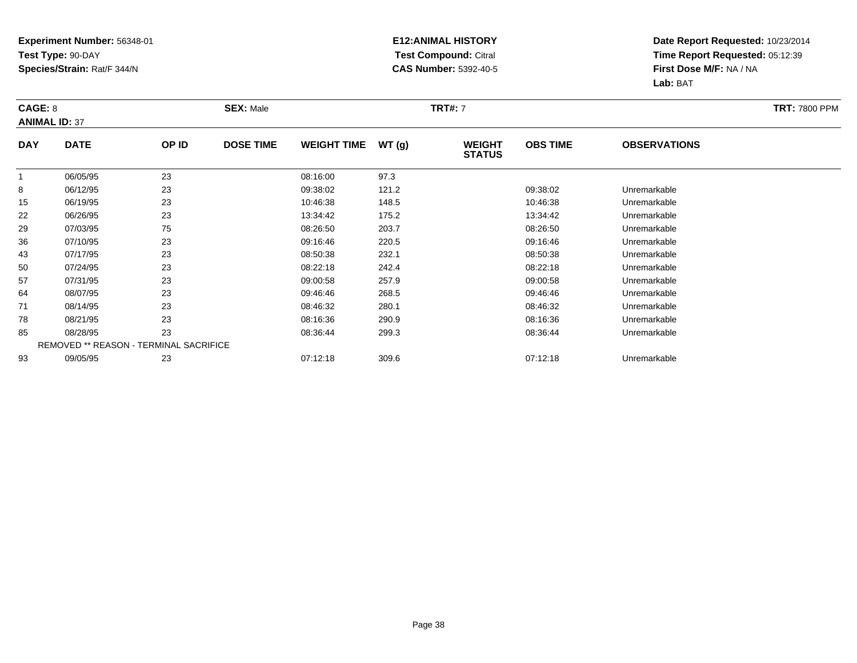### **E12:ANIMAL HISTORY Test Compound:** Citral **CAS Number:** 5392-40-5

| CAGE: 8      | <b>ANIMAL ID: 37</b>                          |       | <b>SEX: Male</b> |                    |       | <b>TRT#: 7</b>                 |                 |                     | <b>TRT: 7800 PPM</b> |
|--------------|-----------------------------------------------|-------|------------------|--------------------|-------|--------------------------------|-----------------|---------------------|----------------------|
| <b>DAY</b>   | <b>DATE</b>                                   | OP ID | <b>DOSE TIME</b> | <b>WEIGHT TIME</b> | WT(g) | <b>WEIGHT</b><br><b>STATUS</b> | <b>OBS TIME</b> | <b>OBSERVATIONS</b> |                      |
| $\mathbf{1}$ | 06/05/95                                      | 23    |                  | 08:16:00           | 97.3  |                                |                 |                     |                      |
| 8            | 06/12/95                                      | 23    |                  | 09:38:02           | 121.2 |                                | 09:38:02        | Unremarkable        |                      |
| 15           | 06/19/95                                      | 23    |                  | 10:46:38           | 148.5 |                                | 10:46:38        | Unremarkable        |                      |
| 22           | 06/26/95                                      | 23    |                  | 13:34:42           | 175.2 |                                | 13:34:42        | Unremarkable        |                      |
| 29           | 07/03/95                                      | 75    |                  | 08:26:50           | 203.7 |                                | 08:26:50        | Unremarkable        |                      |
| 36           | 07/10/95                                      | 23    |                  | 09:16:46           | 220.5 |                                | 09:16:46        | Unremarkable        |                      |
| 43           | 07/17/95                                      | 23    |                  | 08:50:38           | 232.1 |                                | 08:50:38        | Unremarkable        |                      |
| 50           | 07/24/95                                      | 23    |                  | 08:22:18           | 242.4 |                                | 08:22:18        | Unremarkable        |                      |
| 57           | 07/31/95                                      | 23    |                  | 09:00:58           | 257.9 |                                | 09:00:58        | Unremarkable        |                      |
| 64           | 08/07/95                                      | 23    |                  | 09:46:46           | 268.5 |                                | 09:46:46        | Unremarkable        |                      |
| 71           | 08/14/95                                      | 23    |                  | 08:46:32           | 280.1 |                                | 08:46:32        | Unremarkable        |                      |
| 78           | 08/21/95                                      | 23    |                  | 08:16:36           | 290.9 |                                | 08:16:36        | Unremarkable        |                      |
| 85           | 08/28/95                                      | 23    |                  | 08:36:44           | 299.3 |                                | 08:36:44        | Unremarkable        |                      |
|              | <b>REMOVED ** REASON - TERMINAL SACRIFICE</b> |       |                  |                    |       |                                |                 |                     |                      |
| 93           | 09/05/95                                      | 23    |                  | 07:12:18           | 309.6 |                                | 07:12:18        | Unremarkable        |                      |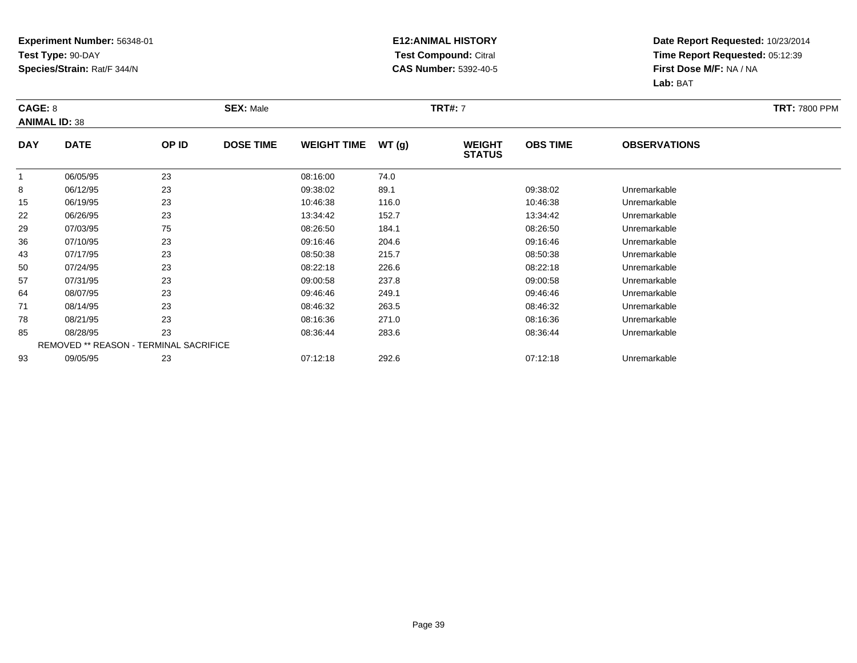### **E12:ANIMAL HISTORY Test Compound:** Citral **CAS Number:** 5392-40-5

| CAGE: 8      | <b>ANIMAL ID: 38</b>                   |       | <b>SEX: Male</b> |                    |       | <b>TRT#:</b> 7                 |                 |                     | <b>TRT: 7800 PPM</b> |
|--------------|----------------------------------------|-------|------------------|--------------------|-------|--------------------------------|-----------------|---------------------|----------------------|
| <b>DAY</b>   | <b>DATE</b>                            | OP ID | <b>DOSE TIME</b> | <b>WEIGHT TIME</b> | WT(g) | <b>WEIGHT</b><br><b>STATUS</b> | <b>OBS TIME</b> | <b>OBSERVATIONS</b> |                      |
| $\mathbf{1}$ | 06/05/95                               | 23    |                  | 08:16:00           | 74.0  |                                |                 |                     |                      |
| 8            | 06/12/95                               | 23    |                  | 09:38:02           | 89.1  |                                | 09:38:02        | Unremarkable        |                      |
| 15           | 06/19/95                               | 23    |                  | 10:46:38           | 116.0 |                                | 10:46:38        | Unremarkable        |                      |
| 22           | 06/26/95                               | 23    |                  | 13:34:42           | 152.7 |                                | 13:34:42        | Unremarkable        |                      |
| 29           | 07/03/95                               | 75    |                  | 08:26:50           | 184.1 |                                | 08:26:50        | Unremarkable        |                      |
| 36           | 07/10/95                               | 23    |                  | 09:16:46           | 204.6 |                                | 09:16:46        | Unremarkable        |                      |
| 43           | 07/17/95                               | 23    |                  | 08:50:38           | 215.7 |                                | 08:50:38        | Unremarkable        |                      |
| 50           | 07/24/95                               | 23    |                  | 08:22:18           | 226.6 |                                | 08:22:18        | Unremarkable        |                      |
| 57           | 07/31/95                               | 23    |                  | 09:00:58           | 237.8 |                                | 09:00:58        | Unremarkable        |                      |
| 64           | 08/07/95                               | 23    |                  | 09:46:46           | 249.1 |                                | 09:46:46        | Unremarkable        |                      |
| 71           | 08/14/95                               | 23    |                  | 08:46:32           | 263.5 |                                | 08:46:32        | Unremarkable        |                      |
| 78           | 08/21/95                               | 23    |                  | 08:16:36           | 271.0 |                                | 08:16:36        | Unremarkable        |                      |
| 85           | 08/28/95                               | 23    |                  | 08:36:44           | 283.6 |                                | 08:36:44        | Unremarkable        |                      |
|              | REMOVED ** REASON - TERMINAL SACRIFICE |       |                  |                    |       |                                |                 |                     |                      |
| 93           | 09/05/95                               | 23    |                  | 07:12:18           | 292.6 |                                | 07:12:18        | Unremarkable        |                      |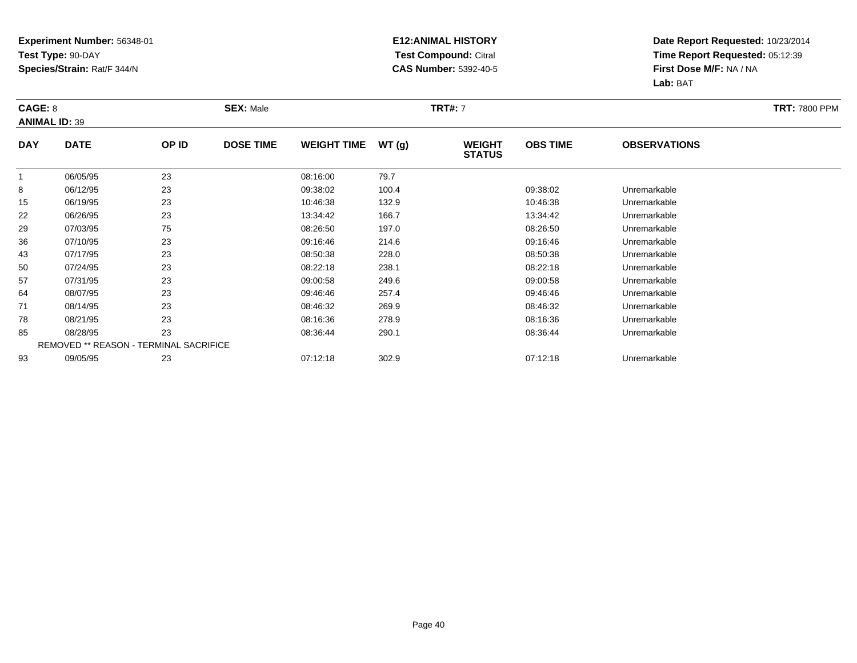### **E12:ANIMAL HISTORY Test Compound:** Citral **CAS Number:** 5392-40-5

| CAGE: 8              |                                               |       | <b>SEX: Male</b> |                    |       | <b>TRT#: 7</b>                 |                 |                     | <b>TRT: 7800 PPM</b> |
|----------------------|-----------------------------------------------|-------|------------------|--------------------|-------|--------------------------------|-----------------|---------------------|----------------------|
| <b>ANIMAL ID: 39</b> |                                               |       |                  |                    |       |                                |                 |                     |                      |
| <b>DAY</b>           | <b>DATE</b>                                   | OP ID | <b>DOSE TIME</b> | <b>WEIGHT TIME</b> | WT(g) | <b>WEIGHT</b><br><b>STATUS</b> | <b>OBS TIME</b> | <b>OBSERVATIONS</b> |                      |
|                      | 06/05/95                                      | 23    |                  | 08:16:00           | 79.7  |                                |                 |                     |                      |
| 8                    | 06/12/95                                      | 23    |                  | 09:38:02           | 100.4 |                                | 09:38:02        | Unremarkable        |                      |
| 15                   | 06/19/95                                      | 23    |                  | 10:46:38           | 132.9 |                                | 10:46:38        | Unremarkable        |                      |
| 22                   | 06/26/95                                      | 23    |                  | 13:34:42           | 166.7 |                                | 13:34:42        | Unremarkable        |                      |
| 29                   | 07/03/95                                      | 75    |                  | 08:26:50           | 197.0 |                                | 08:26:50        | Unremarkable        |                      |
| 36                   | 07/10/95                                      | 23    |                  | 09:16:46           | 214.6 |                                | 09:16:46        | Unremarkable        |                      |
| 43                   | 07/17/95                                      | 23    |                  | 08:50:38           | 228.0 |                                | 08:50:38        | Unremarkable        |                      |
| 50                   | 07/24/95                                      | 23    |                  | 08:22:18           | 238.1 |                                | 08:22:18        | Unremarkable        |                      |
| 57                   | 07/31/95                                      | 23    |                  | 09:00:58           | 249.6 |                                | 09:00:58        | Unremarkable        |                      |
| 64                   | 08/07/95                                      | 23    |                  | 09:46:46           | 257.4 |                                | 09:46:46        | Unremarkable        |                      |
| 71                   | 08/14/95                                      | 23    |                  | 08:46:32           | 269.9 |                                | 08:46:32        | Unremarkable        |                      |
| 78                   | 08/21/95                                      | 23    |                  | 08:16:36           | 278.9 |                                | 08:16:36        | Unremarkable        |                      |
| 85                   | 08/28/95                                      | 23    |                  | 08:36:44           | 290.1 |                                | 08:36:44        | Unremarkable        |                      |
|                      | <b>REMOVED ** REASON - TERMINAL SACRIFICE</b> |       |                  |                    |       |                                |                 |                     |                      |
| 93                   | 09/05/95                                      | 23    |                  | 07:12:18           | 302.9 |                                | 07:12:18        | Unremarkable        |                      |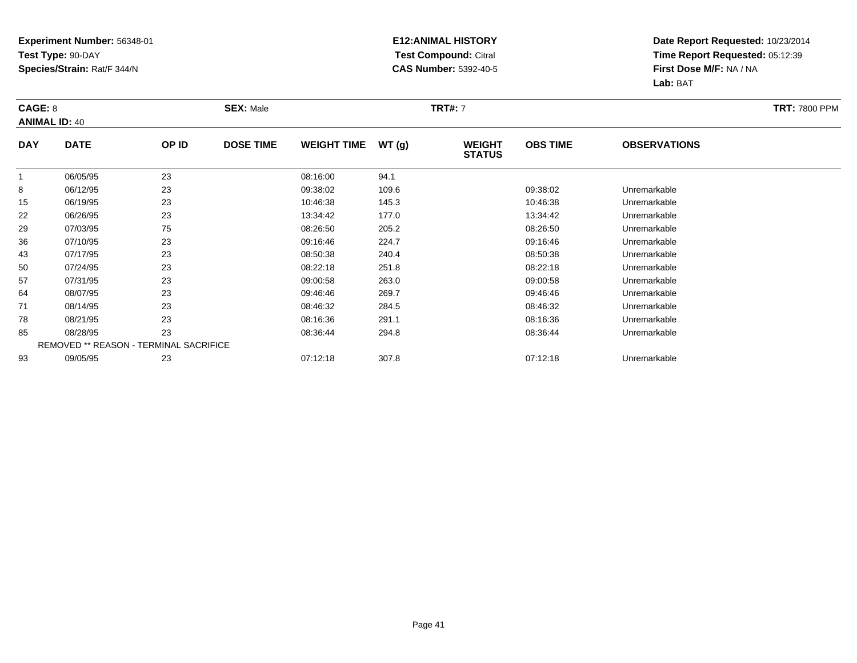### **E12:ANIMAL HISTORY Test Compound:** Citral **CAS Number:** 5392-40-5

| CAGE: 8    | <b>ANIMAL ID: 40</b>                          |       | <b>SEX: Male</b> |                    |       | <b>TRT#: 7</b>                 |                 |                     | <b>TRT: 7800 PPM</b> |
|------------|-----------------------------------------------|-------|------------------|--------------------|-------|--------------------------------|-----------------|---------------------|----------------------|
| <b>DAY</b> | <b>DATE</b>                                   | OP ID | <b>DOSE TIME</b> | <b>WEIGHT TIME</b> | WT(g) | <b>WEIGHT</b><br><b>STATUS</b> | <b>OBS TIME</b> | <b>OBSERVATIONS</b> |                      |
| 1          | 06/05/95                                      | 23    |                  | 08:16:00           | 94.1  |                                |                 |                     |                      |
| 8          | 06/12/95                                      | 23    |                  | 09:38:02           | 109.6 |                                | 09:38:02        | Unremarkable        |                      |
| 15         | 06/19/95                                      | 23    |                  | 10:46:38           | 145.3 |                                | 10:46:38        | Unremarkable        |                      |
| 22         | 06/26/95                                      | 23    |                  | 13:34:42           | 177.0 |                                | 13:34:42        | Unremarkable        |                      |
| 29         | 07/03/95                                      | 75    |                  | 08:26:50           | 205.2 |                                | 08:26:50        | Unremarkable        |                      |
| 36         | 07/10/95                                      | 23    |                  | 09:16:46           | 224.7 |                                | 09:16:46        | Unremarkable        |                      |
| 43         | 07/17/95                                      | 23    |                  | 08:50:38           | 240.4 |                                | 08:50:38        | Unremarkable        |                      |
| 50         | 07/24/95                                      | 23    |                  | 08:22:18           | 251.8 |                                | 08:22:18        | Unremarkable        |                      |
| 57         | 07/31/95                                      | 23    |                  | 09:00:58           | 263.0 |                                | 09:00:58        | Unremarkable        |                      |
| 64         | 08/07/95                                      | 23    |                  | 09:46:46           | 269.7 |                                | 09:46:46        | Unremarkable        |                      |
| 71         | 08/14/95                                      | 23    |                  | 08:46:32           | 284.5 |                                | 08:46:32        | Unremarkable        |                      |
| 78         | 08/21/95                                      | 23    |                  | 08:16:36           | 291.1 |                                | 08:16:36        | Unremarkable        |                      |
| 85         | 08/28/95                                      | 23    |                  | 08:36:44           | 294.8 |                                | 08:36:44        | Unremarkable        |                      |
|            | <b>REMOVED ** REASON - TERMINAL SACRIFICE</b> |       |                  |                    |       |                                |                 |                     |                      |
| 93         | 09/05/95                                      | 23    |                  | 07:12:18           | 307.8 |                                | 07:12:18        | Unremarkable        |                      |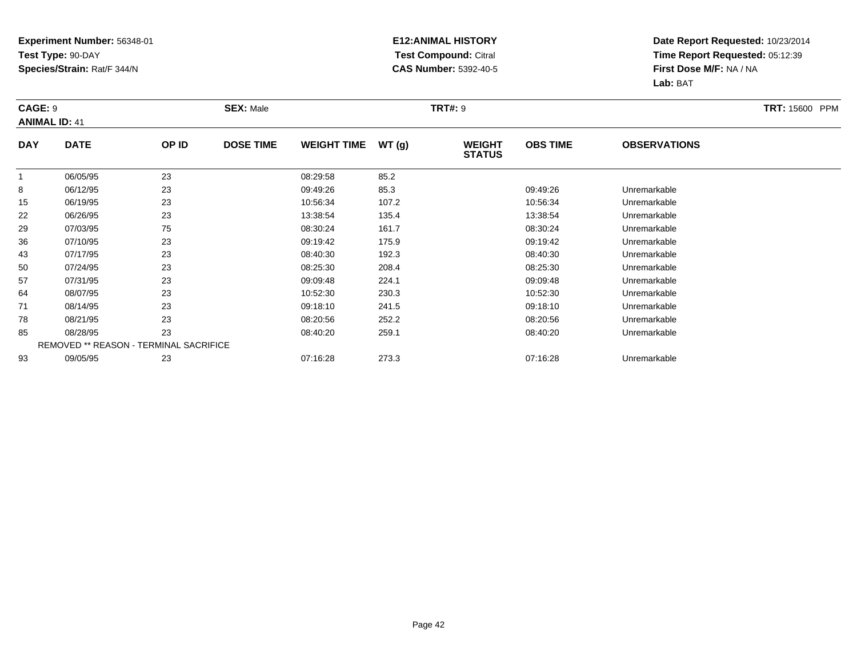### **E12:ANIMAL HISTORY Test Compound:** Citral **CAS Number:** 5392-40-5

| <b>CAGE: 9</b> | <b>ANIMAL ID: 41</b>                   |       | <b>SEX: Male</b> |                    |       | <b>TRT#: 9</b>                 |                 |                     | <b>TRT: 15600 PPM</b> |
|----------------|----------------------------------------|-------|------------------|--------------------|-------|--------------------------------|-----------------|---------------------|-----------------------|
| <b>DAY</b>     | <b>DATE</b>                            | OP ID | <b>DOSE TIME</b> | <b>WEIGHT TIME</b> | WT(g) | <b>WEIGHT</b><br><b>STATUS</b> | <b>OBS TIME</b> | <b>OBSERVATIONS</b> |                       |
|                | 06/05/95                               | 23    |                  | 08:29:58           | 85.2  |                                |                 |                     |                       |
| 8              | 06/12/95                               | 23    |                  | 09:49:26           | 85.3  |                                | 09:49:26        | Unremarkable        |                       |
| 15             | 06/19/95                               | 23    |                  | 10:56:34           | 107.2 |                                | 10:56:34        | Unremarkable        |                       |
| 22             | 06/26/95                               | 23    |                  | 13:38:54           | 135.4 |                                | 13:38:54        | Unremarkable        |                       |
| 29             | 07/03/95                               | 75    |                  | 08:30:24           | 161.7 |                                | 08:30:24        | Unremarkable        |                       |
| 36             | 07/10/95                               | 23    |                  | 09:19:42           | 175.9 |                                | 09:19:42        | Unremarkable        |                       |
| 43             | 07/17/95                               | 23    |                  | 08:40:30           | 192.3 |                                | 08:40:30        | Unremarkable        |                       |
| 50             | 07/24/95                               | 23    |                  | 08:25:30           | 208.4 |                                | 08:25:30        | Unremarkable        |                       |
| 57             | 07/31/95                               | 23    |                  | 09:09:48           | 224.1 |                                | 09:09:48        | Unremarkable        |                       |
| 64             | 08/07/95                               | 23    |                  | 10:52:30           | 230.3 |                                | 10:52:30        | Unremarkable        |                       |
| 71             | 08/14/95                               | 23    |                  | 09:18:10           | 241.5 |                                | 09:18:10        | Unremarkable        |                       |
| 78             | 08/21/95                               | 23    |                  | 08:20:56           | 252.2 |                                | 08:20:56        | Unremarkable        |                       |
| 85             | 08/28/95                               | 23    |                  | 08:40:20           | 259.1 |                                | 08:40:20        | Unremarkable        |                       |
|                | REMOVED ** REASON - TERMINAL SACRIFICE |       |                  |                    |       |                                |                 |                     |                       |
| 93             | 09/05/95                               | 23    |                  | 07:16:28           | 273.3 |                                | 07:16:28        | Unremarkable        |                       |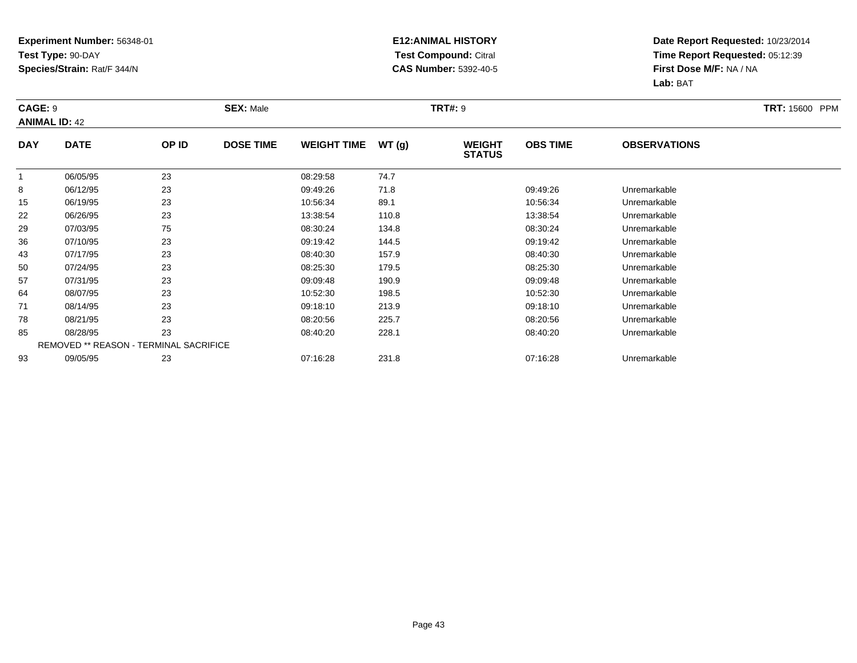### **E12:ANIMAL HISTORY Test Compound:** Citral **CAS Number:** 5392-40-5

| <b>CAGE: 9</b> | <b>ANIMAL ID: 42</b>                   |       | <b>SEX: Male</b> |                    |       | <b>TRT#: 9</b>                 |                 |                     | <b>TRT: 15600 PPM</b> |
|----------------|----------------------------------------|-------|------------------|--------------------|-------|--------------------------------|-----------------|---------------------|-----------------------|
| <b>DAY</b>     | <b>DATE</b>                            | OP ID | <b>DOSE TIME</b> | <b>WEIGHT TIME</b> | WT(g) | <b>WEIGHT</b><br><b>STATUS</b> | <b>OBS TIME</b> | <b>OBSERVATIONS</b> |                       |
| $\overline{1}$ | 06/05/95                               | 23    |                  | 08:29:58           | 74.7  |                                |                 |                     |                       |
| 8              | 06/12/95                               | 23    |                  | 09:49:26           | 71.8  |                                | 09:49:26        | Unremarkable        |                       |
| 15             | 06/19/95                               | 23    |                  | 10:56:34           | 89.1  |                                | 10:56:34        | Unremarkable        |                       |
| 22             | 06/26/95                               | 23    |                  | 13:38:54           | 110.8 |                                | 13:38:54        | Unremarkable        |                       |
| 29             | 07/03/95                               | 75    |                  | 08:30:24           | 134.8 |                                | 08:30:24        | Unremarkable        |                       |
| 36             | 07/10/95                               | 23    |                  | 09:19:42           | 144.5 |                                | 09:19:42        | Unremarkable        |                       |
| 43             | 07/17/95                               | 23    |                  | 08:40:30           | 157.9 |                                | 08:40:30        | Unremarkable        |                       |
| 50             | 07/24/95                               | 23    |                  | 08:25:30           | 179.5 |                                | 08:25:30        | Unremarkable        |                       |
| 57             | 07/31/95                               | 23    |                  | 09:09:48           | 190.9 |                                | 09:09:48        | Unremarkable        |                       |
| 64             | 08/07/95                               | 23    |                  | 10:52:30           | 198.5 |                                | 10:52:30        | Unremarkable        |                       |
| 71             | 08/14/95                               | 23    |                  | 09:18:10           | 213.9 |                                | 09:18:10        | Unremarkable        |                       |
| 78             | 08/21/95                               | 23    |                  | 08:20:56           | 225.7 |                                | 08:20:56        | Unremarkable        |                       |
| 85             | 08/28/95                               | 23    |                  | 08:40:20           | 228.1 |                                | 08:40:20        | Unremarkable        |                       |
|                | REMOVED ** REASON - TERMINAL SACRIFICE |       |                  |                    |       |                                |                 |                     |                       |
| 93             | 09/05/95                               | 23    |                  | 07:16:28           | 231.8 |                                | 07:16:28        | Unremarkable        |                       |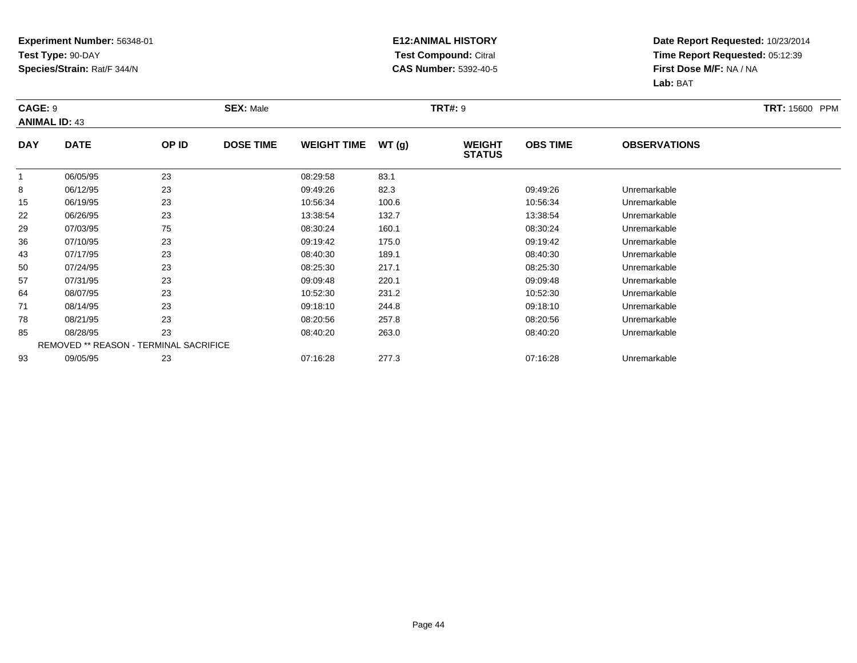### **E12:ANIMAL HISTORY Test Compound:** Citral **CAS Number:** 5392-40-5

| <b>CAGE: 9</b><br><b>ANIMAL ID: 43</b> |                                        |       | <b>SEX: Male</b> |                    |       | <b>TRT#: 9</b>                 |                 |                     | <b>TRT: 15600 PPM</b> |
|----------------------------------------|----------------------------------------|-------|------------------|--------------------|-------|--------------------------------|-----------------|---------------------|-----------------------|
| <b>DAY</b>                             | <b>DATE</b>                            | OP ID | <b>DOSE TIME</b> | <b>WEIGHT TIME</b> | WT(g) | <b>WEIGHT</b><br><b>STATUS</b> | <b>OBS TIME</b> | <b>OBSERVATIONS</b> |                       |
| $\overline{1}$                         | 06/05/95                               | 23    |                  | 08:29:58           | 83.1  |                                |                 |                     |                       |
| 8                                      | 06/12/95                               | 23    |                  | 09:49:26           | 82.3  |                                | 09:49:26        | Unremarkable        |                       |
| 15                                     | 06/19/95                               | 23    |                  | 10:56:34           | 100.6 |                                | 10:56:34        | Unremarkable        |                       |
| 22                                     | 06/26/95                               | 23    |                  | 13:38:54           | 132.7 |                                | 13:38:54        | Unremarkable        |                       |
| 29                                     | 07/03/95                               | 75    |                  | 08:30:24           | 160.1 |                                | 08:30:24        | Unremarkable        |                       |
| 36                                     | 07/10/95                               | 23    |                  | 09:19:42           | 175.0 |                                | 09:19:42        | Unremarkable        |                       |
| 43                                     | 07/17/95                               | 23    |                  | 08:40:30           | 189.1 |                                | 08:40:30        | Unremarkable        |                       |
| 50                                     | 07/24/95                               | 23    |                  | 08:25:30           | 217.1 |                                | 08:25:30        | Unremarkable        |                       |
| 57                                     | 07/31/95                               | 23    |                  | 09:09:48           | 220.1 |                                | 09:09:48        | Unremarkable        |                       |
| 64                                     | 08/07/95                               | 23    |                  | 10:52:30           | 231.2 |                                | 10:52:30        | Unremarkable        |                       |
| 71                                     | 08/14/95                               | 23    |                  | 09:18:10           | 244.8 |                                | 09:18:10        | Unremarkable        |                       |
| 78                                     | 08/21/95                               | 23    |                  | 08:20:56           | 257.8 |                                | 08:20:56        | Unremarkable        |                       |
| 85                                     | 08/28/95                               | 23    |                  | 08:40:20           | 263.0 |                                | 08:40:20        | Unremarkable        |                       |
|                                        | REMOVED ** REASON - TERMINAL SACRIFICE |       |                  |                    |       |                                |                 |                     |                       |
| 93                                     | 09/05/95                               | 23    |                  | 07:16:28           | 277.3 |                                | 07:16:28        | Unremarkable        |                       |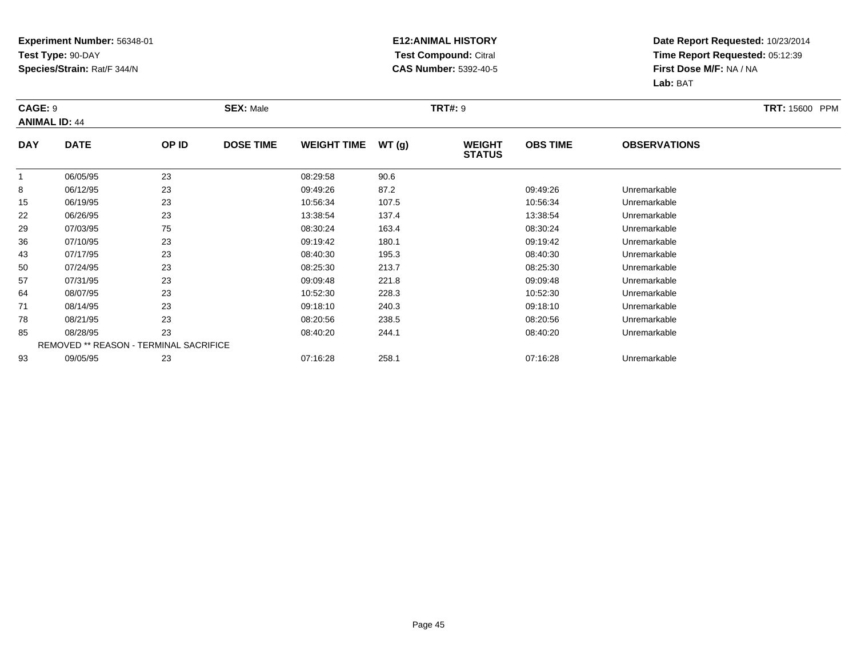### **E12:ANIMAL HISTORY Test Compound:** Citral **CAS Number:** 5392-40-5

| <b>CAGE: 9</b> | <b>ANIMAL ID: 44</b>                   |       | <b>SEX: Male</b> |                    |       | <b>TRT#: 9</b>                 |                 |                     | <b>TRT: 15600 PPM</b> |
|----------------|----------------------------------------|-------|------------------|--------------------|-------|--------------------------------|-----------------|---------------------|-----------------------|
| <b>DAY</b>     | <b>DATE</b>                            | OP ID | <b>DOSE TIME</b> | <b>WEIGHT TIME</b> | WT(g) | <b>WEIGHT</b><br><b>STATUS</b> | <b>OBS TIME</b> | <b>OBSERVATIONS</b> |                       |
| $\overline{1}$ | 06/05/95                               | 23    |                  | 08:29:58           | 90.6  |                                |                 |                     |                       |
| 8              | 06/12/95                               | 23    |                  | 09:49:26           | 87.2  |                                | 09:49:26        | Unremarkable        |                       |
| 15             | 06/19/95                               | 23    |                  | 10:56:34           | 107.5 |                                | 10:56:34        | Unremarkable        |                       |
| 22             | 06/26/95                               | 23    |                  | 13:38:54           | 137.4 |                                | 13:38:54        | Unremarkable        |                       |
| 29             | 07/03/95                               | 75    |                  | 08:30:24           | 163.4 |                                | 08:30:24        | Unremarkable        |                       |
| 36             | 07/10/95                               | 23    |                  | 09:19:42           | 180.1 |                                | 09:19:42        | Unremarkable        |                       |
| 43             | 07/17/95                               | 23    |                  | 08:40:30           | 195.3 |                                | 08:40:30        | Unremarkable        |                       |
| 50             | 07/24/95                               | 23    |                  | 08:25:30           | 213.7 |                                | 08:25:30        | Unremarkable        |                       |
| 57             | 07/31/95                               | 23    |                  | 09:09:48           | 221.8 |                                | 09:09:48        | Unremarkable        |                       |
| 64             | 08/07/95                               | 23    |                  | 10:52:30           | 228.3 |                                | 10:52:30        | Unremarkable        |                       |
| 71             | 08/14/95                               | 23    |                  | 09:18:10           | 240.3 |                                | 09:18:10        | Unremarkable        |                       |
| 78             | 08/21/95                               | 23    |                  | 08:20:56           | 238.5 |                                | 08:20:56        | Unremarkable        |                       |
| 85             | 08/28/95                               | 23    |                  | 08:40:20           | 244.1 |                                | 08:40:20        | Unremarkable        |                       |
|                | REMOVED ** REASON - TERMINAL SACRIFICE |       |                  |                    |       |                                |                 |                     |                       |
| 93             | 09/05/95                               | 23    |                  | 07:16:28           | 258.1 |                                | 07:16:28        | Unremarkable        |                       |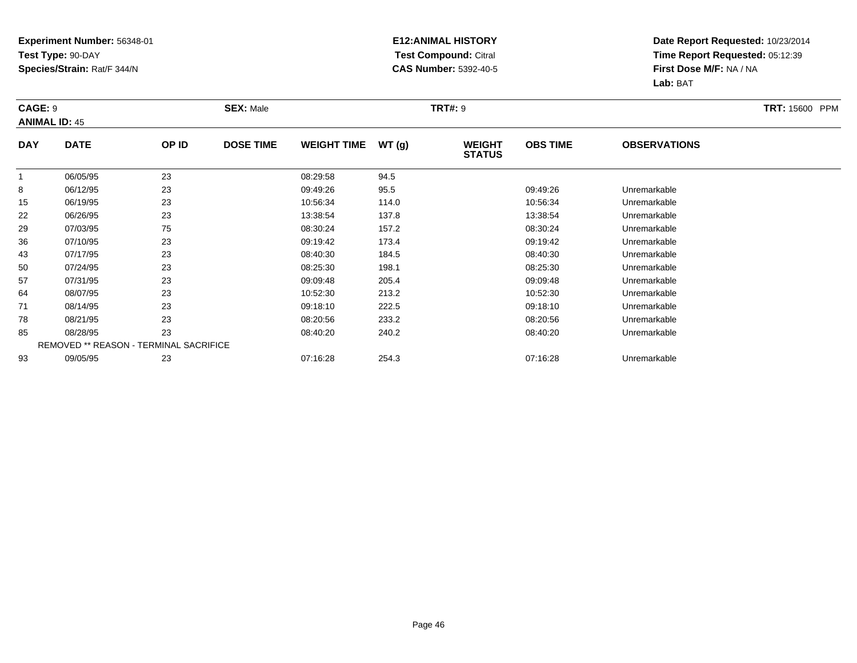### **E12:ANIMAL HISTORY Test Compound:** Citral **CAS Number:** 5392-40-5

| <b>CAGE: 9</b> | <b>ANIMAL ID: 45</b>                   |       | <b>SEX: Male</b> |                    |       | <b>TRT#: 9</b>                 |                 |                     | <b>TRT: 15600 PPM</b> |
|----------------|----------------------------------------|-------|------------------|--------------------|-------|--------------------------------|-----------------|---------------------|-----------------------|
| <b>DAY</b>     | <b>DATE</b>                            | OP ID | <b>DOSE TIME</b> | <b>WEIGHT TIME</b> | WT(g) | <b>WEIGHT</b><br><b>STATUS</b> | <b>OBS TIME</b> | <b>OBSERVATIONS</b> |                       |
|                | 06/05/95                               | 23    |                  | 08:29:58           | 94.5  |                                |                 |                     |                       |
| 8              | 06/12/95                               | 23    |                  | 09:49:26           | 95.5  |                                | 09:49:26        | Unremarkable        |                       |
| 15             | 06/19/95                               | 23    |                  | 10:56:34           | 114.0 |                                | 10:56:34        | Unremarkable        |                       |
| 22             | 06/26/95                               | 23    |                  | 13:38:54           | 137.8 |                                | 13:38:54        | Unremarkable        |                       |
| 29             | 07/03/95                               | 75    |                  | 08:30:24           | 157.2 |                                | 08:30:24        | Unremarkable        |                       |
| 36             | 07/10/95                               | 23    |                  | 09:19:42           | 173.4 |                                | 09:19:42        | Unremarkable        |                       |
| 43             | 07/17/95                               | 23    |                  | 08:40:30           | 184.5 |                                | 08:40:30        | Unremarkable        |                       |
| 50             | 07/24/95                               | 23    |                  | 08:25:30           | 198.1 |                                | 08:25:30        | Unremarkable        |                       |
| 57             | 07/31/95                               | 23    |                  | 09:09:48           | 205.4 |                                | 09:09:48        | Unremarkable        |                       |
| 64             | 08/07/95                               | 23    |                  | 10:52:30           | 213.2 |                                | 10:52:30        | Unremarkable        |                       |
| 71             | 08/14/95                               | 23    |                  | 09:18:10           | 222.5 |                                | 09:18:10        | Unremarkable        |                       |
| 78             | 08/21/95                               | 23    |                  | 08:20:56           | 233.2 |                                | 08:20:56        | Unremarkable        |                       |
| 85             | 08/28/95                               | 23    |                  | 08:40:20           | 240.2 |                                | 08:40:20        | Unremarkable        |                       |
|                | REMOVED ** REASON - TERMINAL SACRIFICE |       |                  |                    |       |                                |                 |                     |                       |
| 93             | 09/05/95                               | 23    |                  | 07:16:28           | 254.3 |                                | 07:16:28        | Unremarkable        |                       |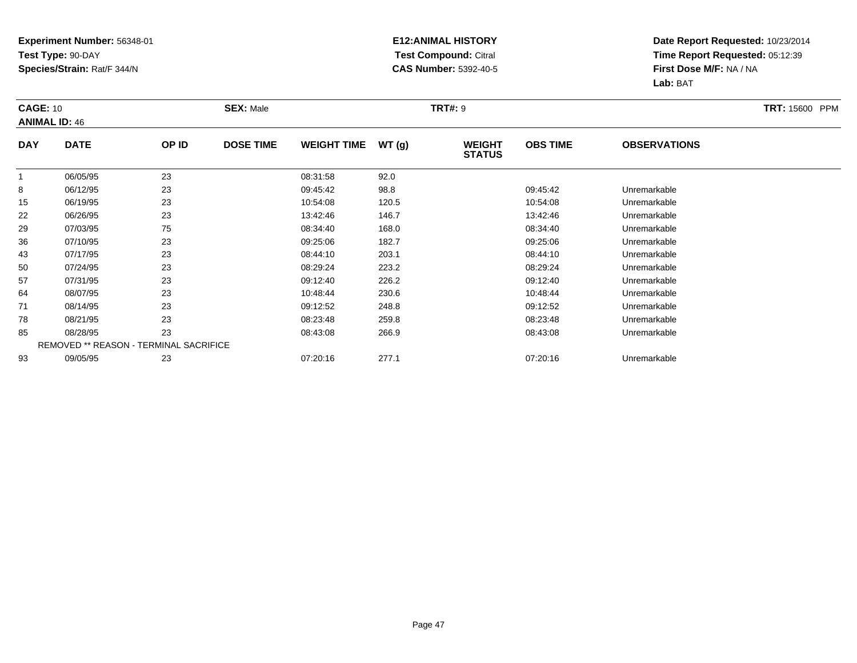### **E12:ANIMAL HISTORY Test Compound:** Citral **CAS Number:** 5392-40-5

| <b>CAGE: 10</b> | <b>ANIMAL ID: 46</b>                   |       | <b>SEX: Male</b> |                    |       | <b>TRT#: 9</b>                 |                 |                     | <b>TRT: 15600 PPM</b> |
|-----------------|----------------------------------------|-------|------------------|--------------------|-------|--------------------------------|-----------------|---------------------|-----------------------|
| <b>DAY</b>      | <b>DATE</b>                            | OP ID | <b>DOSE TIME</b> | <b>WEIGHT TIME</b> | WT(g) | <b>WEIGHT</b><br><b>STATUS</b> | <b>OBS TIME</b> | <b>OBSERVATIONS</b> |                       |
|                 | 06/05/95                               | 23    |                  | 08:31:58           | 92.0  |                                |                 |                     |                       |
| 8               | 06/12/95                               | 23    |                  | 09:45:42           | 98.8  |                                | 09:45:42        | Unremarkable        |                       |
| 15              | 06/19/95                               | 23    |                  | 10:54:08           | 120.5 |                                | 10:54:08        | Unremarkable        |                       |
| 22              | 06/26/95                               | 23    |                  | 13:42:46           | 146.7 |                                | 13:42:46        | Unremarkable        |                       |
| 29              | 07/03/95                               | 75    |                  | 08:34:40           | 168.0 |                                | 08:34:40        | Unremarkable        |                       |
| 36              | 07/10/95                               | 23    |                  | 09:25:06           | 182.7 |                                | 09:25:06        | Unremarkable        |                       |
| 43              | 07/17/95                               | 23    |                  | 08:44:10           | 203.1 |                                | 08:44:10        | Unremarkable        |                       |
| 50              | 07/24/95                               | 23    |                  | 08:29:24           | 223.2 |                                | 08:29:24        | Unremarkable        |                       |
| 57              | 07/31/95                               | 23    |                  | 09:12:40           | 226.2 |                                | 09:12:40        | Unremarkable        |                       |
| 64              | 08/07/95                               | 23    |                  | 10:48:44           | 230.6 |                                | 10:48:44        | Unremarkable        |                       |
| 71              | 08/14/95                               | 23    |                  | 09:12:52           | 248.8 |                                | 09:12:52        | Unremarkable        |                       |
| 78              | 08/21/95                               | 23    |                  | 08:23:48           | 259.8 |                                | 08:23:48        | Unremarkable        |                       |
| 85              | 08/28/95                               | 23    |                  | 08:43:08           | 266.9 |                                | 08:43:08        | Unremarkable        |                       |
|                 | REMOVED ** REASON - TERMINAL SACRIFICE |       |                  |                    |       |                                |                 |                     |                       |
| 93              | 09/05/95                               | 23    |                  | 07:20:16           | 277.1 |                                | 07:20:16        | Unremarkable        |                       |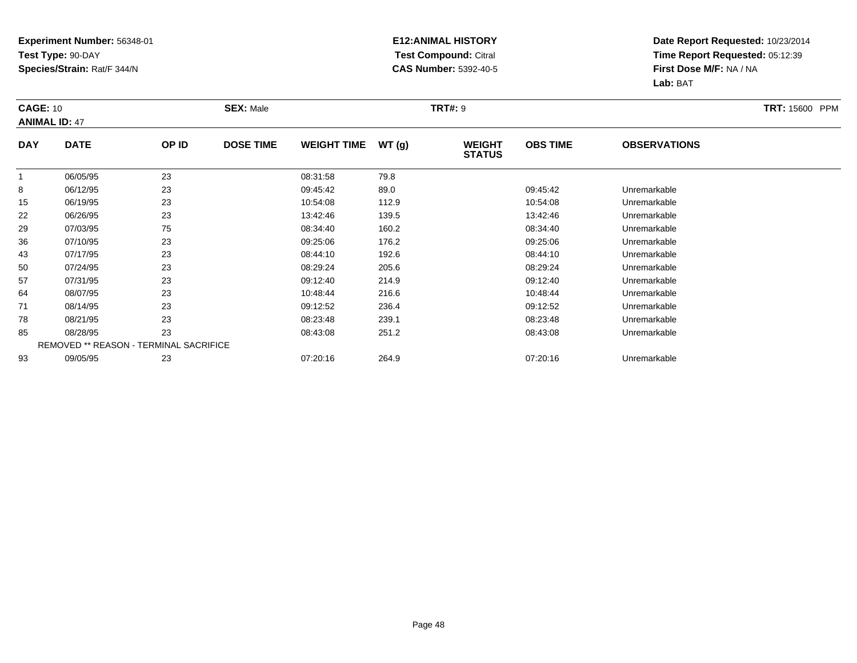### **E12:ANIMAL HISTORY Test Compound:** Citral **CAS Number:** 5392-40-5

| <b>CAGE: 10</b><br><b>ANIMAL ID: 47</b> |             |                                        | <b>SEX: Male</b> |                    |       | <b>TRT#: 9</b>                 |                 |                     | <b>TRT: 15600 PPM</b> |
|-----------------------------------------|-------------|----------------------------------------|------------------|--------------------|-------|--------------------------------|-----------------|---------------------|-----------------------|
| <b>DAY</b>                              | <b>DATE</b> | OP ID                                  | <b>DOSE TIME</b> | <b>WEIGHT TIME</b> | WT(g) | <b>WEIGHT</b><br><b>STATUS</b> | <b>OBS TIME</b> | <b>OBSERVATIONS</b> |                       |
|                                         | 06/05/95    | 23                                     |                  | 08:31:58           | 79.8  |                                |                 |                     |                       |
| 8                                       | 06/12/95    | 23                                     |                  | 09:45:42           | 89.0  |                                | 09:45:42        | Unremarkable        |                       |
| 15                                      | 06/19/95    | 23                                     |                  | 10:54:08           | 112.9 |                                | 10:54:08        | Unremarkable        |                       |
| 22                                      | 06/26/95    | 23                                     |                  | 13:42:46           | 139.5 |                                | 13:42:46        | Unremarkable        |                       |
| 29                                      | 07/03/95    | 75                                     |                  | 08:34:40           | 160.2 |                                | 08:34:40        | Unremarkable        |                       |
| 36                                      | 07/10/95    | 23                                     |                  | 09:25:06           | 176.2 |                                | 09:25:06        | Unremarkable        |                       |
| 43                                      | 07/17/95    | 23                                     |                  | 08:44:10           | 192.6 |                                | 08:44:10        | Unremarkable        |                       |
| 50                                      | 07/24/95    | 23                                     |                  | 08:29:24           | 205.6 |                                | 08:29:24        | Unremarkable        |                       |
| 57                                      | 07/31/95    | 23                                     |                  | 09:12:40           | 214.9 |                                | 09:12:40        | Unremarkable        |                       |
| 64                                      | 08/07/95    | 23                                     |                  | 10:48:44           | 216.6 |                                | 10:48:44        | Unremarkable        |                       |
| 71                                      | 08/14/95    | 23                                     |                  | 09:12:52           | 236.4 |                                | 09:12:52        | Unremarkable        |                       |
| 78                                      | 08/21/95    | 23                                     |                  | 08:23:48           | 239.1 |                                | 08:23:48        | Unremarkable        |                       |
| 85                                      | 08/28/95    | 23                                     |                  | 08:43:08           | 251.2 |                                | 08:43:08        | Unremarkable        |                       |
|                                         |             | REMOVED ** REASON - TERMINAL SACRIFICE |                  |                    |       |                                |                 |                     |                       |
| 93                                      | 09/05/95    | 23                                     |                  | 07:20:16           | 264.9 |                                | 07:20:16        | Unremarkable        |                       |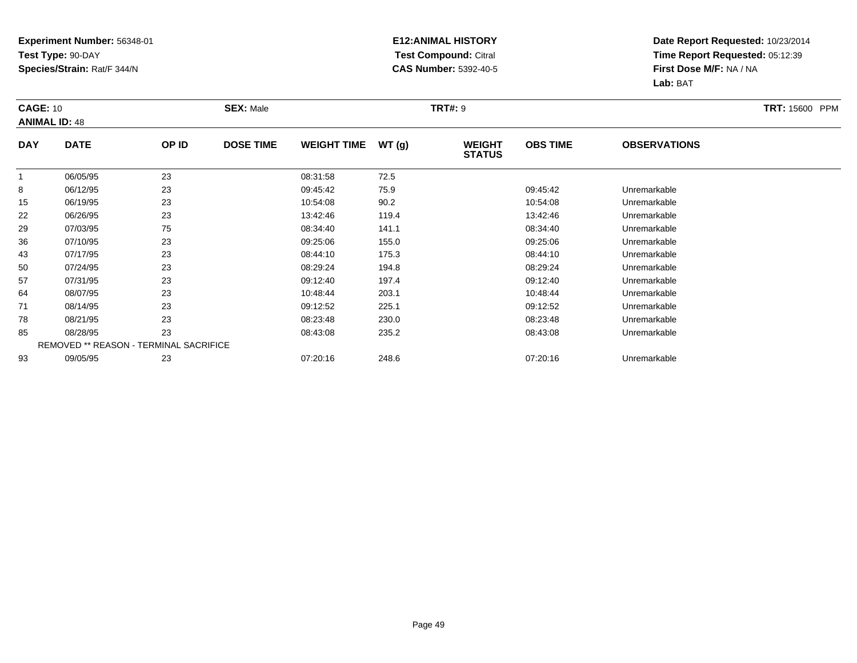### **E12:ANIMAL HISTORY Test Compound:** Citral **CAS Number:** 5392-40-5

| <b>CAGE: 10</b><br><b>ANIMAL ID: 48</b> |                                        | <b>SEX: Male</b> |                  | <b>TRT#: 9</b>     | <b>TRT: 15600 PPM</b> |                                |                 |                     |  |
|-----------------------------------------|----------------------------------------|------------------|------------------|--------------------|-----------------------|--------------------------------|-----------------|---------------------|--|
| <b>DAY</b>                              | <b>DATE</b>                            | OP ID            | <b>DOSE TIME</b> | <b>WEIGHT TIME</b> | WT(g)                 | <b>WEIGHT</b><br><b>STATUS</b> | <b>OBS TIME</b> | <b>OBSERVATIONS</b> |  |
|                                         | 06/05/95                               | 23               |                  | 08:31:58           | 72.5                  |                                |                 |                     |  |
| 8                                       | 06/12/95                               | 23               |                  | 09:45:42           | 75.9                  |                                | 09:45:42        | Unremarkable        |  |
| 15                                      | 06/19/95                               | 23               |                  | 10:54:08           | 90.2                  |                                | 10:54:08        | Unremarkable        |  |
| 22                                      | 06/26/95                               | 23               |                  | 13:42:46           | 119.4                 |                                | 13:42:46        | Unremarkable        |  |
| 29                                      | 07/03/95                               | 75               |                  | 08:34:40           | 141.1                 |                                | 08:34:40        | Unremarkable        |  |
| 36                                      | 07/10/95                               | 23               |                  | 09:25:06           | 155.0                 |                                | 09:25:06        | Unremarkable        |  |
| 43                                      | 07/17/95                               | 23               |                  | 08:44:10           | 175.3                 |                                | 08:44:10        | Unremarkable        |  |
| 50                                      | 07/24/95                               | 23               |                  | 08:29:24           | 194.8                 |                                | 08:29:24        | Unremarkable        |  |
| 57                                      | 07/31/95                               | 23               |                  | 09:12:40           | 197.4                 |                                | 09:12:40        | Unremarkable        |  |
| 64                                      | 08/07/95                               | 23               |                  | 10:48:44           | 203.1                 |                                | 10:48:44        | Unremarkable        |  |
| 71                                      | 08/14/95                               | 23               |                  | 09:12:52           | 225.1                 |                                | 09:12:52        | Unremarkable        |  |
| 78                                      | 08/21/95                               | 23               |                  | 08:23:48           | 230.0                 |                                | 08:23:48        | Unremarkable        |  |
| 85                                      | 08/28/95                               | 23               |                  | 08:43:08           | 235.2                 |                                | 08:43:08        | Unremarkable        |  |
|                                         | REMOVED ** REASON - TERMINAL SACRIFICE |                  |                  |                    |                       |                                |                 |                     |  |
| 93                                      | 09/05/95                               | 23               |                  | 07:20:16           | 248.6                 |                                | 07:20:16        | Unremarkable        |  |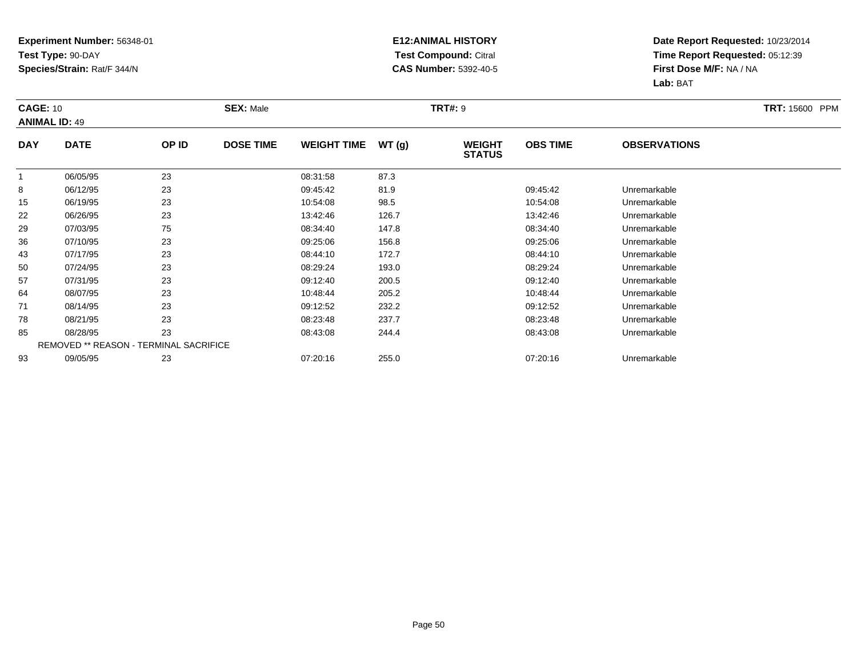### **E12:ANIMAL HISTORY Test Compound:** Citral **CAS Number:** 5392-40-5

| <b>CAGE: 10</b><br><b>ANIMAL ID: 49</b> |                                        | <b>SEX: Male</b> |                  | <b>TRT#: 9</b>     |       |                                |                 |                     |  |
|-----------------------------------------|----------------------------------------|------------------|------------------|--------------------|-------|--------------------------------|-----------------|---------------------|--|
| <b>DAY</b>                              | <b>DATE</b>                            | OP ID            | <b>DOSE TIME</b> | <b>WEIGHT TIME</b> | WT(g) | <b>WEIGHT</b><br><b>STATUS</b> | <b>OBS TIME</b> | <b>OBSERVATIONS</b> |  |
|                                         | 06/05/95                               | 23               |                  | 08:31:58           | 87.3  |                                |                 |                     |  |
| 8                                       | 06/12/95                               | 23               |                  | 09:45:42           | 81.9  |                                | 09:45:42        | Unremarkable        |  |
| 15                                      | 06/19/95                               | 23               |                  | 10:54:08           | 98.5  |                                | 10:54:08        | Unremarkable        |  |
| 22                                      | 06/26/95                               | 23               |                  | 13:42:46           | 126.7 |                                | 13:42:46        | Unremarkable        |  |
| 29                                      | 07/03/95                               | 75               |                  | 08:34:40           | 147.8 |                                | 08:34:40        | Unremarkable        |  |
| 36                                      | 07/10/95                               | 23               |                  | 09:25:06           | 156.8 |                                | 09:25:06        | Unremarkable        |  |
| 43                                      | 07/17/95                               | 23               |                  | 08:44:10           | 172.7 |                                | 08:44:10        | Unremarkable        |  |
| 50                                      | 07/24/95                               | 23               |                  | 08:29:24           | 193.0 |                                | 08:29:24        | Unremarkable        |  |
| 57                                      | 07/31/95                               | 23               |                  | 09:12:40           | 200.5 |                                | 09:12:40        | Unremarkable        |  |
| 64                                      | 08/07/95                               | 23               |                  | 10:48:44           | 205.2 |                                | 10:48:44        | Unremarkable        |  |
| 71                                      | 08/14/95                               | 23               |                  | 09:12:52           | 232.2 |                                | 09:12:52        | Unremarkable        |  |
| 78                                      | 08/21/95                               | 23               |                  | 08:23:48           | 237.7 |                                | 08:23:48        | Unremarkable        |  |
| 85                                      | 08/28/95                               | 23               |                  | 08:43:08           | 244.4 |                                | 08:43:08        | Unremarkable        |  |
|                                         | REMOVED ** REASON - TERMINAL SACRIFICE |                  |                  |                    |       |                                |                 |                     |  |
| 93                                      | 09/05/95                               | 23               |                  | 07:20:16           | 255.0 |                                | 07:20:16        | Unremarkable        |  |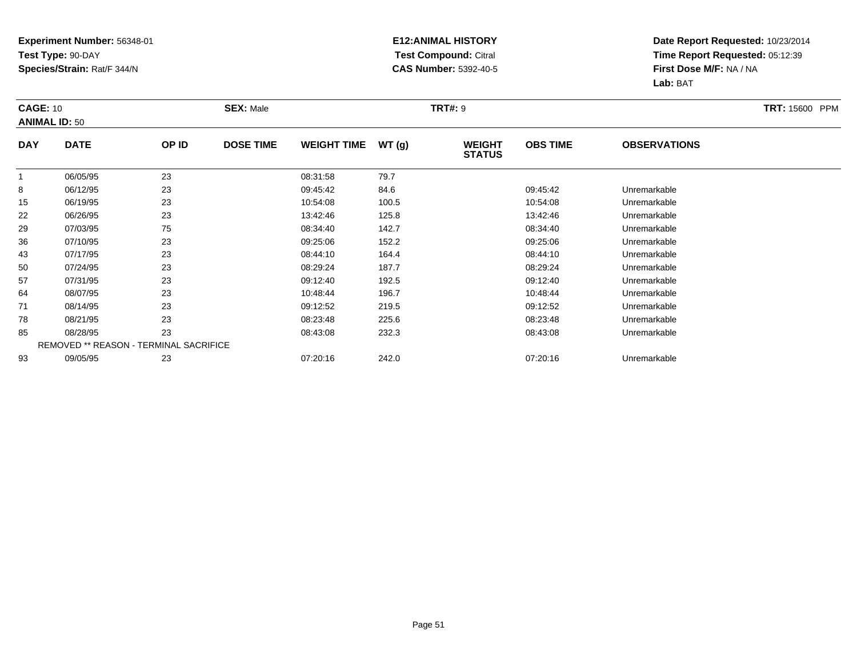### **E12:ANIMAL HISTORY Test Compound:** Citral **CAS Number:** 5392-40-5

| <b>CAGE: 10</b><br><b>ANIMAL ID: 50</b> |                                        | <b>SEX: Male</b> |                  |                    | <b>TRT#: 9</b> | <b>TRT: 15600 PPM</b>          |                 |                     |  |
|-----------------------------------------|----------------------------------------|------------------|------------------|--------------------|----------------|--------------------------------|-----------------|---------------------|--|
| <b>DAY</b>                              | <b>DATE</b>                            | OP ID            | <b>DOSE TIME</b> | <b>WEIGHT TIME</b> | WT(g)          | <b>WEIGHT</b><br><b>STATUS</b> | <b>OBS TIME</b> | <b>OBSERVATIONS</b> |  |
|                                         | 06/05/95                               | 23               |                  | 08:31:58           | 79.7           |                                |                 |                     |  |
| 8                                       | 06/12/95                               | 23               |                  | 09:45:42           | 84.6           |                                | 09:45:42        | Unremarkable        |  |
| 15                                      | 06/19/95                               | 23               |                  | 10:54:08           | 100.5          |                                | 10:54:08        | Unremarkable        |  |
| 22                                      | 06/26/95                               | 23               |                  | 13:42:46           | 125.8          |                                | 13:42:46        | Unremarkable        |  |
| 29                                      | 07/03/95                               | 75               |                  | 08:34:40           | 142.7          |                                | 08:34:40        | Unremarkable        |  |
| 36                                      | 07/10/95                               | 23               |                  | 09:25:06           | 152.2          |                                | 09:25:06        | Unremarkable        |  |
| 43                                      | 07/17/95                               | 23               |                  | 08:44:10           | 164.4          |                                | 08:44:10        | Unremarkable        |  |
| 50                                      | 07/24/95                               | 23               |                  | 08:29:24           | 187.7          |                                | 08:29:24        | Unremarkable        |  |
| 57                                      | 07/31/95                               | 23               |                  | 09:12:40           | 192.5          |                                | 09:12:40        | Unremarkable        |  |
| 64                                      | 08/07/95                               | 23               |                  | 10:48:44           | 196.7          |                                | 10:48:44        | Unremarkable        |  |
| 71                                      | 08/14/95                               | 23               |                  | 09:12:52           | 219.5          |                                | 09:12:52        | Unremarkable        |  |
| 78                                      | 08/21/95                               | 23               |                  | 08:23:48           | 225.6          |                                | 08:23:48        | Unremarkable        |  |
| 85                                      | 08/28/95                               | 23               |                  | 08:43:08           | 232.3          |                                | 08:43:08        | Unremarkable        |  |
|                                         | REMOVED ** REASON - TERMINAL SACRIFICE |                  |                  |                    |                |                                |                 |                     |  |
| 93                                      | 09/05/95                               | 23               |                  | 07:20:16           | 242.0          |                                | 07:20:16        | Unremarkable        |  |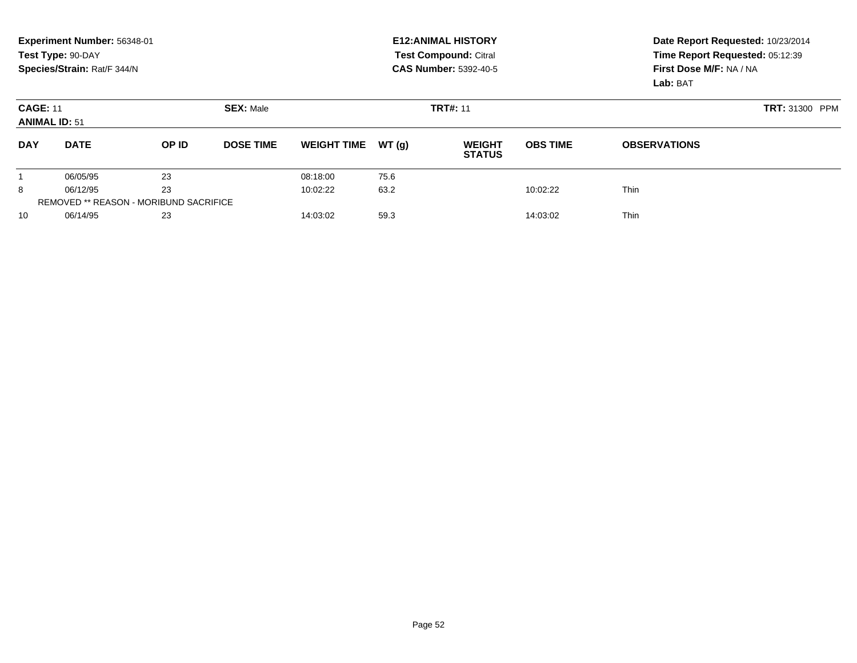|                                                             | Experiment Number: 56348-01<br>Test Type: 90-DAY<br>Species/Strain: Rat/F 344/N |          |                  |                    |          | <b>E12: ANIMAL HISTORY</b><br>Test Compound: Citral<br><b>CAS Number: 5392-40-5</b> | Date Report Requested: 10/23/2014<br>Time Report Requested: 05:12:39<br>First Dose M/F: NA / NA<br>Lab: BAT |                     |
|-------------------------------------------------------------|---------------------------------------------------------------------------------|----------|------------------|--------------------|----------|-------------------------------------------------------------------------------------|-------------------------------------------------------------------------------------------------------------|---------------------|
| <b>SEX: Male</b><br><b>CAGE: 11</b><br><b>ANIMAL ID: 51</b> |                                                                                 |          |                  |                    |          | <b>TRT#: 11</b>                                                                     | <b>TRT: 31300 PPM</b>                                                                                       |                     |
| <b>DAY</b>                                                  | <b>DATE</b>                                                                     | OP ID    | <b>DOSE TIME</b> | <b>WEIGHT TIME</b> | WT(q)    | <b>WEIGHT</b><br><b>STATUS</b>                                                      | <b>OBS TIME</b>                                                                                             | <b>OBSERVATIONS</b> |
|                                                             | 06/05/95                                                                        | 23       |                  | 08:18:00           | 75.6     |                                                                                     |                                                                                                             |                     |
| 8                                                           | 06/12/95                                                                        | 23       |                  | 10:02:22           | 63.2     |                                                                                     | 10:02:22                                                                                                    | <b>Thin</b>         |
| <b>REMOVED ** REASON - MORIBUND SACRIFICE</b>               |                                                                                 |          |                  |                    |          |                                                                                     |                                                                                                             |                     |
| 06/14/95<br>23<br>10                                        |                                                                                 | 14:03:02 | 59.3             |                    | 14:03:02 | <b>Thin</b>                                                                         |                                                                                                             |                     |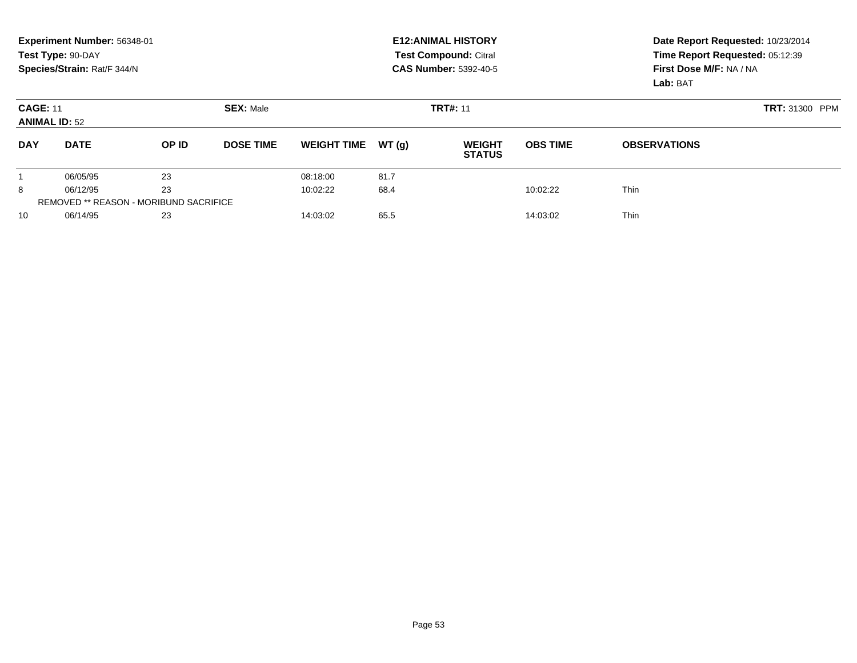|                                                             | Experiment Number: 56348-01<br>Test Type: 90-DAY<br>Species/Strain: Rat/F 344/N |       |                  |                    |       | <b>E12: ANIMAL HISTORY</b><br>Test Compound: Citral<br><b>CAS Number: 5392-40-5</b> | Date Report Requested: 10/23/2014<br>Time Report Requested: 05:12:39<br>First Dose M/F: NA / NA<br>Lab: BAT |                     |
|-------------------------------------------------------------|---------------------------------------------------------------------------------|-------|------------------|--------------------|-------|-------------------------------------------------------------------------------------|-------------------------------------------------------------------------------------------------------------|---------------------|
| <b>SEX: Male</b><br><b>CAGE: 11</b><br><b>ANIMAL ID: 52</b> |                                                                                 |       |                  |                    |       | <b>TRT#: 11</b>                                                                     | <b>TRT: 31300 PPM</b>                                                                                       |                     |
| <b>DAY</b>                                                  | <b>DATE</b>                                                                     | OP ID | <b>DOSE TIME</b> | <b>WEIGHT TIME</b> | WT(q) | <b>WEIGHT</b><br><b>STATUS</b>                                                      | <b>OBS TIME</b>                                                                                             | <b>OBSERVATIONS</b> |
|                                                             | 06/05/95                                                                        | 23    |                  | 08:18:00           | 81.7  |                                                                                     |                                                                                                             |                     |
| 8                                                           | 06/12/95                                                                        | 23    |                  | 10:02:22           | 68.4  |                                                                                     | 10:02:22                                                                                                    | <b>Thin</b>         |
| <b>REMOVED ** REASON - MORIBUND SACRIFICE</b>               |                                                                                 |       |                  |                    |       |                                                                                     |                                                                                                             |                     |
| 10                                                          | 06/14/95                                                                        | 23    |                  | 14:03:02           | 65.5  |                                                                                     | 14:03:02                                                                                                    | <b>Thin</b>         |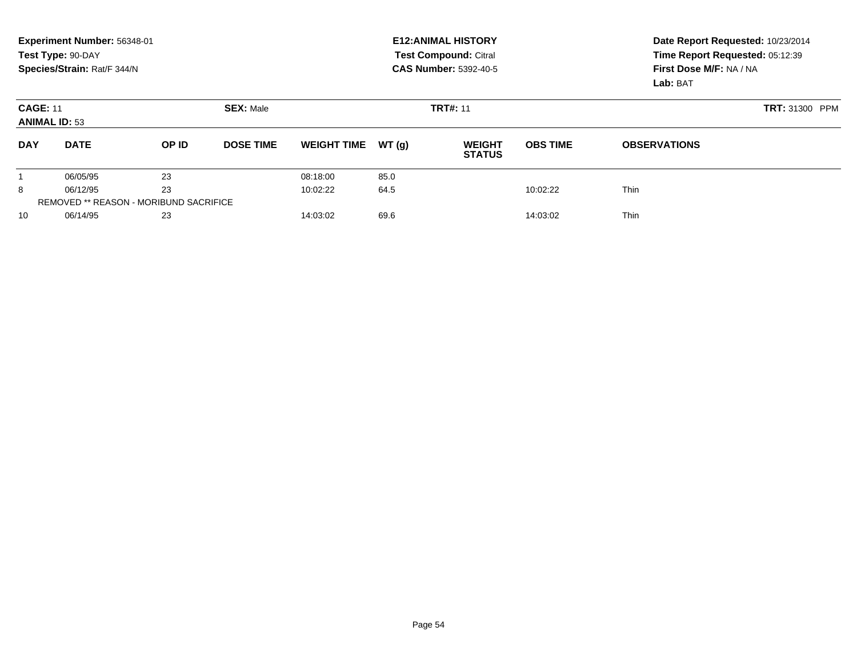|                                                             | Experiment Number: 56348-01<br>Test Type: 90-DAY<br>Species/Strain: Rat/F 344/N |          |                  |                    |          | <b>E12: ANIMAL HISTORY</b><br>Test Compound: Citral<br><b>CAS Number: 5392-40-5</b> | Date Report Requested: 10/23/2014<br>Time Report Requested: 05:12:39<br>First Dose M/F: NA / NA<br>Lab: BAT |                     |
|-------------------------------------------------------------|---------------------------------------------------------------------------------|----------|------------------|--------------------|----------|-------------------------------------------------------------------------------------|-------------------------------------------------------------------------------------------------------------|---------------------|
| <b>SEX: Male</b><br><b>CAGE: 11</b><br><b>ANIMAL ID: 53</b> |                                                                                 |          |                  |                    |          | <b>TRT#: 11</b>                                                                     | <b>TRT: 31300 PPM</b>                                                                                       |                     |
| <b>DAY</b>                                                  | <b>DATE</b>                                                                     | OP ID    | <b>DOSE TIME</b> | <b>WEIGHT TIME</b> | WT(q)    | <b>WEIGHT</b><br><b>STATUS</b>                                                      | <b>OBS TIME</b>                                                                                             | <b>OBSERVATIONS</b> |
|                                                             | 06/05/95                                                                        | 23       |                  | 08:18:00           | 85.0     |                                                                                     |                                                                                                             |                     |
| 8                                                           | 06/12/95                                                                        | 23       |                  | 10:02:22           | 64.5     |                                                                                     | 10:02:22                                                                                                    | <b>Thin</b>         |
| <b>REMOVED ** REASON - MORIBUND SACRIFICE</b>               |                                                                                 |          |                  |                    |          |                                                                                     |                                                                                                             |                     |
| 06/14/95<br>23<br>10                                        |                                                                                 | 14:03:02 | 69.6             |                    | 14:03:02 | <b>Thin</b>                                                                         |                                                                                                             |                     |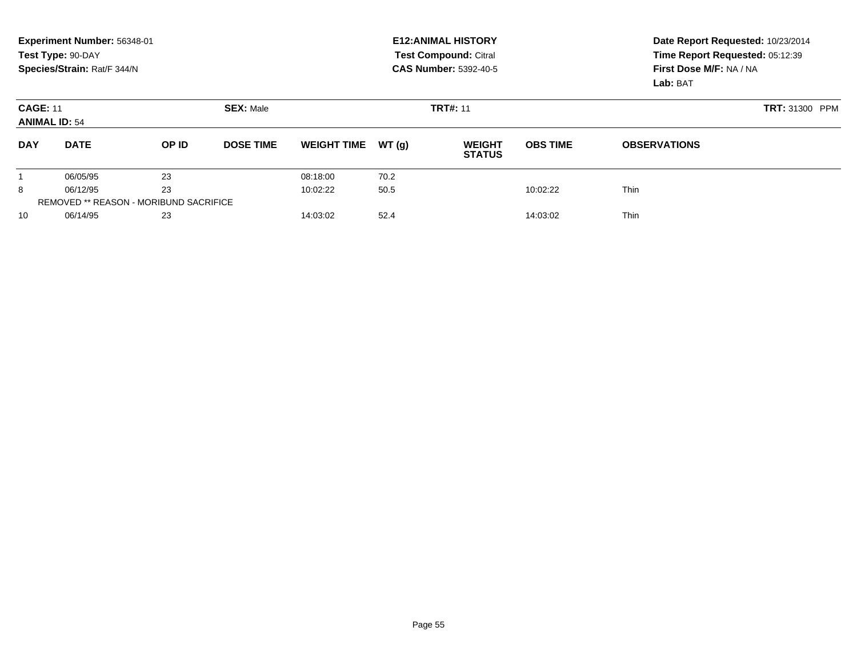|                                                             | Experiment Number: 56348-01<br>Test Type: 90-DAY<br>Species/Strain: Rat/F 344/N |       |                  |                    |       | <b>E12: ANIMAL HISTORY</b><br><b>Test Compound: Citral</b><br><b>CAS Number: 5392-40-5</b> | Date Report Requested: 10/23/2014<br>Time Report Requested: 05:12:39<br>First Dose M/F: NA / NA<br>Lab: BAT |                     |
|-------------------------------------------------------------|---------------------------------------------------------------------------------|-------|------------------|--------------------|-------|--------------------------------------------------------------------------------------------|-------------------------------------------------------------------------------------------------------------|---------------------|
| <b>SEX: Male</b><br><b>CAGE: 11</b><br><b>ANIMAL ID: 54</b> |                                                                                 |       |                  |                    |       | <b>TRT#: 11</b>                                                                            | <b>TRT: 31300 PPM</b>                                                                                       |                     |
| <b>DAY</b>                                                  | <b>DATE</b>                                                                     | OP ID | <b>DOSE TIME</b> | <b>WEIGHT TIME</b> | WT(q) | <b>WEIGHT</b><br><b>STATUS</b>                                                             | <b>OBS TIME</b>                                                                                             | <b>OBSERVATIONS</b> |
|                                                             | 06/05/95                                                                        | 23    |                  | 08:18:00           | 70.2  |                                                                                            |                                                                                                             |                     |
| 8                                                           | 06/12/95                                                                        | 23    |                  | 10:02:22           | 50.5  |                                                                                            | 10:02:22                                                                                                    | <b>Thin</b>         |
| <b>REMOVED ** REASON - MORIBUND SACRIFICE</b>               |                                                                                 |       |                  |                    |       |                                                                                            |                                                                                                             |                     |
| 10                                                          | 06/14/95                                                                        | 23    |                  | 14:03:02           | 52.4  |                                                                                            | 14:03:02                                                                                                    | <b>Thin</b>         |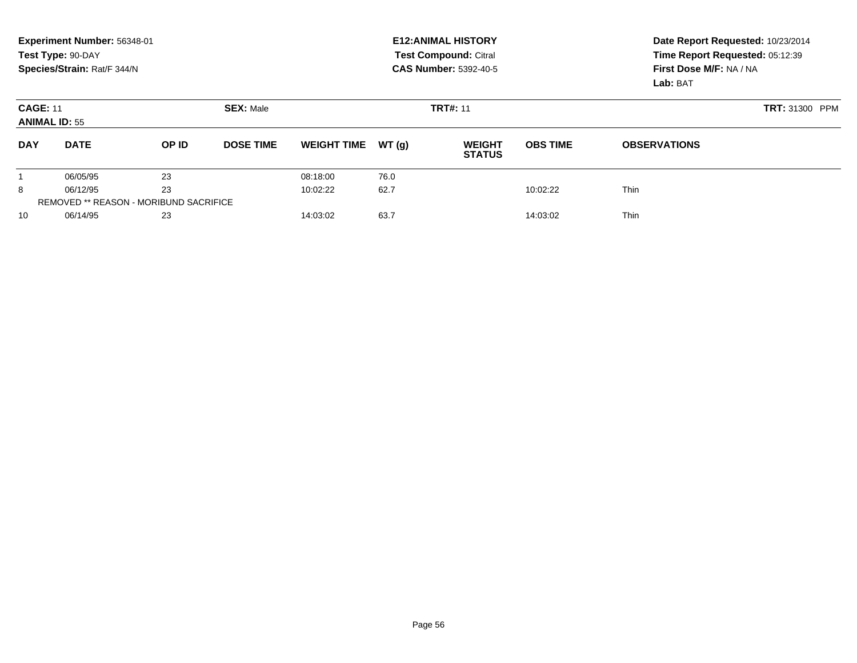|                                                             | Experiment Number: 56348-01<br>Test Type: 90-DAY<br>Species/Strain: Rat/F 344/N |          |                  |                    |       | <b>E12: ANIMAL HISTORY</b><br>Test Compound: Citral<br><b>CAS Number: 5392-40-5</b> | Date Report Requested: 10/23/2014<br>Time Report Requested: 05:12:39<br>First Dose M/F: NA / NA<br>Lab: BAT |                     |
|-------------------------------------------------------------|---------------------------------------------------------------------------------|----------|------------------|--------------------|-------|-------------------------------------------------------------------------------------|-------------------------------------------------------------------------------------------------------------|---------------------|
| <b>SEX: Male</b><br><b>CAGE: 11</b><br><b>ANIMAL ID: 55</b> |                                                                                 |          |                  |                    |       | <b>TRT#: 11</b>                                                                     | <b>TRT: 31300 PPM</b>                                                                                       |                     |
| <b>DAY</b>                                                  | <b>DATE</b>                                                                     | OP ID    | <b>DOSE TIME</b> | <b>WEIGHT TIME</b> | WT(q) | <b>WEIGHT</b><br><b>STATUS</b>                                                      | <b>OBS TIME</b>                                                                                             | <b>OBSERVATIONS</b> |
|                                                             | 06/05/95                                                                        | 23       |                  | 08:18:00           | 76.0  |                                                                                     |                                                                                                             |                     |
| 8                                                           | 06/12/95                                                                        | 23       |                  | 10:02:22           | 62.7  |                                                                                     | 10:02:22                                                                                                    | <b>Thin</b>         |
| <b>REMOVED ** REASON - MORIBUND SACRIFICE</b>               |                                                                                 |          |                  |                    |       |                                                                                     |                                                                                                             |                     |
| 06/14/95<br>23<br>10                                        |                                                                                 | 14:03:02 | 63.7<br>14:03:02 |                    |       | <b>Thin</b>                                                                         |                                                                                                             |                     |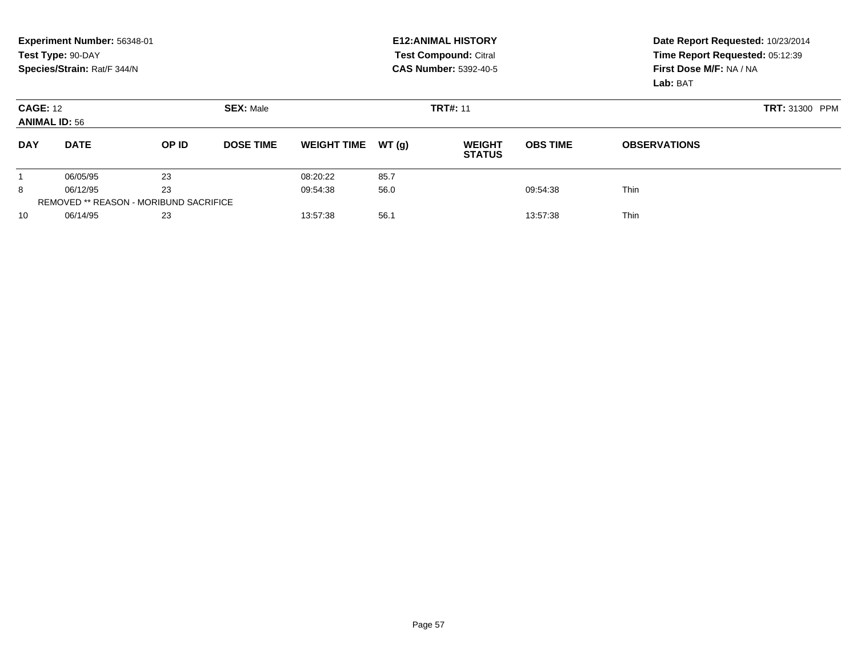|                                                             | Experiment Number: 56348-01<br>Test Type: 90-DAY<br>Species/Strain: Rat/F 344/N |       |                  |                    |       | <b>E12: ANIMAL HISTORY</b><br><b>Test Compound: Citral</b><br><b>CAS Number: 5392-40-5</b> | Date Report Requested: 10/23/2014<br>Time Report Requested: 05:12:39<br>First Dose M/F: NA / NA<br>Lab: BAT |                     |
|-------------------------------------------------------------|---------------------------------------------------------------------------------|-------|------------------|--------------------|-------|--------------------------------------------------------------------------------------------|-------------------------------------------------------------------------------------------------------------|---------------------|
| <b>SEX: Male</b><br><b>CAGE: 12</b><br><b>ANIMAL ID: 56</b> |                                                                                 |       |                  |                    |       | <b>TRT#: 11</b>                                                                            | <b>TRT: 31300 PPM</b>                                                                                       |                     |
| <b>DAY</b>                                                  | <b>DATE</b>                                                                     | OP ID | <b>DOSE TIME</b> | <b>WEIGHT TIME</b> | WT(q) | <b>WEIGHT</b><br><b>STATUS</b>                                                             | <b>OBS TIME</b>                                                                                             | <b>OBSERVATIONS</b> |
|                                                             | 06/05/95                                                                        | 23    |                  | 08:20:22           | 85.7  |                                                                                            |                                                                                                             |                     |
| 8                                                           | 06/12/95                                                                        | 23    |                  | 09:54:38           | 56.0  |                                                                                            | 09:54:38                                                                                                    | <b>Thin</b>         |
| <b>REMOVED ** REASON - MORIBUND SACRIFICE</b>               |                                                                                 |       |                  |                    |       |                                                                                            |                                                                                                             |                     |
| 10                                                          | 06/14/95                                                                        | 23    |                  | 13:57:38           | 56.1  |                                                                                            | 13:57:38                                                                                                    | <b>Thin</b>         |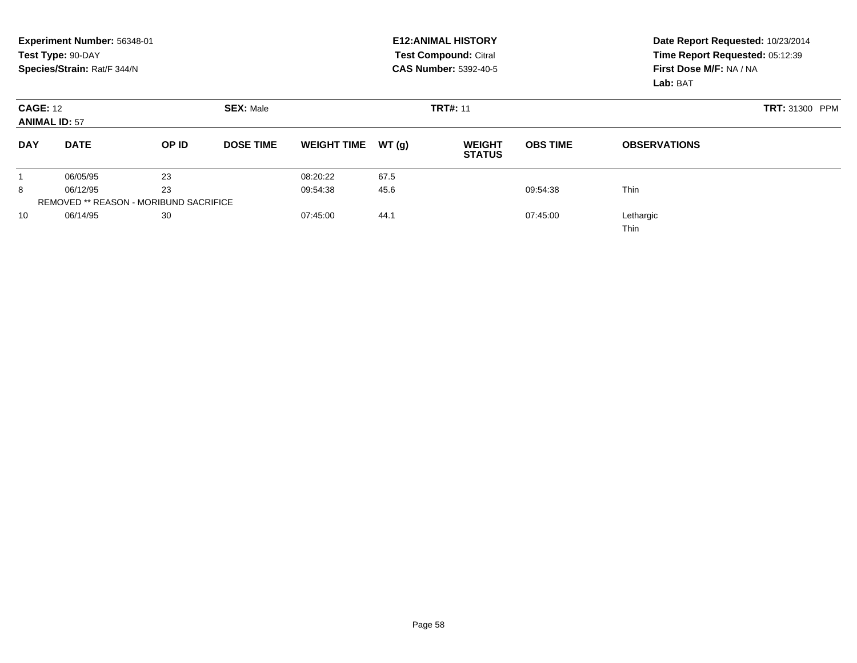|                                                             | Experiment Number: 56348-01<br>Test Type: 90-DAY<br>Species/Strain: Rat/F 344/N |                                               |                  |                    |                 | <b>E12: ANIMAL HISTORY</b><br><b>Test Compound: Citral</b><br><b>CAS Number: 5392-40-5</b> | Date Report Requested: 10/23/2014<br>Time Report Requested: 05:12:39<br>First Dose M/F: NA / NA<br>Lab: BAT |                     |  |
|-------------------------------------------------------------|---------------------------------------------------------------------------------|-----------------------------------------------|------------------|--------------------|-----------------|--------------------------------------------------------------------------------------------|-------------------------------------------------------------------------------------------------------------|---------------------|--|
| <b>SEX: Male</b><br><b>CAGE: 12</b><br><b>ANIMAL ID: 57</b> |                                                                                 |                                               |                  |                    | <b>TRT#: 11</b> | <b>TRT: 31300 PPM</b>                                                                      |                                                                                                             |                     |  |
| <b>DAY</b>                                                  | <b>DATE</b>                                                                     | OP ID                                         | <b>DOSE TIME</b> | <b>WEIGHT TIME</b> | WT(g)           | <b>WEIGHT</b><br><b>STATUS</b>                                                             | <b>OBS TIME</b>                                                                                             | <b>OBSERVATIONS</b> |  |
|                                                             | 06/05/95                                                                        | 23                                            |                  | 08:20:22           | 67.5            |                                                                                            |                                                                                                             |                     |  |
| 8                                                           | 06/12/95                                                                        | 23                                            |                  | 09:54:38           | 45.6            |                                                                                            | 09:54:38                                                                                                    | <b>Thin</b>         |  |
|                                                             |                                                                                 | <b>REMOVED ** REASON - MORIBUND SACRIFICE</b> |                  |                    |                 |                                                                                            |                                                                                                             |                     |  |
| 10                                                          | 06/14/95                                                                        | 30                                            |                  | 07:45:00           | 44.1            |                                                                                            | 07:45:00                                                                                                    | Lethargic<br>Thin   |  |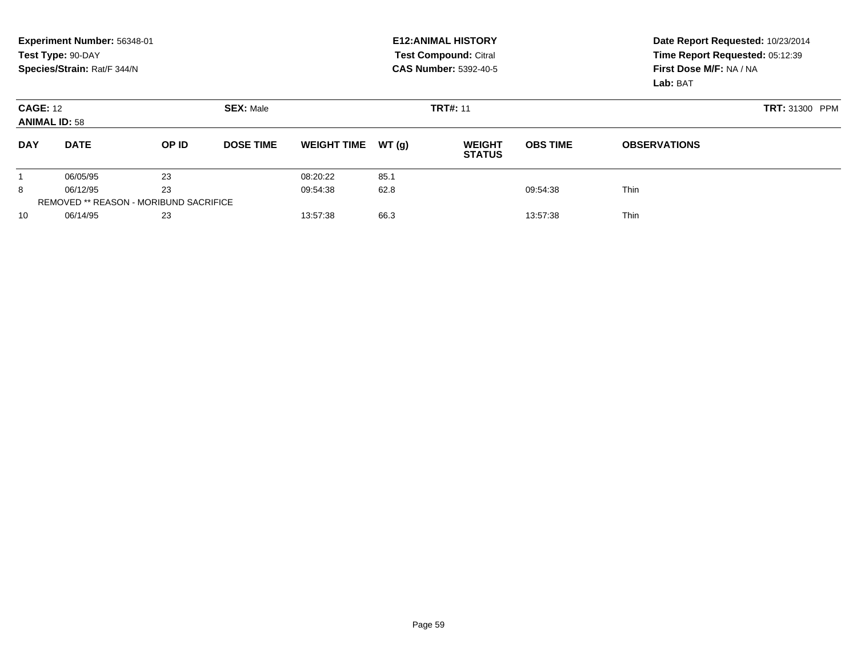|                                                             | Experiment Number: 56348-01<br>Test Type: 90-DAY<br>Species/Strain: Rat/F 344/N |       |                  |                    |       | <b>E12: ANIMAL HISTORY</b><br><b>Test Compound: Citral</b><br><b>CAS Number: 5392-40-5</b> | Date Report Requested: 10/23/2014<br>Time Report Requested: 05:12:39<br>First Dose M/F: NA / NA<br>Lab: BAT |                     |
|-------------------------------------------------------------|---------------------------------------------------------------------------------|-------|------------------|--------------------|-------|--------------------------------------------------------------------------------------------|-------------------------------------------------------------------------------------------------------------|---------------------|
| <b>SEX: Male</b><br><b>CAGE: 12</b><br><b>ANIMAL ID: 58</b> |                                                                                 |       |                  |                    |       | <b>TRT#: 11</b>                                                                            | <b>TRT: 31300 PPM</b>                                                                                       |                     |
| <b>DAY</b>                                                  | <b>DATE</b>                                                                     | OP ID | <b>DOSE TIME</b> | <b>WEIGHT TIME</b> | WT(q) | <b>WEIGHT</b><br><b>STATUS</b>                                                             | <b>OBS TIME</b>                                                                                             | <b>OBSERVATIONS</b> |
|                                                             | 06/05/95                                                                        | 23    |                  | 08:20:22           | 85.1  |                                                                                            |                                                                                                             |                     |
| 8                                                           | 06/12/95                                                                        | 23    |                  | 09:54:38           | 62.8  |                                                                                            | 09:54:38                                                                                                    | <b>Thin</b>         |
| <b>REMOVED ** REASON - MORIBUND SACRIFICE</b>               |                                                                                 |       |                  |                    |       |                                                                                            |                                                                                                             |                     |
| 10                                                          | 06/14/95                                                                        | 23    |                  | 13:57:38           | 66.3  |                                                                                            | 13:57:38                                                                                                    | <b>Thin</b>         |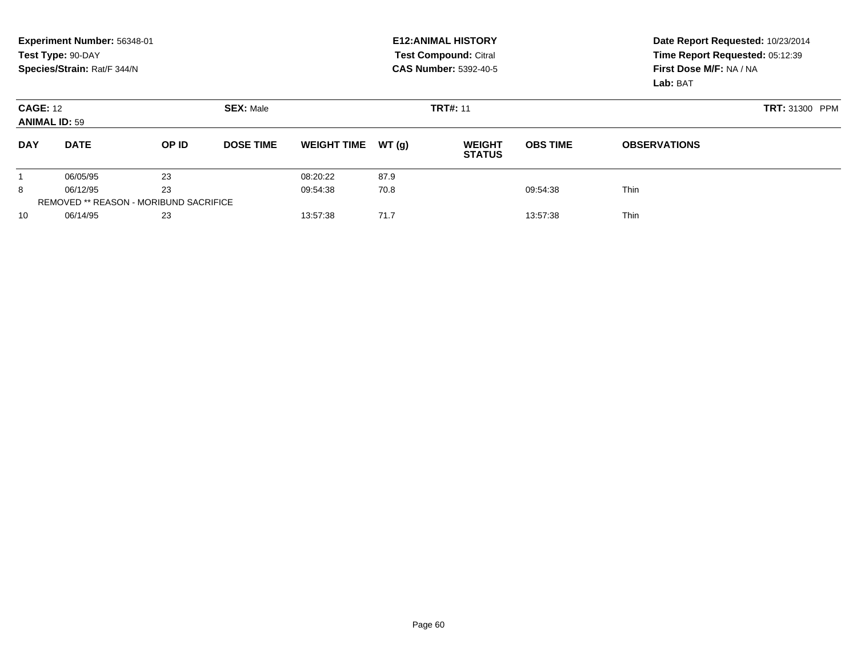|                                                             | Experiment Number: 56348-01<br>Test Type: 90-DAY<br>Species/Strain: Rat/F 344/N |       |                  |                    |       | <b>E12: ANIMAL HISTORY</b><br><b>Test Compound: Citral</b><br><b>CAS Number: 5392-40-5</b> | Date Report Requested: 10/23/2014<br>Time Report Requested: 05:12:39<br>First Dose M/F: NA / NA<br>Lab: BAT |                     |
|-------------------------------------------------------------|---------------------------------------------------------------------------------|-------|------------------|--------------------|-------|--------------------------------------------------------------------------------------------|-------------------------------------------------------------------------------------------------------------|---------------------|
| <b>SEX: Male</b><br><b>CAGE: 12</b><br><b>ANIMAL ID: 59</b> |                                                                                 |       |                  |                    |       | <b>TRT#: 11</b>                                                                            | <b>TRT: 31300 PPM</b>                                                                                       |                     |
| <b>DAY</b>                                                  | <b>DATE</b>                                                                     | OP ID | <b>DOSE TIME</b> | <b>WEIGHT TIME</b> | WT(q) | <b>WEIGHT</b><br><b>STATUS</b>                                                             | <b>OBS TIME</b>                                                                                             | <b>OBSERVATIONS</b> |
|                                                             | 06/05/95                                                                        | 23    |                  | 08:20:22           | 87.9  |                                                                                            |                                                                                                             |                     |
| 8                                                           | 06/12/95                                                                        | 23    |                  | 09:54:38           | 70.8  |                                                                                            | 09:54:38                                                                                                    | <b>Thin</b>         |
| <b>REMOVED ** REASON - MORIBUND SACRIFICE</b>               |                                                                                 |       |                  |                    |       |                                                                                            |                                                                                                             |                     |
| 10                                                          | 06/14/95                                                                        | 23    |                  | 13:57:38           | 71.7  |                                                                                            | 13:57:38                                                                                                    | <b>Thin</b>         |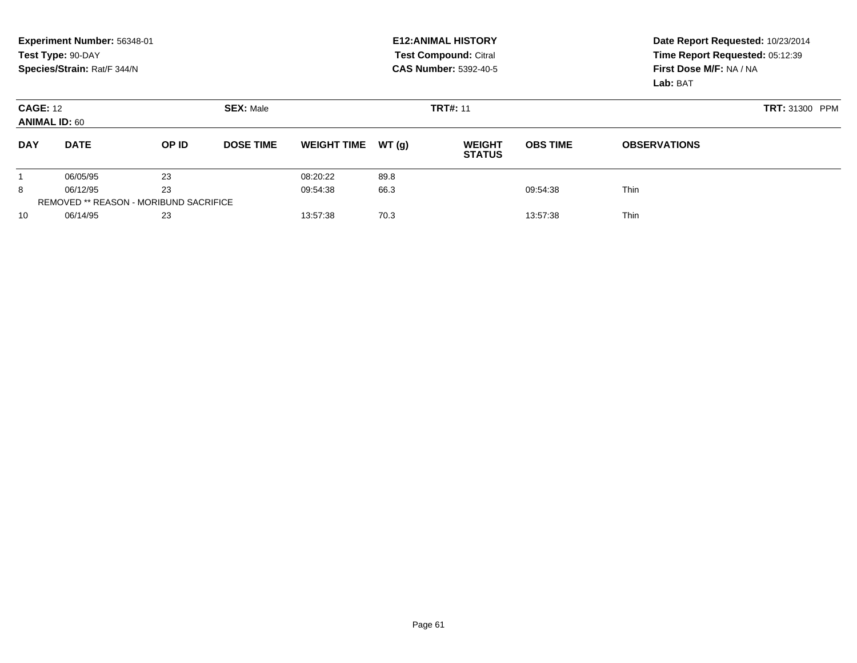|                                         | Experiment Number: 56348-01<br>Test Type: 90-DAY<br>Species/Strain: Rat/F 344/N |                                               |                  |                    |       | <b>E12: ANIMAL HISTORY</b><br><b>Test Compound: Citral</b><br><b>CAS Number: 5392-40-5</b> |                 | Date Report Requested: 10/23/2014<br>Time Report Requested: 05:12:39<br>First Dose M/F: NA / NA<br>Lab: BAT |  |  |
|-----------------------------------------|---------------------------------------------------------------------------------|-----------------------------------------------|------------------|--------------------|-------|--------------------------------------------------------------------------------------------|-----------------|-------------------------------------------------------------------------------------------------------------|--|--|
| <b>CAGE: 12</b><br><b>ANIMAL ID: 60</b> |                                                                                 |                                               | <b>SEX: Male</b> |                    |       | <b>TRT#: 11</b>                                                                            |                 | <b>TRT: 31300 PPM</b>                                                                                       |  |  |
| <b>DAY</b>                              | <b>DATE</b>                                                                     | OP ID                                         | <b>DOSE TIME</b> | <b>WEIGHT TIME</b> | WT(q) | <b>WEIGHT</b><br><b>STATUS</b>                                                             | <b>OBS TIME</b> | <b>OBSERVATIONS</b>                                                                                         |  |  |
|                                         | 06/05/95                                                                        | 23                                            |                  | 08:20:22           | 89.8  |                                                                                            |                 |                                                                                                             |  |  |
| 8                                       | 06/12/95                                                                        | 23                                            |                  | 09:54:38           | 66.3  |                                                                                            | 09:54:38        | <b>Thin</b>                                                                                                 |  |  |
|                                         |                                                                                 | <b>REMOVED ** REASON - MORIBUND SACRIFICE</b> |                  |                    |       |                                                                                            |                 |                                                                                                             |  |  |
| 10                                      | 06/14/95                                                                        | 23                                            |                  | 13:57:38           | 70.3  |                                                                                            | 13:57:38        | <b>Thin</b>                                                                                                 |  |  |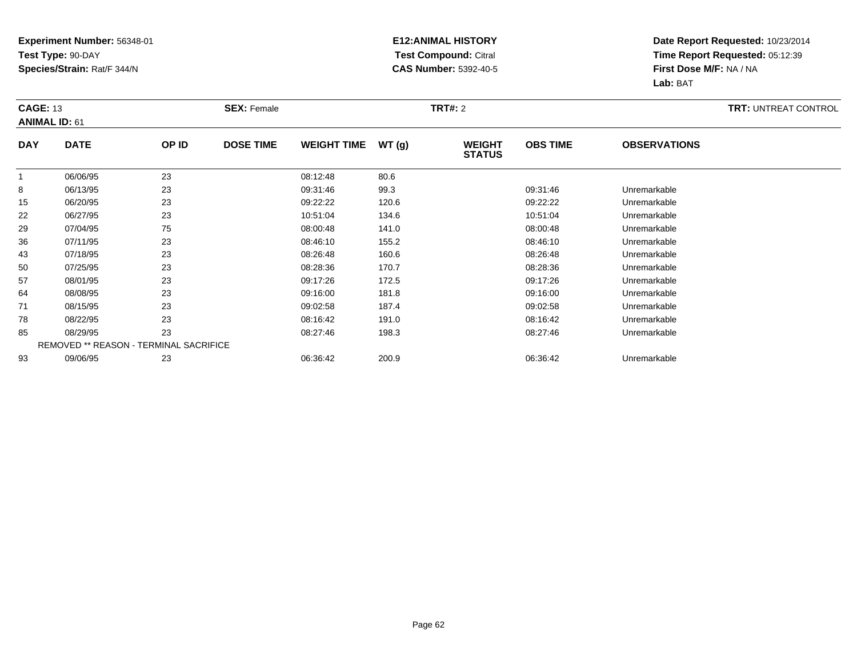### **E12:ANIMAL HISTORY Test Compound:** Citral **CAS Number:** 5392-40-5

|              | <b>CAGE: 13</b><br><b>ANIMAL ID: 61</b> |                                        | <b>SEX: Female</b> |                    |       | <b>TRT#: 2</b>                 | <b>TRT: UNTREAT CONTROL</b> |                     |  |
|--------------|-----------------------------------------|----------------------------------------|--------------------|--------------------|-------|--------------------------------|-----------------------------|---------------------|--|
| <b>DAY</b>   | <b>DATE</b>                             | OP ID                                  | <b>DOSE TIME</b>   | <b>WEIGHT TIME</b> | WT(g) | <b>WEIGHT</b><br><b>STATUS</b> | <b>OBS TIME</b>             | <b>OBSERVATIONS</b> |  |
| $\mathbf{1}$ | 06/06/95                                | 23                                     |                    | 08:12:48           | 80.6  |                                |                             |                     |  |
| 8            | 06/13/95                                | 23                                     |                    | 09:31:46           | 99.3  |                                | 09:31:46                    | Unremarkable        |  |
| 15           | 06/20/95                                | 23                                     |                    | 09:22:22           | 120.6 |                                | 09:22:22                    | Unremarkable        |  |
| 22           | 06/27/95                                | 23                                     |                    | 10:51:04           | 134.6 |                                | 10:51:04                    | Unremarkable        |  |
| 29           | 07/04/95                                | 75                                     |                    | 08:00:48           | 141.0 |                                | 08:00:48                    | Unremarkable        |  |
| 36           | 07/11/95                                | 23                                     |                    | 08:46:10           | 155.2 |                                | 08:46:10                    | Unremarkable        |  |
| 43           | 07/18/95                                | 23                                     |                    | 08:26:48           | 160.6 |                                | 08:26:48                    | Unremarkable        |  |
| 50           | 07/25/95                                | 23                                     |                    | 08:28:36           | 170.7 |                                | 08:28:36                    | Unremarkable        |  |
| 57           | 08/01/95                                | 23                                     |                    | 09:17:26           | 172.5 |                                | 09:17:26                    | Unremarkable        |  |
| 64           | 08/08/95                                | 23                                     |                    | 09:16:00           | 181.8 |                                | 09:16:00                    | Unremarkable        |  |
| 71           | 08/15/95                                | 23                                     |                    | 09:02:58           | 187.4 |                                | 09:02:58                    | Unremarkable        |  |
| 78           | 08/22/95                                | 23                                     |                    | 08:16:42           | 191.0 |                                | 08:16:42                    | Unremarkable        |  |
| 85           | 08/29/95                                | 23                                     |                    | 08:27:46           | 198.3 |                                | 08:27:46                    | Unremarkable        |  |
|              |                                         | REMOVED ** REASON - TERMINAL SACRIFICE |                    |                    |       |                                |                             |                     |  |
| 93           | 09/06/95                                | 23                                     |                    | 06:36:42           | 200.9 |                                | 06:36:42                    | Unremarkable        |  |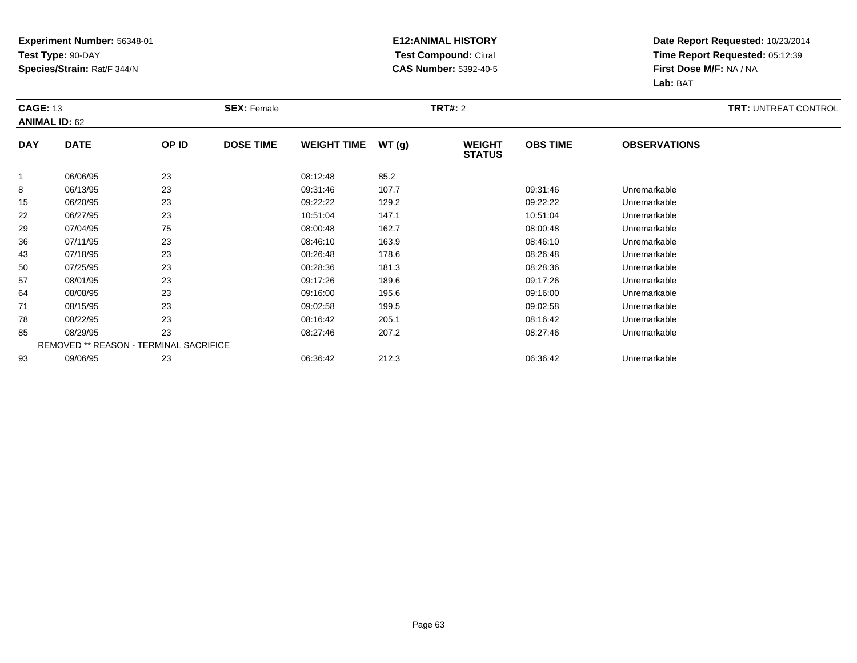### **E12:ANIMAL HISTORY Test Compound:** Citral **CAS Number:** 5392-40-5

|              | <b>CAGE: 13</b><br><b>ANIMAL ID: 62</b> |       | <b>SEX: Female</b> |                    |       | <b>TRT#: 2</b>                 | <b>TRT: UNTREAT CONTROL</b> |                     |  |
|--------------|-----------------------------------------|-------|--------------------|--------------------|-------|--------------------------------|-----------------------------|---------------------|--|
| <b>DAY</b>   | <b>DATE</b>                             | OP ID | <b>DOSE TIME</b>   | <b>WEIGHT TIME</b> | WT(g) | <b>WEIGHT</b><br><b>STATUS</b> | <b>OBS TIME</b>             | <b>OBSERVATIONS</b> |  |
| $\mathbf{1}$ | 06/06/95                                | 23    |                    | 08:12:48           | 85.2  |                                |                             |                     |  |
| 8            | 06/13/95                                | 23    |                    | 09:31:46           | 107.7 |                                | 09:31:46                    | Unremarkable        |  |
| 15           | 06/20/95                                | 23    |                    | 09:22:22           | 129.2 |                                | 09:22:22                    | Unremarkable        |  |
| 22           | 06/27/95                                | 23    |                    | 10:51:04           | 147.1 |                                | 10:51:04                    | Unremarkable        |  |
| 29           | 07/04/95                                | 75    |                    | 08:00:48           | 162.7 |                                | 08:00:48                    | Unremarkable        |  |
| 36           | 07/11/95                                | 23    |                    | 08:46:10           | 163.9 |                                | 08:46:10                    | Unremarkable        |  |
| 43           | 07/18/95                                | 23    |                    | 08:26:48           | 178.6 |                                | 08:26:48                    | Unremarkable        |  |
| 50           | 07/25/95                                | 23    |                    | 08:28:36           | 181.3 |                                | 08:28:36                    | Unremarkable        |  |
| 57           | 08/01/95                                | 23    |                    | 09:17:26           | 189.6 |                                | 09:17:26                    | Unremarkable        |  |
| 64           | 08/08/95                                | 23    |                    | 09:16:00           | 195.6 |                                | 09:16:00                    | Unremarkable        |  |
| 71           | 08/15/95                                | 23    |                    | 09:02:58           | 199.5 |                                | 09:02:58                    | Unremarkable        |  |
| 78           | 08/22/95                                | 23    |                    | 08:16:42           | 205.1 |                                | 08:16:42                    | Unremarkable        |  |
| 85           | 08/29/95                                | 23    |                    | 08:27:46           | 207.2 |                                | 08:27:46                    | Unremarkable        |  |
|              | REMOVED ** REASON - TERMINAL SACRIFICE  |       |                    |                    |       |                                |                             |                     |  |
| 93           | 09/06/95                                | 23    |                    | 06:36:42           | 212.3 |                                | 06:36:42                    | Unremarkable        |  |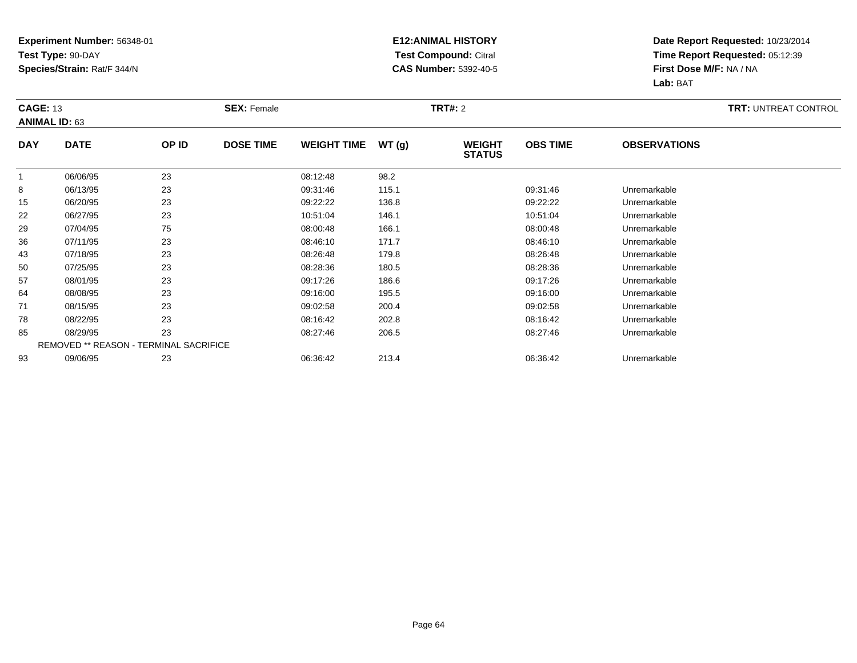### **E12:ANIMAL HISTORY Test Compound:** Citral **CAS Number:** 5392-40-5

|              | <b>CAGE: 13</b><br><b>ANIMAL ID: 63</b> |       | <b>SEX: Female</b> |                    |       | <b>TRT#: 2</b>                 | <b>TRT: UNTREAT CONTROL</b> |                     |  |
|--------------|-----------------------------------------|-------|--------------------|--------------------|-------|--------------------------------|-----------------------------|---------------------|--|
| <b>DAY</b>   | <b>DATE</b>                             | OP ID | <b>DOSE TIME</b>   | <b>WEIGHT TIME</b> | WT(g) | <b>WEIGHT</b><br><b>STATUS</b> | <b>OBS TIME</b>             | <b>OBSERVATIONS</b> |  |
| $\mathbf{1}$ | 06/06/95                                | 23    |                    | 08:12:48           | 98.2  |                                |                             |                     |  |
| 8            | 06/13/95                                | 23    |                    | 09:31:46           | 115.1 |                                | 09:31:46                    | Unremarkable        |  |
| 15           | 06/20/95                                | 23    |                    | 09:22:22           | 136.8 |                                | 09:22:22                    | Unremarkable        |  |
| 22           | 06/27/95                                | 23    |                    | 10:51:04           | 146.1 |                                | 10:51:04                    | Unremarkable        |  |
| 29           | 07/04/95                                | 75    |                    | 08:00:48           | 166.1 |                                | 08:00:48                    | Unremarkable        |  |
| 36           | 07/11/95                                | 23    |                    | 08:46:10           | 171.7 |                                | 08:46:10                    | Unremarkable        |  |
| 43           | 07/18/95                                | 23    |                    | 08:26:48           | 179.8 |                                | 08:26:48                    | Unremarkable        |  |
| 50           | 07/25/95                                | 23    |                    | 08:28:36           | 180.5 |                                | 08:28:36                    | Unremarkable        |  |
| 57           | 08/01/95                                | 23    |                    | 09:17:26           | 186.6 |                                | 09:17:26                    | Unremarkable        |  |
| 64           | 08/08/95                                | 23    |                    | 09:16:00           | 195.5 |                                | 09:16:00                    | Unremarkable        |  |
| 71           | 08/15/95                                | 23    |                    | 09:02:58           | 200.4 |                                | 09:02:58                    | Unremarkable        |  |
| 78           | 08/22/95                                | 23    |                    | 08:16:42           | 202.8 |                                | 08:16:42                    | Unremarkable        |  |
| 85           | 08/29/95                                | 23    |                    | 08:27:46           | 206.5 |                                | 08:27:46                    | Unremarkable        |  |
|              | REMOVED ** REASON - TERMINAL SACRIFICE  |       |                    |                    |       |                                |                             |                     |  |
| 93           | 09/06/95                                | 23    |                    | 06:36:42           | 213.4 |                                | 06:36:42                    | Unremarkable        |  |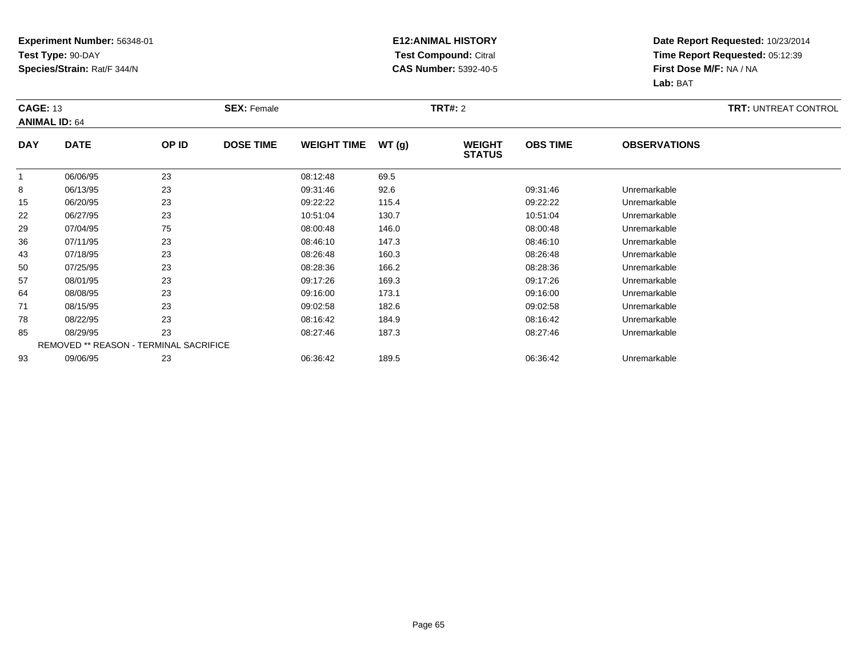### **E12:ANIMAL HISTORY Test Compound:** Citral **CAS Number:** 5392-40-5

|              | <b>CAGE: 13</b><br><b>ANIMAL ID: 64</b> |       | <b>SEX: Female</b> |                    |       | <b>TRT#:</b> 2                 | <b>TRT: UNTREAT CONTROL</b> |                     |  |
|--------------|-----------------------------------------|-------|--------------------|--------------------|-------|--------------------------------|-----------------------------|---------------------|--|
| <b>DAY</b>   | <b>DATE</b>                             | OP ID | <b>DOSE TIME</b>   | <b>WEIGHT TIME</b> | WT(g) | <b>WEIGHT</b><br><b>STATUS</b> | <b>OBS TIME</b>             | <b>OBSERVATIONS</b> |  |
| $\mathbf{1}$ | 06/06/95                                | 23    |                    | 08:12:48           | 69.5  |                                |                             |                     |  |
| 8            | 06/13/95                                | 23    |                    | 09:31:46           | 92.6  |                                | 09:31:46                    | Unremarkable        |  |
| 15           | 06/20/95                                | 23    |                    | 09:22:22           | 115.4 |                                | 09:22:22                    | Unremarkable        |  |
| 22           | 06/27/95                                | 23    |                    | 10:51:04           | 130.7 |                                | 10:51:04                    | Unremarkable        |  |
| 29           | 07/04/95                                | 75    |                    | 08:00:48           | 146.0 |                                | 08:00:48                    | Unremarkable        |  |
| 36           | 07/11/95                                | 23    |                    | 08:46:10           | 147.3 |                                | 08:46:10                    | Unremarkable        |  |
| 43           | 07/18/95                                | 23    |                    | 08:26:48           | 160.3 |                                | 08:26:48                    | Unremarkable        |  |
| 50           | 07/25/95                                | 23    |                    | 08:28:36           | 166.2 |                                | 08:28:36                    | Unremarkable        |  |
| 57           | 08/01/95                                | 23    |                    | 09:17:26           | 169.3 |                                | 09:17:26                    | Unremarkable        |  |
| 64           | 08/08/95                                | 23    |                    | 09:16:00           | 173.1 |                                | 09:16:00                    | Unremarkable        |  |
| 71           | 08/15/95                                | 23    |                    | 09:02:58           | 182.6 |                                | 09:02:58                    | Unremarkable        |  |
| 78           | 08/22/95                                | 23    |                    | 08:16:42           | 184.9 |                                | 08:16:42                    | Unremarkable        |  |
| 85           | 08/29/95                                | 23    |                    | 08:27:46           | 187.3 |                                | 08:27:46                    | Unremarkable        |  |
|              | REMOVED ** REASON - TERMINAL SACRIFICE  |       |                    |                    |       |                                |                             |                     |  |
| 93           | 09/06/95                                | 23    |                    | 06:36:42           | 189.5 |                                | 06:36:42                    | Unremarkable        |  |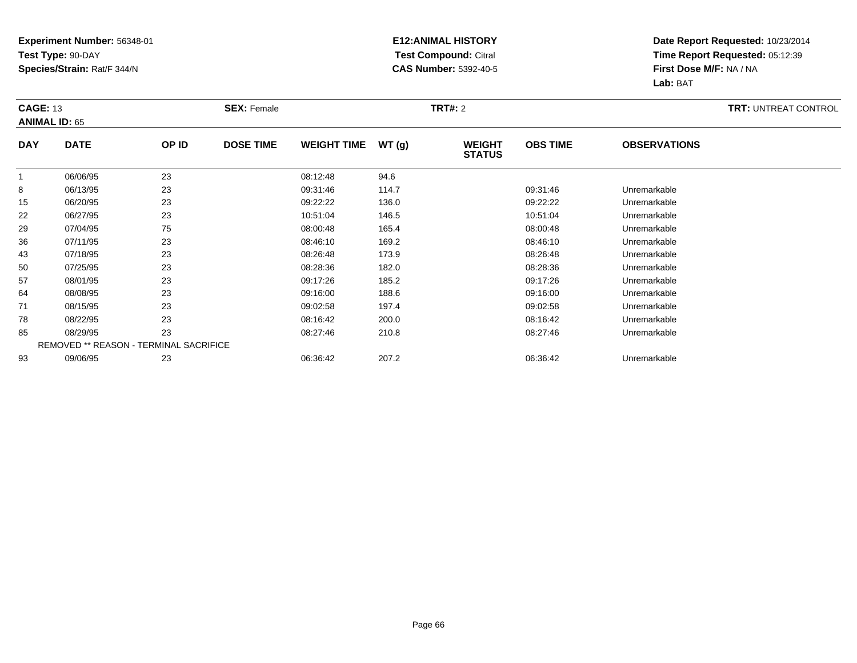### **E12:ANIMAL HISTORY Test Compound:** Citral **CAS Number:** 5392-40-5

| <b>CAGE: 13</b><br><b>ANIMAL ID: 65</b> |                                        |       | <b>SEX: Female</b> |                    |       | <b>TRT#: 2</b>                 |                 |                     | <b>TRT: UNTREAT CONTROL</b> |
|-----------------------------------------|----------------------------------------|-------|--------------------|--------------------|-------|--------------------------------|-----------------|---------------------|-----------------------------|
| <b>DAY</b>                              | <b>DATE</b>                            | OP ID | <b>DOSE TIME</b>   | <b>WEIGHT TIME</b> | WT(g) | <b>WEIGHT</b><br><b>STATUS</b> | <b>OBS TIME</b> | <b>OBSERVATIONS</b> |                             |
| $\mathbf{1}$                            | 06/06/95                               | 23    |                    | 08:12:48           | 94.6  |                                |                 |                     |                             |
| 8                                       | 06/13/95                               | 23    |                    | 09:31:46           | 114.7 |                                | 09:31:46        | Unremarkable        |                             |
| 15                                      | 06/20/95                               | 23    |                    | 09:22:22           | 136.0 |                                | 09:22:22        | Unremarkable        |                             |
| 22                                      | 06/27/95                               | 23    |                    | 10:51:04           | 146.5 |                                | 10:51:04        | Unremarkable        |                             |
| 29                                      | 07/04/95                               | 75    |                    | 08:00:48           | 165.4 |                                | 08:00:48        | Unremarkable        |                             |
| 36                                      | 07/11/95                               | 23    |                    | 08:46:10           | 169.2 |                                | 08:46:10        | Unremarkable        |                             |
| 43                                      | 07/18/95                               | 23    |                    | 08:26:48           | 173.9 |                                | 08:26:48        | Unremarkable        |                             |
| 50                                      | 07/25/95                               | 23    |                    | 08:28:36           | 182.0 |                                | 08:28:36        | Unremarkable        |                             |
| 57                                      | 08/01/95                               | 23    |                    | 09:17:26           | 185.2 |                                | 09:17:26        | Unremarkable        |                             |
| 64                                      | 08/08/95                               | 23    |                    | 09:16:00           | 188.6 |                                | 09:16:00        | Unremarkable        |                             |
| 71                                      | 08/15/95                               | 23    |                    | 09:02:58           | 197.4 |                                | 09:02:58        | Unremarkable        |                             |
| 78                                      | 08/22/95                               | 23    |                    | 08:16:42           | 200.0 |                                | 08:16:42        | Unremarkable        |                             |
| 85                                      | 08/29/95                               | 23    |                    | 08:27:46           | 210.8 |                                | 08:27:46        | Unremarkable        |                             |
|                                         | REMOVED ** REASON - TERMINAL SACRIFICE |       |                    |                    |       |                                |                 |                     |                             |
| 93                                      | 09/06/95                               | 23    |                    | 06:36:42           | 207.2 |                                | 06:36:42        | Unremarkable        |                             |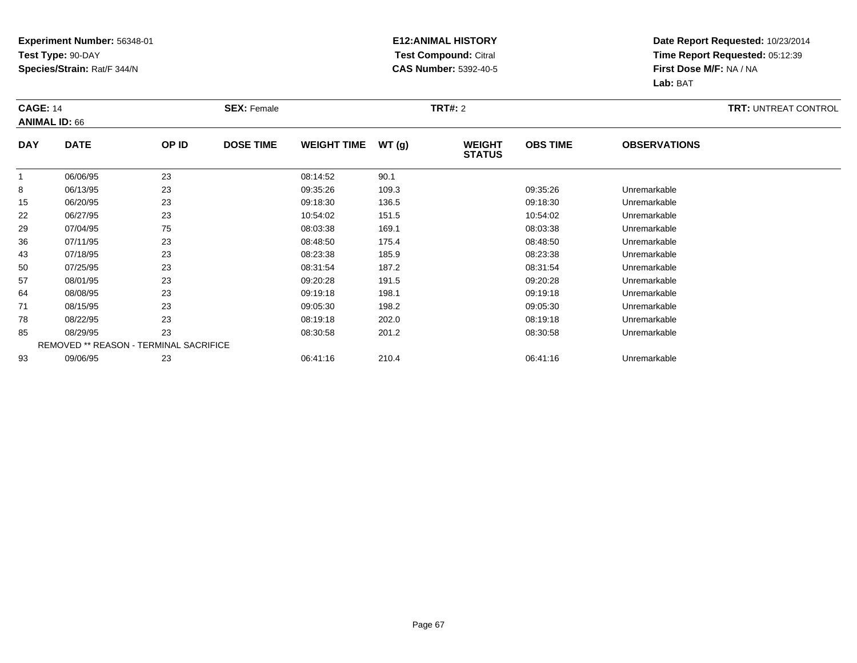### **E12:ANIMAL HISTORY Test Compound:** Citral **CAS Number:** 5392-40-5

|              | <b>CAGE: 14</b><br><b>ANIMAL ID: 66</b> |       | <b>SEX: Female</b> |                    |       | <b>TRT#: 2</b>                 | <b>TRT: UNTREAT CONTROL</b> |                     |  |
|--------------|-----------------------------------------|-------|--------------------|--------------------|-------|--------------------------------|-----------------------------|---------------------|--|
| <b>DAY</b>   | <b>DATE</b>                             | OP ID | <b>DOSE TIME</b>   | <b>WEIGHT TIME</b> | WT(g) | <b>WEIGHT</b><br><b>STATUS</b> | <b>OBS TIME</b>             | <b>OBSERVATIONS</b> |  |
| $\mathbf{1}$ | 06/06/95                                | 23    |                    | 08:14:52           | 90.1  |                                |                             |                     |  |
| 8            | 06/13/95                                | 23    |                    | 09:35:26           | 109.3 |                                | 09:35:26                    | Unremarkable        |  |
| 15           | 06/20/95                                | 23    |                    | 09:18:30           | 136.5 |                                | 09:18:30                    | Unremarkable        |  |
| 22           | 06/27/95                                | 23    |                    | 10:54:02           | 151.5 |                                | 10:54:02                    | Unremarkable        |  |
| 29           | 07/04/95                                | 75    |                    | 08:03:38           | 169.1 |                                | 08:03:38                    | Unremarkable        |  |
| 36           | 07/11/95                                | 23    |                    | 08:48:50           | 175.4 |                                | 08:48:50                    | Unremarkable        |  |
| 43           | 07/18/95                                | 23    |                    | 08:23:38           | 185.9 |                                | 08:23:38                    | Unremarkable        |  |
| 50           | 07/25/95                                | 23    |                    | 08:31:54           | 187.2 |                                | 08:31:54                    | Unremarkable        |  |
| 57           | 08/01/95                                | 23    |                    | 09:20:28           | 191.5 |                                | 09:20:28                    | Unremarkable        |  |
| 64           | 08/08/95                                | 23    |                    | 09:19:18           | 198.1 |                                | 09:19:18                    | Unremarkable        |  |
| 71           | 08/15/95                                | 23    |                    | 09:05:30           | 198.2 |                                | 09:05:30                    | Unremarkable        |  |
| 78           | 08/22/95                                | 23    |                    | 08:19:18           | 202.0 |                                | 08:19:18                    | Unremarkable        |  |
| 85           | 08/29/95                                | 23    |                    | 08:30:58           | 201.2 |                                | 08:30:58                    | Unremarkable        |  |
|              | REMOVED ** REASON - TERMINAL SACRIFICE  |       |                    |                    |       |                                |                             |                     |  |
| 93           | 09/06/95                                | 23    |                    | 06:41:16           | 210.4 |                                | 06:41:16                    | Unremarkable        |  |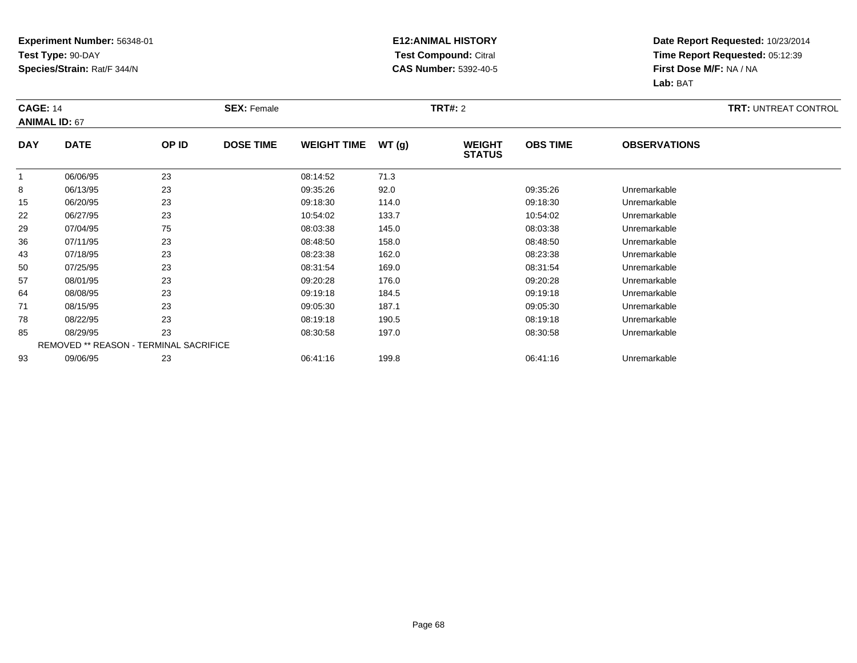### **E12:ANIMAL HISTORY Test Compound:** Citral **CAS Number:** 5392-40-5

|            | <b>CAGE: 14</b><br><b>ANIMAL ID: 67</b> |       | <b>SEX: Female</b> |                    |       | <b>TRT#: 2</b>                 | <b>TRT: UNTREAT CONTROL</b> |                     |  |
|------------|-----------------------------------------|-------|--------------------|--------------------|-------|--------------------------------|-----------------------------|---------------------|--|
| <b>DAY</b> | <b>DATE</b>                             | OP ID | <b>DOSE TIME</b>   | <b>WEIGHT TIME</b> | WT(g) | <b>WEIGHT</b><br><b>STATUS</b> | <b>OBS TIME</b>             | <b>OBSERVATIONS</b> |  |
|            | 06/06/95                                | 23    |                    | 08:14:52           | 71.3  |                                |                             |                     |  |
| 8          | 06/13/95                                | 23    |                    | 09:35:26           | 92.0  |                                | 09:35:26                    | Unremarkable        |  |
| 15         | 06/20/95                                | 23    |                    | 09:18:30           | 114.0 |                                | 09:18:30                    | Unremarkable        |  |
| 22         | 06/27/95                                | 23    |                    | 10:54:02           | 133.7 |                                | 10:54:02                    | Unremarkable        |  |
| 29         | 07/04/95                                | 75    |                    | 08:03:38           | 145.0 |                                | 08:03:38                    | Unremarkable        |  |
| 36         | 07/11/95                                | 23    |                    | 08:48:50           | 158.0 |                                | 08:48:50                    | Unremarkable        |  |
| 43         | 07/18/95                                | 23    |                    | 08:23:38           | 162.0 |                                | 08:23:38                    | Unremarkable        |  |
| 50         | 07/25/95                                | 23    |                    | 08:31:54           | 169.0 |                                | 08:31:54                    | Unremarkable        |  |
| 57         | 08/01/95                                | 23    |                    | 09:20:28           | 176.0 |                                | 09:20:28                    | Unremarkable        |  |
| 64         | 08/08/95                                | 23    |                    | 09:19:18           | 184.5 |                                | 09:19:18                    | Unremarkable        |  |
| 71         | 08/15/95                                | 23    |                    | 09:05:30           | 187.1 |                                | 09:05:30                    | Unremarkable        |  |
| 78         | 08/22/95                                | 23    |                    | 08:19:18           | 190.5 |                                | 08:19:18                    | Unremarkable        |  |
| 85         | 08/29/95                                | 23    |                    | 08:30:58           | 197.0 |                                | 08:30:58                    | Unremarkable        |  |
|            | REMOVED ** REASON - TERMINAL SACRIFICE  |       |                    |                    |       |                                |                             |                     |  |
| 93         | 09/06/95                                | 23    |                    | 06:41:16           | 199.8 |                                | 06:41:16                    | Unremarkable        |  |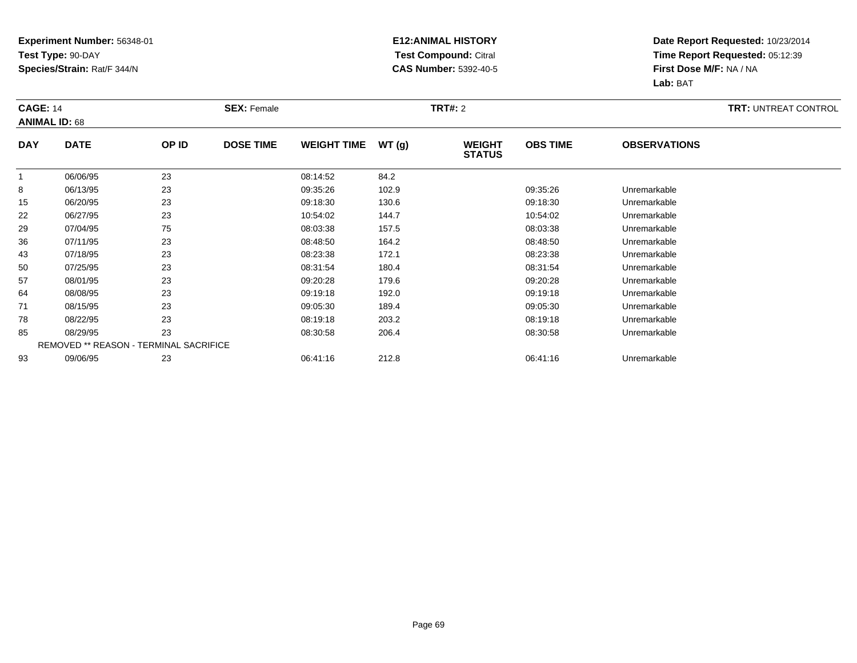### **E12:ANIMAL HISTORY Test Compound:** Citral **CAS Number:** 5392-40-5

| <b>CAGE: 14</b> | <b>ANIMAL ID: 68</b> |                                        | <b>SEX: Female</b> |                    |       | <b>TRT#: 2</b>                 |                 |                     | <b>TRT: UNTREAT CONTROL</b> |
|-----------------|----------------------|----------------------------------------|--------------------|--------------------|-------|--------------------------------|-----------------|---------------------|-----------------------------|
| <b>DAY</b>      | <b>DATE</b>          | OP ID                                  | <b>DOSE TIME</b>   | <b>WEIGHT TIME</b> | WT(g) | <b>WEIGHT</b><br><b>STATUS</b> | <b>OBS TIME</b> | <b>OBSERVATIONS</b> |                             |
|                 | 06/06/95             | 23                                     |                    | 08:14:52           | 84.2  |                                |                 |                     |                             |
| 8               | 06/13/95             | 23                                     |                    | 09:35:26           | 102.9 |                                | 09:35:26        | Unremarkable        |                             |
| 15              | 06/20/95             | 23                                     |                    | 09:18:30           | 130.6 |                                | 09:18:30        | Unremarkable        |                             |
| 22              | 06/27/95             | 23                                     |                    | 10:54:02           | 144.7 |                                | 10:54:02        | Unremarkable        |                             |
| 29              | 07/04/95             | 75                                     |                    | 08:03:38           | 157.5 |                                | 08:03:38        | Unremarkable        |                             |
| 36              | 07/11/95             | 23                                     |                    | 08:48:50           | 164.2 |                                | 08:48:50        | Unremarkable        |                             |
| 43              | 07/18/95             | 23                                     |                    | 08:23:38           | 172.1 |                                | 08:23:38        | Unremarkable        |                             |
| 50              | 07/25/95             | 23                                     |                    | 08:31:54           | 180.4 |                                | 08:31:54        | Unremarkable        |                             |
| 57              | 08/01/95             | 23                                     |                    | 09:20:28           | 179.6 |                                | 09:20:28        | Unremarkable        |                             |
| 64              | 08/08/95             | 23                                     |                    | 09:19:18           | 192.0 |                                | 09:19:18        | Unremarkable        |                             |
| 71              | 08/15/95             | 23                                     |                    | 09:05:30           | 189.4 |                                | 09:05:30        | Unremarkable        |                             |
| 78              | 08/22/95             | 23                                     |                    | 08:19:18           | 203.2 |                                | 08:19:18        | Unremarkable        |                             |
| 85              | 08/29/95             | 23                                     |                    | 08:30:58           | 206.4 |                                | 08:30:58        | Unremarkable        |                             |
|                 |                      | REMOVED ** REASON - TERMINAL SACRIFICE |                    |                    |       |                                |                 |                     |                             |
| 93              | 09/06/95             | 23                                     |                    | 06:41:16           | 212.8 |                                | 06:41:16        | Unremarkable        |                             |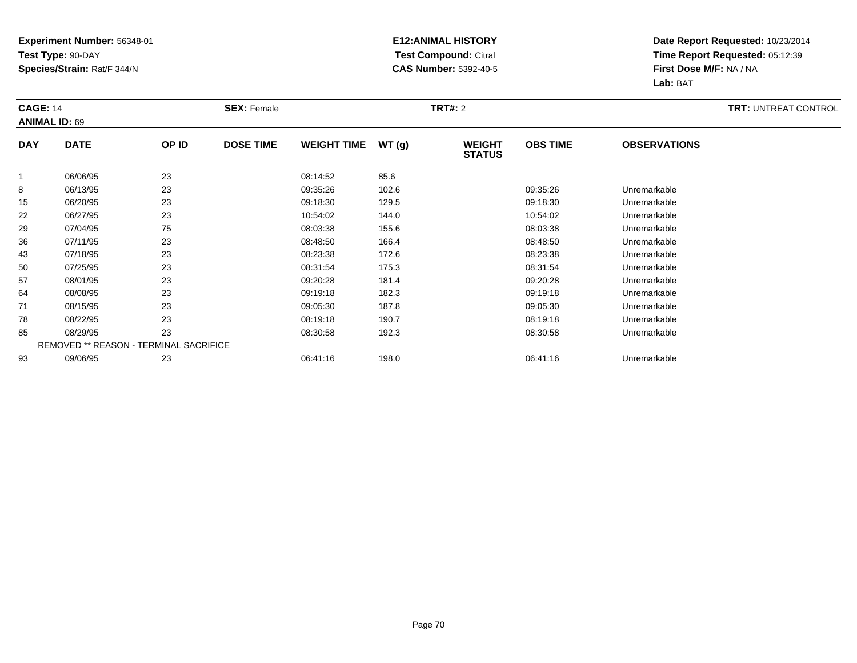### **E12:ANIMAL HISTORY Test Compound:** Citral **CAS Number:** 5392-40-5

| <b>CAGE: 14</b> | <b>ANIMAL ID: 69</b> |                                        | <b>SEX: Female</b> |                    |       | <b>TRT#: 2</b>                 |                 |                     | <b>TRT: UNTREAT CONTROL</b> |
|-----------------|----------------------|----------------------------------------|--------------------|--------------------|-------|--------------------------------|-----------------|---------------------|-----------------------------|
| <b>DAY</b>      | <b>DATE</b>          | OP ID                                  | <b>DOSE TIME</b>   | <b>WEIGHT TIME</b> | WT(g) | <b>WEIGHT</b><br><b>STATUS</b> | <b>OBS TIME</b> | <b>OBSERVATIONS</b> |                             |
|                 | 06/06/95             | 23                                     |                    | 08:14:52           | 85.6  |                                |                 |                     |                             |
| 8               | 06/13/95             | 23                                     |                    | 09:35:26           | 102.6 |                                | 09:35:26        | Unremarkable        |                             |
| 15              | 06/20/95             | 23                                     |                    | 09:18:30           | 129.5 |                                | 09:18:30        | Unremarkable        |                             |
| 22              | 06/27/95             | 23                                     |                    | 10:54:02           | 144.0 |                                | 10:54:02        | Unremarkable        |                             |
| 29              | 07/04/95             | 75                                     |                    | 08:03:38           | 155.6 |                                | 08:03:38        | Unremarkable        |                             |
| 36              | 07/11/95             | 23                                     |                    | 08:48:50           | 166.4 |                                | 08:48:50        | Unremarkable        |                             |
| 43              | 07/18/95             | 23                                     |                    | 08:23:38           | 172.6 |                                | 08:23:38        | Unremarkable        |                             |
| 50              | 07/25/95             | 23                                     |                    | 08:31:54           | 175.3 |                                | 08:31:54        | Unremarkable        |                             |
| 57              | 08/01/95             | 23                                     |                    | 09:20:28           | 181.4 |                                | 09:20:28        | Unremarkable        |                             |
| 64              | 08/08/95             | 23                                     |                    | 09:19:18           | 182.3 |                                | 09:19:18        | Unremarkable        |                             |
| 71              | 08/15/95             | 23                                     |                    | 09:05:30           | 187.8 |                                | 09:05:30        | Unremarkable        |                             |
| 78              | 08/22/95             | 23                                     |                    | 08:19:18           | 190.7 |                                | 08:19:18        | Unremarkable        |                             |
| 85              | 08/29/95             | 23                                     |                    | 08:30:58           | 192.3 |                                | 08:30:58        | Unremarkable        |                             |
|                 |                      | REMOVED ** REASON - TERMINAL SACRIFICE |                    |                    |       |                                |                 |                     |                             |
| 93              | 09/06/95             | 23                                     |                    | 06:41:16           | 198.0 |                                | 06:41:16        | Unremarkable        |                             |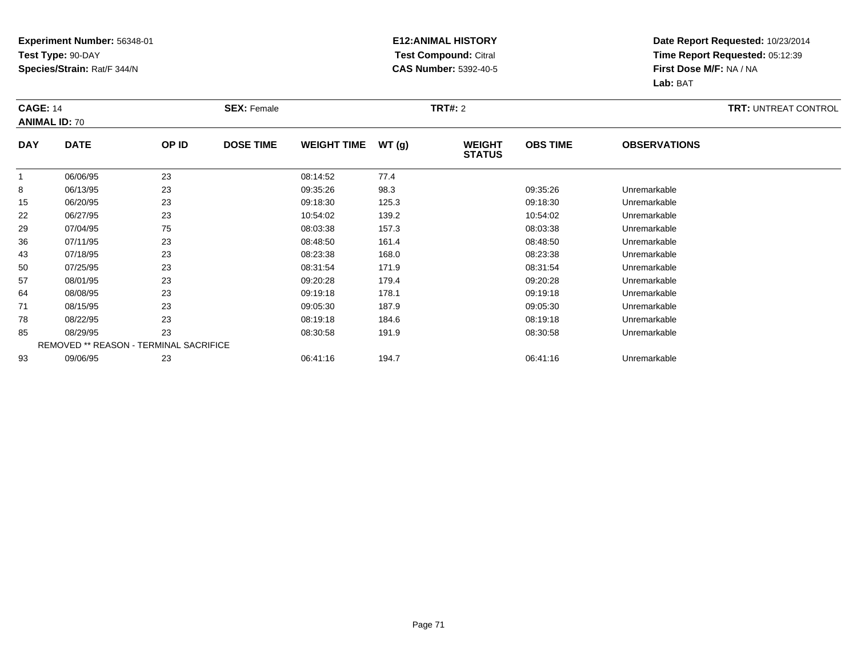### **E12:ANIMAL HISTORY Test Compound:** Citral **CAS Number:** 5392-40-5

| <b>CAGE: 14</b> | <b>ANIMAL ID: 70</b>                   |       | <b>SEX: Female</b> |                    |       | <b>TRT#: 2</b>                 |                 |                     | <b>TRT: UNTREAT CONTROL</b> |
|-----------------|----------------------------------------|-------|--------------------|--------------------|-------|--------------------------------|-----------------|---------------------|-----------------------------|
| <b>DAY</b>      | <b>DATE</b>                            | OP ID | <b>DOSE TIME</b>   | <b>WEIGHT TIME</b> | WT(g) | <b>WEIGHT</b><br><b>STATUS</b> | <b>OBS TIME</b> | <b>OBSERVATIONS</b> |                             |
|                 | 06/06/95                               | 23    |                    | 08:14:52           | 77.4  |                                |                 |                     |                             |
| 8               | 06/13/95                               | 23    |                    | 09:35:26           | 98.3  |                                | 09:35:26        | Unremarkable        |                             |
| 15              | 06/20/95                               | 23    |                    | 09:18:30           | 125.3 |                                | 09:18:30        | Unremarkable        |                             |
| 22              | 06/27/95                               | 23    |                    | 10:54:02           | 139.2 |                                | 10:54:02        | Unremarkable        |                             |
| 29              | 07/04/95                               | 75    |                    | 08:03:38           | 157.3 |                                | 08:03:38        | Unremarkable        |                             |
| 36              | 07/11/95                               | 23    |                    | 08:48:50           | 161.4 |                                | 08:48:50        | Unremarkable        |                             |
| 43              | 07/18/95                               | 23    |                    | 08:23:38           | 168.0 |                                | 08:23:38        | Unremarkable        |                             |
| 50              | 07/25/95                               | 23    |                    | 08:31:54           | 171.9 |                                | 08:31:54        | Unremarkable        |                             |
| 57              | 08/01/95                               | 23    |                    | 09:20:28           | 179.4 |                                | 09:20:28        | Unremarkable        |                             |
| 64              | 08/08/95                               | 23    |                    | 09:19:18           | 178.1 |                                | 09:19:18        | Unremarkable        |                             |
| 71              | 08/15/95                               | 23    |                    | 09:05:30           | 187.9 |                                | 09:05:30        | Unremarkable        |                             |
| 78              | 08/22/95                               | 23    |                    | 08:19:18           | 184.6 |                                | 08:19:18        | Unremarkable        |                             |
| 85              | 08/29/95                               | 23    |                    | 08:30:58           | 191.9 |                                | 08:30:58        | Unremarkable        |                             |
|                 | REMOVED ** REASON - TERMINAL SACRIFICE |       |                    |                    |       |                                |                 |                     |                             |
| 93              | 09/06/95                               | 23    |                    | 06:41:16           | 194.7 |                                | 06:41:16        | Unremarkable        |                             |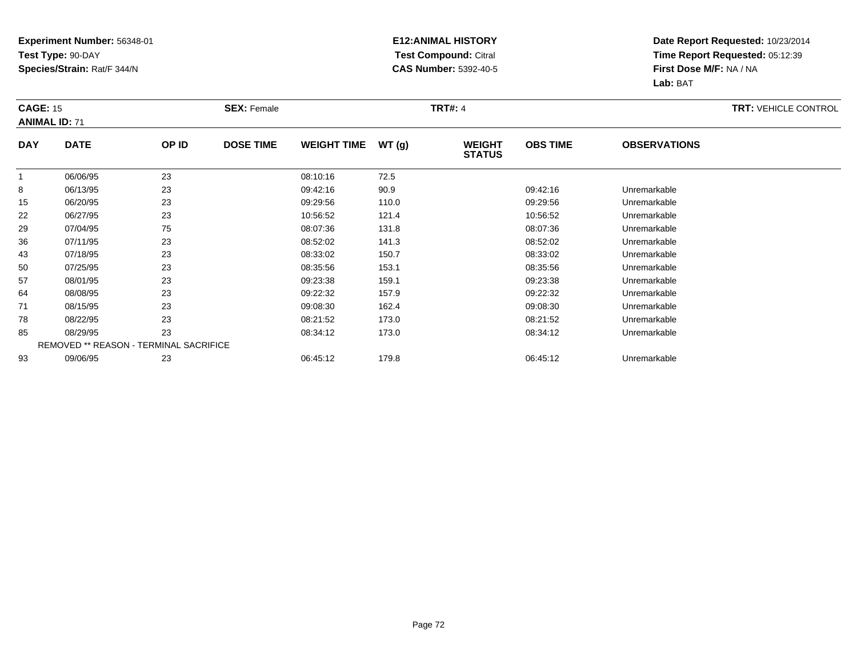### **E12:ANIMAL HISTORY Test Compound:** Citral **CAS Number:** 5392-40-5

| <b>CAGE: 15</b> | <b>ANIMAL ID: 71</b>                   |       | <b>SEX: Female</b> |                    |       | <b>TRT#: 4</b>                 |                 |                     | <b>TRT: VEHICLE CONTROL</b> |
|-----------------|----------------------------------------|-------|--------------------|--------------------|-------|--------------------------------|-----------------|---------------------|-----------------------------|
| <b>DAY</b>      | <b>DATE</b>                            | OP ID | <b>DOSE TIME</b>   | <b>WEIGHT TIME</b> | WT(g) | <b>WEIGHT</b><br><b>STATUS</b> | <b>OBS TIME</b> | <b>OBSERVATIONS</b> |                             |
|                 | 06/06/95                               | 23    |                    | 08:10:16           | 72.5  |                                |                 |                     |                             |
| 8               | 06/13/95                               | 23    |                    | 09:42:16           | 90.9  |                                | 09:42:16        | Unremarkable        |                             |
| 15              | 06/20/95                               | 23    |                    | 09:29:56           | 110.0 |                                | 09:29:56        | Unremarkable        |                             |
| 22              | 06/27/95                               | 23    |                    | 10:56:52           | 121.4 |                                | 10:56:52        | Unremarkable        |                             |
| 29              | 07/04/95                               | 75    |                    | 08:07:36           | 131.8 |                                | 08:07:36        | Unremarkable        |                             |
| 36              | 07/11/95                               | 23    |                    | 08:52:02           | 141.3 |                                | 08:52:02        | Unremarkable        |                             |
| 43              | 07/18/95                               | 23    |                    | 08:33:02           | 150.7 |                                | 08:33:02        | Unremarkable        |                             |
| 50              | 07/25/95                               | 23    |                    | 08:35:56           | 153.1 |                                | 08:35:56        | Unremarkable        |                             |
| 57              | 08/01/95                               | 23    |                    | 09:23:38           | 159.1 |                                | 09:23:38        | Unremarkable        |                             |
| 64              | 08/08/95                               | 23    |                    | 09:22:32           | 157.9 |                                | 09:22:32        | Unremarkable        |                             |
| 71              | 08/15/95                               | 23    |                    | 09:08:30           | 162.4 |                                | 09:08:30        | Unremarkable        |                             |
| 78              | 08/22/95                               | 23    |                    | 08:21:52           | 173.0 |                                | 08:21:52        | Unremarkable        |                             |
| 85              | 08/29/95                               | 23    |                    | 08:34:12           | 173.0 |                                | 08:34:12        | Unremarkable        |                             |
|                 | REMOVED ** REASON - TERMINAL SACRIFICE |       |                    |                    |       |                                |                 |                     |                             |
| 93              | 09/06/95                               | 23    |                    | 06:45:12           | 179.8 |                                | 06:45:12        | Unremarkable        |                             |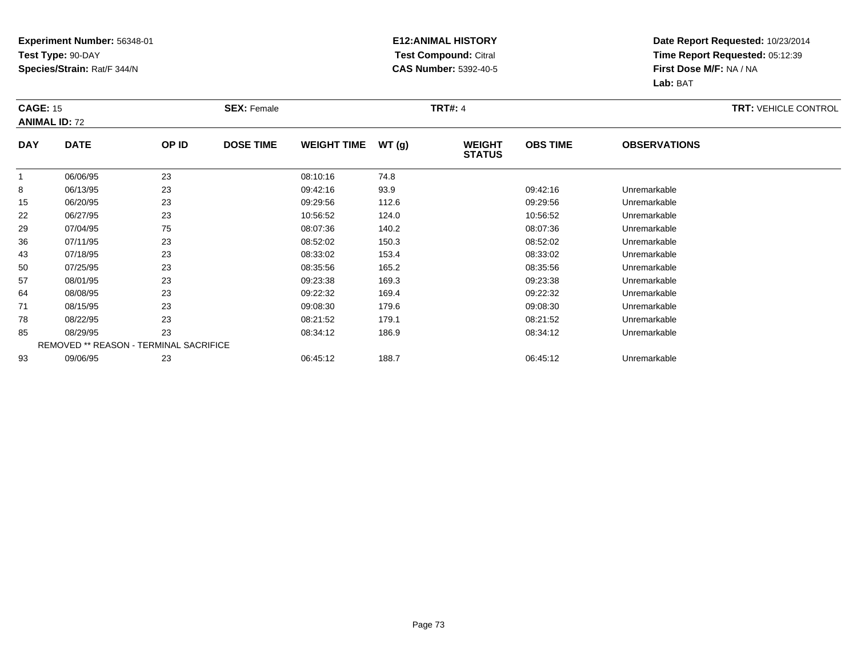#### **E12:ANIMAL HISTORY Test Compound:** Citral **CAS Number:** 5392-40-5

|            | <b>CAGE: 15</b><br><b>ANIMAL ID: 72</b> |       | <b>SEX: Female</b> |                    |       | <b>TRT#: 4</b>                 | <b>TRT: VEHICLE CONTROL</b> |                     |  |
|------------|-----------------------------------------|-------|--------------------|--------------------|-------|--------------------------------|-----------------------------|---------------------|--|
| <b>DAY</b> | <b>DATE</b>                             | OP ID | <b>DOSE TIME</b>   | <b>WEIGHT TIME</b> | WT(g) | <b>WEIGHT</b><br><b>STATUS</b> | <b>OBS TIME</b>             | <b>OBSERVATIONS</b> |  |
|            | 06/06/95                                | 23    |                    | 08:10:16           | 74.8  |                                |                             |                     |  |
| 8          | 06/13/95                                | 23    |                    | 09:42:16           | 93.9  |                                | 09:42:16                    | Unremarkable        |  |
| 15         | 06/20/95                                | 23    |                    | 09:29:56           | 112.6 |                                | 09:29:56                    | Unremarkable        |  |
| 22         | 06/27/95                                | 23    |                    | 10:56:52           | 124.0 |                                | 10:56:52                    | Unremarkable        |  |
| 29         | 07/04/95                                | 75    |                    | 08:07:36           | 140.2 |                                | 08:07:36                    | Unremarkable        |  |
| 36         | 07/11/95                                | 23    |                    | 08:52:02           | 150.3 |                                | 08:52:02                    | Unremarkable        |  |
| 43         | 07/18/95                                | 23    |                    | 08:33:02           | 153.4 |                                | 08:33:02                    | Unremarkable        |  |
| 50         | 07/25/95                                | 23    |                    | 08:35:56           | 165.2 |                                | 08:35:56                    | Unremarkable        |  |
| 57         | 08/01/95                                | 23    |                    | 09:23:38           | 169.3 |                                | 09:23:38                    | Unremarkable        |  |
| 64         | 08/08/95                                | 23    |                    | 09:22:32           | 169.4 |                                | 09:22:32                    | Unremarkable        |  |
| 71         | 08/15/95                                | 23    |                    | 09:08:30           | 179.6 |                                | 09:08:30                    | Unremarkable        |  |
| 78         | 08/22/95                                | 23    |                    | 08:21:52           | 179.1 |                                | 08:21:52                    | Unremarkable        |  |
| 85         | 08/29/95                                | 23    |                    | 08:34:12           | 186.9 |                                | 08:34:12                    | Unremarkable        |  |
|            | REMOVED ** REASON - TERMINAL SACRIFICE  |       |                    |                    |       |                                |                             |                     |  |
| 93         | 09/06/95                                | 23    |                    | 06:45:12           | 188.7 |                                | 06:45:12                    | Unremarkable        |  |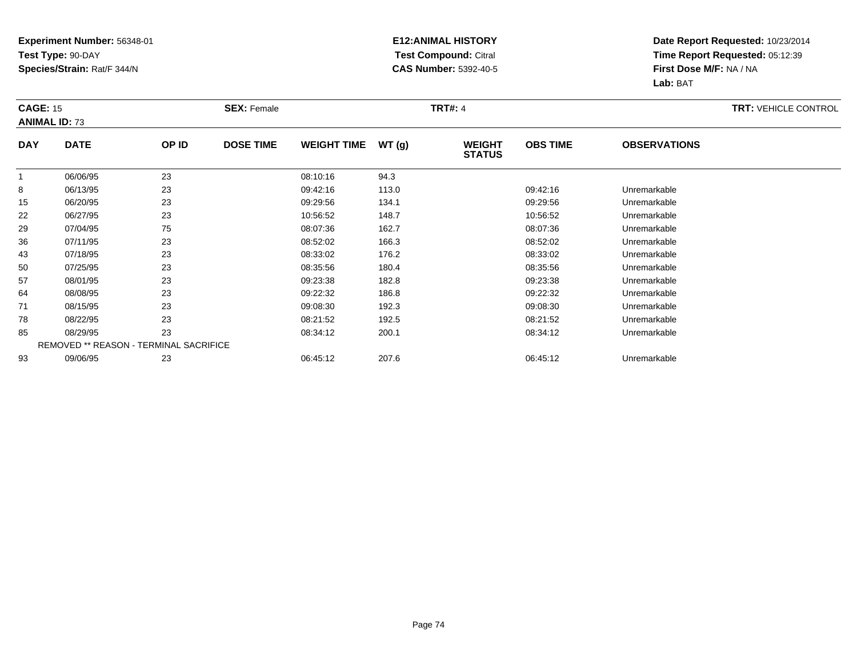#### **E12:ANIMAL HISTORY Test Compound:** Citral **CAS Number:** 5392-40-5

|            | <b>CAGE: 15</b><br><b>ANIMAL ID: 73</b> |       | <b>SEX: Female</b> |                    |       | <b>TRT#: 4</b>                 | <b>TRT: VEHICLE CONTROL</b> |                     |  |
|------------|-----------------------------------------|-------|--------------------|--------------------|-------|--------------------------------|-----------------------------|---------------------|--|
| <b>DAY</b> | <b>DATE</b>                             | OP ID | <b>DOSE TIME</b>   | <b>WEIGHT TIME</b> | WT(g) | <b>WEIGHT</b><br><b>STATUS</b> | <b>OBS TIME</b>             | <b>OBSERVATIONS</b> |  |
|            | 06/06/95                                | 23    |                    | 08:10:16           | 94.3  |                                |                             |                     |  |
| 8          | 06/13/95                                | 23    |                    | 09:42:16           | 113.0 |                                | 09:42:16                    | Unremarkable        |  |
| 15         | 06/20/95                                | 23    |                    | 09:29:56           | 134.1 |                                | 09:29:56                    | Unremarkable        |  |
| 22         | 06/27/95                                | 23    |                    | 10:56:52           | 148.7 |                                | 10:56:52                    | Unremarkable        |  |
| 29         | 07/04/95                                | 75    |                    | 08:07:36           | 162.7 |                                | 08:07:36                    | Unremarkable        |  |
| 36         | 07/11/95                                | 23    |                    | 08:52:02           | 166.3 |                                | 08:52:02                    | Unremarkable        |  |
| 43         | 07/18/95                                | 23    |                    | 08:33:02           | 176.2 |                                | 08:33:02                    | Unremarkable        |  |
| 50         | 07/25/95                                | 23    |                    | 08:35:56           | 180.4 |                                | 08:35:56                    | Unremarkable        |  |
| 57         | 08/01/95                                | 23    |                    | 09:23:38           | 182.8 |                                | 09:23:38                    | Unremarkable        |  |
| 64         | 08/08/95                                | 23    |                    | 09:22:32           | 186.8 |                                | 09:22:32                    | Unremarkable        |  |
| 71         | 08/15/95                                | 23    |                    | 09:08:30           | 192.3 |                                | 09:08:30                    | Unremarkable        |  |
| 78         | 08/22/95                                | 23    |                    | 08:21:52           | 192.5 |                                | 08:21:52                    | Unremarkable        |  |
| 85         | 08/29/95                                | 23    |                    | 08:34:12           | 200.1 |                                | 08:34:12                    | Unremarkable        |  |
|            | REMOVED ** REASON - TERMINAL SACRIFICE  |       |                    |                    |       |                                |                             |                     |  |
| 93         | 09/06/95                                | 23    |                    | 06:45:12           | 207.6 |                                | 06:45:12                    | Unremarkable        |  |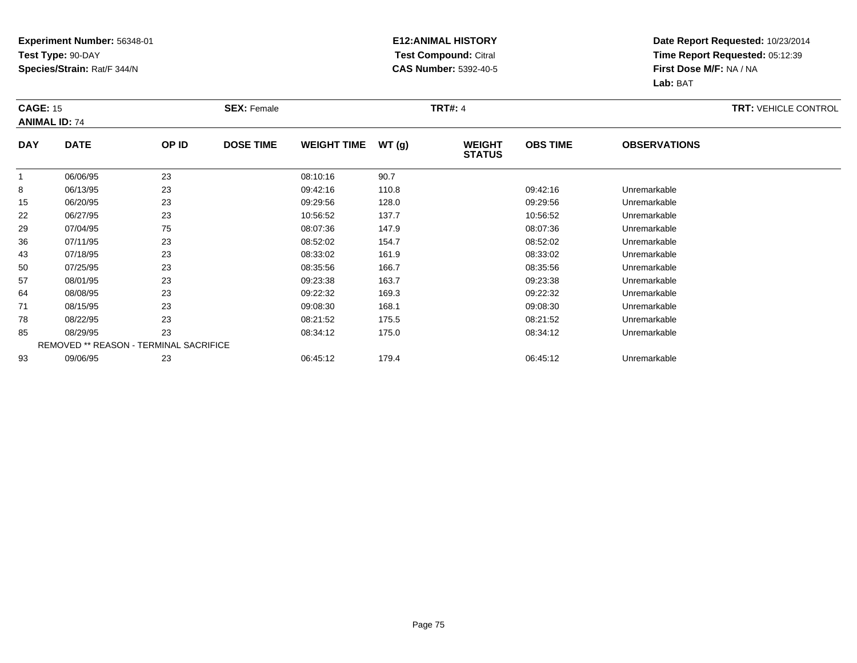#### **E12:ANIMAL HISTORY Test Compound:** Citral **CAS Number:** 5392-40-5

|            | <b>CAGE: 15</b><br><b>ANIMAL ID: 74</b> |       | <b>SEX: Female</b> |                    |       | <b>TRT#: 4</b>                 | <b>TRT: VEHICLE CONTROL</b> |                     |  |
|------------|-----------------------------------------|-------|--------------------|--------------------|-------|--------------------------------|-----------------------------|---------------------|--|
| <b>DAY</b> | <b>DATE</b>                             | OP ID | <b>DOSE TIME</b>   | <b>WEIGHT TIME</b> | WT(g) | <b>WEIGHT</b><br><b>STATUS</b> | <b>OBS TIME</b>             | <b>OBSERVATIONS</b> |  |
|            | 06/06/95                                | 23    |                    | 08:10:16           | 90.7  |                                |                             |                     |  |
| 8          | 06/13/95                                | 23    |                    | 09:42:16           | 110.8 |                                | 09:42:16                    | Unremarkable        |  |
| 15         | 06/20/95                                | 23    |                    | 09:29:56           | 128.0 |                                | 09:29:56                    | Unremarkable        |  |
| 22         | 06/27/95                                | 23    |                    | 10:56:52           | 137.7 |                                | 10:56:52                    | Unremarkable        |  |
| 29         | 07/04/95                                | 75    |                    | 08:07:36           | 147.9 |                                | 08:07:36                    | Unremarkable        |  |
| 36         | 07/11/95                                | 23    |                    | 08:52:02           | 154.7 |                                | 08:52:02                    | Unremarkable        |  |
| 43         | 07/18/95                                | 23    |                    | 08:33:02           | 161.9 |                                | 08:33:02                    | Unremarkable        |  |
| 50         | 07/25/95                                | 23    |                    | 08:35:56           | 166.7 |                                | 08:35:56                    | Unremarkable        |  |
| 57         | 08/01/95                                | 23    |                    | 09:23:38           | 163.7 |                                | 09:23:38                    | Unremarkable        |  |
| 64         | 08/08/95                                | 23    |                    | 09:22:32           | 169.3 |                                | 09:22:32                    | Unremarkable        |  |
| 71         | 08/15/95                                | 23    |                    | 09:08:30           | 168.1 |                                | 09:08:30                    | Unremarkable        |  |
| 78         | 08/22/95                                | 23    |                    | 08:21:52           | 175.5 |                                | 08:21:52                    | Unremarkable        |  |
| 85         | 08/29/95                                | 23    |                    | 08:34:12           | 175.0 |                                | 08:34:12                    | Unremarkable        |  |
|            | REMOVED ** REASON - TERMINAL SACRIFICE  |       |                    |                    |       |                                |                             |                     |  |
| 93         | 09/06/95                                | 23    |                    | 06:45:12           | 179.4 |                                | 06:45:12                    | Unremarkable        |  |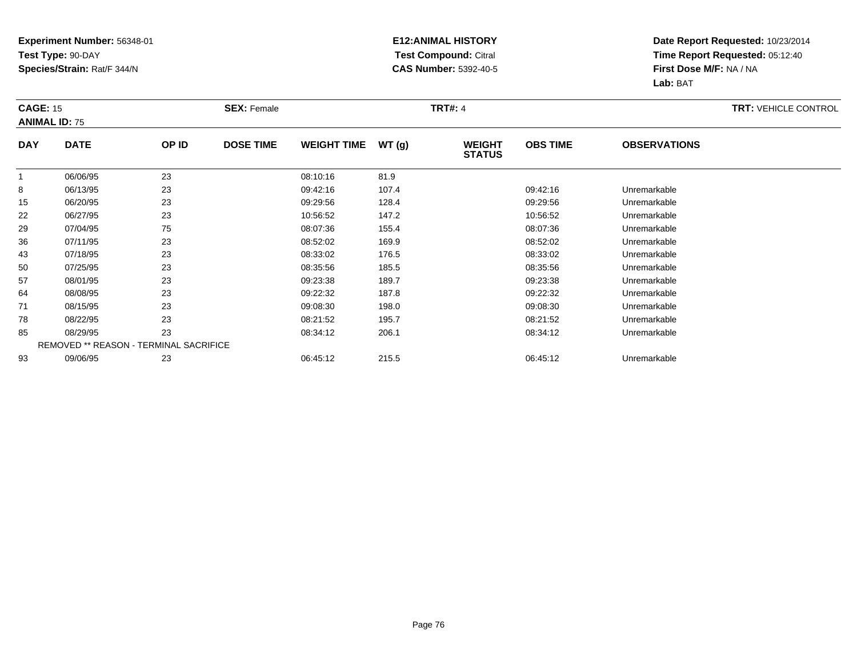#### **E12:ANIMAL HISTORY Test Compound:** Citral **CAS Number:** 5392-40-5

|            | <b>CAGE: 15</b><br><b>ANIMAL ID: 75</b> |       | <b>SEX: Female</b> |                    |       | <b>TRT#: 4</b>                 | <b>TRT: VEHICLE CONTROL</b> |                     |  |
|------------|-----------------------------------------|-------|--------------------|--------------------|-------|--------------------------------|-----------------------------|---------------------|--|
| <b>DAY</b> | <b>DATE</b>                             | OP ID | <b>DOSE TIME</b>   | <b>WEIGHT TIME</b> | WT(g) | <b>WEIGHT</b><br><b>STATUS</b> | <b>OBS TIME</b>             | <b>OBSERVATIONS</b> |  |
|            | 06/06/95                                | 23    |                    | 08:10:16           | 81.9  |                                |                             |                     |  |
| 8          | 06/13/95                                | 23    |                    | 09:42:16           | 107.4 |                                | 09:42:16                    | Unremarkable        |  |
| 15         | 06/20/95                                | 23    |                    | 09:29:56           | 128.4 |                                | 09:29:56                    | Unremarkable        |  |
| 22         | 06/27/95                                | 23    |                    | 10:56:52           | 147.2 |                                | 10:56:52                    | Unremarkable        |  |
| 29         | 07/04/95                                | 75    |                    | 08:07:36           | 155.4 |                                | 08:07:36                    | Unremarkable        |  |
| 36         | 07/11/95                                | 23    |                    | 08:52:02           | 169.9 |                                | 08:52:02                    | Unremarkable        |  |
| 43         | 07/18/95                                | 23    |                    | 08:33:02           | 176.5 |                                | 08:33:02                    | Unremarkable        |  |
| 50         | 07/25/95                                | 23    |                    | 08:35:56           | 185.5 |                                | 08:35:56                    | Unremarkable        |  |
| 57         | 08/01/95                                | 23    |                    | 09:23:38           | 189.7 |                                | 09:23:38                    | Unremarkable        |  |
| 64         | 08/08/95                                | 23    |                    | 09:22:32           | 187.8 |                                | 09:22:32                    | Unremarkable        |  |
| 71         | 08/15/95                                | 23    |                    | 09:08:30           | 198.0 |                                | 09:08:30                    | Unremarkable        |  |
| 78         | 08/22/95                                | 23    |                    | 08:21:52           | 195.7 |                                | 08:21:52                    | Unremarkable        |  |
| 85         | 08/29/95                                | 23    |                    | 08:34:12           | 206.1 |                                | 08:34:12                    | Unremarkable        |  |
|            | REMOVED ** REASON - TERMINAL SACRIFICE  |       |                    |                    |       |                                |                             |                     |  |
| 93         | 09/06/95                                | 23    |                    | 06:45:12           | 215.5 |                                | 06:45:12                    | Unremarkable        |  |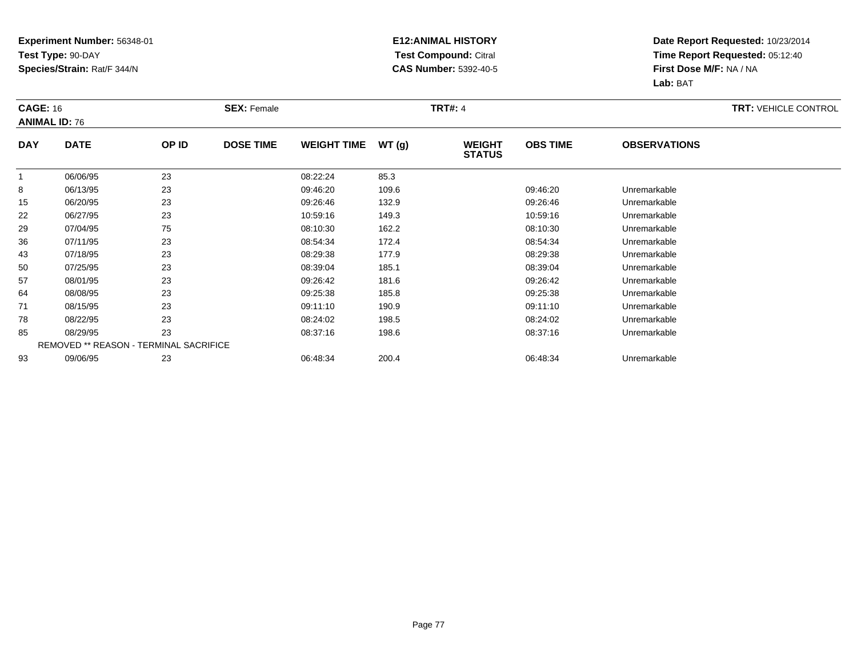#### **E12:ANIMAL HISTORY Test Compound:** Citral **CAS Number:** 5392-40-5

|            | <b>CAGE: 16</b><br><b>ANIMAL ID: 76</b> |                                        | <b>SEX: Female</b> |                    |       | <b>TRT#: 4</b>                 | <b>TRT: VEHICLE CONTROL</b> |                     |  |
|------------|-----------------------------------------|----------------------------------------|--------------------|--------------------|-------|--------------------------------|-----------------------------|---------------------|--|
| <b>DAY</b> | <b>DATE</b>                             | OP ID                                  | <b>DOSE TIME</b>   | <b>WEIGHT TIME</b> | WT(g) | <b>WEIGHT</b><br><b>STATUS</b> | <b>OBS TIME</b>             | <b>OBSERVATIONS</b> |  |
|            | 06/06/95                                | 23                                     |                    | 08:22:24           | 85.3  |                                |                             |                     |  |
| 8          | 06/13/95                                | 23                                     |                    | 09:46:20           | 109.6 |                                | 09:46:20                    | Unremarkable        |  |
| 15         | 06/20/95                                | 23                                     |                    | 09:26:46           | 132.9 |                                | 09:26:46                    | Unremarkable        |  |
| 22         | 06/27/95                                | 23                                     |                    | 10:59:16           | 149.3 |                                | 10:59:16                    | Unremarkable        |  |
| 29         | 07/04/95                                | 75                                     |                    | 08:10:30           | 162.2 |                                | 08:10:30                    | Unremarkable        |  |
| 36         | 07/11/95                                | 23                                     |                    | 08:54:34           | 172.4 |                                | 08.54.34                    | Unremarkable        |  |
| 43         | 07/18/95                                | 23                                     |                    | 08:29:38           | 177.9 |                                | 08:29:38                    | Unremarkable        |  |
| 50         | 07/25/95                                | 23                                     |                    | 08:39:04           | 185.1 |                                | 08:39:04                    | Unremarkable        |  |
| 57         | 08/01/95                                | 23                                     |                    | 09:26:42           | 181.6 |                                | 09:26:42                    | Unremarkable        |  |
| 64         | 08/08/95                                | 23                                     |                    | 09:25:38           | 185.8 |                                | 09:25:38                    | Unremarkable        |  |
| 71         | 08/15/95                                | 23                                     |                    | 09:11:10           | 190.9 |                                | 09:11:10                    | Unremarkable        |  |
| 78         | 08/22/95                                | 23                                     |                    | 08:24:02           | 198.5 |                                | 08:24:02                    | Unremarkable        |  |
| 85         | 08/29/95                                | 23                                     |                    | 08:37:16           | 198.6 |                                | 08:37:16                    | Unremarkable        |  |
|            |                                         | REMOVED ** REASON - TERMINAL SACRIFICE |                    |                    |       |                                |                             |                     |  |
| 93         | 09/06/95                                | 23                                     |                    | 06:48:34           | 200.4 |                                | 06:48:34                    | Unremarkable        |  |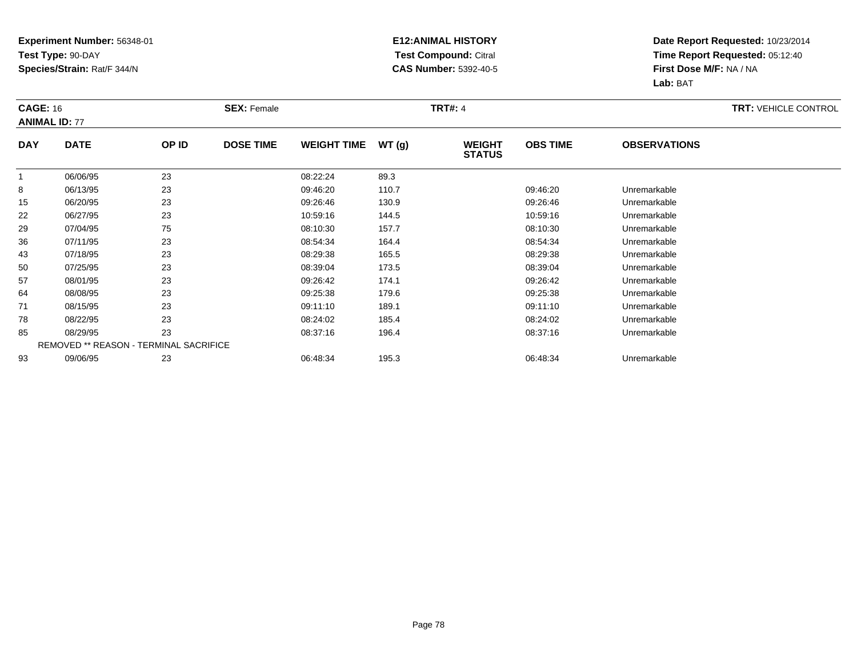#### **E12:ANIMAL HISTORY Test Compound:** Citral **CAS Number:** 5392-40-5

|              | <b>CAGE: 16</b><br><b>ANIMAL ID: 77</b> |       | <b>SEX: Female</b> |                    |       | <b>TRT#: 4</b>                 | <b>TRT: VEHICLE CONTROL</b> |                     |  |
|--------------|-----------------------------------------|-------|--------------------|--------------------|-------|--------------------------------|-----------------------------|---------------------|--|
| <b>DAY</b>   | <b>DATE</b>                             | OP ID | <b>DOSE TIME</b>   | <b>WEIGHT TIME</b> | WT(g) | <b>WEIGHT</b><br><b>STATUS</b> | <b>OBS TIME</b>             | <b>OBSERVATIONS</b> |  |
| $\mathbf{1}$ | 06/06/95                                | 23    |                    | 08:22:24           | 89.3  |                                |                             |                     |  |
| 8            | 06/13/95                                | 23    |                    | 09:46:20           | 110.7 |                                | 09:46:20                    | Unremarkable        |  |
| 15           | 06/20/95                                | 23    |                    | 09:26:46           | 130.9 |                                | 09:26:46                    | Unremarkable        |  |
| 22           | 06/27/95                                | 23    |                    | 10:59:16           | 144.5 |                                | 10:59:16                    | Unremarkable        |  |
| 29           | 07/04/95                                | 75    |                    | 08:10:30           | 157.7 |                                | 08:10:30                    | Unremarkable        |  |
| 36           | 07/11/95                                | 23    |                    | 08:54:34           | 164.4 |                                | 08:54:34                    | Unremarkable        |  |
| 43           | 07/18/95                                | 23    |                    | 08:29:38           | 165.5 |                                | 08:29:38                    | Unremarkable        |  |
| 50           | 07/25/95                                | 23    |                    | 08:39:04           | 173.5 |                                | 08:39:04                    | Unremarkable        |  |
| 57           | 08/01/95                                | 23    |                    | 09:26:42           | 174.1 |                                | 09:26:42                    | Unremarkable        |  |
| 64           | 08/08/95                                | 23    |                    | 09:25:38           | 179.6 |                                | 09:25:38                    | Unremarkable        |  |
| 71           | 08/15/95                                | 23    |                    | 09:11:10           | 189.1 |                                | 09:11:10                    | Unremarkable        |  |
| 78           | 08/22/95                                | 23    |                    | 08:24:02           | 185.4 |                                | 08:24:02                    | Unremarkable        |  |
| 85           | 08/29/95                                | 23    |                    | 08:37:16           | 196.4 |                                | 08:37:16                    | Unremarkable        |  |
|              | REMOVED ** REASON - TERMINAL SACRIFICE  |       |                    |                    |       |                                |                             |                     |  |
| 93           | 09/06/95                                | 23    |                    | 06:48:34           | 195.3 |                                | 06:48:34                    | Unremarkable        |  |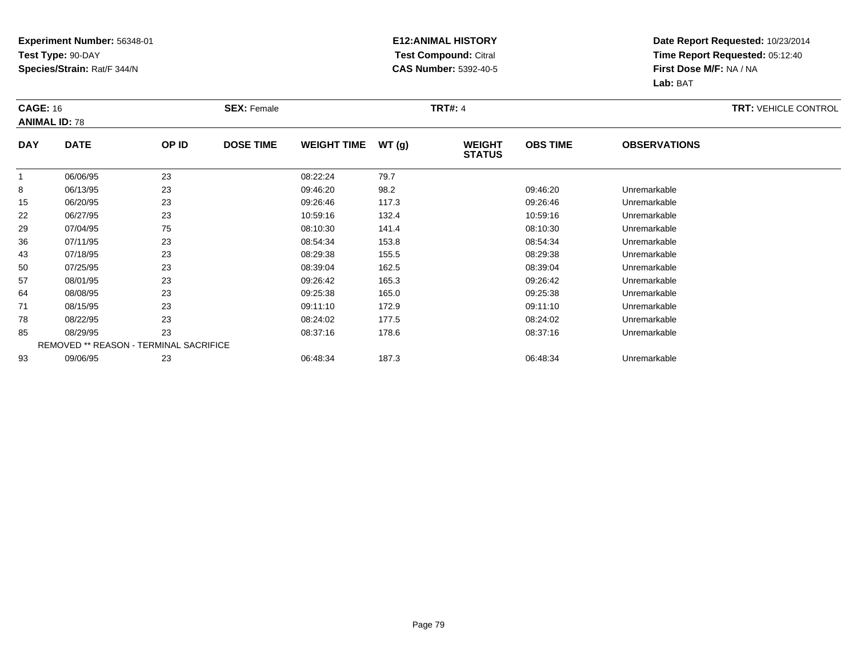#### **E12:ANIMAL HISTORY Test Compound:** Citral **CAS Number:** 5392-40-5

|            | <b>CAGE: 16</b><br><b>ANIMAL ID: 78</b> |       | <b>SEX: Female</b> |                    |       | <b>TRT#: 4</b>                 | <b>TRT: VEHICLE CONTROL</b> |                     |  |
|------------|-----------------------------------------|-------|--------------------|--------------------|-------|--------------------------------|-----------------------------|---------------------|--|
| <b>DAY</b> | <b>DATE</b>                             | OP ID | <b>DOSE TIME</b>   | <b>WEIGHT TIME</b> | WT(g) | <b>WEIGHT</b><br><b>STATUS</b> | <b>OBS TIME</b>             | <b>OBSERVATIONS</b> |  |
|            | 06/06/95                                | 23    |                    | 08:22:24           | 79.7  |                                |                             |                     |  |
| 8          | 06/13/95                                | 23    |                    | 09:46:20           | 98.2  |                                | 09:46:20                    | Unremarkable        |  |
| 15         | 06/20/95                                | 23    |                    | 09:26:46           | 117.3 |                                | 09:26:46                    | Unremarkable        |  |
| 22         | 06/27/95                                | 23    |                    | 10:59:16           | 132.4 |                                | 10:59:16                    | Unremarkable        |  |
| 29         | 07/04/95                                | 75    |                    | 08:10:30           | 141.4 |                                | 08:10:30                    | Unremarkable        |  |
| 36         | 07/11/95                                | 23    |                    | 08:54:34           | 153.8 |                                | 08.54.34                    | Unremarkable        |  |
| 43         | 07/18/95                                | 23    |                    | 08:29:38           | 155.5 |                                | 08:29:38                    | Unremarkable        |  |
| 50         | 07/25/95                                | 23    |                    | 08:39:04           | 162.5 |                                | 08:39:04                    | Unremarkable        |  |
| 57         | 08/01/95                                | 23    |                    | 09:26:42           | 165.3 |                                | 09:26:42                    | Unremarkable        |  |
| 64         | 08/08/95                                | 23    |                    | 09:25:38           | 165.0 |                                | 09:25:38                    | Unremarkable        |  |
| 71         | 08/15/95                                | 23    |                    | 09:11:10           | 172.9 |                                | 09:11:10                    | Unremarkable        |  |
| 78         | 08/22/95                                | 23    |                    | 08:24:02           | 177.5 |                                | 08:24:02                    | Unremarkable        |  |
| 85         | 08/29/95                                | 23    |                    | 08:37:16           | 178.6 |                                | 08:37:16                    | Unremarkable        |  |
|            | REMOVED ** REASON - TERMINAL SACRIFICE  |       |                    |                    |       |                                |                             |                     |  |
| 93         | 09/06/95                                | 23    |                    | 06:48:34           | 187.3 |                                | 06:48:34                    | Unremarkable        |  |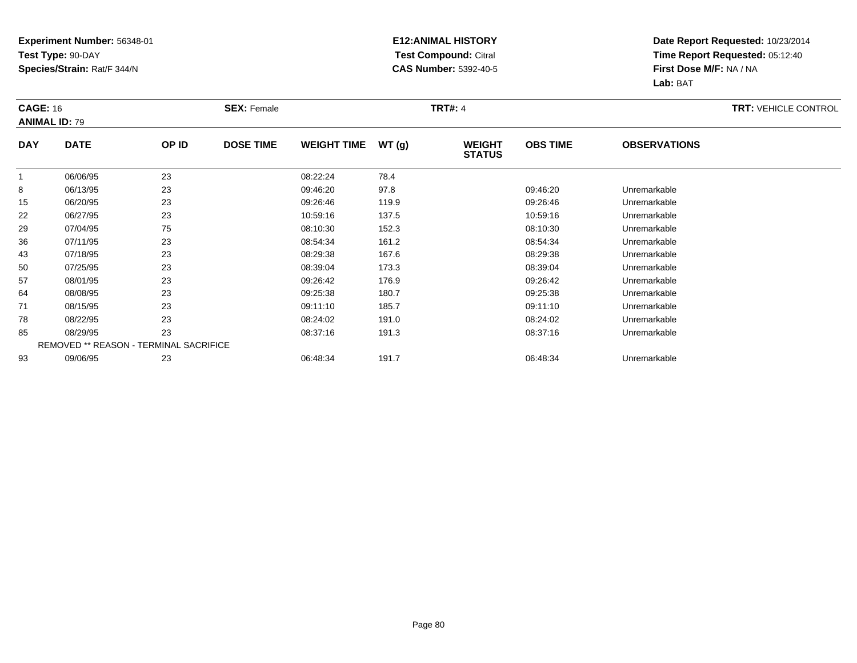#### **E12:ANIMAL HISTORY Test Compound:** Citral **CAS Number:** 5392-40-5

|              | <b>CAGE: 16</b><br><b>ANIMAL ID: 79</b> |                                        | <b>SEX: Female</b> |                    |       | <b>TRT#: 4</b>                 | <b>TRT: VEHICLE CONTROL</b> |                     |  |
|--------------|-----------------------------------------|----------------------------------------|--------------------|--------------------|-------|--------------------------------|-----------------------------|---------------------|--|
| <b>DAY</b>   | <b>DATE</b>                             | OP ID                                  | <b>DOSE TIME</b>   | <b>WEIGHT TIME</b> | WT(g) | <b>WEIGHT</b><br><b>STATUS</b> | <b>OBS TIME</b>             | <b>OBSERVATIONS</b> |  |
| $\mathbf{1}$ | 06/06/95                                | 23                                     |                    | 08:22:24           | 78.4  |                                |                             |                     |  |
| 8            | 06/13/95                                | 23                                     |                    | 09:46:20           | 97.8  |                                | 09:46:20                    | Unremarkable        |  |
| 15           | 06/20/95                                | 23                                     |                    | 09:26:46           | 119.9 |                                | 09:26:46                    | Unremarkable        |  |
| 22           | 06/27/95                                | 23                                     |                    | 10:59:16           | 137.5 |                                | 10:59:16                    | Unremarkable        |  |
| 29           | 07/04/95                                | 75                                     |                    | 08:10:30           | 152.3 |                                | 08:10:30                    | Unremarkable        |  |
| 36           | 07/11/95                                | 23                                     |                    | 08:54:34           | 161.2 |                                | 08.54.34                    | Unremarkable        |  |
| 43           | 07/18/95                                | 23                                     |                    | 08:29:38           | 167.6 |                                | 08:29:38                    | Unremarkable        |  |
| 50           | 07/25/95                                | 23                                     |                    | 08:39:04           | 173.3 |                                | 08:39:04                    | Unremarkable        |  |
| 57           | 08/01/95                                | 23                                     |                    | 09:26:42           | 176.9 |                                | 09:26:42                    | Unremarkable        |  |
| 64           | 08/08/95                                | 23                                     |                    | 09:25:38           | 180.7 |                                | 09:25:38                    | Unremarkable        |  |
| 71           | 08/15/95                                | 23                                     |                    | 09:11:10           | 185.7 |                                | 09:11:10                    | Unremarkable        |  |
| 78           | 08/22/95                                | 23                                     |                    | 08:24:02           | 191.0 |                                | 08:24:02                    | Unremarkable        |  |
| 85           | 08/29/95                                | 23                                     |                    | 08:37:16           | 191.3 |                                | 08:37:16                    | Unremarkable        |  |
|              |                                         | REMOVED ** REASON - TERMINAL SACRIFICE |                    |                    |       |                                |                             |                     |  |
| 93           | 09/06/95                                | 23                                     |                    | 06:48:34           | 191.7 |                                | 06:48:34                    | Unremarkable        |  |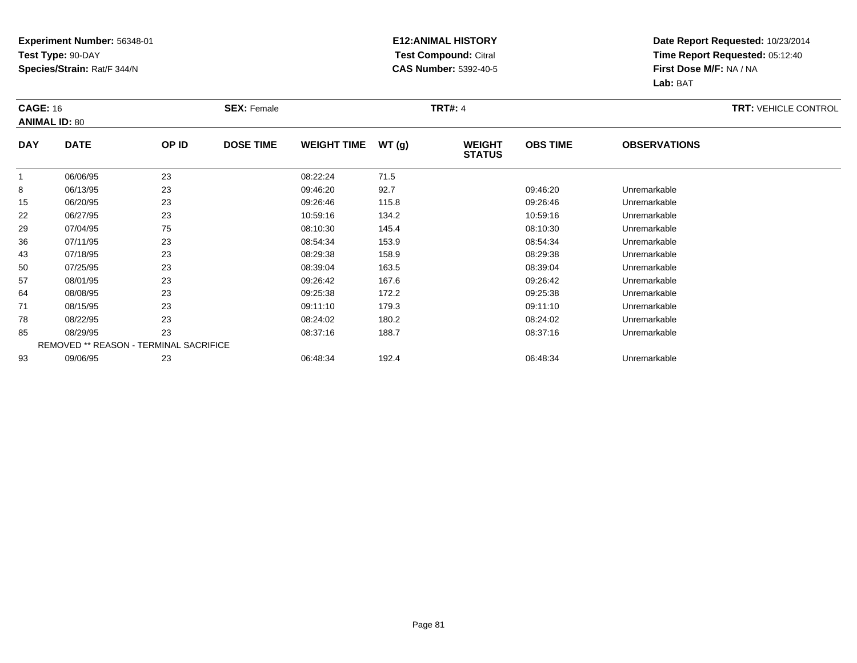#### **E12:ANIMAL HISTORY Test Compound:** Citral **CAS Number:** 5392-40-5

|              | <b>CAGE: 16</b><br><b>ANIMAL ID: 80</b> |       | <b>SEX: Female</b> |                    |       | <b>TRT#: 4</b>                 | <b>TRT: VEHICLE CONTROL</b> |                     |  |
|--------------|-----------------------------------------|-------|--------------------|--------------------|-------|--------------------------------|-----------------------------|---------------------|--|
| <b>DAY</b>   | <b>DATE</b>                             | OP ID | <b>DOSE TIME</b>   | <b>WEIGHT TIME</b> | WT(g) | <b>WEIGHT</b><br><b>STATUS</b> | <b>OBS TIME</b>             | <b>OBSERVATIONS</b> |  |
| $\mathbf{1}$ | 06/06/95                                | 23    |                    | 08:22:24           | 71.5  |                                |                             |                     |  |
| 8            | 06/13/95                                | 23    |                    | 09:46:20           | 92.7  |                                | 09:46:20                    | Unremarkable        |  |
| 15           | 06/20/95                                | 23    |                    | 09:26:46           | 115.8 |                                | 09:26:46                    | Unremarkable        |  |
| 22           | 06/27/95                                | 23    |                    | 10:59:16           | 134.2 |                                | 10:59:16                    | Unremarkable        |  |
| 29           | 07/04/95                                | 75    |                    | 08:10:30           | 145.4 |                                | 08:10:30                    | Unremarkable        |  |
| 36           | 07/11/95                                | 23    |                    | 08:54:34           | 153.9 |                                | 08.54.34                    | Unremarkable        |  |
| 43           | 07/18/95                                | 23    |                    | 08:29:38           | 158.9 |                                | 08:29:38                    | Unremarkable        |  |
| 50           | 07/25/95                                | 23    |                    | 08:39:04           | 163.5 |                                | 08:39:04                    | Unremarkable        |  |
| 57           | 08/01/95                                | 23    |                    | 09:26:42           | 167.6 |                                | 09:26:42                    | Unremarkable        |  |
| 64           | 08/08/95                                | 23    |                    | 09:25:38           | 172.2 |                                | 09:25:38                    | Unremarkable        |  |
| 71           | 08/15/95                                | 23    |                    | 09:11:10           | 179.3 |                                | 09:11:10                    | Unremarkable        |  |
| 78           | 08/22/95                                | 23    |                    | 08:24:02           | 180.2 |                                | 08:24:02                    | Unremarkable        |  |
| 85           | 08/29/95                                | 23    |                    | 08:37:16           | 188.7 |                                | 08:37:16                    | Unremarkable        |  |
|              | REMOVED ** REASON - TERMINAL SACRIFICE  |       |                    |                    |       |                                |                             |                     |  |
| 93           | 09/06/95                                | 23    |                    | 06:48:34           | 192.4 |                                | 06:48:34                    | Unremarkable        |  |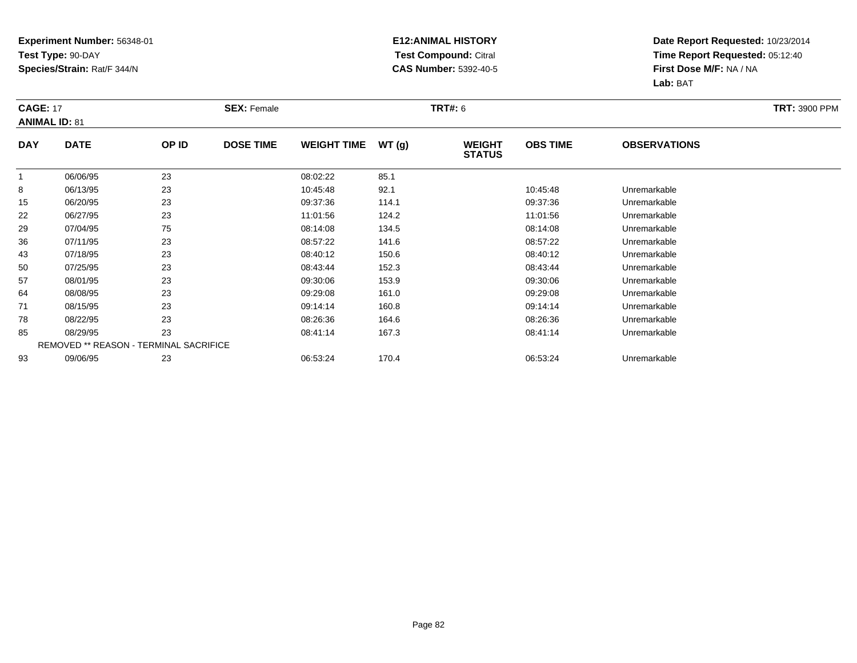#### **E12:ANIMAL HISTORY Test Compound:** Citral **CAS Number:** 5392-40-5

|              | <b>CAGE: 17</b><br><b>ANIMAL ID: 81</b>       |       | <b>SEX: Female</b> |                    |       | <b>TRT#: 6</b>                 | <b>TRT: 3900 PPM</b> |                     |  |
|--------------|-----------------------------------------------|-------|--------------------|--------------------|-------|--------------------------------|----------------------|---------------------|--|
| <b>DAY</b>   | <b>DATE</b>                                   | OP ID | <b>DOSE TIME</b>   | <b>WEIGHT TIME</b> | WT(g) | <b>WEIGHT</b><br><b>STATUS</b> | <b>OBS TIME</b>      | <b>OBSERVATIONS</b> |  |
| $\mathbf{1}$ | 06/06/95                                      | 23    |                    | 08:02:22           | 85.1  |                                |                      |                     |  |
| 8            | 06/13/95                                      | 23    |                    | 10:45:48           | 92.1  |                                | 10:45:48             | Unremarkable        |  |
| 15           | 06/20/95                                      | 23    |                    | 09:37:36           | 114.1 |                                | 09:37:36             | Unremarkable        |  |
| 22           | 06/27/95                                      | 23    |                    | 11:01:56           | 124.2 |                                | 11:01:56             | Unremarkable        |  |
| 29           | 07/04/95                                      | 75    |                    | 08:14:08           | 134.5 |                                | 08:14:08             | Unremarkable        |  |
| 36           | 07/11/95                                      | 23    |                    | 08:57:22           | 141.6 |                                | 08:57:22             | Unremarkable        |  |
| 43           | 07/18/95                                      | 23    |                    | 08:40:12           | 150.6 |                                | 08:40:12             | Unremarkable        |  |
| 50           | 07/25/95                                      | 23    |                    | 08:43:44           | 152.3 |                                | 08:43:44             | Unremarkable        |  |
| 57           | 08/01/95                                      | 23    |                    | 09:30:06           | 153.9 |                                | 09:30:06             | Unremarkable        |  |
| 64           | 08/08/95                                      | 23    |                    | 09:29:08           | 161.0 |                                | 09:29:08             | Unremarkable        |  |
| 71           | 08/15/95                                      | 23    |                    | 09:14:14           | 160.8 |                                | 09:14:14             | Unremarkable        |  |
| 78           | 08/22/95                                      | 23    |                    | 08:26:36           | 164.6 |                                | 08:26:36             | Unremarkable        |  |
| 85           | 08/29/95                                      | 23    |                    | 08:41:14           | 167.3 |                                | 08:41:14             | Unremarkable        |  |
|              | <b>REMOVED ** REASON - TERMINAL SACRIFICE</b> |       |                    |                    |       |                                |                      |                     |  |
| 93           | 09/06/95                                      | 23    |                    | 06:53:24           | 170.4 |                                | 06:53:24             | Unremarkable        |  |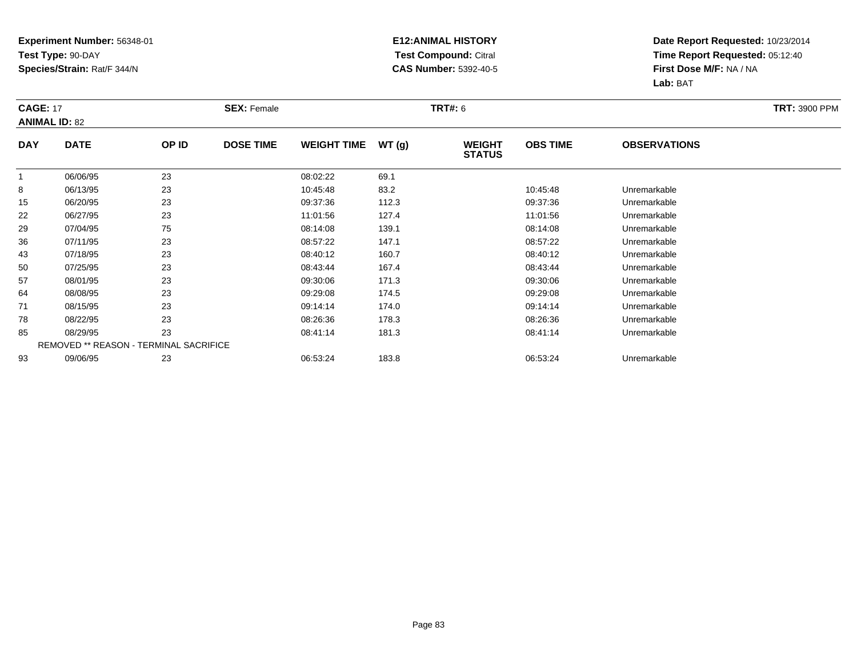#### **E12:ANIMAL HISTORY Test Compound:** Citral **CAS Number:** 5392-40-5

|              | <b>CAGE: 17</b><br><b>ANIMAL ID: 82</b>       |       | <b>SEX: Female</b> |                    |       |                                | <b>TRT#:</b> 6  |                     |  |  |  |
|--------------|-----------------------------------------------|-------|--------------------|--------------------|-------|--------------------------------|-----------------|---------------------|--|--|--|
| <b>DAY</b>   | <b>DATE</b>                                   | OP ID | <b>DOSE TIME</b>   | <b>WEIGHT TIME</b> | WT(g) | <b>WEIGHT</b><br><b>STATUS</b> | <b>OBS TIME</b> | <b>OBSERVATIONS</b> |  |  |  |
| $\mathbf{1}$ | 06/06/95                                      | 23    |                    | 08:02:22           | 69.1  |                                |                 |                     |  |  |  |
| 8            | 06/13/95                                      | 23    |                    | 10:45:48           | 83.2  |                                | 10:45:48        | Unremarkable        |  |  |  |
| 15           | 06/20/95                                      | 23    |                    | 09:37:36           | 112.3 |                                | 09:37:36        | Unremarkable        |  |  |  |
| 22           | 06/27/95                                      | 23    |                    | 11:01:56           | 127.4 |                                | 11:01:56        | Unremarkable        |  |  |  |
| 29           | 07/04/95                                      | 75    |                    | 08:14:08           | 139.1 |                                | 08:14:08        | Unremarkable        |  |  |  |
| 36           | 07/11/95                                      | 23    |                    | 08:57:22           | 147.1 |                                | 08:57:22        | Unremarkable        |  |  |  |
| 43           | 07/18/95                                      | 23    |                    | 08:40:12           | 160.7 |                                | 08:40:12        | Unremarkable        |  |  |  |
| 50           | 07/25/95                                      | 23    |                    | 08:43:44           | 167.4 |                                | 08:43:44        | Unremarkable        |  |  |  |
| 57           | 08/01/95                                      | 23    |                    | 09:30:06           | 171.3 |                                | 09:30:06        | Unremarkable        |  |  |  |
| 64           | 08/08/95                                      | 23    |                    | 09:29:08           | 174.5 |                                | 09:29:08        | Unremarkable        |  |  |  |
| 71           | 08/15/95                                      | 23    |                    | 09:14:14           | 174.0 |                                | 09:14:14        | Unremarkable        |  |  |  |
| 78           | 08/22/95                                      | 23    |                    | 08:26:36           | 178.3 |                                | 08:26:36        | Unremarkable        |  |  |  |
| 85           | 08/29/95                                      | 23    |                    | 08:41:14           | 181.3 |                                | 08:41:14        | Unremarkable        |  |  |  |
|              | <b>REMOVED ** REASON - TERMINAL SACRIFICE</b> |       |                    |                    |       |                                |                 |                     |  |  |  |
| 93           | 09/06/95                                      | 23    |                    | 06:53:24           | 183.8 |                                | 06:53:24        | Unremarkable        |  |  |  |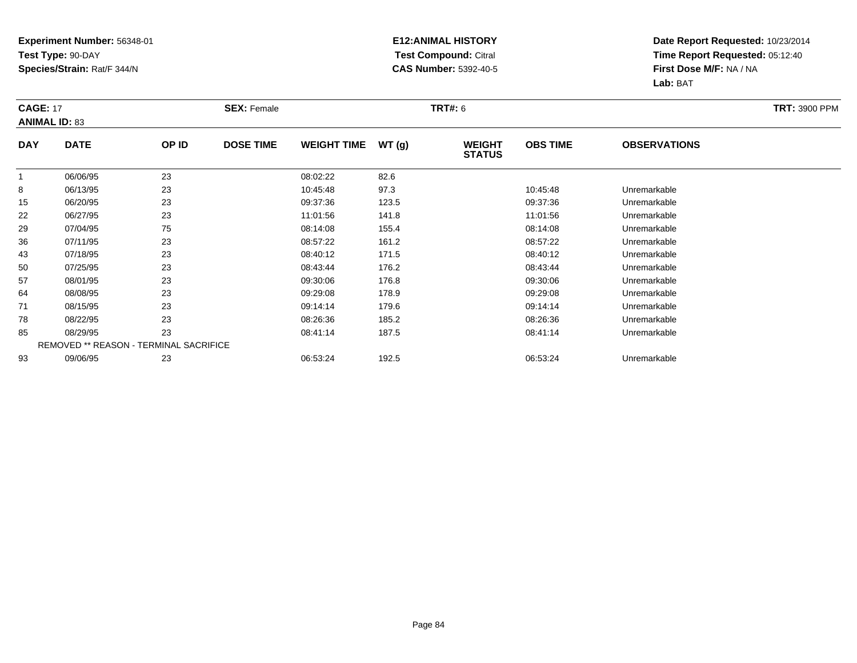#### **E12:ANIMAL HISTORY Test Compound:** Citral **CAS Number:** 5392-40-5

|             | <b>CAGE: 17</b><br><b>ANIMAL ID: 83</b> |       | <b>SEX: Female</b> |                    |       | <b>TRT#:</b> 6                 | <b>TRT: 3900 PPM</b> |                     |  |
|-------------|-----------------------------------------|-------|--------------------|--------------------|-------|--------------------------------|----------------------|---------------------|--|
| <b>DAY</b>  | <b>DATE</b>                             | OP ID | <b>DOSE TIME</b>   | <b>WEIGHT TIME</b> | WT(g) | <b>WEIGHT</b><br><b>STATUS</b> | <b>OBS TIME</b>      | <b>OBSERVATIONS</b> |  |
| $\mathbf 1$ | 06/06/95                                | 23    |                    | 08:02:22           | 82.6  |                                |                      |                     |  |
| 8           | 06/13/95                                | 23    |                    | 10:45:48           | 97.3  |                                | 10:45:48             | Unremarkable        |  |
| 15          | 06/20/95                                | 23    |                    | 09:37:36           | 123.5 |                                | 09:37:36             | Unremarkable        |  |
| 22          | 06/27/95                                | 23    |                    | 11:01:56           | 141.8 |                                | 11:01:56             | Unremarkable        |  |
| 29          | 07/04/95                                | 75    |                    | 08:14:08           | 155.4 |                                | 08:14:08             | Unremarkable        |  |
| 36          | 07/11/95                                | 23    |                    | 08:57:22           | 161.2 |                                | 08:57:22             | Unremarkable        |  |
| 43          | 07/18/95                                | 23    |                    | 08:40:12           | 171.5 |                                | 08:40:12             | Unremarkable        |  |
| 50          | 07/25/95                                | 23    |                    | 08:43:44           | 176.2 |                                | 08:43:44             | Unremarkable        |  |
| 57          | 08/01/95                                | 23    |                    | 09:30:06           | 176.8 |                                | 09:30:06             | Unremarkable        |  |
| 64          | 08/08/95                                | 23    |                    | 09:29:08           | 178.9 |                                | 09:29:08             | Unremarkable        |  |
| 71          | 08/15/95                                | 23    |                    | 09:14:14           | 179.6 |                                | 09:14:14             | Unremarkable        |  |
| 78          | 08/22/95                                | 23    |                    | 08:26:36           | 185.2 |                                | 08:26:36             | Unremarkable        |  |
| 85          | 08/29/95                                | 23    |                    | 08:41:14           | 187.5 |                                | 08:41:14             | Unremarkable        |  |
|             | REMOVED ** REASON - TERMINAL SACRIFICE  |       |                    |                    |       |                                |                      |                     |  |
| 93          | 09/06/95                                | 23    |                    | 06:53:24           | 192.5 |                                | 06:53:24             | Unremarkable        |  |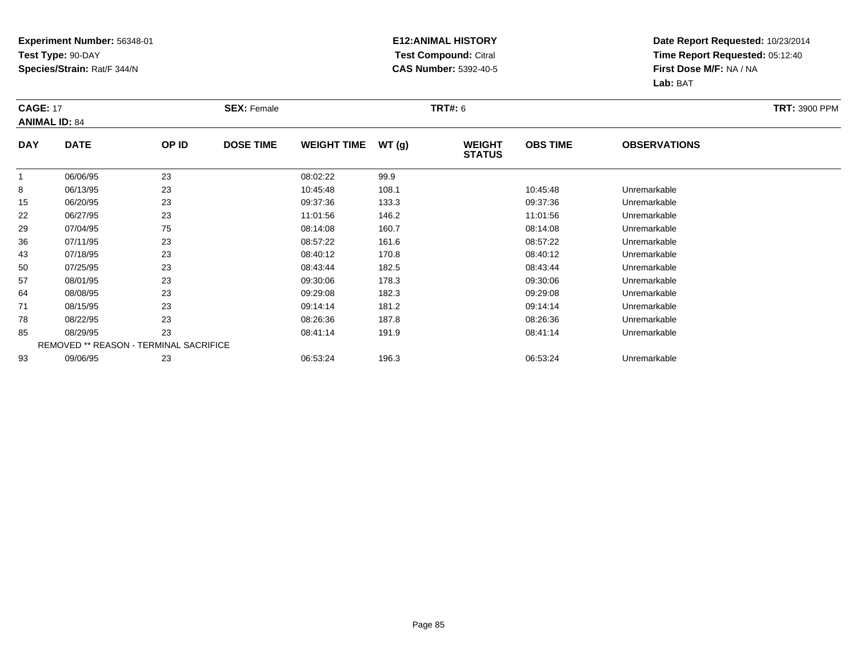#### **E12:ANIMAL HISTORY Test Compound:** Citral **CAS Number:** 5392-40-5

|             | <b>CAGE: 17</b><br><b>ANIMAL ID: 84</b> |                                        | <b>SEX: Female</b> |                    |       | <b>TRT#:</b> 6                 | <b>TRT: 3900 PPM</b> |                     |  |
|-------------|-----------------------------------------|----------------------------------------|--------------------|--------------------|-------|--------------------------------|----------------------|---------------------|--|
| <b>DAY</b>  | <b>DATE</b>                             | OP ID                                  | <b>DOSE TIME</b>   | <b>WEIGHT TIME</b> | WT(g) | <b>WEIGHT</b><br><b>STATUS</b> | <b>OBS TIME</b>      | <b>OBSERVATIONS</b> |  |
| $\mathbf 1$ | 06/06/95                                | 23                                     |                    | 08:02:22           | 99.9  |                                |                      |                     |  |
| 8           | 06/13/95                                | 23                                     |                    | 10:45:48           | 108.1 |                                | 10:45:48             | Unremarkable        |  |
| 15          | 06/20/95                                | 23                                     |                    | 09:37:36           | 133.3 |                                | 09:37:36             | Unremarkable        |  |
| 22          | 06/27/95                                | 23                                     |                    | 11:01:56           | 146.2 |                                | 11:01:56             | Unremarkable        |  |
| 29          | 07/04/95                                | 75                                     |                    | 08:14:08           | 160.7 |                                | 08:14:08             | Unremarkable        |  |
| 36          | 07/11/95                                | 23                                     |                    | 08:57:22           | 161.6 |                                | 08:57:22             | Unremarkable        |  |
| 43          | 07/18/95                                | 23                                     |                    | 08:40:12           | 170.8 |                                | 08:40:12             | Unremarkable        |  |
| 50          | 07/25/95                                | 23                                     |                    | 08:43:44           | 182.5 |                                | 08:43:44             | Unremarkable        |  |
| 57          | 08/01/95                                | 23                                     |                    | 09:30:06           | 178.3 |                                | 09:30:06             | Unremarkable        |  |
| 64          | 08/08/95                                | 23                                     |                    | 09:29:08           | 182.3 |                                | 09:29:08             | Unremarkable        |  |
| 71          | 08/15/95                                | 23                                     |                    | 09:14:14           | 181.2 |                                | 09:14:14             | Unremarkable        |  |
| 78          | 08/22/95                                | 23                                     |                    | 08:26:36           | 187.8 |                                | 08:26:36             | Unremarkable        |  |
| 85          | 08/29/95                                | 23                                     |                    | 08:41:14           | 191.9 |                                | 08:41:14             | Unremarkable        |  |
|             |                                         | REMOVED ** REASON - TERMINAL SACRIFICE |                    |                    |       |                                |                      |                     |  |
| 93          | 09/06/95                                | 23                                     |                    | 06:53:24           | 196.3 |                                | 06:53:24             | Unremarkable        |  |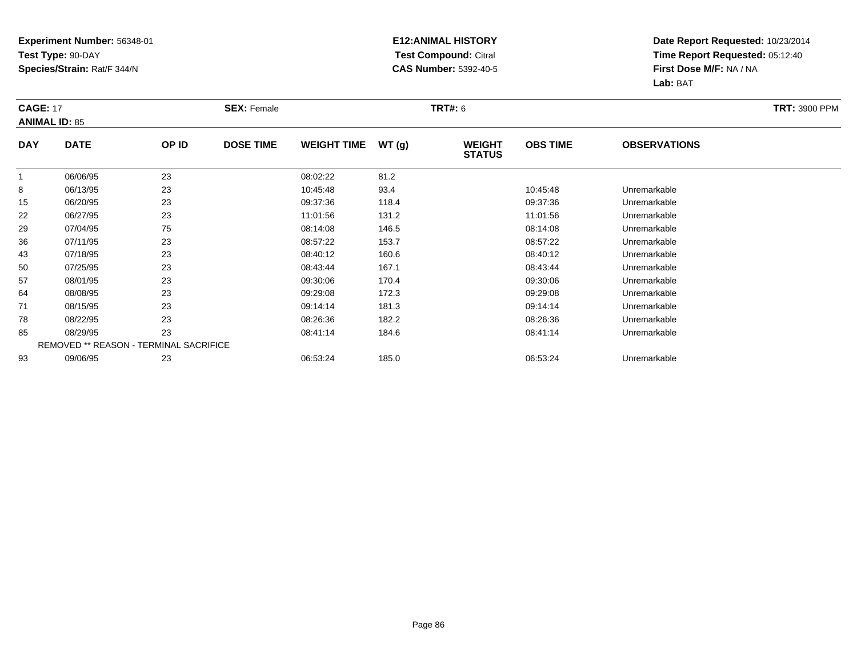#### **E12:ANIMAL HISTORY Test Compound:** Citral **CAS Number:** 5392-40-5

|             | <b>CAGE: 17</b><br><b>ANIMAL ID: 85</b> |                                        | <b>SEX: Female</b> |                    |       | <b>TRT#:</b> 6                 | <b>TRT: 3900 PPM</b> |                     |  |
|-------------|-----------------------------------------|----------------------------------------|--------------------|--------------------|-------|--------------------------------|----------------------|---------------------|--|
| <b>DAY</b>  | <b>DATE</b>                             | OP ID                                  | <b>DOSE TIME</b>   | <b>WEIGHT TIME</b> | WT(g) | <b>WEIGHT</b><br><b>STATUS</b> | <b>OBS TIME</b>      | <b>OBSERVATIONS</b> |  |
| $\mathbf 1$ | 06/06/95                                | 23                                     |                    | 08:02:22           | 81.2  |                                |                      |                     |  |
| 8           | 06/13/95                                | 23                                     |                    | 10:45:48           | 93.4  |                                | 10:45:48             | Unremarkable        |  |
| 15          | 06/20/95                                | 23                                     |                    | 09:37:36           | 118.4 |                                | 09:37:36             | Unremarkable        |  |
| 22          | 06/27/95                                | 23                                     |                    | 11:01:56           | 131.2 |                                | 11:01:56             | Unremarkable        |  |
| 29          | 07/04/95                                | 75                                     |                    | 08:14:08           | 146.5 |                                | 08:14:08             | Unremarkable        |  |
| 36          | 07/11/95                                | 23                                     |                    | 08:57:22           | 153.7 |                                | 08:57:22             | Unremarkable        |  |
| 43          | 07/18/95                                | 23                                     |                    | 08:40:12           | 160.6 |                                | 08:40:12             | Unremarkable        |  |
| 50          | 07/25/95                                | 23                                     |                    | 08:43:44           | 167.1 |                                | 08:43:44             | Unremarkable        |  |
| 57          | 08/01/95                                | 23                                     |                    | 09:30:06           | 170.4 |                                | 09:30:06             | Unremarkable        |  |
| 64          | 08/08/95                                | 23                                     |                    | 09:29:08           | 172.3 |                                | 09:29:08             | Unremarkable        |  |
| 71          | 08/15/95                                | 23                                     |                    | 09:14:14           | 181.3 |                                | 09:14:14             | Unremarkable        |  |
| 78          | 08/22/95                                | 23                                     |                    | 08:26:36           | 182.2 |                                | 08:26:36             | Unremarkable        |  |
| 85          | 08/29/95                                | 23                                     |                    | 08:41:14           | 184.6 |                                | 08:41:14             | Unremarkable        |  |
|             |                                         | REMOVED ** REASON - TERMINAL SACRIFICE |                    |                    |       |                                |                      |                     |  |
| 93          | 09/06/95                                | 23                                     |                    | 06:53:24           | 185.0 |                                | 06:53:24             | Unremarkable        |  |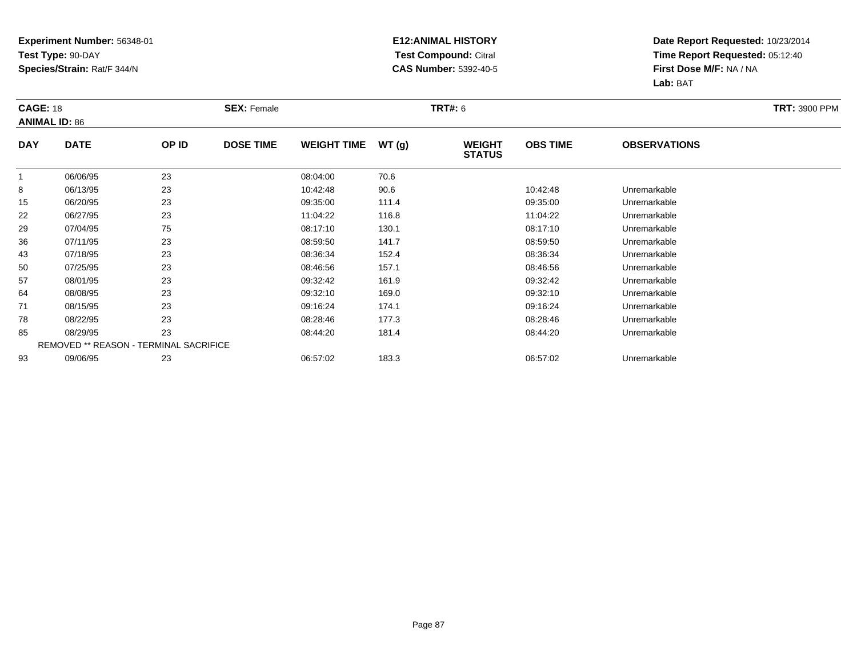#### **E12:ANIMAL HISTORY Test Compound:** Citral **CAS Number:** 5392-40-5

|              | <b>CAGE: 18</b><br><b>ANIMAL ID: 86</b> |       | <b>SEX: Female</b> |                    |       | <b>TRT#: 6</b>                 | <b>TRT: 3900 PPM</b> |                     |  |
|--------------|-----------------------------------------|-------|--------------------|--------------------|-------|--------------------------------|----------------------|---------------------|--|
| <b>DAY</b>   | <b>DATE</b>                             | OP ID | <b>DOSE TIME</b>   | <b>WEIGHT TIME</b> | WT(g) | <b>WEIGHT</b><br><b>STATUS</b> | <b>OBS TIME</b>      | <b>OBSERVATIONS</b> |  |
| $\mathbf{1}$ | 06/06/95                                | 23    |                    | 08:04:00           | 70.6  |                                |                      |                     |  |
| 8            | 06/13/95                                | 23    |                    | 10:42:48           | 90.6  |                                | 10:42:48             | Unremarkable        |  |
| 15           | 06/20/95                                | 23    |                    | 09:35:00           | 111.4 |                                | 09:35:00             | Unremarkable        |  |
| 22           | 06/27/95                                | 23    |                    | 11:04:22           | 116.8 |                                | 11:04:22             | Unremarkable        |  |
| 29           | 07/04/95                                | 75    |                    | 08:17:10           | 130.1 |                                | 08:17:10             | Unremarkable        |  |
| 36           | 07/11/95                                | 23    |                    | 08:59:50           | 141.7 |                                | 08:59:50             | Unremarkable        |  |
| 43           | 07/18/95                                | 23    |                    | 08:36:34           | 152.4 |                                | 08:36:34             | Unremarkable        |  |
| 50           | 07/25/95                                | 23    |                    | 08:46:56           | 157.1 |                                | 08:46:56             | Unremarkable        |  |
| 57           | 08/01/95                                | 23    |                    | 09:32:42           | 161.9 |                                | 09:32:42             | Unremarkable        |  |
| 64           | 08/08/95                                | 23    |                    | 09:32:10           | 169.0 |                                | 09:32:10             | Unremarkable        |  |
| 71           | 08/15/95                                | 23    |                    | 09:16:24           | 174.1 |                                | 09:16:24             | Unremarkable        |  |
| 78           | 08/22/95                                | 23    |                    | 08:28:46           | 177.3 |                                | 08:28:46             | Unremarkable        |  |
| 85           | 08/29/95                                | 23    |                    | 08:44:20           | 181.4 |                                | 08:44:20             | Unremarkable        |  |
|              | REMOVED ** REASON - TERMINAL SACRIFICE  |       |                    |                    |       |                                |                      |                     |  |
| 93           | 09/06/95                                | 23    |                    | 06:57:02           | 183.3 |                                | 06:57:02             | Unremarkable        |  |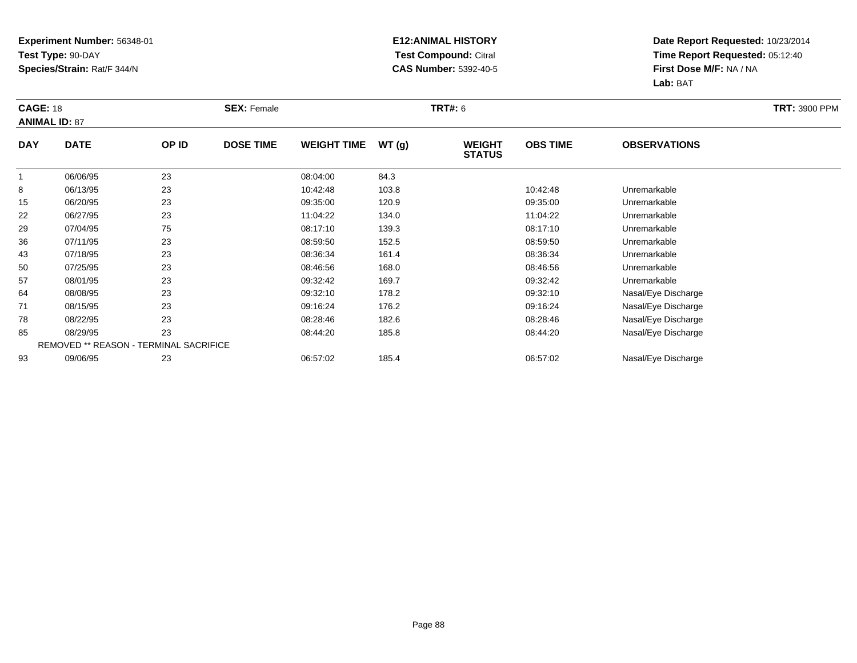#### **E12:ANIMAL HISTORY Test Compound:** Citral **CAS Number:** 5392-40-5

|            | <b>CAGE: 18</b><br><b>ANIMAL ID: 87</b> |       | <b>SEX: Female</b> |                    |       | <b>TRT#: 6</b>                 | <b>TRT: 3900 PPM</b> |                     |  |
|------------|-----------------------------------------|-------|--------------------|--------------------|-------|--------------------------------|----------------------|---------------------|--|
| <b>DAY</b> | <b>DATE</b>                             | OP ID | <b>DOSE TIME</b>   | <b>WEIGHT TIME</b> | WT(g) | <b>WEIGHT</b><br><b>STATUS</b> | <b>OBS TIME</b>      | <b>OBSERVATIONS</b> |  |
| 1          | 06/06/95                                | 23    |                    | 08:04:00           | 84.3  |                                |                      |                     |  |
| 8          | 06/13/95                                | 23    |                    | 10:42:48           | 103.8 |                                | 10:42:48             | Unremarkable        |  |
| 15         | 06/20/95                                | 23    |                    | 09:35:00           | 120.9 |                                | 09:35:00             | Unremarkable        |  |
| 22         | 06/27/95                                | 23    |                    | 11:04:22           | 134.0 |                                | 11:04:22             | Unremarkable        |  |
| 29         | 07/04/95                                | 75    |                    | 08:17:10           | 139.3 |                                | 08:17:10             | Unremarkable        |  |
| 36         | 07/11/95                                | 23    |                    | 08:59:50           | 152.5 |                                | 08:59:50             | Unremarkable        |  |
| 43         | 07/18/95                                | 23    |                    | 08:36:34           | 161.4 |                                | 08:36:34             | Unremarkable        |  |
| 50         | 07/25/95                                | 23    |                    | 08:46:56           | 168.0 |                                | 08:46:56             | Unremarkable        |  |
| 57         | 08/01/95                                | 23    |                    | 09:32:42           | 169.7 |                                | 09:32:42             | Unremarkable        |  |
| 64         | 08/08/95                                | 23    |                    | 09:32:10           | 178.2 |                                | 09:32:10             | Nasal/Eye Discharge |  |
| 71         | 08/15/95                                | 23    |                    | 09:16:24           | 176.2 |                                | 09:16:24             | Nasal/Eye Discharge |  |
| 78         | 08/22/95                                | 23    |                    | 08:28:46           | 182.6 |                                | 08:28:46             | Nasal/Eye Discharge |  |
| 85         | 08/29/95                                | 23    |                    | 08:44:20           | 185.8 |                                | 08:44:20             | Nasal/Eye Discharge |  |
|            | REMOVED ** REASON - TERMINAL SACRIFICE  |       |                    |                    |       |                                |                      |                     |  |
| 93         | 09/06/95                                | 23    |                    | 06:57:02           | 185.4 |                                | 06:57:02             | Nasal/Eye Discharge |  |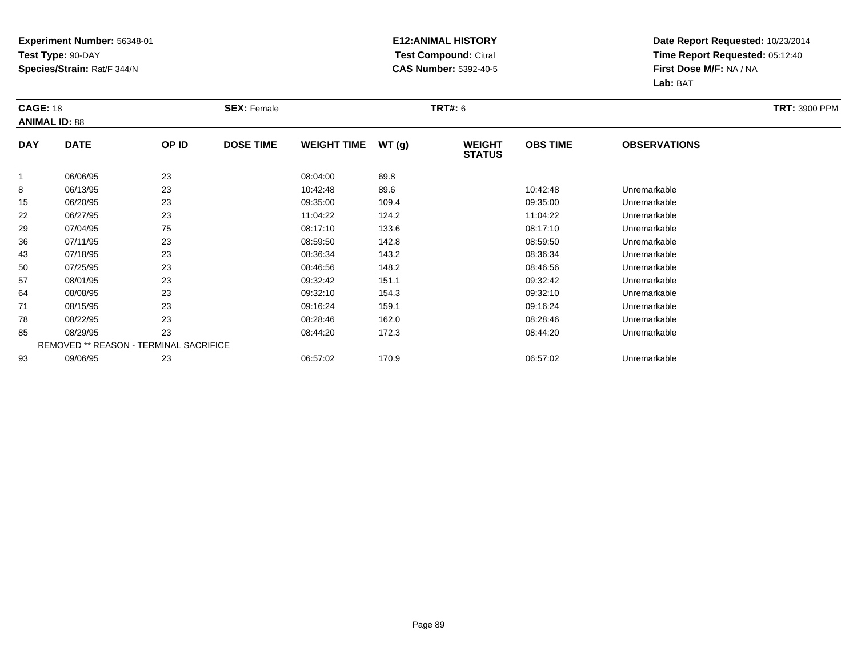#### **E12:ANIMAL HISTORY Test Compound:** Citral **CAS Number:** 5392-40-5

|             | <b>CAGE: 18</b><br><b>ANIMAL ID: 88</b> |                                        | <b>SEX: Female</b> |                    |       | <b>TRT#:</b> 6                 | <b>TRT: 3900 PPM</b> |                     |  |
|-------------|-----------------------------------------|----------------------------------------|--------------------|--------------------|-------|--------------------------------|----------------------|---------------------|--|
| <b>DAY</b>  | <b>DATE</b>                             | OP ID                                  | <b>DOSE TIME</b>   | <b>WEIGHT TIME</b> | WT(g) | <b>WEIGHT</b><br><b>STATUS</b> | <b>OBS TIME</b>      | <b>OBSERVATIONS</b> |  |
| $\mathbf 1$ | 06/06/95                                | 23                                     |                    | 08:04:00           | 69.8  |                                |                      |                     |  |
| 8           | 06/13/95                                | 23                                     |                    | 10:42:48           | 89.6  |                                | 10:42:48             | Unremarkable        |  |
| 15          | 06/20/95                                | 23                                     |                    | 09:35:00           | 109.4 |                                | 09:35:00             | Unremarkable        |  |
| 22          | 06/27/95                                | 23                                     |                    | 11:04:22           | 124.2 |                                | 11:04:22             | Unremarkable        |  |
| 29          | 07/04/95                                | 75                                     |                    | 08:17:10           | 133.6 |                                | 08:17:10             | Unremarkable        |  |
| 36          | 07/11/95                                | 23                                     |                    | 08:59:50           | 142.8 |                                | 08:59:50             | Unremarkable        |  |
| 43          | 07/18/95                                | 23                                     |                    | 08:36:34           | 143.2 |                                | 08:36:34             | Unremarkable        |  |
| 50          | 07/25/95                                | 23                                     |                    | 08:46:56           | 148.2 |                                | 08:46:56             | Unremarkable        |  |
| 57          | 08/01/95                                | 23                                     |                    | 09:32:42           | 151.1 |                                | 09:32:42             | Unremarkable        |  |
| 64          | 08/08/95                                | 23                                     |                    | 09:32:10           | 154.3 |                                | 09:32:10             | Unremarkable        |  |
| 71          | 08/15/95                                | 23                                     |                    | 09:16:24           | 159.1 |                                | 09:16:24             | Unremarkable        |  |
| 78          | 08/22/95                                | 23                                     |                    | 08:28:46           | 162.0 |                                | 08:28:46             | Unremarkable        |  |
| 85          | 08/29/95                                | 23                                     |                    | 08:44:20           | 172.3 |                                | 08:44:20             | Unremarkable        |  |
|             |                                         | REMOVED ** REASON - TERMINAL SACRIFICE |                    |                    |       |                                |                      |                     |  |
| 93          | 09/06/95                                | 23                                     |                    | 06:57:02           | 170.9 |                                | 06:57:02             | Unremarkable        |  |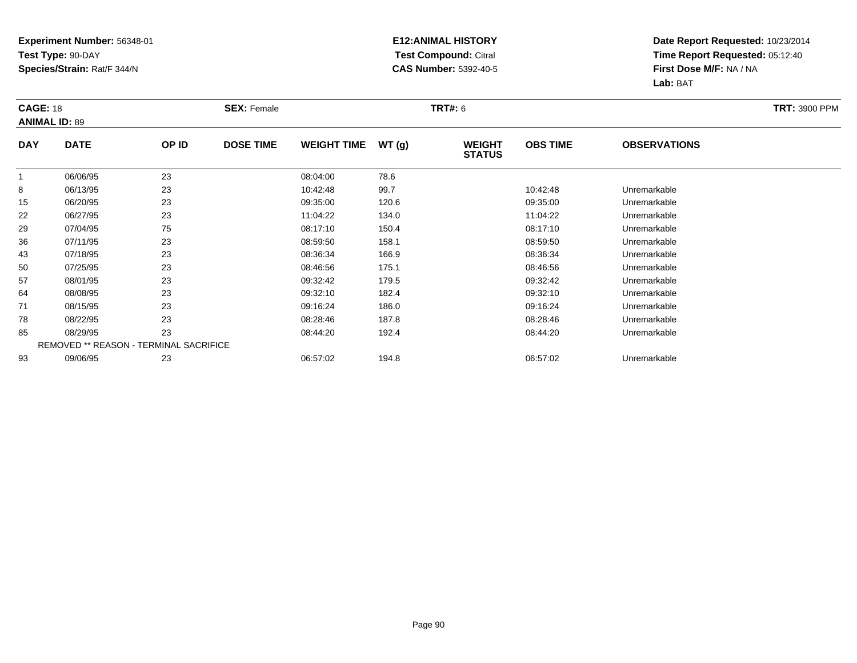#### **E12:ANIMAL HISTORY Test Compound:** Citral **CAS Number:** 5392-40-5

| <b>CAGE: 18</b> | <b>ANIMAL ID: 89</b>                   |       | <b>SEX: Female</b> |                    |       | <b>TRT#: 6</b>                 |                 |                     | <b>TRT: 3900 PPM</b> |
|-----------------|----------------------------------------|-------|--------------------|--------------------|-------|--------------------------------|-----------------|---------------------|----------------------|
| <b>DAY</b>      | <b>DATE</b>                            | OP ID | <b>DOSE TIME</b>   | <b>WEIGHT TIME</b> | WT(g) | <b>WEIGHT</b><br><b>STATUS</b> | <b>OBS TIME</b> | <b>OBSERVATIONS</b> |                      |
| $\mathbf{1}$    | 06/06/95                               | 23    |                    | 08:04:00           | 78.6  |                                |                 |                     |                      |
| 8               | 06/13/95                               | 23    |                    | 10:42:48           | 99.7  |                                | 10:42:48        | Unremarkable        |                      |
| 15              | 06/20/95                               | 23    |                    | 09:35:00           | 120.6 |                                | 09:35:00        | Unremarkable        |                      |
| 22              | 06/27/95                               | 23    |                    | 11:04:22           | 134.0 |                                | 11:04:22        | Unremarkable        |                      |
| 29              | 07/04/95                               | 75    |                    | 08:17:10           | 150.4 |                                | 08:17:10        | Unremarkable        |                      |
| 36              | 07/11/95                               | 23    |                    | 08:59:50           | 158.1 |                                | 08:59:50        | Unremarkable        |                      |
| 43              | 07/18/95                               | 23    |                    | 08:36:34           | 166.9 |                                | 08:36:34        | Unremarkable        |                      |
| 50              | 07/25/95                               | 23    |                    | 08:46:56           | 175.1 |                                | 08:46:56        | Unremarkable        |                      |
| 57              | 08/01/95                               | 23    |                    | 09:32:42           | 179.5 |                                | 09:32:42        | Unremarkable        |                      |
| 64              | 08/08/95                               | 23    |                    | 09:32:10           | 182.4 |                                | 09:32:10        | Unremarkable        |                      |
| 71              | 08/15/95                               | 23    |                    | 09:16:24           | 186.0 |                                | 09:16:24        | Unremarkable        |                      |
| 78              | 08/22/95                               | 23    |                    | 08:28:46           | 187.8 |                                | 08:28:46        | Unremarkable        |                      |
| 85              | 08/29/95                               | 23    |                    | 08:44:20           | 192.4 |                                | 08:44:20        | Unremarkable        |                      |
|                 | REMOVED ** REASON - TERMINAL SACRIFICE |       |                    |                    |       |                                |                 |                     |                      |
| 93              | 09/06/95                               | 23    |                    | 06:57:02           | 194.8 |                                | 06:57:02        | Unremarkable        |                      |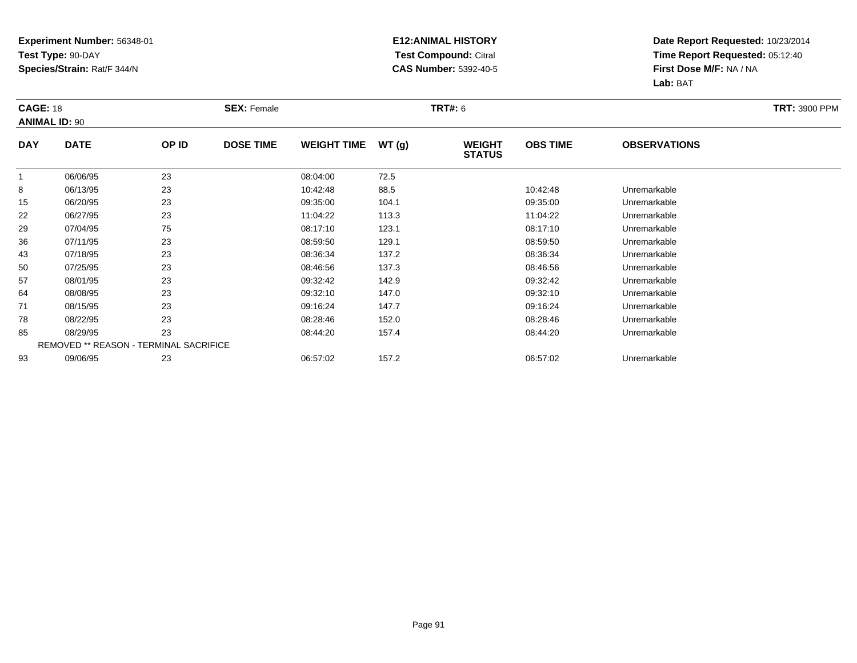#### **E12:ANIMAL HISTORY Test Compound:** Citral **CAS Number:** 5392-40-5

| <b>CAGE: 18</b> | <b>ANIMAL ID: 90</b>                          |       | <b>SEX: Female</b> |                    |       | <b>TRT#:</b> 6                 |                 |                     | <b>TRT: 3900 PPM</b> |
|-----------------|-----------------------------------------------|-------|--------------------|--------------------|-------|--------------------------------|-----------------|---------------------|----------------------|
| <b>DAY</b>      | <b>DATE</b>                                   | OP ID | <b>DOSE TIME</b>   | <b>WEIGHT TIME</b> | WT(g) | <b>WEIGHT</b><br><b>STATUS</b> | <b>OBS TIME</b> | <b>OBSERVATIONS</b> |                      |
| $\mathbf 1$     | 06/06/95                                      | 23    |                    | 08:04:00           | 72.5  |                                |                 |                     |                      |
| 8               | 06/13/95                                      | 23    |                    | 10:42:48           | 88.5  |                                | 10:42:48        | Unremarkable        |                      |
| 15              | 06/20/95                                      | 23    |                    | 09:35:00           | 104.1 |                                | 09:35:00        | Unremarkable        |                      |
| 22              | 06/27/95                                      | 23    |                    | 11:04:22           | 113.3 |                                | 11:04:22        | Unremarkable        |                      |
| 29              | 07/04/95                                      | 75    |                    | 08:17:10           | 123.1 |                                | 08:17:10        | Unremarkable        |                      |
| 36              | 07/11/95                                      | 23    |                    | 08:59:50           | 129.1 |                                | 08:59:50        | Unremarkable        |                      |
| 43              | 07/18/95                                      | 23    |                    | 08:36:34           | 137.2 |                                | 08:36:34        | Unremarkable        |                      |
| 50              | 07/25/95                                      | 23    |                    | 08:46:56           | 137.3 |                                | 08:46:56        | Unremarkable        |                      |
| 57              | 08/01/95                                      | 23    |                    | 09:32:42           | 142.9 |                                | 09:32:42        | Unremarkable        |                      |
| 64              | 08/08/95                                      | 23    |                    | 09:32:10           | 147.0 |                                | 09:32:10        | Unremarkable        |                      |
| 71              | 08/15/95                                      | 23    |                    | 09:16:24           | 147.7 |                                | 09:16:24        | Unremarkable        |                      |
| 78              | 08/22/95                                      | 23    |                    | 08:28:46           | 152.0 |                                | 08:28:46        | Unremarkable        |                      |
| 85              | 08/29/95                                      | 23    |                    | 08:44:20           | 157.4 |                                | 08:44:20        | Unremarkable        |                      |
|                 | <b>REMOVED ** REASON - TERMINAL SACRIFICE</b> |       |                    |                    |       |                                |                 |                     |                      |
| 93              | 09/06/95                                      | 23    |                    | 06:57:02           | 157.2 |                                | 06:57:02        | Unremarkable        |                      |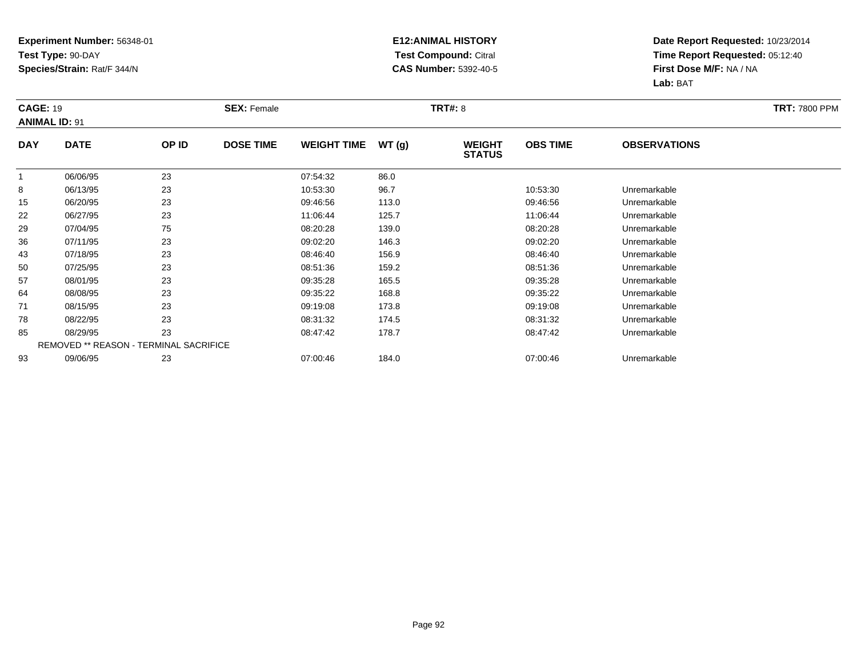#### **E12:ANIMAL HISTORY Test Compound:** Citral **CAS Number:** 5392-40-5

|              | <b>CAGE: 19</b><br><b>ANIMAL ID: 91</b> |                                        | <b>SEX: Female</b> |                    |       | <b>TRT#: 8</b>                 | <b>TRT: 7800 PPM</b> |                     |  |
|--------------|-----------------------------------------|----------------------------------------|--------------------|--------------------|-------|--------------------------------|----------------------|---------------------|--|
| <b>DAY</b>   | <b>DATE</b>                             | OP ID                                  | <b>DOSE TIME</b>   | <b>WEIGHT TIME</b> | WT(g) | <b>WEIGHT</b><br><b>STATUS</b> | <b>OBS TIME</b>      | <b>OBSERVATIONS</b> |  |
| $\mathbf{1}$ | 06/06/95                                | 23                                     |                    | 07:54:32           | 86.0  |                                |                      |                     |  |
| 8            | 06/13/95                                | 23                                     |                    | 10:53:30           | 96.7  |                                | 10:53:30             | Unremarkable        |  |
| 15           | 06/20/95                                | 23                                     |                    | 09:46:56           | 113.0 |                                | 09:46:56             | Unremarkable        |  |
| 22           | 06/27/95                                | 23                                     |                    | 11:06:44           | 125.7 |                                | 11:06:44             | Unremarkable        |  |
| 29           | 07/04/95                                | 75                                     |                    | 08:20:28           | 139.0 |                                | 08:20:28             | Unremarkable        |  |
| 36           | 07/11/95                                | 23                                     |                    | 09:02:20           | 146.3 |                                | 09:02:20             | Unremarkable        |  |
| 43           | 07/18/95                                | 23                                     |                    | 08:46:40           | 156.9 |                                | 08:46:40             | Unremarkable        |  |
| 50           | 07/25/95                                | 23                                     |                    | 08:51:36           | 159.2 |                                | 08:51:36             | Unremarkable        |  |
| 57           | 08/01/95                                | 23                                     |                    | 09:35:28           | 165.5 |                                | 09:35:28             | Unremarkable        |  |
| 64           | 08/08/95                                | 23                                     |                    | 09:35:22           | 168.8 |                                | 09:35:22             | Unremarkable        |  |
| 71           | 08/15/95                                | 23                                     |                    | 09:19:08           | 173.8 |                                | 09:19:08             | Unremarkable        |  |
| 78           | 08/22/95                                | 23                                     |                    | 08:31:32           | 174.5 |                                | 08:31:32             | Unremarkable        |  |
| 85           | 08/29/95                                | 23                                     |                    | 08:47:42           | 178.7 |                                | 08:47:42             | Unremarkable        |  |
|              |                                         | REMOVED ** REASON - TERMINAL SACRIFICE |                    |                    |       |                                |                      |                     |  |
| 93           | 09/06/95                                | 23                                     |                    | 07:00:46           | 184.0 |                                | 07:00:46             | Unremarkable        |  |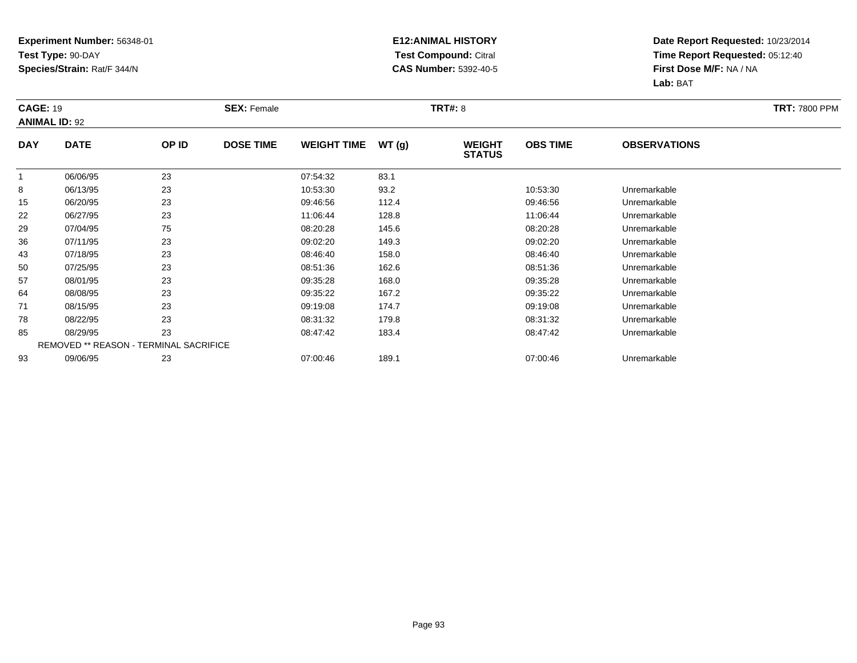#### **E12:ANIMAL HISTORY Test Compound:** Citral **CAS Number:** 5392-40-5

|              | <b>CAGE: 19</b><br><b>ANIMAL ID: 92</b> |                                        | <b>SEX: Female</b> |                    |       | <b>TRT#: 8</b>                 | <b>TRT: 7800 PPM</b> |                     |  |
|--------------|-----------------------------------------|----------------------------------------|--------------------|--------------------|-------|--------------------------------|----------------------|---------------------|--|
| <b>DAY</b>   | <b>DATE</b>                             | OP ID                                  | <b>DOSE TIME</b>   | <b>WEIGHT TIME</b> | WT(g) | <b>WEIGHT</b><br><b>STATUS</b> | <b>OBS TIME</b>      | <b>OBSERVATIONS</b> |  |
| $\mathbf{1}$ | 06/06/95                                | 23                                     |                    | 07:54:32           | 83.1  |                                |                      |                     |  |
| 8            | 06/13/95                                | 23                                     |                    | 10:53:30           | 93.2  |                                | 10:53:30             | Unremarkable        |  |
| 15           | 06/20/95                                | 23                                     |                    | 09:46:56           | 112.4 |                                | 09:46:56             | Unremarkable        |  |
| 22           | 06/27/95                                | 23                                     |                    | 11:06:44           | 128.8 |                                | 11:06:44             | Unremarkable        |  |
| 29           | 07/04/95                                | 75                                     |                    | 08:20:28           | 145.6 |                                | 08:20:28             | Unremarkable        |  |
| 36           | 07/11/95                                | 23                                     |                    | 09:02:20           | 149.3 |                                | 09:02:20             | Unremarkable        |  |
| 43           | 07/18/95                                | 23                                     |                    | 08:46:40           | 158.0 |                                | 08:46:40             | Unremarkable        |  |
| 50           | 07/25/95                                | 23                                     |                    | 08:51:36           | 162.6 |                                | 08:51:36             | Unremarkable        |  |
| 57           | 08/01/95                                | 23                                     |                    | 09:35:28           | 168.0 |                                | 09:35:28             | Unremarkable        |  |
| 64           | 08/08/95                                | 23                                     |                    | 09:35:22           | 167.2 |                                | 09:35:22             | Unremarkable        |  |
| 71           | 08/15/95                                | 23                                     |                    | 09:19:08           | 174.7 |                                | 09:19:08             | Unremarkable        |  |
| 78           | 08/22/95                                | 23                                     |                    | 08:31:32           | 179.8 |                                | 08:31:32             | Unremarkable        |  |
| 85           | 08/29/95                                | 23                                     |                    | 08:47:42           | 183.4 |                                | 08:47:42             | Unremarkable        |  |
|              |                                         | REMOVED ** REASON - TERMINAL SACRIFICE |                    |                    |       |                                |                      |                     |  |
| 93           | 09/06/95                                | 23                                     |                    | 07:00:46           | 189.1 |                                | 07:00:46             | Unremarkable        |  |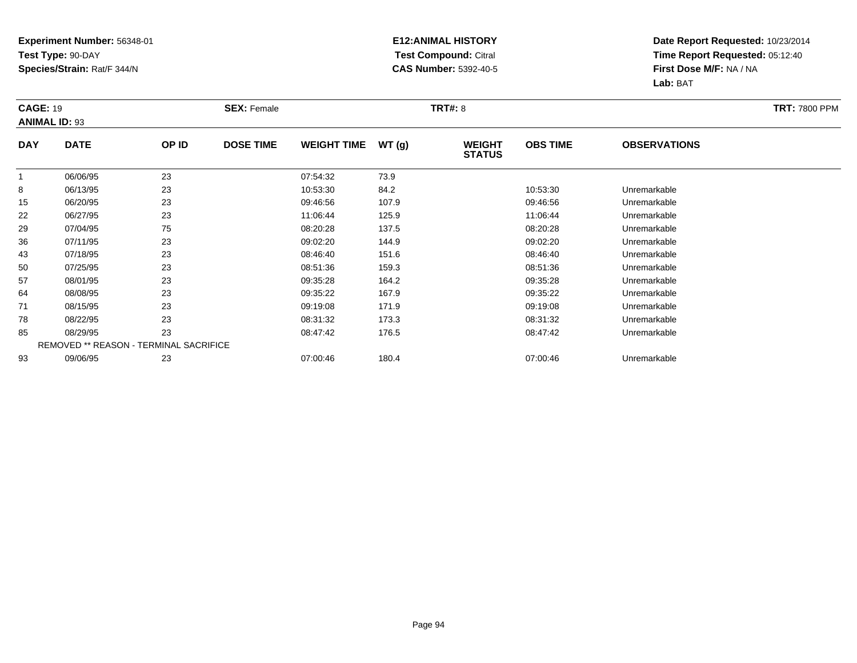#### **E12:ANIMAL HISTORY Test Compound:** Citral **CAS Number:** 5392-40-5

|              | <b>CAGE: 19</b><br><b>ANIMAL ID: 93</b>       |       | <b>SEX: Female</b> |                    |       | <b>TRT#: 8</b>                 | <b>TRT: 7800 PPM</b> |                     |  |
|--------------|-----------------------------------------------|-------|--------------------|--------------------|-------|--------------------------------|----------------------|---------------------|--|
| <b>DAY</b>   | <b>DATE</b>                                   | OP ID | <b>DOSE TIME</b>   | <b>WEIGHT TIME</b> | WT(g) | <b>WEIGHT</b><br><b>STATUS</b> | <b>OBS TIME</b>      | <b>OBSERVATIONS</b> |  |
| $\mathbf{1}$ | 06/06/95                                      | 23    |                    | 07:54:32           | 73.9  |                                |                      |                     |  |
| 8            | 06/13/95                                      | 23    |                    | 10:53:30           | 84.2  |                                | 10:53:30             | Unremarkable        |  |
| 15           | 06/20/95                                      | 23    |                    | 09:46:56           | 107.9 |                                | 09:46:56             | Unremarkable        |  |
| 22           | 06/27/95                                      | 23    |                    | 11:06:44           | 125.9 |                                | 11:06:44             | Unremarkable        |  |
| 29           | 07/04/95                                      | 75    |                    | 08:20:28           | 137.5 |                                | 08:20:28             | Unremarkable        |  |
| 36           | 07/11/95                                      | 23    |                    | 09:02:20           | 144.9 |                                | 09:02:20             | Unremarkable        |  |
| 43           | 07/18/95                                      | 23    |                    | 08:46:40           | 151.6 |                                | 08:46:40             | Unremarkable        |  |
| 50           | 07/25/95                                      | 23    |                    | 08:51:36           | 159.3 |                                | 08:51:36             | Unremarkable        |  |
| 57           | 08/01/95                                      | 23    |                    | 09:35:28           | 164.2 |                                | 09:35:28             | Unremarkable        |  |
| 64           | 08/08/95                                      | 23    |                    | 09:35:22           | 167.9 |                                | 09:35:22             | Unremarkable        |  |
| 71           | 08/15/95                                      | 23    |                    | 09:19:08           | 171.9 |                                | 09:19:08             | Unremarkable        |  |
| 78           | 08/22/95                                      | 23    |                    | 08:31:32           | 173.3 |                                | 08:31:32             | Unremarkable        |  |
| 85           | 08/29/95                                      | 23    |                    | 08:47:42           | 176.5 |                                | 08:47:42             | Unremarkable        |  |
|              | <b>REMOVED ** REASON - TERMINAL SACRIFICE</b> |       |                    |                    |       |                                |                      |                     |  |
| 93           | 09/06/95                                      | 23    |                    | 07:00:46           | 180.4 |                                | 07:00:46             | Unremarkable        |  |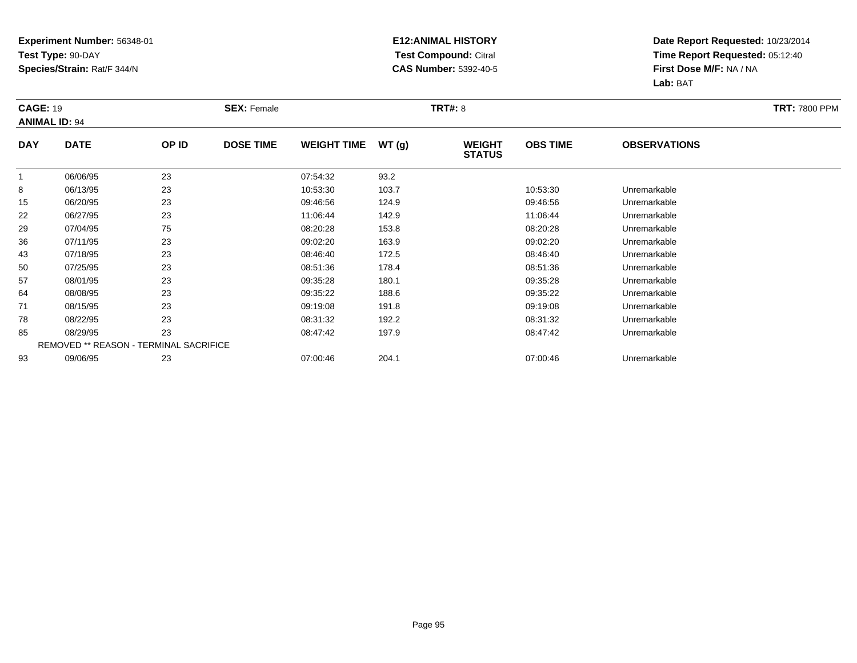#### **E12:ANIMAL HISTORY Test Compound:** Citral **CAS Number:** 5392-40-5

|              | <b>CAGE: 19</b><br><b>ANIMAL ID: 94</b> |       | <b>SEX: Female</b> |                    |       |                                | <b>TRT#: 8</b>  |                     |  |  |  |
|--------------|-----------------------------------------|-------|--------------------|--------------------|-------|--------------------------------|-----------------|---------------------|--|--|--|
| <b>DAY</b>   | <b>DATE</b>                             | OP ID | <b>DOSE TIME</b>   | <b>WEIGHT TIME</b> | WT(g) | <b>WEIGHT</b><br><b>STATUS</b> | <b>OBS TIME</b> | <b>OBSERVATIONS</b> |  |  |  |
| $\mathbf{1}$ | 06/06/95                                | 23    |                    | 07:54:32           | 93.2  |                                |                 |                     |  |  |  |
| 8            | 06/13/95                                | 23    |                    | 10:53:30           | 103.7 |                                | 10:53:30        | Unremarkable        |  |  |  |
| 15           | 06/20/95                                | 23    |                    | 09:46:56           | 124.9 |                                | 09:46:56        | Unremarkable        |  |  |  |
| 22           | 06/27/95                                | 23    |                    | 11:06:44           | 142.9 |                                | 11:06:44        | Unremarkable        |  |  |  |
| 29           | 07/04/95                                | 75    |                    | 08:20:28           | 153.8 |                                | 08:20:28        | Unremarkable        |  |  |  |
| 36           | 07/11/95                                | 23    |                    | 09:02:20           | 163.9 |                                | 09:02:20        | Unremarkable        |  |  |  |
| 43           | 07/18/95                                | 23    |                    | 08:46:40           | 172.5 |                                | 08:46:40        | Unremarkable        |  |  |  |
| 50           | 07/25/95                                | 23    |                    | 08:51:36           | 178.4 |                                | 08:51:36        | Unremarkable        |  |  |  |
| 57           | 08/01/95                                | 23    |                    | 09:35:28           | 180.1 |                                | 09:35:28        | Unremarkable        |  |  |  |
| 64           | 08/08/95                                | 23    |                    | 09:35:22           | 188.6 |                                | 09:35:22        | Unremarkable        |  |  |  |
| 71           | 08/15/95                                | 23    |                    | 09:19:08           | 191.8 |                                | 09:19:08        | Unremarkable        |  |  |  |
| 78           | 08/22/95                                | 23    |                    | 08:31:32           | 192.2 |                                | 08:31:32        | Unremarkable        |  |  |  |
| 85           | 08/29/95                                | 23    |                    | 08:47:42           | 197.9 |                                | 08:47:42        | Unremarkable        |  |  |  |
|              | REMOVED ** REASON - TERMINAL SACRIFICE  |       |                    |                    |       |                                |                 |                     |  |  |  |
| 93           | 09/06/95                                | 23    |                    | 07:00:46           | 204.1 |                                | 07:00:46        | Unremarkable        |  |  |  |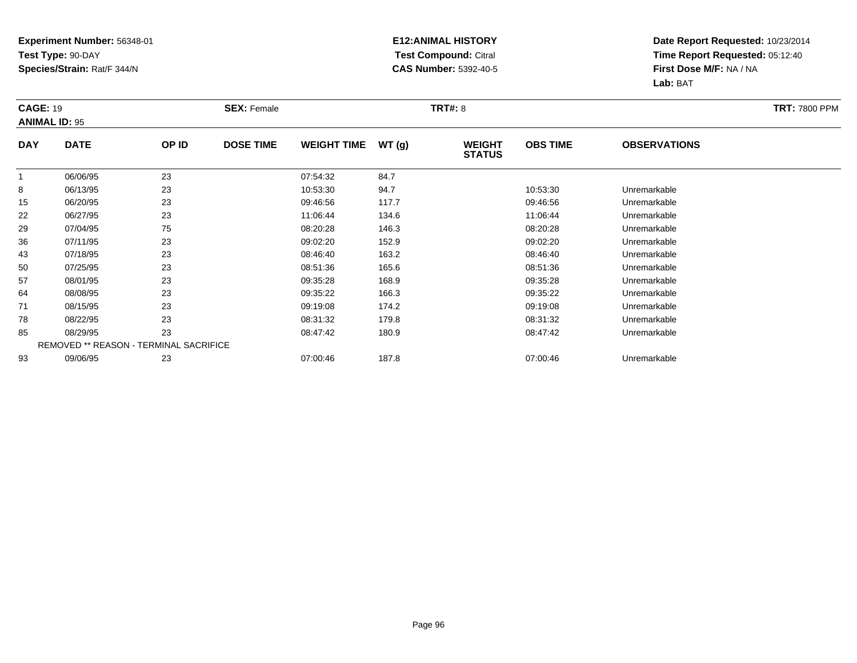#### **E12:ANIMAL HISTORY Test Compound:** Citral **CAS Number:** 5392-40-5

|              | <b>CAGE: 19</b><br><b>ANIMAL ID: 95</b> |                                        | <b>SEX: Female</b> |                    |       | <b>TRT#: 8</b>                 | <b>TRT: 7800 PPM</b> |                     |  |
|--------------|-----------------------------------------|----------------------------------------|--------------------|--------------------|-------|--------------------------------|----------------------|---------------------|--|
| <b>DAY</b>   | <b>DATE</b>                             | OP ID                                  | <b>DOSE TIME</b>   | <b>WEIGHT TIME</b> | WT(g) | <b>WEIGHT</b><br><b>STATUS</b> | <b>OBS TIME</b>      | <b>OBSERVATIONS</b> |  |
| $\mathbf{1}$ | 06/06/95                                | 23                                     |                    | 07:54:32           | 84.7  |                                |                      |                     |  |
| 8            | 06/13/95                                | 23                                     |                    | 10:53:30           | 94.7  |                                | 10:53:30             | Unremarkable        |  |
| 15           | 06/20/95                                | 23                                     |                    | 09:46:56           | 117.7 |                                | 09:46:56             | Unremarkable        |  |
| 22           | 06/27/95                                | 23                                     |                    | 11:06:44           | 134.6 |                                | 11:06:44             | Unremarkable        |  |
| 29           | 07/04/95                                | 75                                     |                    | 08:20:28           | 146.3 |                                | 08:20:28             | Unremarkable        |  |
| 36           | 07/11/95                                | 23                                     |                    | 09:02:20           | 152.9 |                                | 09:02:20             | Unremarkable        |  |
| 43           | 07/18/95                                | 23                                     |                    | 08:46:40           | 163.2 |                                | 08:46:40             | Unremarkable        |  |
| 50           | 07/25/95                                | 23                                     |                    | 08:51:36           | 165.6 |                                | 08:51:36             | Unremarkable        |  |
| 57           | 08/01/95                                | 23                                     |                    | 09:35:28           | 168.9 |                                | 09:35:28             | Unremarkable        |  |
| 64           | 08/08/95                                | 23                                     |                    | 09:35:22           | 166.3 |                                | 09:35:22             | Unremarkable        |  |
| 71           | 08/15/95                                | 23                                     |                    | 09:19:08           | 174.2 |                                | 09:19:08             | Unremarkable        |  |
| 78           | 08/22/95                                | 23                                     |                    | 08:31:32           | 179.8 |                                | 08:31:32             | Unremarkable        |  |
| 85           | 08/29/95                                | 23                                     |                    | 08:47:42           | 180.9 |                                | 08:47:42             | Unremarkable        |  |
|              |                                         | REMOVED ** REASON - TERMINAL SACRIFICE |                    |                    |       |                                |                      |                     |  |
| 93           | 09/06/95                                | 23                                     |                    | 07:00:46           | 187.8 |                                | 07:00:46             | Unremarkable        |  |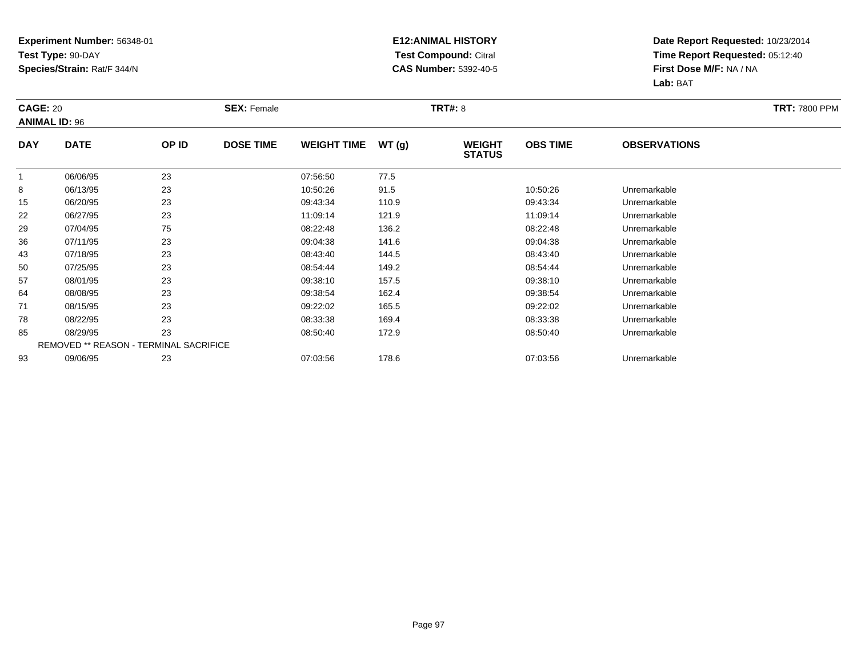#### **E12:ANIMAL HISTORY Test Compound:** Citral **CAS Number:** 5392-40-5

| <b>CAGE: 20</b> | <b>ANIMAL ID: 96</b>                   |       | <b>SEX: Female</b> |                    |       | <b>TRT#: 8</b>                 |                 |                     | <b>TRT: 7800 PPM</b> |
|-----------------|----------------------------------------|-------|--------------------|--------------------|-------|--------------------------------|-----------------|---------------------|----------------------|
| <b>DAY</b>      | <b>DATE</b>                            | OP ID | <b>DOSE TIME</b>   | <b>WEIGHT TIME</b> | WT(g) | <b>WEIGHT</b><br><b>STATUS</b> | <b>OBS TIME</b> | <b>OBSERVATIONS</b> |                      |
|                 | 06/06/95                               | 23    |                    | 07:56:50           | 77.5  |                                |                 |                     |                      |
| 8               | 06/13/95                               | 23    |                    | 10:50:26           | 91.5  |                                | 10:50:26        | Unremarkable        |                      |
| 15              | 06/20/95                               | 23    |                    | 09:43:34           | 110.9 |                                | 09:43:34        | Unremarkable        |                      |
| 22              | 06/27/95                               | 23    |                    | 11:09:14           | 121.9 |                                | 11:09:14        | Unremarkable        |                      |
| 29              | 07/04/95                               | 75    |                    | 08:22:48           | 136.2 |                                | 08:22:48        | Unremarkable        |                      |
| 36              | 07/11/95                               | 23    |                    | 09:04:38           | 141.6 |                                | 09:04:38        | Unremarkable        |                      |
| 43              | 07/18/95                               | 23    |                    | 08:43:40           | 144.5 |                                | 08:43:40        | Unremarkable        |                      |
| 50              | 07/25/95                               | 23    |                    | 08:54:44           | 149.2 |                                | 08:54:44        | Unremarkable        |                      |
| 57              | 08/01/95                               | 23    |                    | 09:38:10           | 157.5 |                                | 09:38:10        | Unremarkable        |                      |
| 64              | 08/08/95                               | 23    |                    | 09:38:54           | 162.4 |                                | 09:38:54        | Unremarkable        |                      |
| 71              | 08/15/95                               | 23    |                    | 09:22:02           | 165.5 |                                | 09:22:02        | Unremarkable        |                      |
| 78              | 08/22/95                               | 23    |                    | 08:33:38           | 169.4 |                                | 08:33:38        | Unremarkable        |                      |
| 85              | 08/29/95                               | 23    |                    | 08:50:40           | 172.9 |                                | 08:50:40        | Unremarkable        |                      |
|                 | REMOVED ** REASON - TERMINAL SACRIFICE |       |                    |                    |       |                                |                 |                     |                      |
| 93              | 09/06/95                               | 23    |                    | 07:03:56           | 178.6 |                                | 07:03:56        | Unremarkable        |                      |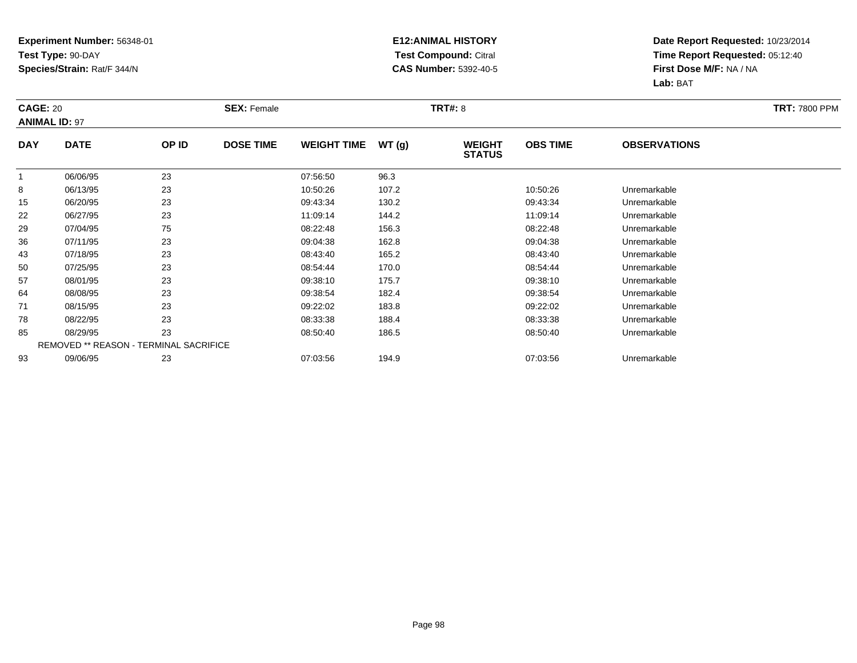#### **E12:ANIMAL HISTORY Test Compound:** Citral **CAS Number:** 5392-40-5

| <b>CAGE: 20</b><br><b>ANIMAL ID: 97</b> |             |                                        | <b>SEX: Female</b> |                    |       | <b>TRT#: 8</b>                 |                 |                     | <b>TRT: 7800 PPM</b> |
|-----------------------------------------|-------------|----------------------------------------|--------------------|--------------------|-------|--------------------------------|-----------------|---------------------|----------------------|
| <b>DAY</b>                              | <b>DATE</b> | OP ID                                  | <b>DOSE TIME</b>   | <b>WEIGHT TIME</b> | WT(g) | <b>WEIGHT</b><br><b>STATUS</b> | <b>OBS TIME</b> | <b>OBSERVATIONS</b> |                      |
| $\mathbf 1$                             | 06/06/95    | 23                                     |                    | 07:56:50           | 96.3  |                                |                 |                     |                      |
| 8                                       | 06/13/95    | 23                                     |                    | 10:50:26           | 107.2 |                                | 10:50:26        | Unremarkable        |                      |
| 15                                      | 06/20/95    | 23                                     |                    | 09:43:34           | 130.2 |                                | 09:43:34        | Unremarkable        |                      |
| 22                                      | 06/27/95    | 23                                     |                    | 11:09:14           | 144.2 |                                | 11:09:14        | Unremarkable        |                      |
| 29                                      | 07/04/95    | 75                                     |                    | 08:22:48           | 156.3 |                                | 08:22:48        | Unremarkable        |                      |
| 36                                      | 07/11/95    | 23                                     |                    | 09:04:38           | 162.8 |                                | 09:04:38        | Unremarkable        |                      |
| 43                                      | 07/18/95    | 23                                     |                    | 08:43:40           | 165.2 |                                | 08:43:40        | Unremarkable        |                      |
| 50                                      | 07/25/95    | 23                                     |                    | 08:54:44           | 170.0 |                                | 08:54:44        | Unremarkable        |                      |
| 57                                      | 08/01/95    | 23                                     |                    | 09:38:10           | 175.7 |                                | 09:38:10        | Unremarkable        |                      |
| 64                                      | 08/08/95    | 23                                     |                    | 09:38:54           | 182.4 |                                | 09:38:54        | Unremarkable        |                      |
| 71                                      | 08/15/95    | 23                                     |                    | 09:22:02           | 183.8 |                                | 09:22:02        | Unremarkable        |                      |
| 78                                      | 08/22/95    | 23                                     |                    | 08:33:38           | 188.4 |                                | 08:33:38        | Unremarkable        |                      |
| 85                                      | 08/29/95    | 23                                     |                    | 08:50:40           | 186.5 |                                | 08:50:40        | Unremarkable        |                      |
|                                         |             | REMOVED ** REASON - TERMINAL SACRIFICE |                    |                    |       |                                |                 |                     |                      |
| 93                                      | 09/06/95    | 23                                     |                    | 07:03:56           | 194.9 |                                | 07:03:56        | Unremarkable        |                      |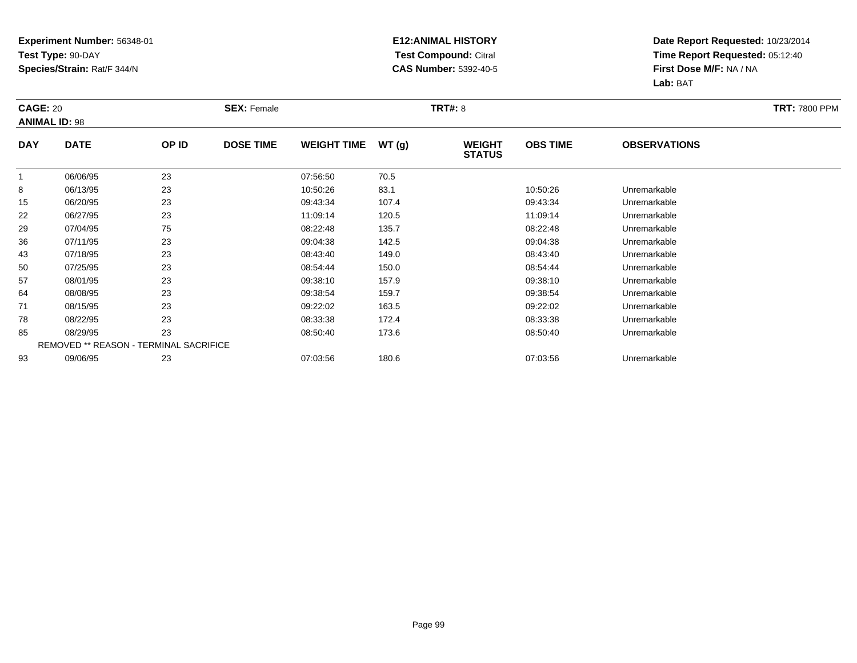#### **E12:ANIMAL HISTORY Test Compound:** Citral **CAS Number:** 5392-40-5

| <b>CAGE: 20</b> | <b>ANIMAL ID: 98</b>                          |       | <b>SEX: Female</b> |                    |       | <b>TRT#: 8</b>                 |                 |                     | <b>TRT: 7800 PPM</b> |
|-----------------|-----------------------------------------------|-------|--------------------|--------------------|-------|--------------------------------|-----------------|---------------------|----------------------|
| <b>DAY</b>      | <b>DATE</b>                                   | OP ID | <b>DOSE TIME</b>   | <b>WEIGHT TIME</b> | WT(g) | <b>WEIGHT</b><br><b>STATUS</b> | <b>OBS TIME</b> | <b>OBSERVATIONS</b> |                      |
| $\mathbf{1}$    | 06/06/95                                      | 23    |                    | 07:56:50           | 70.5  |                                |                 |                     |                      |
| 8               | 06/13/95                                      | 23    |                    | 10:50:26           | 83.1  |                                | 10:50:26        | Unremarkable        |                      |
| 15              | 06/20/95                                      | 23    |                    | 09:43:34           | 107.4 |                                | 09:43:34        | Unremarkable        |                      |
| 22              | 06/27/95                                      | 23    |                    | 11:09:14           | 120.5 |                                | 11:09:14        | Unremarkable        |                      |
| 29              | 07/04/95                                      | 75    |                    | 08:22:48           | 135.7 |                                | 08:22:48        | Unremarkable        |                      |
| 36              | 07/11/95                                      | 23    |                    | 09:04:38           | 142.5 |                                | 09:04:38        | Unremarkable        |                      |
| 43              | 07/18/95                                      | 23    |                    | 08:43:40           | 149.0 |                                | 08:43:40        | Unremarkable        |                      |
| 50              | 07/25/95                                      | 23    |                    | 08:54:44           | 150.0 |                                | 08.54.44        | Unremarkable        |                      |
| 57              | 08/01/95                                      | 23    |                    | 09:38:10           | 157.9 |                                | 09:38:10        | Unremarkable        |                      |
| 64              | 08/08/95                                      | 23    |                    | 09:38:54           | 159.7 |                                | 09:38:54        | Unremarkable        |                      |
| 71              | 08/15/95                                      | 23    |                    | 09:22:02           | 163.5 |                                | 09:22:02        | Unremarkable        |                      |
| 78              | 08/22/95                                      | 23    |                    | 08:33:38           | 172.4 |                                | 08:33:38        | Unremarkable        |                      |
| 85              | 08/29/95                                      | 23    |                    | 08:50:40           | 173.6 |                                | 08:50:40        | Unremarkable        |                      |
|                 | <b>REMOVED ** REASON - TERMINAL SACRIFICE</b> |       |                    |                    |       |                                |                 |                     |                      |
| 93              | 09/06/95                                      | 23    |                    | 07:03:56           | 180.6 |                                | 07:03:56        | Unremarkable        |                      |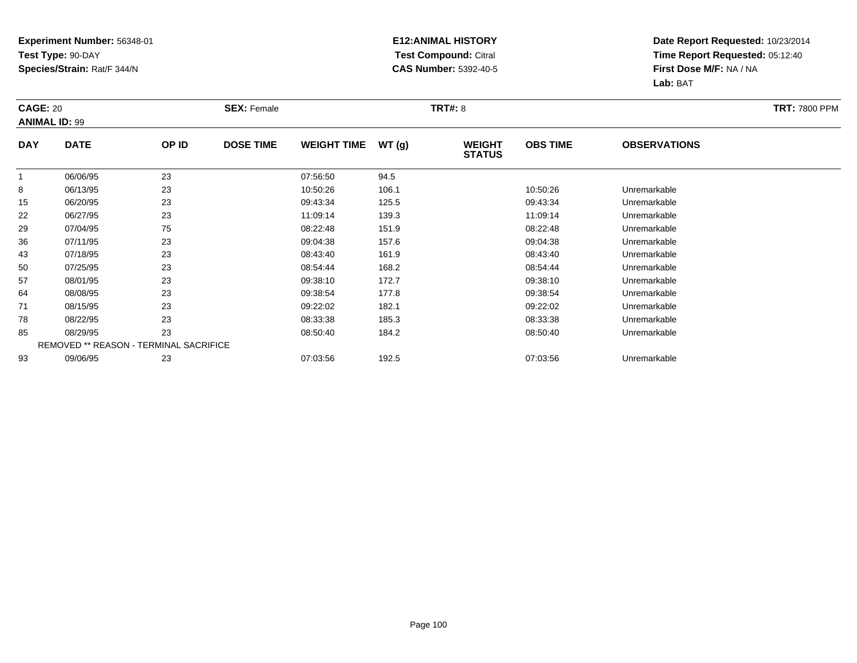#### **E12:ANIMAL HISTORY Test Compound:** Citral **CAS Number:** 5392-40-5

| <b>CAGE: 20</b> | <b>ANIMAL ID: 99</b>                   |       | <b>SEX: Female</b> |                    |       | <b>TRT#: 8</b>                 |                 |                     | <b>TRT: 7800 PPM</b> |
|-----------------|----------------------------------------|-------|--------------------|--------------------|-------|--------------------------------|-----------------|---------------------|----------------------|
| <b>DAY</b>      | <b>DATE</b>                            | OP ID | <b>DOSE TIME</b>   | <b>WEIGHT TIME</b> | WT(g) | <b>WEIGHT</b><br><b>STATUS</b> | <b>OBS TIME</b> | <b>OBSERVATIONS</b> |                      |
| $\mathbf{1}$    | 06/06/95                               | 23    |                    | 07:56:50           | 94.5  |                                |                 |                     |                      |
| 8               | 06/13/95                               | 23    |                    | 10:50:26           | 106.1 |                                | 10:50:26        | Unremarkable        |                      |
| 15              | 06/20/95                               | 23    |                    | 09:43:34           | 125.5 |                                | 09:43:34        | Unremarkable        |                      |
| 22              | 06/27/95                               | 23    |                    | 11:09:14           | 139.3 |                                | 11:09:14        | Unremarkable        |                      |
| 29              | 07/04/95                               | 75    |                    | 08:22:48           | 151.9 |                                | 08:22:48        | Unremarkable        |                      |
| 36              | 07/11/95                               | 23    |                    | 09:04:38           | 157.6 |                                | 09:04:38        | Unremarkable        |                      |
| 43              | 07/18/95                               | 23    |                    | 08:43:40           | 161.9 |                                | 08:43:40        | Unremarkable        |                      |
| 50              | 07/25/95                               | 23    |                    | 08:54:44           | 168.2 |                                | 08:54:44        | Unremarkable        |                      |
| 57              | 08/01/95                               | 23    |                    | 09:38:10           | 172.7 |                                | 09:38:10        | Unremarkable        |                      |
| 64              | 08/08/95                               | 23    |                    | 09:38:54           | 177.8 |                                | 09:38:54        | Unremarkable        |                      |
| 71              | 08/15/95                               | 23    |                    | 09:22:02           | 182.1 |                                | 09:22:02        | Unremarkable        |                      |
| 78              | 08/22/95                               | 23    |                    | 08:33:38           | 185.3 |                                | 08:33:38        | Unremarkable        |                      |
| 85              | 08/29/95                               | 23    |                    | 08:50:40           | 184.2 |                                | 08:50:40        | Unremarkable        |                      |
|                 | REMOVED ** REASON - TERMINAL SACRIFICE |       |                    |                    |       |                                |                 |                     |                      |
| 93              | 09/06/95                               | 23    |                    | 07:03:56           | 192.5 |                                | 07:03:56        | Unremarkable        |                      |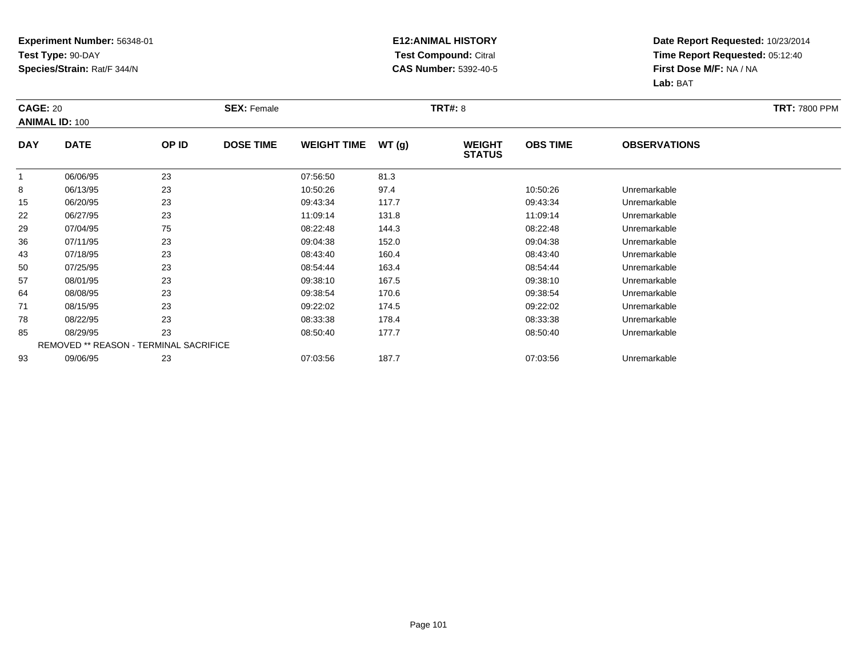#### **E12:ANIMAL HISTORY Test Compound:** Citral **CAS Number:** 5392-40-5

| <b>CAGE: 20</b> | <b>ANIMAL ID: 100</b>                         |       | <b>SEX: Female</b> |                    |       | <b>TRT#: 8</b>                 |                 |                     | <b>TRT: 7800 PPM</b> |
|-----------------|-----------------------------------------------|-------|--------------------|--------------------|-------|--------------------------------|-----------------|---------------------|----------------------|
| <b>DAY</b>      | <b>DATE</b>                                   | OP ID | <b>DOSE TIME</b>   | <b>WEIGHT TIME</b> | WT(g) | <b>WEIGHT</b><br><b>STATUS</b> | <b>OBS TIME</b> | <b>OBSERVATIONS</b> |                      |
| $\mathbf{1}$    | 06/06/95                                      | 23    |                    | 07:56:50           | 81.3  |                                |                 |                     |                      |
| 8               | 06/13/95                                      | 23    |                    | 10:50:26           | 97.4  |                                | 10:50:26        | Unremarkable        |                      |
| 15              | 06/20/95                                      | 23    |                    | 09:43:34           | 117.7 |                                | 09:43:34        | Unremarkable        |                      |
| 22              | 06/27/95                                      | 23    |                    | 11:09:14           | 131.8 |                                | 11:09:14        | Unremarkable        |                      |
| 29              | 07/04/95                                      | 75    |                    | 08:22:48           | 144.3 |                                | 08:22:48        | Unremarkable        |                      |
| 36              | 07/11/95                                      | 23    |                    | 09:04:38           | 152.0 |                                | 09:04:38        | Unremarkable        |                      |
| 43              | 07/18/95                                      | 23    |                    | 08:43:40           | 160.4 |                                | 08:43:40        | Unremarkable        |                      |
| 50              | 07/25/95                                      | 23    |                    | 08:54:44           | 163.4 |                                | 08.54.44        | Unremarkable        |                      |
| 57              | 08/01/95                                      | 23    |                    | 09:38:10           | 167.5 |                                | 09:38:10        | Unremarkable        |                      |
| 64              | 08/08/95                                      | 23    |                    | 09:38:54           | 170.6 |                                | 09:38:54        | Unremarkable        |                      |
| 71              | 08/15/95                                      | 23    |                    | 09:22:02           | 174.5 |                                | 09:22:02        | Unremarkable        |                      |
| 78              | 08/22/95                                      | 23    |                    | 08:33:38           | 178.4 |                                | 08:33:38        | Unremarkable        |                      |
| 85              | 08/29/95                                      | 23    |                    | 08:50:40           | 177.7 |                                | 08:50:40        | Unremarkable        |                      |
|                 | <b>REMOVED ** REASON - TERMINAL SACRIFICE</b> |       |                    |                    |       |                                |                 |                     |                      |
| 93              | 09/06/95                                      | 23    |                    | 07:03:56           | 187.7 |                                | 07:03:56        | Unremarkable        |                      |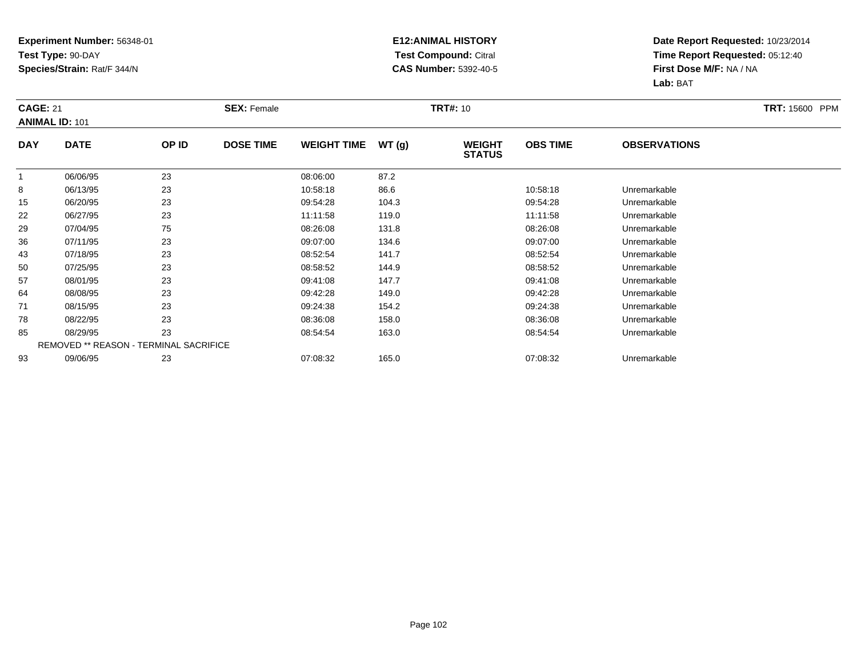#### **E12:ANIMAL HISTORY Test Compound:** Citral **CAS Number:** 5392-40-5

| <b>CAGE: 21</b> | <b>ANIMAL ID: 101</b>                  |       | <b>SEX: Female</b> |                    |       | <b>TRT#: 10</b>                |                 |                     | <b>TRT: 15600 PPM</b> |
|-----------------|----------------------------------------|-------|--------------------|--------------------|-------|--------------------------------|-----------------|---------------------|-----------------------|
| <b>DAY</b>      | <b>DATE</b>                            | OP ID | <b>DOSE TIME</b>   | <b>WEIGHT TIME</b> | WT(g) | <b>WEIGHT</b><br><b>STATUS</b> | <b>OBS TIME</b> | <b>OBSERVATIONS</b> |                       |
| $\mathbf{1}$    | 06/06/95                               | 23    |                    | 08:06:00           | 87.2  |                                |                 |                     |                       |
| 8               | 06/13/95                               | 23    |                    | 10:58:18           | 86.6  |                                | 10:58:18        | Unremarkable        |                       |
| 15              | 06/20/95                               | 23    |                    | 09:54:28           | 104.3 |                                | 09:54:28        | Unremarkable        |                       |
| 22              | 06/27/95                               | 23    |                    | 11:11:58           | 119.0 |                                | 11:11:58        | Unremarkable        |                       |
| 29              | 07/04/95                               | 75    |                    | 08:26:08           | 131.8 |                                | 08:26:08        | Unremarkable        |                       |
| 36              | 07/11/95                               | 23    |                    | 09:07:00           | 134.6 |                                | 09:07:00        | Unremarkable        |                       |
| 43              | 07/18/95                               | 23    |                    | 08:52:54           | 141.7 |                                | 08:52:54        | Unremarkable        |                       |
| 50              | 07/25/95                               | 23    |                    | 08:58:52           | 144.9 |                                | 08:58:52        | Unremarkable        |                       |
| 57              | 08/01/95                               | 23    |                    | 09:41:08           | 147.7 |                                | 09:41:08        | Unremarkable        |                       |
| 64              | 08/08/95                               | 23    |                    | 09:42:28           | 149.0 |                                | 09:42:28        | Unremarkable        |                       |
| 71              | 08/15/95                               | 23    |                    | 09:24:38           | 154.2 |                                | 09:24:38        | Unremarkable        |                       |
| 78              | 08/22/95                               | 23    |                    | 08:36:08           | 158.0 |                                | 08:36:08        | Unremarkable        |                       |
| 85              | 08/29/95                               | 23    |                    | 08:54:54           | 163.0 |                                | 08:54:54        | Unremarkable        |                       |
|                 | REMOVED ** REASON - TERMINAL SACRIFICE |       |                    |                    |       |                                |                 |                     |                       |
| 93              | 09/06/95                               | 23    |                    | 07:08:32           | 165.0 |                                | 07:08:32        | Unremarkable        |                       |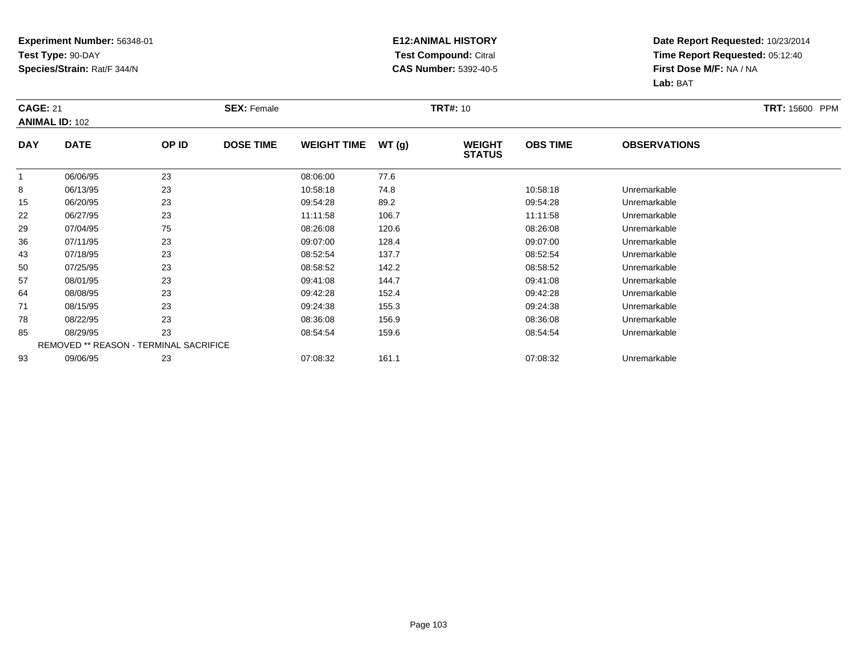#### **E12:ANIMAL HISTORY Test Compound:** Citral **CAS Number:** 5392-40-5

| <b>CAGE: 21</b> | <b>ANIMAL ID: 102</b>                  |       | <b>SEX: Female</b> |                    |       | <b>TRT#: 10</b>                |                 |                     | <b>TRT: 15600 PPM</b> |
|-----------------|----------------------------------------|-------|--------------------|--------------------|-------|--------------------------------|-----------------|---------------------|-----------------------|
| <b>DAY</b>      | <b>DATE</b>                            | OP ID | <b>DOSE TIME</b>   | <b>WEIGHT TIME</b> | WT(g) | <b>WEIGHT</b><br><b>STATUS</b> | <b>OBS TIME</b> | <b>OBSERVATIONS</b> |                       |
| $\mathbf{1}$    | 06/06/95                               | 23    |                    | 08:06:00           | 77.6  |                                |                 |                     |                       |
| 8               | 06/13/95                               | 23    |                    | 10:58:18           | 74.8  |                                | 10:58:18        | Unremarkable        |                       |
| 15              | 06/20/95                               | 23    |                    | 09:54:28           | 89.2  |                                | 09:54:28        | Unremarkable        |                       |
| 22              | 06/27/95                               | 23    |                    | 11:11:58           | 106.7 |                                | 11:11:58        | Unremarkable        |                       |
| 29              | 07/04/95                               | 75    |                    | 08:26:08           | 120.6 |                                | 08:26:08        | Unremarkable        |                       |
| 36              | 07/11/95                               | 23    |                    | 09:07:00           | 128.4 |                                | 09:07:00        | Unremarkable        |                       |
| 43              | 07/18/95                               | 23    |                    | 08:52:54           | 137.7 |                                | 08:52:54        | Unremarkable        |                       |
| 50              | 07/25/95                               | 23    |                    | 08:58:52           | 142.2 |                                | 08:58:52        | Unremarkable        |                       |
| 57              | 08/01/95                               | 23    |                    | 09:41:08           | 144.7 |                                | 09:41:08        | Unremarkable        |                       |
| 64              | 08/08/95                               | 23    |                    | 09:42:28           | 152.4 |                                | 09:42:28        | Unremarkable        |                       |
| 71              | 08/15/95                               | 23    |                    | 09:24:38           | 155.3 |                                | 09:24:38        | Unremarkable        |                       |
| 78              | 08/22/95                               | 23    |                    | 08:36:08           | 156.9 |                                | 08:36:08        | Unremarkable        |                       |
| 85              | 08/29/95                               | 23    |                    | 08:54:54           | 159.6 |                                | 08:54:54        | Unremarkable        |                       |
|                 | REMOVED ** REASON - TERMINAL SACRIFICE |       |                    |                    |       |                                |                 |                     |                       |
| 93              | 09/06/95                               | 23    |                    | 07:08:32           | 161.1 |                                | 07:08:32        | Unremarkable        |                       |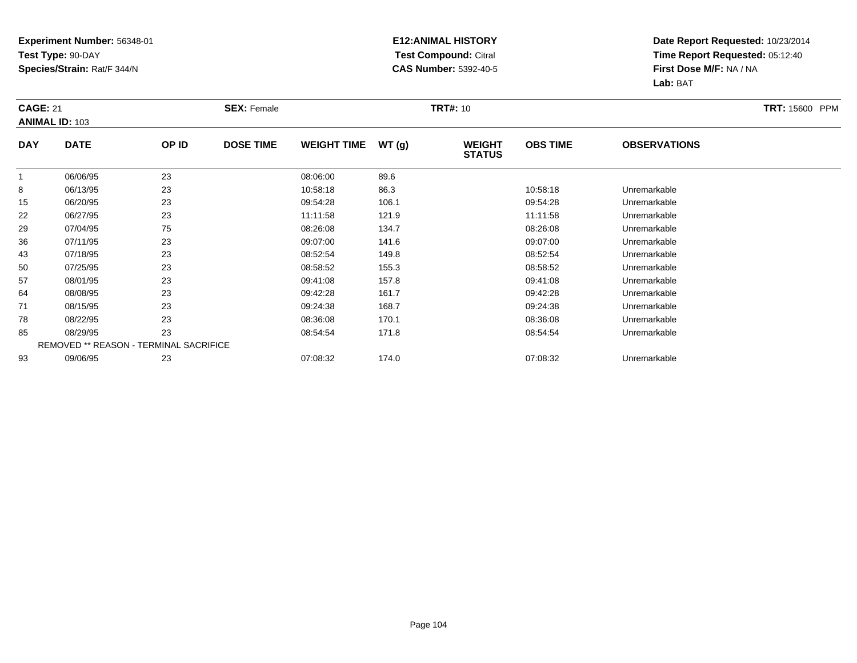#### **E12:ANIMAL HISTORY Test Compound:** Citral **CAS Number:** 5392-40-5

| <b>CAGE: 21</b> | <b>ANIMAL ID: 103</b>                  |       | <b>SEX: Female</b> |                    |       | <b>TRT#: 10</b>                |                 |                     | <b>TRT: 15600 PPM</b> |
|-----------------|----------------------------------------|-------|--------------------|--------------------|-------|--------------------------------|-----------------|---------------------|-----------------------|
| <b>DAY</b>      | <b>DATE</b>                            | OP ID | <b>DOSE TIME</b>   | <b>WEIGHT TIME</b> | WT(g) | <b>WEIGHT</b><br><b>STATUS</b> | <b>OBS TIME</b> | <b>OBSERVATIONS</b> |                       |
| $\mathbf{1}$    | 06/06/95                               | 23    |                    | 08:06:00           | 89.6  |                                |                 |                     |                       |
| 8               | 06/13/95                               | 23    |                    | 10:58:18           | 86.3  |                                | 10:58:18        | Unremarkable        |                       |
| 15              | 06/20/95                               | 23    |                    | 09:54:28           | 106.1 |                                | 09:54:28        | Unremarkable        |                       |
| 22              | 06/27/95                               | 23    |                    | 11:11:58           | 121.9 |                                | 11:11:58        | Unremarkable        |                       |
| 29              | 07/04/95                               | 75    |                    | 08:26:08           | 134.7 |                                | 08:26:08        | Unremarkable        |                       |
| 36              | 07/11/95                               | 23    |                    | 09:07:00           | 141.6 |                                | 09:07:00        | Unremarkable        |                       |
| 43              | 07/18/95                               | 23    |                    | 08:52:54           | 149.8 |                                | 08.52.54        | Unremarkable        |                       |
| 50              | 07/25/95                               | 23    |                    | 08:58:52           | 155.3 |                                | 08:58:52        | Unremarkable        |                       |
| 57              | 08/01/95                               | 23    |                    | 09:41:08           | 157.8 |                                | 09:41:08        | Unremarkable        |                       |
| 64              | 08/08/95                               | 23    |                    | 09:42:28           | 161.7 |                                | 09:42:28        | Unremarkable        |                       |
| 71              | 08/15/95                               | 23    |                    | 09:24:38           | 168.7 |                                | 09:24:38        | Unremarkable        |                       |
| 78              | 08/22/95                               | 23    |                    | 08:36:08           | 170.1 |                                | 08:36:08        | Unremarkable        |                       |
| 85              | 08/29/95                               | 23    |                    | 08:54:54           | 171.8 |                                | 08:54:54        | Unremarkable        |                       |
|                 | REMOVED ** REASON - TERMINAL SACRIFICE |       |                    |                    |       |                                |                 |                     |                       |
| 93              | 09/06/95                               | 23    |                    | 07:08:32           | 174.0 |                                | 07:08:32        | Unremarkable        |                       |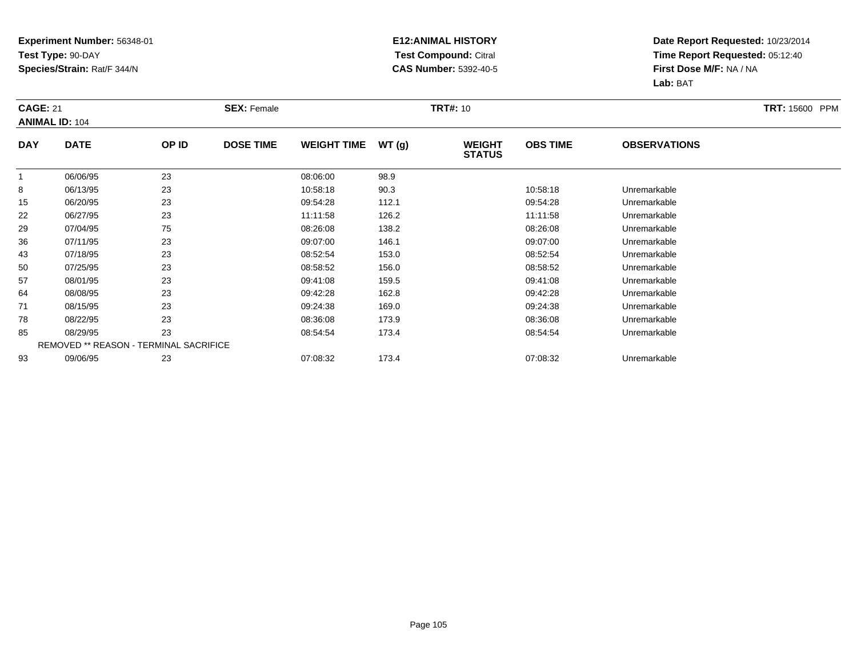#### **E12:ANIMAL HISTORY Test Compound:** Citral **CAS Number:** 5392-40-5

| <b>CAGE: 21</b> | <b>ANIMAL ID: 104</b> |                                        | <b>SEX: Female</b> |                    |       | <b>TRT#: 10</b>                |                 |                     | TRT: 15600 PPM |
|-----------------|-----------------------|----------------------------------------|--------------------|--------------------|-------|--------------------------------|-----------------|---------------------|----------------|
| <b>DAY</b>      | <b>DATE</b>           | OP ID                                  | <b>DOSE TIME</b>   | <b>WEIGHT TIME</b> | WT(g) | <b>WEIGHT</b><br><b>STATUS</b> | <b>OBS TIME</b> | <b>OBSERVATIONS</b> |                |
| $\mathbf 1$     | 06/06/95              | 23                                     |                    | 08:06:00           | 98.9  |                                |                 |                     |                |
| 8               | 06/13/95              | 23                                     |                    | 10:58:18           | 90.3  |                                | 10:58:18        | Unremarkable        |                |
| 15              | 06/20/95              | 23                                     |                    | 09:54:28           | 112.1 |                                | 09:54:28        | Unremarkable        |                |
| 22              | 06/27/95              | 23                                     |                    | 11:11:58           | 126.2 |                                | 11:11:58        | Unremarkable        |                |
| 29              | 07/04/95              | 75                                     |                    | 08:26:08           | 138.2 |                                | 08:26:08        | Unremarkable        |                |
| 36              | 07/11/95              | 23                                     |                    | 09:07:00           | 146.1 |                                | 09:07:00        | Unremarkable        |                |
| 43              | 07/18/95              | 23                                     |                    | 08:52:54           | 153.0 |                                | 08:52:54        | Unremarkable        |                |
| 50              | 07/25/95              | 23                                     |                    | 08:58:52           | 156.0 |                                | 08:58:52        | Unremarkable        |                |
| 57              | 08/01/95              | 23                                     |                    | 09:41:08           | 159.5 |                                | 09:41:08        | Unremarkable        |                |
| 64              | 08/08/95              | 23                                     |                    | 09:42:28           | 162.8 |                                | 09:42:28        | Unremarkable        |                |
| 71              | 08/15/95              | 23                                     |                    | 09:24:38           | 169.0 |                                | 09:24:38        | Unremarkable        |                |
| 78              | 08/22/95              | 23                                     |                    | 08:36:08           | 173.9 |                                | 08:36:08        | Unremarkable        |                |
| 85              | 08/29/95              | 23                                     |                    | 08:54:54           | 173.4 |                                | 08:54:54        | Unremarkable        |                |
|                 |                       | REMOVED ** REASON - TERMINAL SACRIFICE |                    |                    |       |                                |                 |                     |                |
| 93              | 09/06/95              | 23                                     |                    | 07:08:32           | 173.4 |                                | 07:08:32        | Unremarkable        |                |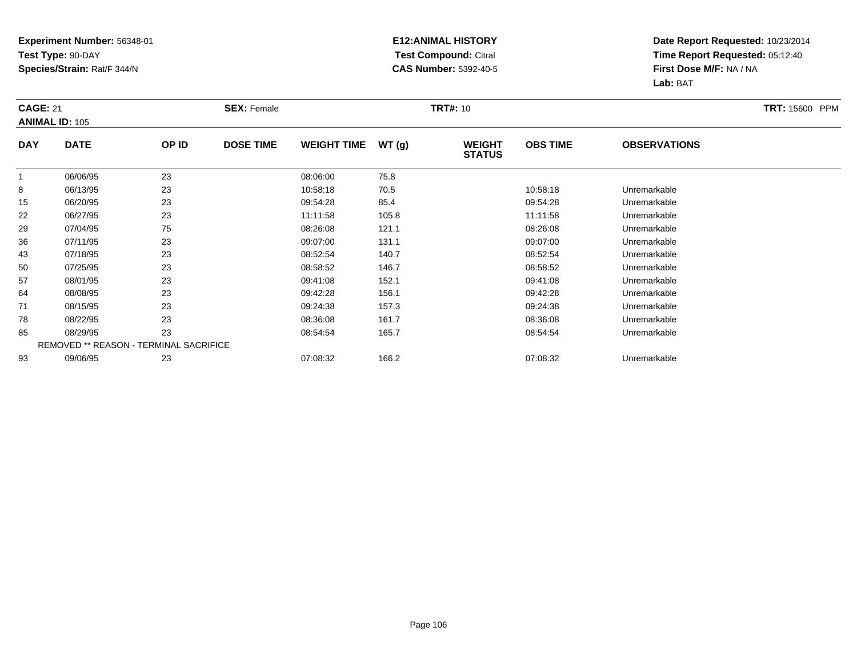#### **E12:ANIMAL HISTORY Test Compound:** Citral **CAS Number:** 5392-40-5

| <b>CAGE: 21</b> | <b>ANIMAL ID: 105</b>                  |       | <b>SEX: Female</b> |                    |       | <b>TRT#: 10</b>                |                 |                     | <b>TRT: 15600 PPM</b> |
|-----------------|----------------------------------------|-------|--------------------|--------------------|-------|--------------------------------|-----------------|---------------------|-----------------------|
| <b>DAY</b>      | <b>DATE</b>                            | OP ID | <b>DOSE TIME</b>   | <b>WEIGHT TIME</b> | WT(g) | <b>WEIGHT</b><br><b>STATUS</b> | <b>OBS TIME</b> | <b>OBSERVATIONS</b> |                       |
| $\mathbf{1}$    | 06/06/95                               | 23    |                    | 08:06:00           | 75.8  |                                |                 |                     |                       |
| 8               | 06/13/95                               | 23    |                    | 10:58:18           | 70.5  |                                | 10:58:18        | Unremarkable        |                       |
| 15              | 06/20/95                               | 23    |                    | 09:54:28           | 85.4  |                                | 09:54:28        | Unremarkable        |                       |
| 22              | 06/27/95                               | 23    |                    | 11:11:58           | 105.8 |                                | 11:11:58        | Unremarkable        |                       |
| 29              | 07/04/95                               | 75    |                    | 08:26:08           | 121.1 |                                | 08:26:08        | Unremarkable        |                       |
| 36              | 07/11/95                               | 23    |                    | 09:07:00           | 131.1 |                                | 09:07:00        | Unremarkable        |                       |
| 43              | 07/18/95                               | 23    |                    | 08:52:54           | 140.7 |                                | 08:52:54        | Unremarkable        |                       |
| 50              | 07/25/95                               | 23    |                    | 08:58:52           | 146.7 |                                | 08:58:52        | Unremarkable        |                       |
| 57              | 08/01/95                               | 23    |                    | 09:41:08           | 152.1 |                                | 09:41:08        | Unremarkable        |                       |
| 64              | 08/08/95                               | 23    |                    | 09:42:28           | 156.1 |                                | 09:42:28        | Unremarkable        |                       |
| 71              | 08/15/95                               | 23    |                    | 09:24:38           | 157.3 |                                | 09:24:38        | Unremarkable        |                       |
| 78              | 08/22/95                               | 23    |                    | 08:36:08           | 161.7 |                                | 08:36:08        | Unremarkable        |                       |
| 85              | 08/29/95                               | 23    |                    | 08:54:54           | 165.7 |                                | 08:54:54        | Unremarkable        |                       |
|                 | REMOVED ** REASON - TERMINAL SACRIFICE |       |                    |                    |       |                                |                 |                     |                       |
| 93              | 09/06/95                               | 23    |                    | 07:08:32           | 166.2 |                                | 07:08:32        | Unremarkable        |                       |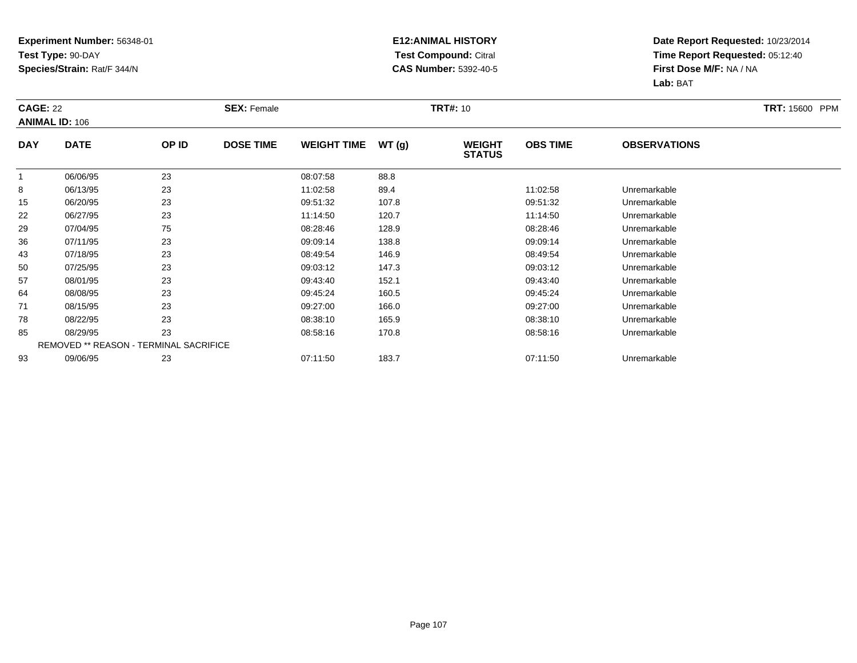#### **E12:ANIMAL HISTORY Test Compound:** Citral **CAS Number:** 5392-40-5

| <b>CAGE: 22</b> | <b>ANIMAL ID: 106</b>                  |       | <b>SEX: Female</b> |                    |       | <b>TRT#: 10</b>                |                 |                     | <b>TRT: 15600 PPM</b> |
|-----------------|----------------------------------------|-------|--------------------|--------------------|-------|--------------------------------|-----------------|---------------------|-----------------------|
| <b>DAY</b>      | <b>DATE</b>                            | OP ID | <b>DOSE TIME</b>   | <b>WEIGHT TIME</b> | WT(g) | <b>WEIGHT</b><br><b>STATUS</b> | <b>OBS TIME</b> | <b>OBSERVATIONS</b> |                       |
| $\mathbf{1}$    | 06/06/95                               | 23    |                    | 08:07:58           | 88.8  |                                |                 |                     |                       |
| 8               | 06/13/95                               | 23    |                    | 11:02:58           | 89.4  |                                | 11:02:58        | Unremarkable        |                       |
| 15              | 06/20/95                               | 23    |                    | 09:51:32           | 107.8 |                                | 09:51:32        | Unremarkable        |                       |
| 22              | 06/27/95                               | 23    |                    | 11:14:50           | 120.7 |                                | 11:14:50        | Unremarkable        |                       |
| 29              | 07/04/95                               | 75    |                    | 08:28:46           | 128.9 |                                | 08:28:46        | Unremarkable        |                       |
| 36              | 07/11/95                               | 23    |                    | 09:09:14           | 138.8 |                                | 09:09:14        | Unremarkable        |                       |
| 43              | 07/18/95                               | 23    |                    | 08:49:54           | 146.9 |                                | 08:49:54        | Unremarkable        |                       |
| 50              | 07/25/95                               | 23    |                    | 09:03:12           | 147.3 |                                | 09:03:12        | Unremarkable        |                       |
| 57              | 08/01/95                               | 23    |                    | 09:43:40           | 152.1 |                                | 09:43:40        | Unremarkable        |                       |
| 64              | 08/08/95                               | 23    |                    | 09:45:24           | 160.5 |                                | 09:45:24        | Unremarkable        |                       |
| 71              | 08/15/95                               | 23    |                    | 09:27:00           | 166.0 |                                | 09:27:00        | Unremarkable        |                       |
| 78              | 08/22/95                               | 23    |                    | 08:38:10           | 165.9 |                                | 08:38:10        | Unremarkable        |                       |
| 85              | 08/29/95                               | 23    |                    | 08:58:16           | 170.8 |                                | 08:58:16        | Unremarkable        |                       |
|                 | REMOVED ** REASON - TERMINAL SACRIFICE |       |                    |                    |       |                                |                 |                     |                       |
| 93              | 09/06/95                               | 23    |                    | 07:11:50           | 183.7 |                                | 07:11:50        | Unremarkable        |                       |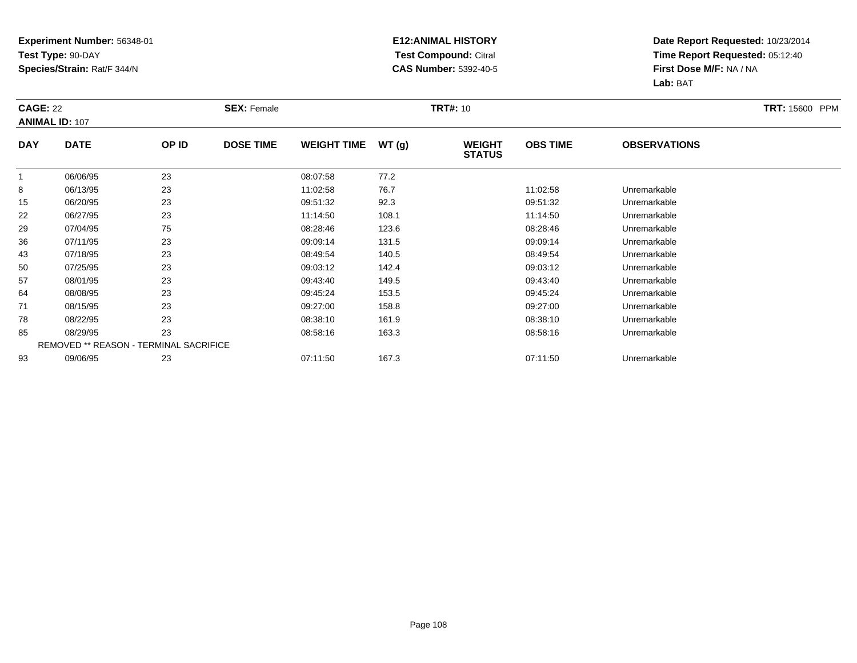#### **E12:ANIMAL HISTORY Test Compound:** Citral **CAS Number:** 5392-40-5

| <b>CAGE: 22</b> | <b>ANIMAL ID: 107</b> |                                        | <b>SEX: Female</b> |                    |       | <b>TRT#: 10</b>                |                 |                     | <b>TRT: 15600 PPM</b> |
|-----------------|-----------------------|----------------------------------------|--------------------|--------------------|-------|--------------------------------|-----------------|---------------------|-----------------------|
| <b>DAY</b>      | <b>DATE</b>           | OP ID                                  | <b>DOSE TIME</b>   | <b>WEIGHT TIME</b> | WT(g) | <b>WEIGHT</b><br><b>STATUS</b> | <b>OBS TIME</b> | <b>OBSERVATIONS</b> |                       |
| $\mathbf{1}$    | 06/06/95              | 23                                     |                    | 08:07:58           | 77.2  |                                |                 |                     |                       |
| 8               | 06/13/95              | 23                                     |                    | 11:02:58           | 76.7  |                                | 11:02:58        | Unremarkable        |                       |
| 15              | 06/20/95              | 23                                     |                    | 09:51:32           | 92.3  |                                | 09:51:32        | Unremarkable        |                       |
| 22              | 06/27/95              | 23                                     |                    | 11:14:50           | 108.1 |                                | 11:14:50        | Unremarkable        |                       |
| 29              | 07/04/95              | 75                                     |                    | 08:28:46           | 123.6 |                                | 08:28:46        | Unremarkable        |                       |
| 36              | 07/11/95              | 23                                     |                    | 09:09:14           | 131.5 |                                | 09:09:14        | Unremarkable        |                       |
| 43              | 07/18/95              | 23                                     |                    | 08:49:54           | 140.5 |                                | 08:49:54        | Unremarkable        |                       |
| 50              | 07/25/95              | 23                                     |                    | 09:03:12           | 142.4 |                                | 09:03:12        | Unremarkable        |                       |
| 57              | 08/01/95              | 23                                     |                    | 09:43:40           | 149.5 |                                | 09:43:40        | Unremarkable        |                       |
| 64              | 08/08/95              | 23                                     |                    | 09:45:24           | 153.5 |                                | 09:45:24        | Unremarkable        |                       |
| 71              | 08/15/95              | 23                                     |                    | 09:27:00           | 158.8 |                                | 09:27:00        | Unremarkable        |                       |
| 78              | 08/22/95              | 23                                     |                    | 08:38:10           | 161.9 |                                | 08:38:10        | Unremarkable        |                       |
| 85              | 08/29/95              | 23                                     |                    | 08:58:16           | 163.3 |                                | 08:58:16        | Unremarkable        |                       |
|                 |                       | REMOVED ** REASON - TERMINAL SACRIFICE |                    |                    |       |                                |                 |                     |                       |
| 93              | 09/06/95              | 23                                     |                    | 07:11:50           | 167.3 |                                | 07:11:50        | Unremarkable        |                       |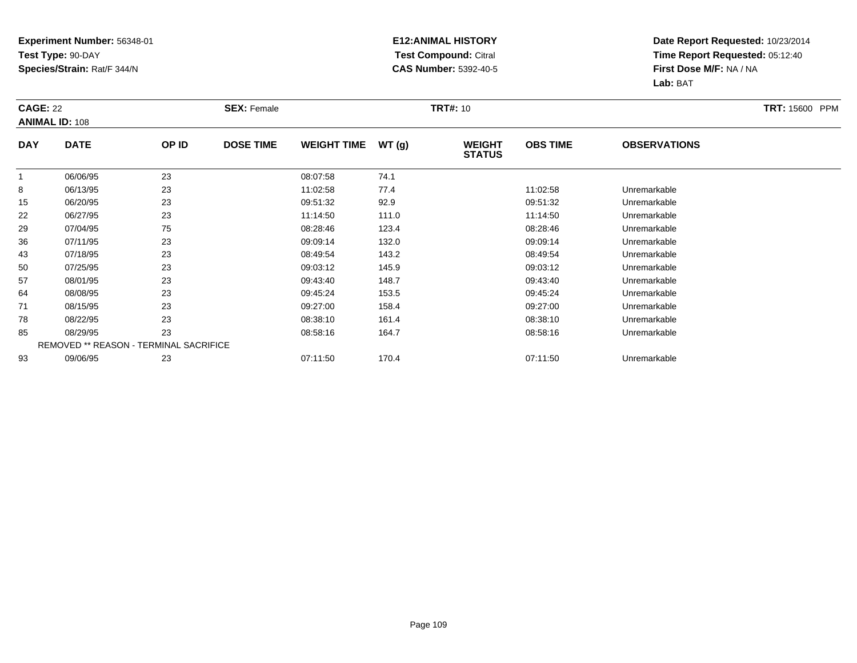#### **E12:ANIMAL HISTORY Test Compound:** Citral **CAS Number:** 5392-40-5

|              | <b>CAGE: 22</b><br><b>ANIMAL ID: 108</b> |       | <b>SEX: Female</b> |                    |       | <b>TRT#: 10</b>                |                 | <b>TRT: 15600 PPM</b> |  |
|--------------|------------------------------------------|-------|--------------------|--------------------|-------|--------------------------------|-----------------|-----------------------|--|
| <b>DAY</b>   | <b>DATE</b>                              | OP ID | <b>DOSE TIME</b>   | <b>WEIGHT TIME</b> | WT(g) | <b>WEIGHT</b><br><b>STATUS</b> | <b>OBS TIME</b> | <b>OBSERVATIONS</b>   |  |
| $\mathbf{1}$ | 06/06/95                                 | 23    |                    | 08:07:58           | 74.1  |                                |                 |                       |  |
| 8            | 06/13/95                                 | 23    |                    | 11:02:58           | 77.4  |                                | 11:02:58        | Unremarkable          |  |
| 15           | 06/20/95                                 | 23    |                    | 09:51:32           | 92.9  |                                | 09:51:32        | Unremarkable          |  |
| 22           | 06/27/95                                 | 23    |                    | 11:14:50           | 111.0 |                                | 11:14:50        | Unremarkable          |  |
| 29           | 07/04/95                                 | 75    |                    | 08:28:46           | 123.4 |                                | 08:28:46        | Unremarkable          |  |
| 36           | 07/11/95                                 | 23    |                    | 09:09:14           | 132.0 |                                | 09:09:14        | Unremarkable          |  |
| 43           | 07/18/95                                 | 23    |                    | 08:49:54           | 143.2 |                                | 08:49:54        | Unremarkable          |  |
| 50           | 07/25/95                                 | 23    |                    | 09:03:12           | 145.9 |                                | 09:03:12        | Unremarkable          |  |
| 57           | 08/01/95                                 | 23    |                    | 09:43:40           | 148.7 |                                | 09:43:40        | Unremarkable          |  |
| 64           | 08/08/95                                 | 23    |                    | 09:45:24           | 153.5 |                                | 09:45:24        | Unremarkable          |  |
| 71           | 08/15/95                                 | 23    |                    | 09:27:00           | 158.4 |                                | 09:27:00        | Unremarkable          |  |
| 78           | 08/22/95                                 | 23    |                    | 08:38:10           | 161.4 |                                | 08:38:10        | Unremarkable          |  |
| 85           | 08/29/95                                 | 23    |                    | 08:58:16           | 164.7 |                                | 08:58:16        | Unremarkable          |  |
|              | REMOVED ** REASON - TERMINAL SACRIFICE   |       |                    |                    |       |                                |                 |                       |  |
| 93           | 09/06/95                                 | 23    |                    | 07:11:50           | 170.4 |                                | 07:11:50        | Unremarkable          |  |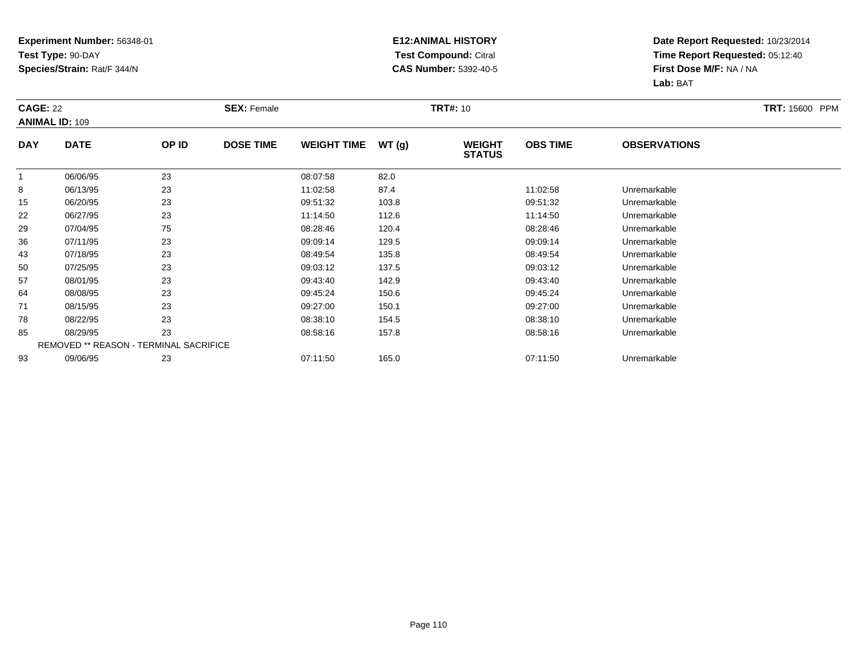#### **E12:ANIMAL HISTORY Test Compound:** Citral **CAS Number:** 5392-40-5

|              | <b>CAGE: 22</b><br><b>ANIMAL ID: 109</b> |       | <b>SEX: Female</b> |                    |       | <b>TRT#: 10</b>                |                 | <b>TRT: 15600 PPM</b> |  |
|--------------|------------------------------------------|-------|--------------------|--------------------|-------|--------------------------------|-----------------|-----------------------|--|
| <b>DAY</b>   | <b>DATE</b>                              | OP ID | <b>DOSE TIME</b>   | <b>WEIGHT TIME</b> | WT(g) | <b>WEIGHT</b><br><b>STATUS</b> | <b>OBS TIME</b> | <b>OBSERVATIONS</b>   |  |
| $\mathbf{1}$ | 06/06/95                                 | 23    |                    | 08:07:58           | 82.0  |                                |                 |                       |  |
| 8            | 06/13/95                                 | 23    |                    | 11:02:58           | 87.4  |                                | 11:02:58        | Unremarkable          |  |
| 15           | 06/20/95                                 | 23    |                    | 09:51:32           | 103.8 |                                | 09:51:32        | Unremarkable          |  |
| 22           | 06/27/95                                 | 23    |                    | 11:14:50           | 112.6 |                                | 11:14:50        | Unremarkable          |  |
| 29           | 07/04/95                                 | 75    |                    | 08:28:46           | 120.4 |                                | 08:28:46        | Unremarkable          |  |
| 36           | 07/11/95                                 | 23    |                    | 09:09:14           | 129.5 |                                | 09:09:14        | Unremarkable          |  |
| 43           | 07/18/95                                 | 23    |                    | 08:49:54           | 135.8 |                                | 08:49:54        | Unremarkable          |  |
| 50           | 07/25/95                                 | 23    |                    | 09:03:12           | 137.5 |                                | 09:03:12        | Unremarkable          |  |
| 57           | 08/01/95                                 | 23    |                    | 09:43:40           | 142.9 |                                | 09:43:40        | Unremarkable          |  |
| 64           | 08/08/95                                 | 23    |                    | 09:45:24           | 150.6 |                                | 09:45:24        | Unremarkable          |  |
| 71           | 08/15/95                                 | 23    |                    | 09:27:00           | 150.1 |                                | 09:27:00        | Unremarkable          |  |
| 78           | 08/22/95                                 | 23    |                    | 08:38:10           | 154.5 |                                | 08:38:10        | Unremarkable          |  |
| 85           | 08/29/95                                 | 23    |                    | 08:58:16           | 157.8 |                                | 08:58:16        | Unremarkable          |  |
|              | REMOVED ** REASON - TERMINAL SACRIFICE   |       |                    |                    |       |                                |                 |                       |  |
| 93           | 09/06/95                                 | 23    |                    | 07:11:50           | 165.0 |                                | 07:11:50        | Unremarkable          |  |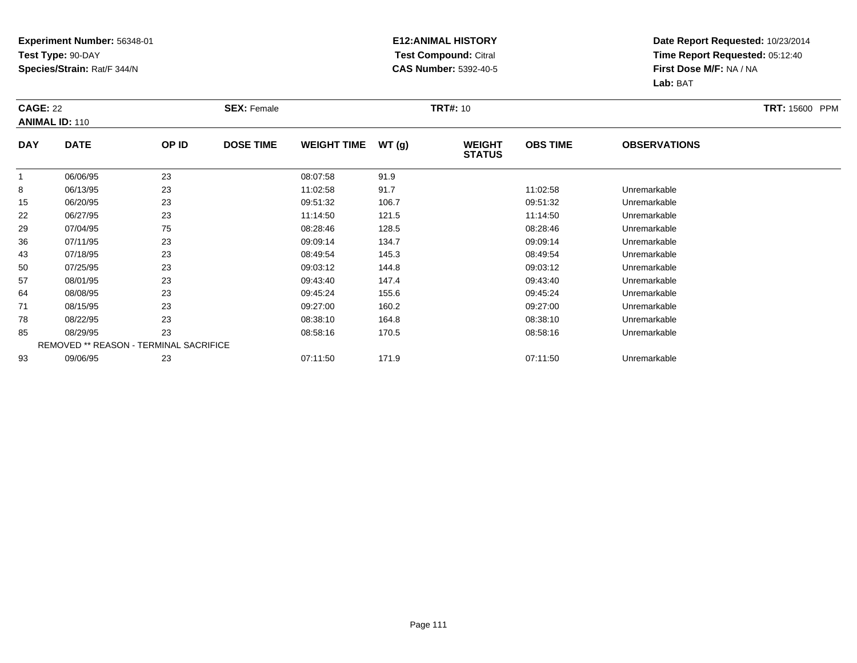#### **E12:ANIMAL HISTORY Test Compound:** Citral **CAS Number:** 5392-40-5

| <b>CAGE: 22</b><br><b>ANIMAL ID: 110</b> |                                        | <b>SEX: Female</b> |                  |                    | <b>TRT#: 10</b> |                                | <b>TRT: 15600 PPM</b> |                     |  |
|------------------------------------------|----------------------------------------|--------------------|------------------|--------------------|-----------------|--------------------------------|-----------------------|---------------------|--|
| <b>DAY</b>                               | <b>DATE</b>                            | OP ID              | <b>DOSE TIME</b> | <b>WEIGHT TIME</b> | WT(g)           | <b>WEIGHT</b><br><b>STATUS</b> | <b>OBS TIME</b>       | <b>OBSERVATIONS</b> |  |
| $\mathbf{1}$                             | 06/06/95                               | 23                 |                  | 08:07:58           | 91.9            |                                |                       |                     |  |
| 8                                        | 06/13/95                               | 23                 |                  | 11:02:58           | 91.7            |                                | 11:02:58              | Unremarkable        |  |
| 15                                       | 06/20/95                               | 23                 |                  | 09:51:32           | 106.7           |                                | 09:51:32              | Unremarkable        |  |
| 22                                       | 06/27/95                               | 23                 |                  | 11:14:50           | 121.5           |                                | 11:14:50              | Unremarkable        |  |
| 29                                       | 07/04/95                               | 75                 |                  | 08:28:46           | 128.5           |                                | 08:28:46              | Unremarkable        |  |
| 36                                       | 07/11/95                               | 23                 |                  | 09:09:14           | 134.7           |                                | 09:09:14              | Unremarkable        |  |
| 43                                       | 07/18/95                               | 23                 |                  | 08:49:54           | 145.3           |                                | 08:49:54              | Unremarkable        |  |
| 50                                       | 07/25/95                               | 23                 |                  | 09:03:12           | 144.8           |                                | 09:03:12              | Unremarkable        |  |
| 57                                       | 08/01/95                               | 23                 |                  | 09:43:40           | 147.4           |                                | 09:43:40              | Unremarkable        |  |
| 64                                       | 08/08/95                               | 23                 |                  | 09:45:24           | 155.6           |                                | 09:45:24              | Unremarkable        |  |
| 71                                       | 08/15/95                               | 23                 |                  | 09:27:00           | 160.2           |                                | 09:27:00              | Unremarkable        |  |
| 78                                       | 08/22/95                               | 23                 |                  | 08:38:10           | 164.8           |                                | 08:38:10              | Unremarkable        |  |
| 85                                       | 08/29/95                               | 23                 |                  | 08:58:16           | 170.5           |                                | 08:58:16              | Unremarkable        |  |
|                                          | REMOVED ** REASON - TERMINAL SACRIFICE |                    |                  |                    |                 |                                |                       |                     |  |
| 93                                       | 09/06/95                               | 23                 |                  | 07:11:50           | 171.9           |                                | 07:11:50              | Unremarkable        |  |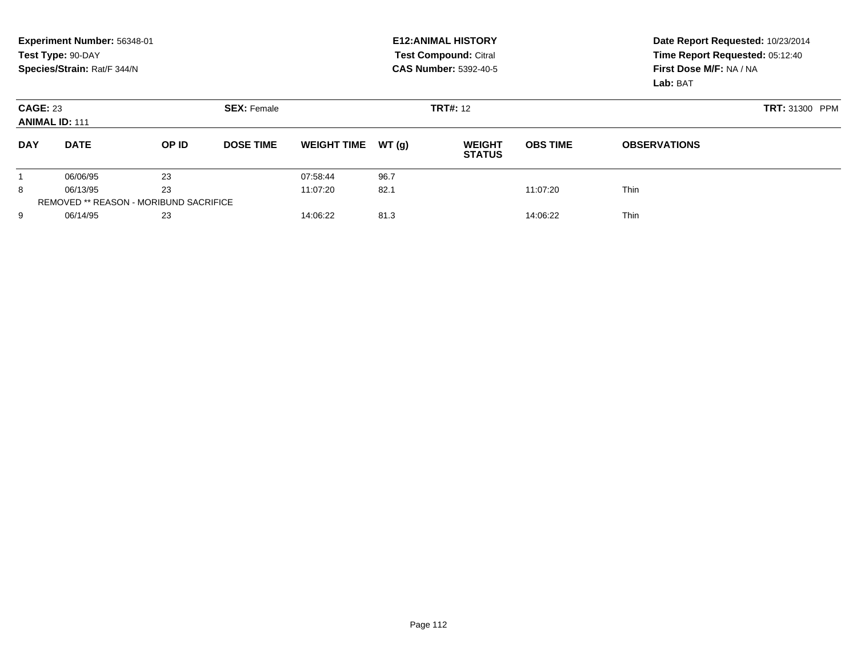|                                          | Experiment Number: 56348-01<br>Test Type: 90-DAY<br>Species/Strain: Rat/F 344/N |                                               |                    |                    |       | <b>E12: ANIMAL HISTORY</b><br><b>Test Compound: Citral</b><br><b>CAS Number: 5392-40-5</b> |                 | Date Report Requested: 10/23/2014<br>Time Report Requested: 05:12:40<br>First Dose M/F: NA / NA |  |  |
|------------------------------------------|---------------------------------------------------------------------------------|-----------------------------------------------|--------------------|--------------------|-------|--------------------------------------------------------------------------------------------|-----------------|-------------------------------------------------------------------------------------------------|--|--|
|                                          |                                                                                 |                                               |                    |                    |       |                                                                                            |                 | Lab: BAT                                                                                        |  |  |
| <b>CAGE: 23</b><br><b>ANIMAL ID: 111</b> |                                                                                 |                                               | <b>SEX: Female</b> |                    |       | <b>TRT#: 12</b>                                                                            | TRT: 31300 PPM  |                                                                                                 |  |  |
| <b>DAY</b>                               | <b>DATE</b>                                                                     | OP ID                                         | <b>DOSE TIME</b>   | <b>WEIGHT TIME</b> | WT(g) | <b>WEIGHT</b><br><b>STATUS</b>                                                             | <b>OBS TIME</b> | <b>OBSERVATIONS</b>                                                                             |  |  |
|                                          | 06/06/95                                                                        | 23                                            |                    | 07:58:44           | 96.7  |                                                                                            |                 |                                                                                                 |  |  |
| 8                                        | 06/13/95                                                                        | 23                                            |                    | 11:07:20           | 82.1  |                                                                                            | 11:07:20        | <b>Thin</b>                                                                                     |  |  |
|                                          |                                                                                 | <b>REMOVED ** REASON - MORIBUND SACRIFICE</b> |                    |                    |       |                                                                                            |                 |                                                                                                 |  |  |
| 9                                        | 06/14/95                                                                        | 23                                            |                    | 14:06:22           | 81.3  |                                                                                            | 14:06:22        | Thin                                                                                            |  |  |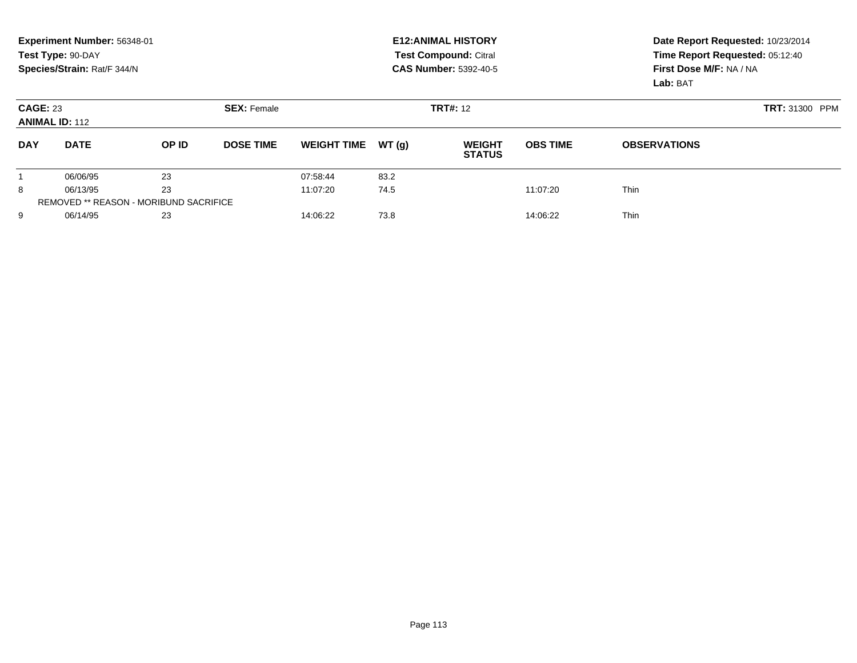|                 | Experiment Number: 56348-01<br>Test Type: 90-DAY<br>Species/Strain: Rat/F 344/N |                                               |                    |                    |       | <b>E12: ANIMAL HISTORY</b><br>Test Compound: Citral<br><b>CAS Number: 5392-40-5</b> | Date Report Requested: 10/23/2014<br>Time Report Requested: 05:12:40<br>First Dose M/F: NA / NA<br>Lab: BAT |                       |
|-----------------|---------------------------------------------------------------------------------|-----------------------------------------------|--------------------|--------------------|-------|-------------------------------------------------------------------------------------|-------------------------------------------------------------------------------------------------------------|-----------------------|
| <b>CAGE: 23</b> | <b>ANIMAL ID: 112</b>                                                           |                                               | <b>SEX: Female</b> |                    |       | <b>TRT#: 12</b>                                                                     |                                                                                                             | <b>TRT: 31300 PPM</b> |
| <b>DAY</b>      | <b>DATE</b>                                                                     | OP ID                                         | <b>DOSE TIME</b>   | <b>WEIGHT TIME</b> | WT(q) | <b>WEIGHT</b><br><b>STATUS</b>                                                      | <b>OBS TIME</b>                                                                                             | <b>OBSERVATIONS</b>   |
|                 | 06/06/95                                                                        | 23                                            |                    | 07:58:44           | 83.2  |                                                                                     |                                                                                                             |                       |
| 8               | 06/13/95                                                                        | 23                                            |                    | 11:07:20           | 74.5  |                                                                                     | 11:07:20                                                                                                    | <b>Thin</b>           |
|                 |                                                                                 | <b>REMOVED ** REASON - MORIBUND SACRIFICE</b> |                    |                    |       |                                                                                     |                                                                                                             |                       |
| 9               | 06/14/95                                                                        | 23                                            |                    | 14:06:22           | 73.8  |                                                                                     | 14:06:22                                                                                                    | <b>Thin</b>           |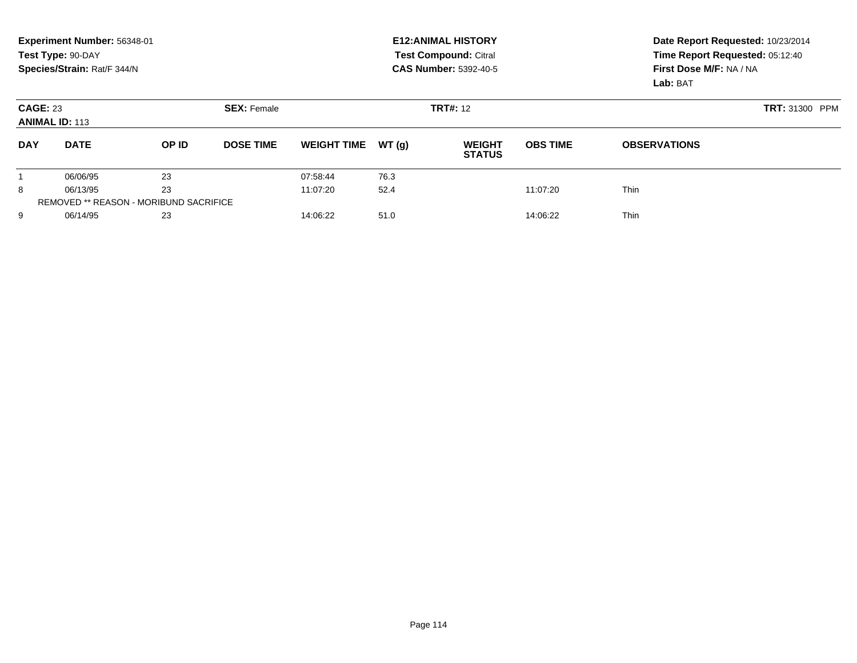|                 | Experiment Number: 56348-01<br>Test Type: 90-DAY<br>Species/Strain: Rat/F 344/N |       |                  |                    |       | <b>E12: ANIMAL HISTORY</b><br><b>Test Compound: Citral</b><br><b>CAS Number: 5392-40-5</b> |                 | Date Report Requested: 10/23/2014<br>Time Report Requested: 05:12:40<br>First Dose M/F: NA / NA<br>Lab: BAT |  |
|-----------------|---------------------------------------------------------------------------------|-------|------------------|--------------------|-------|--------------------------------------------------------------------------------------------|-----------------|-------------------------------------------------------------------------------------------------------------|--|
| <b>CAGE: 23</b> | <b>ANIMAL ID: 113</b>                                                           |       |                  |                    |       | <b>TRT#: 12</b>                                                                            |                 | <b>TRT: 31300 PPM</b>                                                                                       |  |
| <b>DAY</b>      | <b>DATE</b>                                                                     | OP ID | <b>DOSE TIME</b> | <b>WEIGHT TIME</b> | WT(q) | <b>WEIGHT</b><br><b>STATUS</b>                                                             | <b>OBS TIME</b> | <b>OBSERVATIONS</b>                                                                                         |  |
|                 | 06/06/95                                                                        | 23    |                  | 07:58:44           | 76.3  |                                                                                            |                 |                                                                                                             |  |
| 8               | 06/13/95                                                                        | 23    |                  | 11:07:20           | 52.4  |                                                                                            | 11:07:20        | <b>Thin</b>                                                                                                 |  |
|                 | <b>REMOVED ** REASON - MORIBUND SACRIFICE</b>                                   |       |                  |                    |       |                                                                                            |                 |                                                                                                             |  |
| 9               | 06/14/95                                                                        | 23    |                  | 14:06:22           | 51.0  |                                                                                            | 14:06:22        | <b>Thin</b>                                                                                                 |  |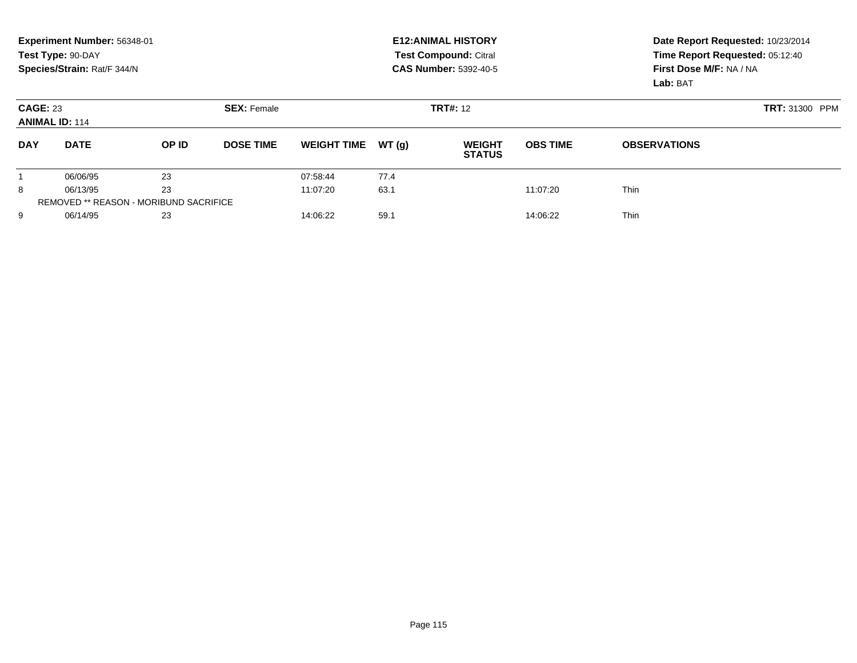|                                          | Experiment Number: 56348-01<br>Test Type: 90-DAY<br>Species/Strain: Rat/F 344/N |                                               |                    |                    |       | <b>E12: ANIMAL HISTORY</b><br><b>Test Compound: Citral</b><br><b>CAS Number: 5392-40-5</b> |                 | Date Report Requested: 10/23/2014<br>Time Report Requested: 05:12:40<br>First Dose M/F: NA / NA<br>Lab: BAT |  |  |
|------------------------------------------|---------------------------------------------------------------------------------|-----------------------------------------------|--------------------|--------------------|-------|--------------------------------------------------------------------------------------------|-----------------|-------------------------------------------------------------------------------------------------------------|--|--|
| <b>CAGE: 23</b><br><b>ANIMAL ID: 114</b> |                                                                                 |                                               | <b>SEX: Female</b> |                    |       | <b>TRT#: 12</b>                                                                            |                 | <b>TRT: 31300 PPM</b>                                                                                       |  |  |
| <b>DAY</b>                               | <b>DATE</b>                                                                     | OP ID                                         | <b>DOSE TIME</b>   | <b>WEIGHT TIME</b> | WT(q) | <b>WEIGHT</b><br><b>STATUS</b>                                                             | <b>OBS TIME</b> | <b>OBSERVATIONS</b>                                                                                         |  |  |
|                                          | 06/06/95                                                                        | 23                                            |                    | 07:58:44           | 77.4  |                                                                                            |                 |                                                                                                             |  |  |
| 8                                        | 06/13/95                                                                        | 23                                            |                    | 11:07:20           | 63.1  |                                                                                            | 11:07:20        | <b>Thin</b>                                                                                                 |  |  |
|                                          |                                                                                 | <b>REMOVED ** REASON - MORIBUND SACRIFICE</b> |                    |                    |       |                                                                                            |                 |                                                                                                             |  |  |
| 9                                        | 06/14/95                                                                        | 23                                            |                    | 14:06:22           | 59.1  |                                                                                            | 14:06:22        | <b>Thin</b>                                                                                                 |  |  |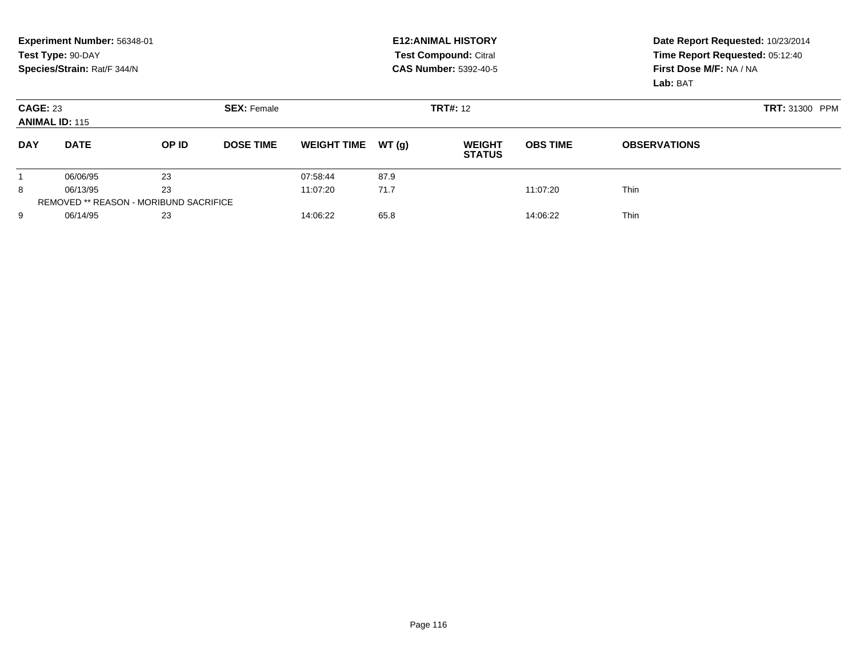|                 | Experiment Number: 56348-01<br>Test Type: 90-DAY<br>Species/Strain: Rat/F 344/N |                                               |                    |                    |       | <b>E12: ANIMAL HISTORY</b><br>Test Compound: Citral<br><b>CAS Number: 5392-40-5</b> | Date Report Requested: 10/23/2014<br>Time Report Requested: 05:12:40<br>First Dose M/F: NA / NA<br>Lab: BAT |                       |  |
|-----------------|---------------------------------------------------------------------------------|-----------------------------------------------|--------------------|--------------------|-------|-------------------------------------------------------------------------------------|-------------------------------------------------------------------------------------------------------------|-----------------------|--|
| <b>CAGE: 23</b> | <b>ANIMAL ID: 115</b>                                                           |                                               | <b>SEX: Female</b> |                    |       | <b>TRT#: 12</b>                                                                     |                                                                                                             | <b>TRT: 31300 PPM</b> |  |
| <b>DAY</b>      | <b>DATE</b>                                                                     | OP ID                                         | <b>DOSE TIME</b>   | <b>WEIGHT TIME</b> | WT(q) | <b>WEIGHT</b><br><b>STATUS</b>                                                      | <b>OBS TIME</b>                                                                                             | <b>OBSERVATIONS</b>   |  |
|                 | 06/06/95                                                                        | 23                                            |                    | 07:58:44           | 87.9  |                                                                                     |                                                                                                             |                       |  |
| 8               | 06/13/95                                                                        | 23                                            |                    | 11:07:20           | 71.7  |                                                                                     | 11:07:20                                                                                                    | <b>Thin</b>           |  |
|                 |                                                                                 | <b>REMOVED ** REASON - MORIBUND SACRIFICE</b> |                    |                    |       |                                                                                     |                                                                                                             |                       |  |
| 9               | 06/14/95                                                                        | 23                                            |                    | 14:06:22           | 65.8  |                                                                                     | 14:06:22                                                                                                    | <b>Thin</b>           |  |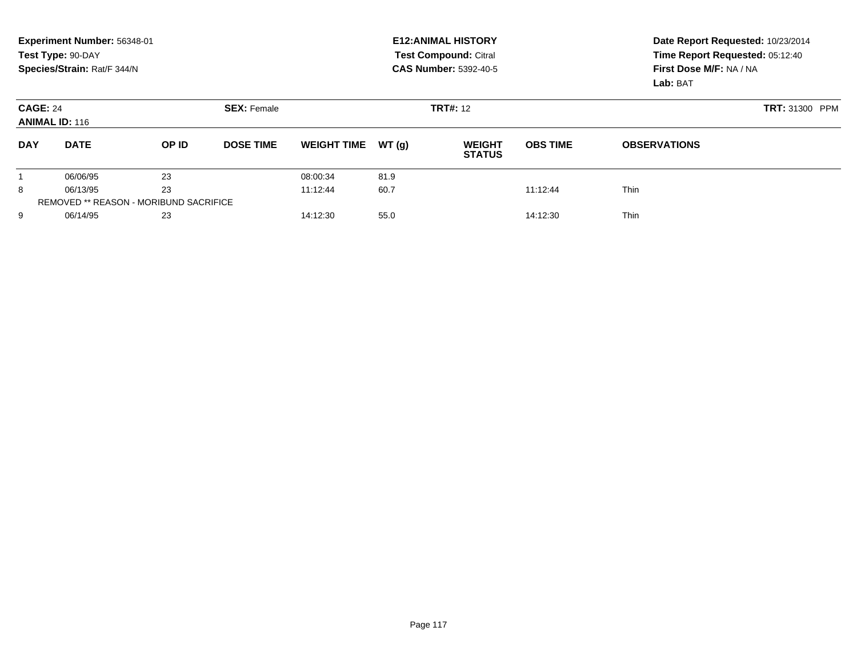|                 | Experiment Number: 56348-01<br>Test Type: 90-DAY<br>Species/Strain: Rat/F 344/N |                                               |                    |                    |       | <b>E12: ANIMAL HISTORY</b><br><b>Test Compound: Citral</b><br><b>CAS Number: 5392-40-5</b> | Date Report Requested: 10/23/2014<br>Time Report Requested: 05:12:40<br>First Dose M/F: NA / NA<br>Lab: BAT |                     |  |
|-----------------|---------------------------------------------------------------------------------|-----------------------------------------------|--------------------|--------------------|-------|--------------------------------------------------------------------------------------------|-------------------------------------------------------------------------------------------------------------|---------------------|--|
| <b>CAGE: 24</b> | <b>ANIMAL ID: 116</b>                                                           |                                               | <b>SEX: Female</b> |                    |       | <b>TRT#: 12</b>                                                                            |                                                                                                             | TRT: 31300 PPM      |  |
| <b>DAY</b>      | <b>DATE</b>                                                                     | OP ID                                         | <b>DOSE TIME</b>   | <b>WEIGHT TIME</b> | WT(q) | <b>WEIGHT</b><br><b>STATUS</b>                                                             | <b>OBS TIME</b>                                                                                             | <b>OBSERVATIONS</b> |  |
|                 | 06/06/95                                                                        | 23                                            |                    | 08:00:34           | 81.9  |                                                                                            |                                                                                                             |                     |  |
| 8               | 06/13/95                                                                        | 23                                            |                    | 11:12:44           | 60.7  |                                                                                            | 11:12:44                                                                                                    | <b>Thin</b>         |  |
|                 |                                                                                 | <b>REMOVED ** REASON - MORIBUND SACRIFICE</b> |                    |                    |       |                                                                                            |                                                                                                             |                     |  |
| 9               | 06/14/95                                                                        | 23                                            |                    | 14:12:30           | 55.0  |                                                                                            | 14:12:30                                                                                                    | <b>Thin</b>         |  |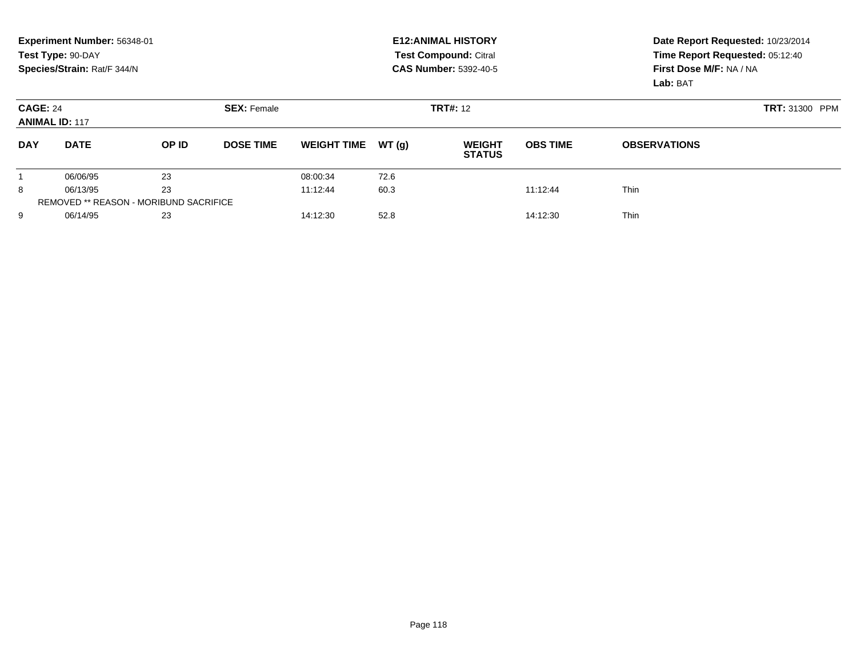|                 | Experiment Number: 56348-01<br>Test Type: 90-DAY<br>Species/Strain: Rat/F 344/N |                                               |                    |                    |       | <b>E12: ANIMAL HISTORY</b><br><b>Test Compound: Citral</b><br><b>CAS Number: 5392-40-5</b> | Date Report Requested: 10/23/2014<br>Time Report Requested: 05:12:40<br>First Dose M/F: NA / NA<br>Lab: BAT |                       |  |
|-----------------|---------------------------------------------------------------------------------|-----------------------------------------------|--------------------|--------------------|-------|--------------------------------------------------------------------------------------------|-------------------------------------------------------------------------------------------------------------|-----------------------|--|
| <b>CAGE: 24</b> | <b>ANIMAL ID: 117</b>                                                           |                                               | <b>SEX: Female</b> |                    |       | <b>TRT#: 12</b>                                                                            |                                                                                                             | <b>TRT: 31300 PPM</b> |  |
| <b>DAY</b>      | <b>DATE</b>                                                                     | OP ID                                         | <b>DOSE TIME</b>   | <b>WEIGHT TIME</b> | WT(q) | <b>WEIGHT</b><br><b>STATUS</b>                                                             | <b>OBS TIME</b>                                                                                             | <b>OBSERVATIONS</b>   |  |
|                 | 06/06/95                                                                        | 23                                            |                    | 08:00:34           | 72.6  |                                                                                            |                                                                                                             |                       |  |
| 8               | 06/13/95                                                                        | 23                                            |                    | 11:12:44           | 60.3  |                                                                                            | 11:12:44                                                                                                    | <b>Thin</b>           |  |
|                 |                                                                                 | <b>REMOVED ** REASON - MORIBUND SACRIFICE</b> |                    |                    |       |                                                                                            |                                                                                                             |                       |  |
| 9               | 06/14/95                                                                        | 23                                            |                    | 14:12:30           | 52.8  |                                                                                            | 14:12:30                                                                                                    | <b>Thin</b>           |  |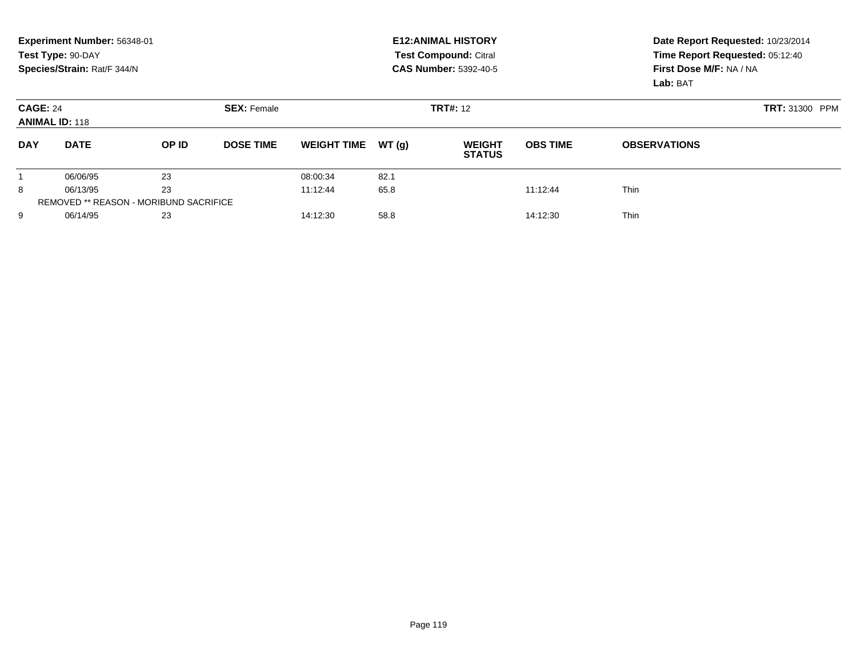|                                          | Experiment Number: 56348-01<br>Test Type: 90-DAY<br>Species/Strain: Rat/F 344/N |                                               |                    |                    |       | <b>E12: ANIMAL HISTORY</b><br><b>Test Compound: Citral</b><br><b>CAS Number: 5392-40-5</b> | Date Report Requested: 10/23/2014<br>Time Report Requested: 05:12:40<br>First Dose M/F: NA / NA |                     |  |  |
|------------------------------------------|---------------------------------------------------------------------------------|-----------------------------------------------|--------------------|--------------------|-------|--------------------------------------------------------------------------------------------|-------------------------------------------------------------------------------------------------|---------------------|--|--|
|                                          |                                                                                 |                                               |                    |                    |       |                                                                                            |                                                                                                 | Lab: BAT            |  |  |
| <b>CAGE: 24</b><br><b>ANIMAL ID: 118</b> |                                                                                 |                                               | <b>SEX: Female</b> |                    |       | <b>TRT#: 12</b>                                                                            | TRT: 31300 PPM                                                                                  |                     |  |  |
| <b>DAY</b>                               | <b>DATE</b>                                                                     | OP ID                                         | <b>DOSE TIME</b>   | <b>WEIGHT TIME</b> | WT(g) | <b>WEIGHT</b><br><b>STATUS</b>                                                             | <b>OBS TIME</b>                                                                                 | <b>OBSERVATIONS</b> |  |  |
|                                          | 06/06/95                                                                        | 23                                            |                    | 08:00:34           | 82.1  |                                                                                            |                                                                                                 |                     |  |  |
| 8                                        | 06/13/95                                                                        | 23                                            |                    | 11:12:44           | 65.8  |                                                                                            | 11:12:44                                                                                        | <b>Thin</b>         |  |  |
|                                          |                                                                                 | <b>REMOVED ** REASON - MORIBUND SACRIFICE</b> |                    |                    |       |                                                                                            |                                                                                                 |                     |  |  |
| 9                                        | 06/14/95                                                                        | 23                                            |                    | 14:12:30           | 58.8  |                                                                                            | 14:12:30                                                                                        | Thin                |  |  |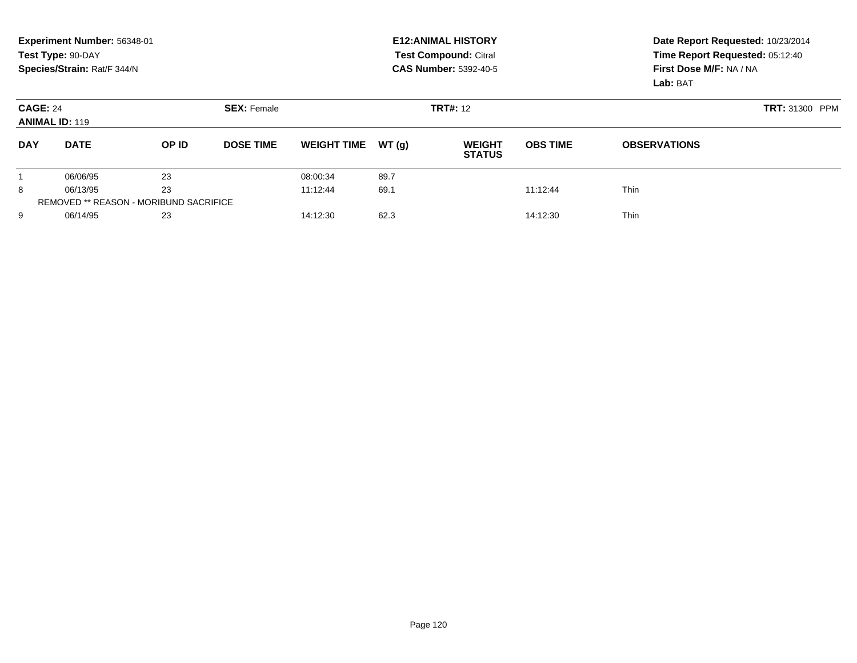|                 | Experiment Number: 56348-01<br>Test Type: 90-DAY<br>Species/Strain: Rat/F 344/N |                                               |                    |                    |       | <b>E12: ANIMAL HISTORY</b><br><b>Test Compound: Citral</b><br><b>CAS Number: 5392-40-5</b> | Date Report Requested: 10/23/2014<br>Time Report Requested: 05:12:40<br>First Dose M/F: NA / NA<br>Lab: BAT |                     |  |
|-----------------|---------------------------------------------------------------------------------|-----------------------------------------------|--------------------|--------------------|-------|--------------------------------------------------------------------------------------------|-------------------------------------------------------------------------------------------------------------|---------------------|--|
| <b>CAGE: 24</b> | <b>ANIMAL ID: 119</b>                                                           |                                               | <b>SEX: Female</b> |                    |       | <b>TRT#: 12</b>                                                                            |                                                                                                             | TRT: 31300 PPM      |  |
| <b>DAY</b>      | <b>DATE</b>                                                                     | OP ID                                         | <b>DOSE TIME</b>   | <b>WEIGHT TIME</b> | WT(g) | <b>WEIGHT</b><br><b>STATUS</b>                                                             | <b>OBS TIME</b>                                                                                             | <b>OBSERVATIONS</b> |  |
|                 | 06/06/95                                                                        | 23                                            |                    | 08:00:34           | 89.7  |                                                                                            |                                                                                                             |                     |  |
| 8               | 06/13/95                                                                        | 23                                            |                    | 11:12:44           | 69.1  |                                                                                            | 11:12:44                                                                                                    | <b>Thin</b>         |  |
|                 |                                                                                 | <b>REMOVED ** REASON - MORIBUND SACRIFICE</b> |                    |                    |       |                                                                                            |                                                                                                             |                     |  |
| 9               | 06/14/95                                                                        | 23                                            |                    | 14:12:30           | 62.3  |                                                                                            | 14:12:30                                                                                                    | Thin                |  |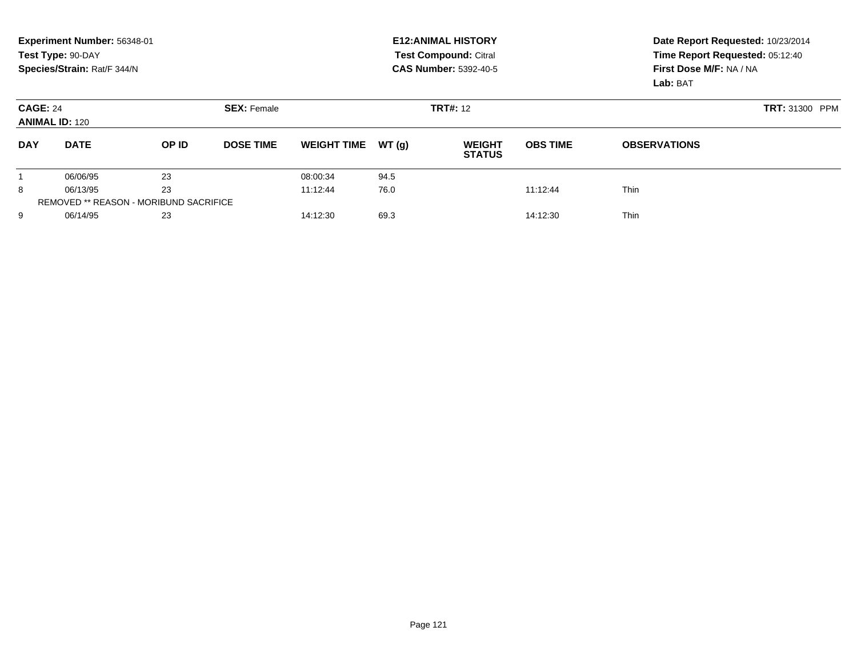| <b>Test Compound: Citral</b><br>Test Type: 90-DAY<br>Species/Strain: Rat/F 344/N<br>First Dose M/F: NA / NA<br><b>CAS Number: 5392-40-5</b><br>Lab: BAT           | Time Report Requested: 05:12:40 |
|-------------------------------------------------------------------------------------------------------------------------------------------------------------------|---------------------------------|
| <b>TRT#: 12</b><br><b>CAGE: 24</b><br><b>SEX: Female</b><br><b>ANIMAL ID: 120</b>                                                                                 | <b>TRT: 31300 PPM</b>           |
| <b>DAY</b><br><b>DATE</b><br>OP ID<br><b>DOSE TIME</b><br>WT(q)<br><b>OBS TIME</b><br><b>WEIGHT TIME</b><br><b>WEIGHT</b><br><b>OBSERVATIONS</b><br><b>STATUS</b> |                                 |
| 23<br>94.5<br>06/06/95<br>08:00:34                                                                                                                                |                                 |
| 23<br>8<br>76.0<br><b>Thin</b><br>11:12:44<br>11:12:44<br>06/13/95                                                                                                |                                 |
| <b>REMOVED ** REASON - MORIBUND SACRIFICE</b>                                                                                                                     |                                 |
| <b>Thin</b><br>9<br>06/14/95<br>23<br>69.3<br>14:12:30<br>14:12:30                                                                                                |                                 |